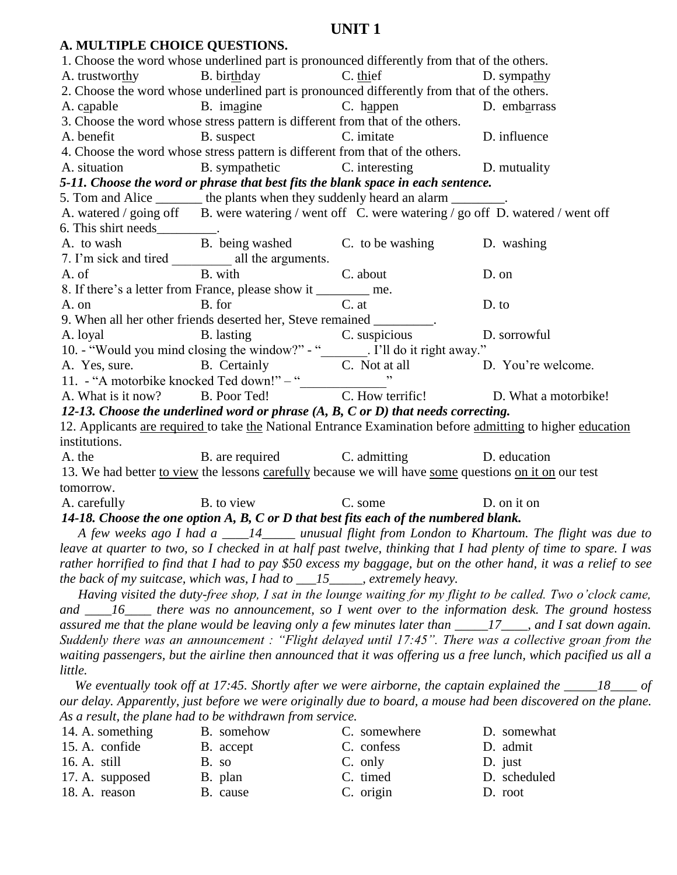| A. MULTIPLE CHOICE QUESTIONS.  |                                                                                                                                                                                                                                       |                                   |                                                                                                                  |
|--------------------------------|---------------------------------------------------------------------------------------------------------------------------------------------------------------------------------------------------------------------------------------|-----------------------------------|------------------------------------------------------------------------------------------------------------------|
|                                | 1. Choose the word whose underlined part is pronounced differently from that of the others.                                                                                                                                           |                                   |                                                                                                                  |
|                                | A. trustworthy B. birthday C. thief                                                                                                                                                                                                   |                                   | D. sympathy                                                                                                      |
|                                | 2. Choose the word whose underlined part is pronounced differently from that of the others.                                                                                                                                           |                                   |                                                                                                                  |
| A. capable                     |                                                                                                                                                                                                                                       | B. imagine C. happen D. embarrass |                                                                                                                  |
|                                | 3. Choose the word whose stress pattern is different from that of the others.                                                                                                                                                         |                                   |                                                                                                                  |
| A. benefit                     | B. suspect C. imitate                                                                                                                                                                                                                 | D. influence                      |                                                                                                                  |
|                                | 4. Choose the word whose stress pattern is different from that of the others.                                                                                                                                                         |                                   |                                                                                                                  |
|                                | A. situation B. sympathetic C. interesting D. mutuality                                                                                                                                                                               |                                   |                                                                                                                  |
|                                | 5-11. Choose the word or phrase that best fits the blank space in each sentence.                                                                                                                                                      |                                   |                                                                                                                  |
|                                | 5. Tom and Alice _______ the plants when they suddenly heard an alarm ________.                                                                                                                                                       |                                   |                                                                                                                  |
|                                | A. watered / going off B. were watering / went off C. were watering / go off D. watered / went off                                                                                                                                    |                                   |                                                                                                                  |
| 6. This shirt needs__________. |                                                                                                                                                                                                                                       |                                   |                                                                                                                  |
|                                | A. to wash<br>B. being washed<br>C. to be washing<br>D. washing                                                                                                                                                                       |                                   |                                                                                                                  |
|                                |                                                                                                                                                                                                                                       |                                   |                                                                                                                  |
|                                |                                                                                                                                                                                                                                       |                                   | D. on                                                                                                            |
|                                | 8. If there's a letter from France, please show it ________ me.                                                                                                                                                                       |                                   |                                                                                                                  |
| A. on                          | B. for                                                                                                                                                                                                                                | $C.$ at                           | D. to                                                                                                            |
|                                | 9. When all her other friends deserted her, Steve remained _________.                                                                                                                                                                 |                                   |                                                                                                                  |
|                                | A. loyal B. lasting C. suspicious D. sorrowful<br>10. - "Would you mind closing the window?" - "<br>A. Yes, sure. B. Certainly C. Not at all D. You're welcome.<br>11. - "A motorbike knocked Ted down!" - "<br>A. What is it now? B. |                                   |                                                                                                                  |
|                                |                                                                                                                                                                                                                                       |                                   |                                                                                                                  |
|                                |                                                                                                                                                                                                                                       |                                   |                                                                                                                  |
|                                |                                                                                                                                                                                                                                       |                                   |                                                                                                                  |
|                                |                                                                                                                                                                                                                                       |                                   |                                                                                                                  |
|                                | 12-13. Choose the underlined word or phrase $(A, B, C \text{ or } D)$ that needs correcting.                                                                                                                                          |                                   |                                                                                                                  |
|                                |                                                                                                                                                                                                                                       |                                   | 12. Applicants are required to take the National Entrance Examination before admitting to higher education       |
| institutions.                  |                                                                                                                                                                                                                                       |                                   |                                                                                                                  |
| A. the                         | B. are required C. admitting D. education                                                                                                                                                                                             |                                   |                                                                                                                  |
|                                | 13. We had better to view the lessons carefully because we will have some questions on it on our test                                                                                                                                 |                                   |                                                                                                                  |
| tomorrow.                      |                                                                                                                                                                                                                                       |                                   |                                                                                                                  |
| A. carefully                   | B. to view C. some                                                                                                                                                                                                                    | D. on it on                       |                                                                                                                  |
|                                | 14-18. Choose the one option $A$ , $B$ , $C$ or $D$ that best fits each of the numbered blank.                                                                                                                                        |                                   |                                                                                                                  |
|                                |                                                                                                                                                                                                                                       |                                   | A few weeks ago I had a ____14_____ unusual flight from London to Khartoum. The flight was due to                |
|                                |                                                                                                                                                                                                                                       |                                   | leave at quarter to two, so I checked in at half past twelve, thinking that I had plenty of time to spare. I was |
|                                |                                                                                                                                                                                                                                       |                                   | rather horrified to find that I had to pay \$50 excess my baggage, but on the other hand, it was a relief to see |
|                                | the back of my suitcase, which was, I had to $15$ and $15$ extremely heavy.                                                                                                                                                           |                                   |                                                                                                                  |
|                                |                                                                                                                                                                                                                                       |                                   | Having visited the duty-free shop, I sat in the lounge waiting for my flight to be called. Two o'clock came,     |
|                                |                                                                                                                                                                                                                                       |                                   | and $\_\_\_\$ 16 there was no announcement, so I went over to the information desk. The ground hostess           |
|                                |                                                                                                                                                                                                                                       |                                   | assured me that the plane would be leaving only a few minutes later than $\frac{17}{12}$ , and I sat down again. |
|                                |                                                                                                                                                                                                                                       |                                   | Suddenly there was an announcement : "Flight delayed until 17:45". There was a collective groan from the         |
|                                |                                                                                                                                                                                                                                       |                                   | waiting passengers, but the airline then announced that it was offering us a free lunch, which pacified us all a |
| little.                        |                                                                                                                                                                                                                                       |                                   |                                                                                                                  |
|                                |                                                                                                                                                                                                                                       |                                   | We eventually took off at 17:45. Shortly after we were airborne, the captain explained the $\frac{18}{100}$ of   |
|                                |                                                                                                                                                                                                                                       |                                   | our delay. Apparently, just before we were originally due to board, a mouse had been discovered on the plane.    |

| As a result, the plane had to be withdrawn from service. |            |              |              |  |  |
|----------------------------------------------------------|------------|--------------|--------------|--|--|
| 14. A. something                                         | B. somehow | C. somewhere | D. somewhat  |  |  |
| 15. A. confide                                           | B. accept  | C. confess   | D. admit     |  |  |
| 16. A. still                                             | B. so      | $C.$ only    | D. just      |  |  |
| 17. A. supposed                                          | B. plan    | C. timed     | D. scheduled |  |  |
| 18. A. reason                                            | B. cause   | C. origin    | D. root      |  |  |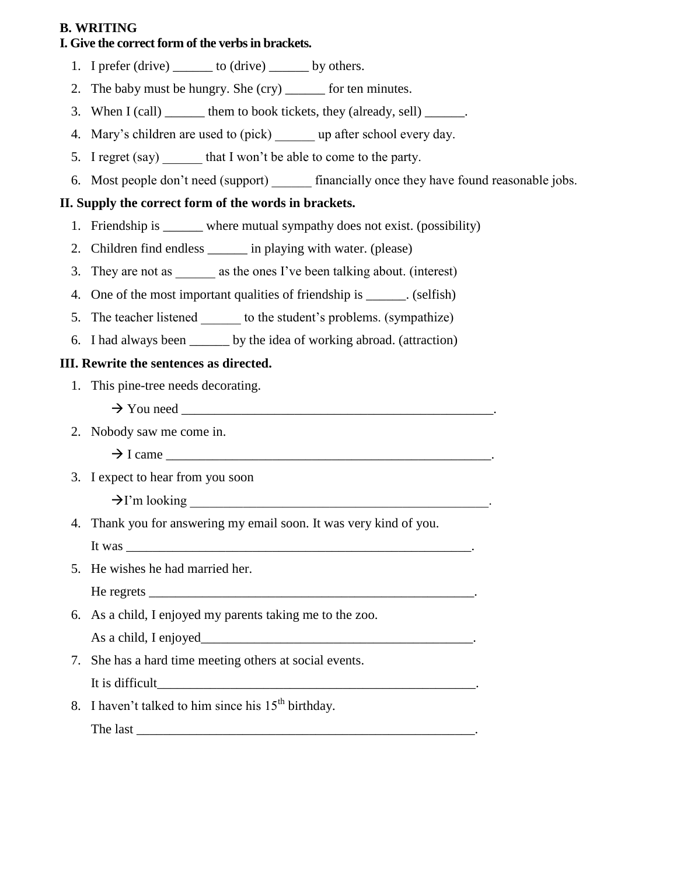## **B. WRITING**

## **I. Give the correct form of the verbs in brackets.**

- 1. I prefer  $(drive)$  to  $(drive)$  by others.
- 2. The baby must be hungry. She (cry) \_\_\_\_\_\_ for ten minutes.
- 3. When  $I (call)$  \_\_\_\_\_\_ them to book tickets, they (already, sell) \_\_\_\_\_\_.
- 4. Mary's children are used to (pick) up after school every day.
- 5. I regret (say) that I won't be able to come to the party.
- 6. Most people don't need (support) \_\_\_\_\_\_\_ financially once they have found reasonable jobs.

## **II. Supply the correct form of the words in brackets.**

- 1. Friendship is \_\_\_\_\_\_ where mutual sympathy does not exist. (possibility)
- 2. Children find endless \_\_\_\_\_\_ in playing with water. (please)
- 3. They are not as \_\_\_\_\_\_\_ as the ones I've been talking about. (interest)
- 4. One of the most important qualities of friendship is \_\_\_\_\_\_. (selfish)
- 5. The teacher listened to the student's problems. (sympathize)
- 6. I had always been \_\_\_\_\_\_ by the idea of working abroad. (attraction)

## **III. Rewrite the sentences as directed.**

- 1. This pine-tree needs decorating.
	- $\rightarrow$  You need  $\equiv$
- 2. Nobody saw me come in.
	- $\rightarrow$  I came
- 3. I expect to hear from you soon

 $\rightarrow$  I'm looking

- 4. Thank you for answering my email soon. It was very kind of you. It was
- 5. He wishes he had married her.

 $\text{He registers}$ 

6. As a child, I enjoyed my parents taking me to the zoo.

As a child, I enjoyed\_\_\_\_\_\_\_\_\_\_\_\_\_\_\_\_\_\_\_\_\_\_\_\_\_\_\_\_\_\_\_\_\_\_\_\_\_\_\_\_\_.

7. She has a hard time meeting others at social events. It is difficult\_\_\_\_\_\_\_\_\_\_\_\_\_\_\_\_\_\_\_\_\_\_\_\_\_\_\_\_\_\_\_\_\_\_\_\_\_\_\_\_\_\_\_\_\_\_\_\_.

8. I haven't talked to him since his  $15<sup>th</sup>$  birthday. The last  $\Box$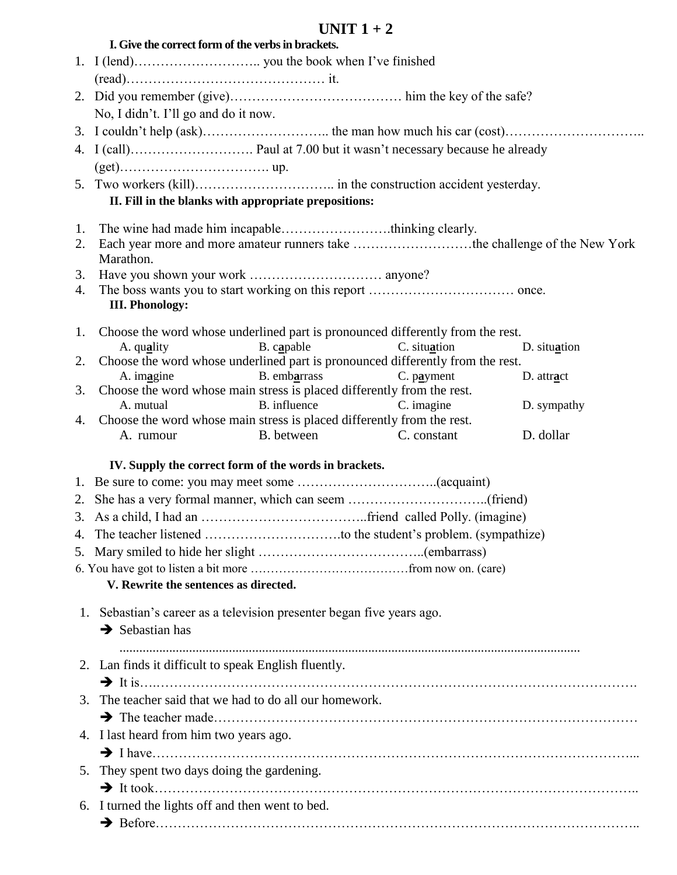|    | I. Give the correct form of the verbs in brackets.                                                                                |              |
|----|-----------------------------------------------------------------------------------------------------------------------------------|--------------|
|    |                                                                                                                                   |              |
|    |                                                                                                                                   |              |
|    |                                                                                                                                   |              |
|    | No, I didn't. I'll go and do it now.                                                                                              |              |
|    |                                                                                                                                   |              |
|    |                                                                                                                                   |              |
|    |                                                                                                                                   |              |
|    |                                                                                                                                   |              |
|    | II. Fill in the blanks with appropriate prepositions:                                                                             |              |
|    |                                                                                                                                   |              |
| 2. | 1. The wine had made him incapablethinking clearly.<br>Each year more and more amateur runners take the challenge of the New York |              |
|    | Marathon.                                                                                                                         |              |
| 3. |                                                                                                                                   |              |
| 4. |                                                                                                                                   |              |
|    | <b>III. Phonology:</b>                                                                                                            |              |
|    | 1. Choose the word whose underlined part is pronounced differently from the rest.                                                 |              |
|    | B. capable<br>C. situation<br>A. quality                                                                                          | D. situation |
| 2. | Choose the word whose underlined part is pronounced differently from the rest.                                                    |              |
|    | A. imagine<br>B. embarrass<br>$C.$ payment                                                                                        | D. attract   |
| 3. | Choose the word whose main stress is placed differently from the rest.                                                            |              |
| 4. | A. mutual<br>B. influence<br>C. imagine<br>Choose the word whose main stress is placed differently from the rest.                 | D. sympathy  |
|    | B. between<br>C. constant<br>A. rumour                                                                                            | D. dollar    |
|    |                                                                                                                                   |              |
|    | IV. Supply the correct form of the words in brackets.                                                                             |              |
|    |                                                                                                                                   |              |
|    |                                                                                                                                   |              |
|    |                                                                                                                                   |              |
|    |                                                                                                                                   |              |
|    |                                                                                                                                   |              |
|    |                                                                                                                                   |              |
|    | V. Rewrite the sentences as directed.                                                                                             |              |
|    | 1. Sebastian's career as a television presenter began five years ago.                                                             |              |
|    | $\rightarrow$ Sebastian has                                                                                                       |              |
|    |                                                                                                                                   |              |
|    | 2. Lan finds it difficult to speak English fluently.                                                                              |              |
|    |                                                                                                                                   |              |
| 3. | The teacher said that we had to do all our homework.                                                                              |              |
|    |                                                                                                                                   |              |
|    | 4. I last heard from him two years ago.                                                                                           |              |
|    |                                                                                                                                   |              |
| 5. | They spent two days doing the gardening.                                                                                          |              |
|    |                                                                                                                                   |              |
|    | 6. I turned the lights off and then went to bed.                                                                                  |              |
|    |                                                                                                                                   |              |
|    |                                                                                                                                   |              |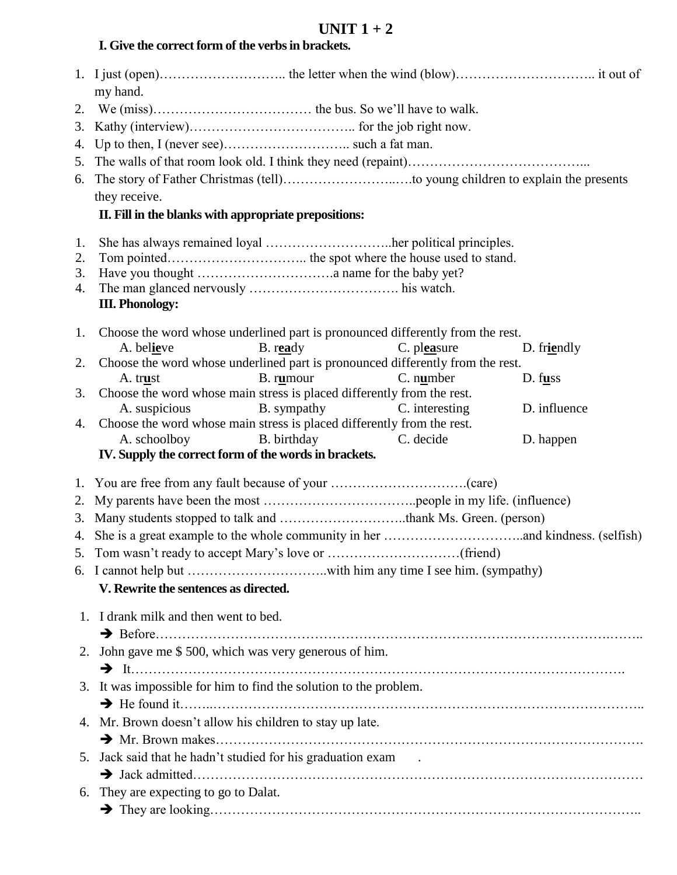## **I. Give the correct form of the verbs in brackets.**

|    | my hand.                                                                       |  |
|----|--------------------------------------------------------------------------------|--|
|    |                                                                                |  |
| 2. |                                                                                |  |
| 3. |                                                                                |  |
| 4. |                                                                                |  |
|    |                                                                                |  |
|    |                                                                                |  |
|    | they receive.                                                                  |  |
|    | II. Fill in the blanks with appropriate prepositions:                          |  |
| 1. | She has always remained loyal her political principles.                        |  |
| 2. |                                                                                |  |
| 3. |                                                                                |  |
| 4. |                                                                                |  |
|    | <b>III. Phonology:</b>                                                         |  |
| 1. | Choose the word whose underlined part is pronounced differently from the rest. |  |
|    | A. believe<br>B. ready<br>C. pleasure<br>D. friendly                           |  |
| 2. | Choose the word whose underlined part is pronounced differently from the rest. |  |
|    | B. rumour<br>$C.$ number<br>D. f <u>us</u><br>A. trust                         |  |
| 3. | Choose the word whose main stress is placed differently from the rest.         |  |
|    | <b>B.</b> sympathy<br>D. influence<br>A. suspicious<br>C. interesting          |  |
| 4. | Choose the word whose main stress is placed differently from the rest.         |  |
|    | B. birthday<br>C. decide<br>A. schoolboy<br>D. happen                          |  |
|    | IV. Supply the correct form of the words in brackets.                          |  |
|    |                                                                                |  |
|    |                                                                                |  |
|    |                                                                                |  |
|    |                                                                                |  |
|    |                                                                                |  |
|    |                                                                                |  |
|    | V. Rewrite the sentences as directed.                                          |  |
|    |                                                                                |  |
|    | 1. I drank milk and then went to bed.                                          |  |
|    |                                                                                |  |
| 2. | John gave me \$500, which was very generous of him.                            |  |
|    |                                                                                |  |
| 3. | It was impossible for him to find the solution to the problem.                 |  |
|    |                                                                                |  |
| 4. | Mr. Brown doesn't allow his children to stay up late.                          |  |
|    |                                                                                |  |
| 5. | Jack said that he hadn't studied for his graduation exam.                      |  |
|    |                                                                                |  |
|    | They are expecting to go to Dalat.                                             |  |
| 6. |                                                                                |  |
|    |                                                                                |  |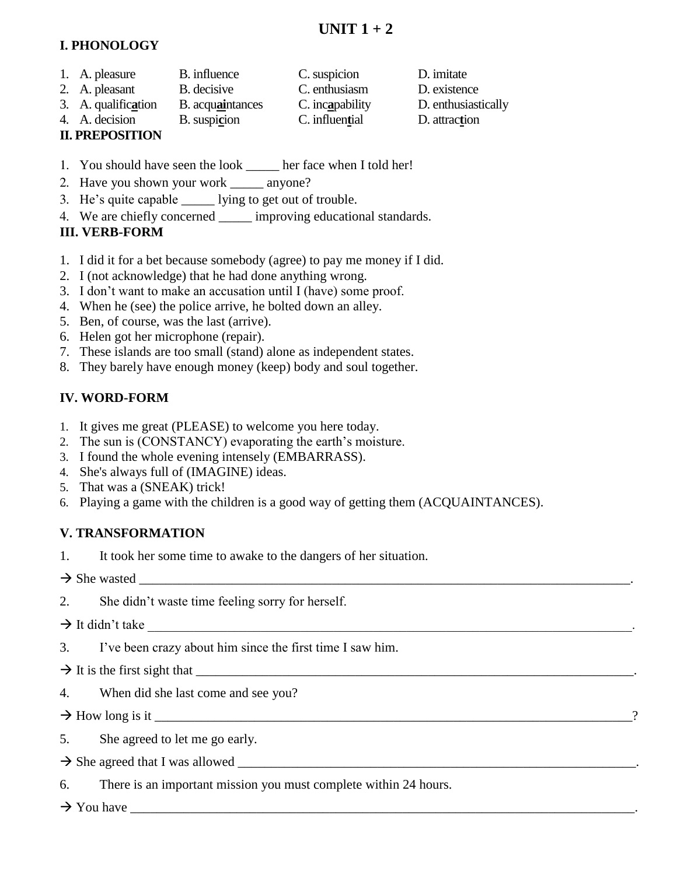## **I. PHONOLOGY**

- 1. A. pleasure B. influence C. suspicion D. imitate
- 2. A. pleasant B. decisive C. enthusiasm D. existence
- 3. A. qualific**a**tion B. acqu**ai**ntances C. inc**a**pability D. enthusiastically
- 4. A. decision B. suspi**c**ion C. influen**t**ial D. attrac**t**ion

## **II. PREPOSITION**

- 1. You should have seen the look \_\_\_\_\_ her face when I told her!
- 2. Have you shown your work \_\_\_\_\_ anyone?
- 3. He's quite capable \_\_\_\_\_ lying to get out of trouble.
- 4. We are chiefly concerned \_\_\_\_\_ improving educational standards.

## **III. VERB-FORM**

- 1. I did it for a bet because somebody (agree) to pay me money if I did.
- 2. I (not acknowledge) that he had done anything wrong.
- 3. I don't want to make an accusation until I (have) some proof.
- 4. When he (see) the police arrive, he bolted down an alley.
- 5. Ben, of course, was the last (arrive).
- 6. Helen got her microphone (repair).
- 7. These islands are too small (stand) alone as independent states.
- 8. They barely have enough money (keep) body and soul together.

# **IV. WORD-FORM**

- 1. It gives me great (PLEASE) to welcome you here today.
- 2. The sun is (CONSTANCY) evaporating the earth's moisture.
- 3. I found the whole evening intensely (EMBARRASS).
- 4. She's always full of (IMAGINE) ideas.
- 5. That was a (SNEAK) trick!
- 6. Playing a game with the children is a good way of getting them (ACQUAINTANCES).

## **V. TRANSFORMATION**

1. It took her some time to awake to the dangers of her situation.

 $\rightarrow$  She wasted

2. She didn't waste time feeling sorry for herself.

## $\rightarrow$  It didn't take

3. I've been crazy about him since the first time I saw him.

 $\rightarrow$  It is the first sight that

4. When did she last come and see you?

How long is it \_\_\_\_\_\_\_\_\_\_\_\_\_\_\_\_\_\_\_\_\_\_\_\_\_\_\_\_\_\_\_\_\_\_\_\_\_\_\_\_\_\_\_\_\_\_\_\_\_\_\_\_\_\_\_\_\_\_\_\_\_\_\_\_\_\_\_\_\_\_\_\_?

5. She agreed to let me go early.

- She agreed that I was allowed \_\_\_\_\_\_\_\_\_\_\_\_\_\_\_\_\_\_\_\_\_\_\_\_\_\_\_\_\_\_\_\_\_\_\_\_\_\_\_\_\_\_\_\_\_\_\_\_\_\_\_\_\_\_\_\_\_\_\_\_.
- 6. There is an important mission you must complete within 24 hours.

You have \_\_\_\_\_\_\_\_\_\_\_\_\_\_\_\_\_\_\_\_\_\_\_\_\_\_\_\_\_\_\_\_\_\_\_\_\_\_\_\_\_\_\_\_\_\_\_\_\_\_\_\_\_\_\_\_\_\_\_\_\_\_\_\_\_\_\_\_\_\_\_\_\_\_\_\_.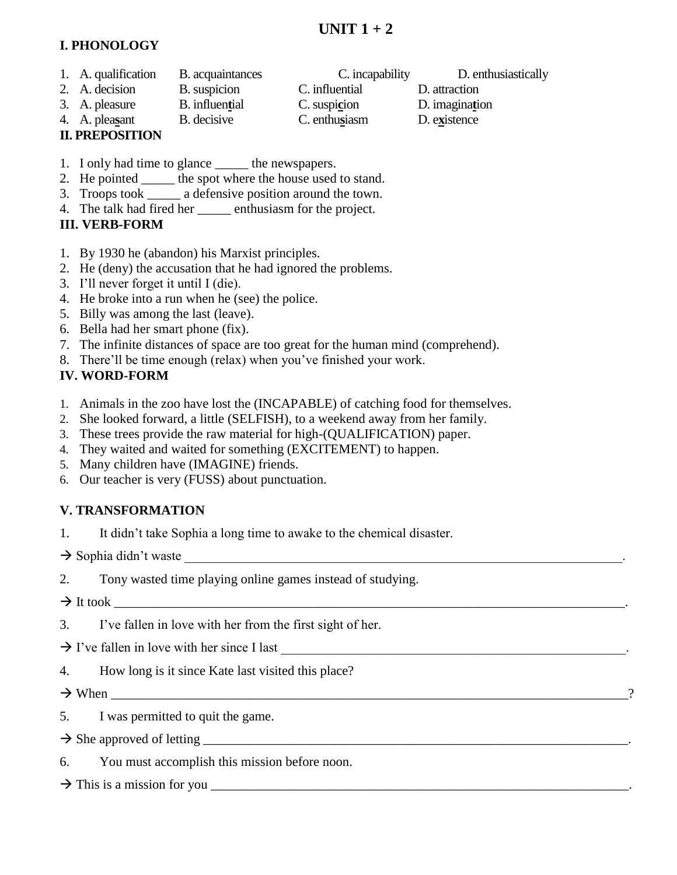## **I. PHONOLOGY**

- 1. A. qualification B. acquaintances C. incapability D. enthusiastically
- 2. A. decision B. suspicion C. influential D. attraction
- 3. A. pleasure B. influen**t**ial C. suspi**c**ion D. imagina**t**ion
- 
- **II. PREPOSITION**
- 4. A. plea**s**ant B. decisive C. enthu**s**iasm D. e**x**istence
	-
- 1. I only had time to glance \_\_\_\_\_\_ the newspapers.
- 2. He pointed \_\_\_\_\_ the spot where the house used to stand.
- 3. Troops took \_\_\_\_\_ a defensive position around the town.
- 4. The talk had fired her \_\_\_\_\_ enthusiasm for the project.

# **III. VERB-FORM**

- 1. By 1930 he (abandon) his Marxist principles.
- 2. He (deny) the accusation that he had ignored the problems.
- 3. I'll never forget it until I (die).
- 4. He broke into a run when he (see) the police.
- 5. Billy was among the last (leave).
- 6. Bella had her smart phone (fix).
- 7. The infinite distances of space are too great for the human mind (comprehend).
- 8. There'll be time enough (relax) when you've finished your work.

# **IV. WORD-FORM**

- 1. Animals in the zoo have lost the (INCAPABLE) of catching food for themselves.
- 2. She looked forward, a little (SELFISH), to a weekend away from her family.
- 3. These trees provide the raw material for high-(QUALIFICATION) paper.
- 4. They waited and waited for something (EXCITEMENT) to happen.
- 5. Many children have (IMAGINE) friends.
- 6. Our teacher is very (FUSS) about punctuation.

# **V. TRANSFORMATION**

1. It didn't take Sophia a long time to awake to the chemical disaster.

 $\rightarrow$  Sophia didn't waste

2. Tony wasted time playing online games instead of studying.

 $\rightarrow$  It took

3. I've fallen in love with her from the first sight of her.

 $\rightarrow$  I've fallen in love with her since I last

4. How long is it since Kate last visited this place?

 $\rightarrow$  When  $\rightarrow$  2

- 5. I was permitted to quit the game.
- $\rightarrow$  She approved of letting  $\rightarrow$
- 6. You must accomplish this mission before noon.

# This is a mission for you \_\_\_\_\_\_\_\_\_\_\_\_\_\_\_\_\_\_\_\_\_\_\_\_\_\_\_\_\_\_\_\_\_\_\_\_\_\_\_\_\_\_\_\_\_\_\_\_\_\_\_\_\_\_\_\_\_\_\_\_\_\_\_.

- 
- 
-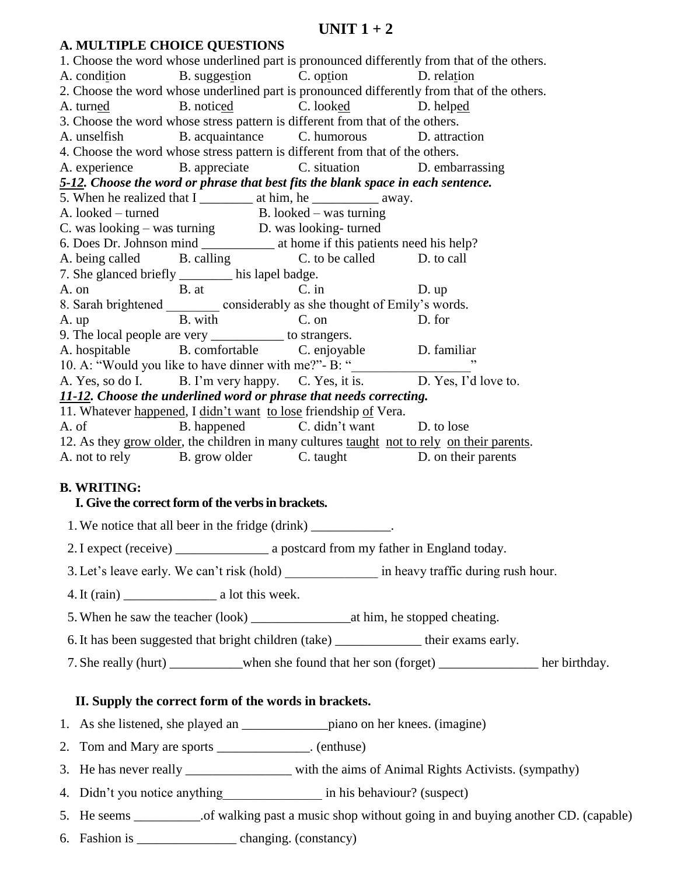#### **A. MULTIPLE CHOICE QUESTIONS**

1. Choose the word whose underlined part is pronounced differently from that of the others. A. condition B. suggestion C. option D. relation 2. Choose the word whose underlined part is pronounced differently from that of the others. A. turned B. noticed C. looked D. helped 3. Choose the word whose stress pattern is different from that of the others. A. unselfish B. acquaintance C. humorous D. attraction 4. Choose the word whose stress pattern is different from that of the others. A. experience B. appreciate C. situation D. embarrassing *5-12. Choose the word or phrase that best fits the blank space in each sentence.* 5. When he realized that I \_\_\_\_\_\_\_\_\_\_ at him, he \_\_\_\_\_\_\_\_\_\_\_\_\_ away. A. looked – turned B. looked – was turning C. was looking – was turning D. was looking- turned 6. Does Dr. Johnson mind \_\_\_\_\_\_\_\_\_\_\_ at home if this patients need his help? A. being called B. calling C. to be called D. to call 7. She glanced briefly \_\_\_\_\_\_\_\_ his lapel badge. A. on B. at C. in D. up 8. Sarah brightened considerably as she thought of Emily's words. A. up B. with C. on D. for 9. The local people are very \_\_\_\_\_\_\_\_\_\_\_ to strangers. A. hospitable B. comfortable C. enjoyable D. familiar 10. A: "Would you like to have dinner with me?"- B: " A. Yes, so do I. B. I'm very happy. C. Yes, it is. D. Yes, I'd love to. *11-12. Choose the underlined word or phrase that needs correcting.* 11. Whatever happened, I didn't want to lose friendship of Vera. A. of B. happened C. didn't want D. to lose 12. As they grow older, the children in many cultures taught not to rely on their parents. A. not to rely B. grow older C. taught D. on their parents

### **B. WRITING:**

#### **I. Give the correct form of the verbs in brackets.**

1. We notice that all beer in the fridge (drink) \_\_\_\_\_\_\_\_\_\_\_\_\_.

2. I expect (receive) \_\_\_\_\_\_\_\_\_\_\_\_\_\_\_\_\_\_\_\_\_\_\_\_\_ a postcard from my father in England today.

3. Let's leave early. We can't risk (hold)  $\qquad \qquad$  in heavy traffic during rush hour.

- 4. It (rain) a lot this week.
- 5. When he saw the teacher (look) at him, he stopped cheating.
- 6.It has been suggested that bright children (take) \_\_\_\_\_\_\_\_\_\_\_\_\_ their exams early.
- 7. She really (hurt) when she found that her son (forget) her birthday.

#### **II. Supply the correct form of the words in brackets.**

- 1. As she listened, she played an \_\_\_\_\_\_\_\_\_\_\_\_\_piano on her knees. (imagine)
- 2. Tom and Mary are sports \_\_\_\_\_\_\_\_\_\_\_\_\_\_. (enthuse)
- 3. He has never really \_\_\_\_\_\_\_\_\_\_\_\_\_\_\_\_ with the aims of Animal Rights Activists. (sympathy)
- 4. Didn't you notice anything\_\_\_\_\_\_\_\_\_\_\_\_\_\_\_\_\_\_ in his behaviour? (suspect)
- 5. He seems ... of walking past a music shop without going in and buying another CD. (capable)
- 6. Fashion is \_\_\_\_\_\_\_\_\_\_\_\_\_\_\_ changing. (constancy)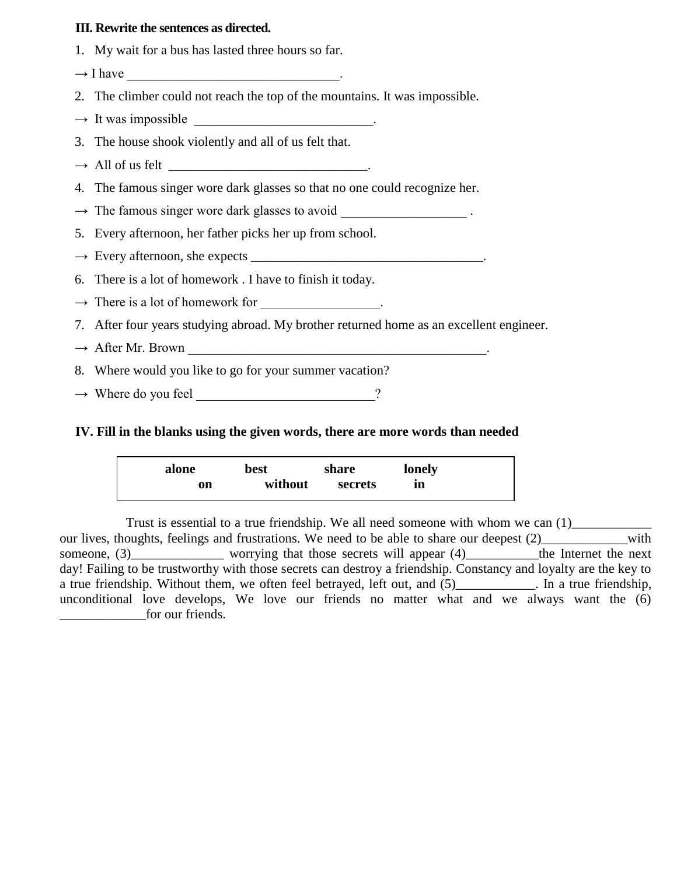### **III. Rewrite the sentences as directed.**

- 1. My wait for a bus has lasted three hours so far.
- $\rightarrow$  I have
- 2. The climber could not reach the top of the mountains. It was impossible.
- $\rightarrow$  It was impossible \_\_\_\_\_\_\_\_\_\_\_\_\_\_\_\_\_\_\_\_\_\_\_\_\_\_.
- 3. The house shook violently and all of us felt that.
- $\rightarrow$  All of us felt \_\_\_\_\_\_\_\_\_\_\_\_\_\_\_\_\_\_\_\_\_\_\_\_\_\_\_\_\_\_\_\_\_\_.
- 4. The famous singer wore dark glasses so that no one could recognize her.
- $\rightarrow$  The famous singer wore dark glasses to avoid
- 5. Every afternoon, her father picks her up from school.
- → Every afternoon, she expects \_\_\_\_\_\_\_\_\_\_\_\_\_\_\_\_\_\_\_\_\_\_\_\_\_\_\_\_\_\_\_\_\_\_\_.
- 6. There is a lot of homework . I have to finish it today.
- $\rightarrow$  There is a lot of homework for  $\cdot$
- 7. After four years studying abroad. My brother returned home as an excellent engineer.
- → After Mr. Brown \_\_\_\_\_\_\_\_\_\_\_\_\_\_\_\_\_\_\_\_\_\_\_\_\_\_\_\_\_\_\_\_\_\_\_\_\_\_\_\_\_\_\_\_\_.
- 8. Where would you like to go for your summer vacation?
- $\rightarrow$  Where do you feel  $\rightarrow$

#### **IV. Fill in the blanks using the given words, there are more words than needed**

| alone | best    | share   | lonely |
|-------|---------|---------|--------|
| on    | without | secrets | ın     |

Trust is essential to a true friendship. We all need someone with whom we can  $(1)$ our lives, thoughts, feelings and frustrations. We need to be able to share our deepest (2) with someone, (3)\_\_\_\_\_\_\_\_\_\_\_\_\_\_\_ worrying that those secrets will appear (4)\_\_\_\_\_\_\_\_\_\_the Internet the next day! Failing to be trustworthy with those secrets can destroy a friendship. Constancy and loyalty are the key to a true friendship. Without them, we often feel betrayed, left out, and  $(5)$ \_\_\_\_\_\_\_\_\_\_\_. In a true friendship, unconditional love develops, We love our friends no matter what and we always want the (6) for our friends.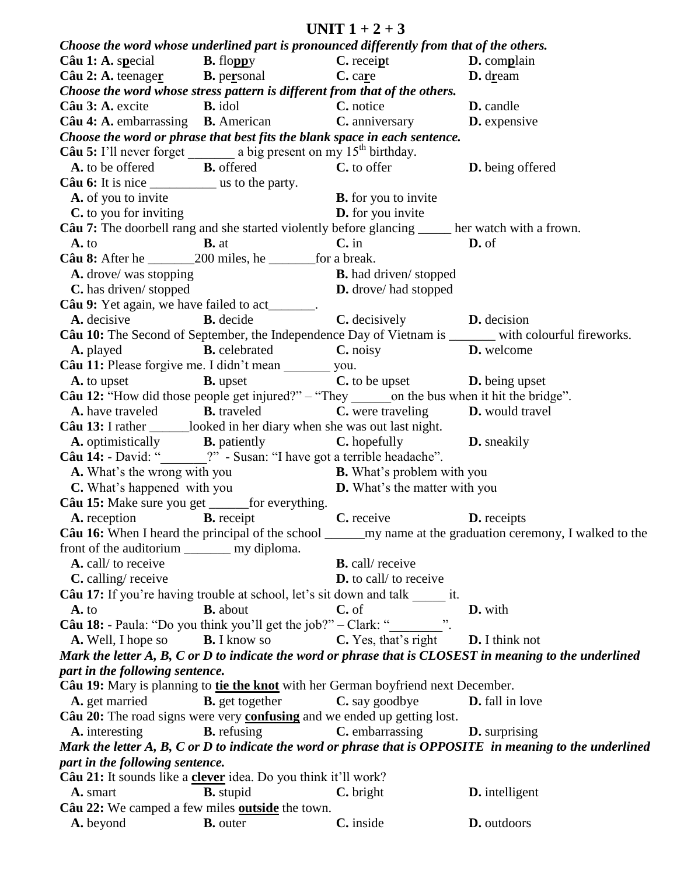**UNIT 1 + 2 + 3** *Choose the word whose underlined part is pronounced differently from that of the others.* **Câu 1: A.** s**p**ecial **B.** flo**pp**y **C.** recei**p**t **D.** com**p**lain **Câu 2: A.** teenage**r B.** pe**r**sonal **C.** ca**r**e **D.** d**r**eam *Choose the word whose stress pattern is different from that of the others.* **Câu 3: A.** excite **B.** idol **C.** notice **D.** candle **Câu 4: A. embarrassing B. American <b>C. anniversary D. expensive** *Choose the word or phrase that best fits the blank space in each sentence.* **Câu 5:** I'll never forget a big present on my 15<sup>th</sup> birthday. **A.** to be offered **B.** offered **C.** to offer **D.** being offered **Câu 6:** It is nice \_\_\_\_\_\_\_\_\_\_\_\_\_\_ us to the party. **A.** of you to invite **B.** for you to invite **C.** to you for inviting **D.** for you invite **Câu 7:** The doorbell rang and she started violently before glancing \_\_\_\_\_ her watch with a frown. **A.** to **B.** at **C.** in **D.** of **Câu 8:** After he  $200$  miles, he for a break. **A.** drove/ was stopping **B.** had driven/ stopped **C.** has driven/ stopped **D.** drove/ had stopped **Câu 9:** Yet again, we have failed to act **A.** decisive **B.** decide **C.** decisively **D.** decision Câu 10: The Second of September, the Independence Day of Vietnam is \_\_\_\_\_\_\_ with colourful fireworks. **A.** played **B.** celebrated **C.** noisy **D.** welcome **Câu 11:** Please forgive me. I didn't mean you. **A.** to upset **B.** upset **C.** to be upset **D.** being upset Câu 12: "How did those people get injured?" – "They \_\_\_\_\_\_\_on the bus when it hit the bridge". **A.** have traveled **B.** traveled **C.** were traveling **D.** would travel **Câu 13:** I rather looked in her diary when she was out last night. **A.** optimistically **B.** patiently **C.** hopefully **D.** sneakily **Câu 14:** - David: "<br>
<sup>2"</sup> - Susan: "I have got a terrible headache". **A.** What's the wrong with you **B.** What's problem with you **C.** What's happened with you **D.** What's the matter with you **Câu 15:** Make sure you get \_\_\_\_\_\_for everything. **A.** reception **B.** receipt **C.** receive **D.** receipts **Câu 16:** When I heard the principal of the school \_\_\_\_\_\_\_my name at the graduation ceremony, I walked to the front of the auditorium my diploma. **A.** call/ to receive **B.** call/ receive **C.** calling/ receive **D.** to call/ to receive **Câu 17:** If you're having trouble at school, let's sit down and talk it. **A.** to **B.** about **C.** of **D.** with **Câu 18:** - Paula: "Do you think you'll get the job?" – Clark: " **A.** Well, I hope so **B.** I know so **C.** Yes, that's right **D.** I think not *Mark the letter A, B, C or D to indicate the word or phrase that is CLOSEST in meaning to the underlined part in the following sentence.* **Câu 19:** Mary is planning to **tie the knot** with her German boyfriend next December. **A.** get married **B.** get together **C.** say goodbye **D.** fall in love **Câu 20:** The road signs were very **confusing** and we ended up getting lost. **A.** interesting **B.** refusing **C.** embarrassing **D.** surprising *Mark the letter A, B, C or D to indicate the word or phrase that is OPPOSITE in meaning to the underlined part in the following sentence.* **Câu 21:** It sounds like a **clever** idea. Do you think it'll work? **A.** smart **B.** stupid **C.** bright **D.** intelligent **Câu 22:** We camped a few miles **outside** the town. **A.** beyond **B.** outer **C.** inside **D.** outdoors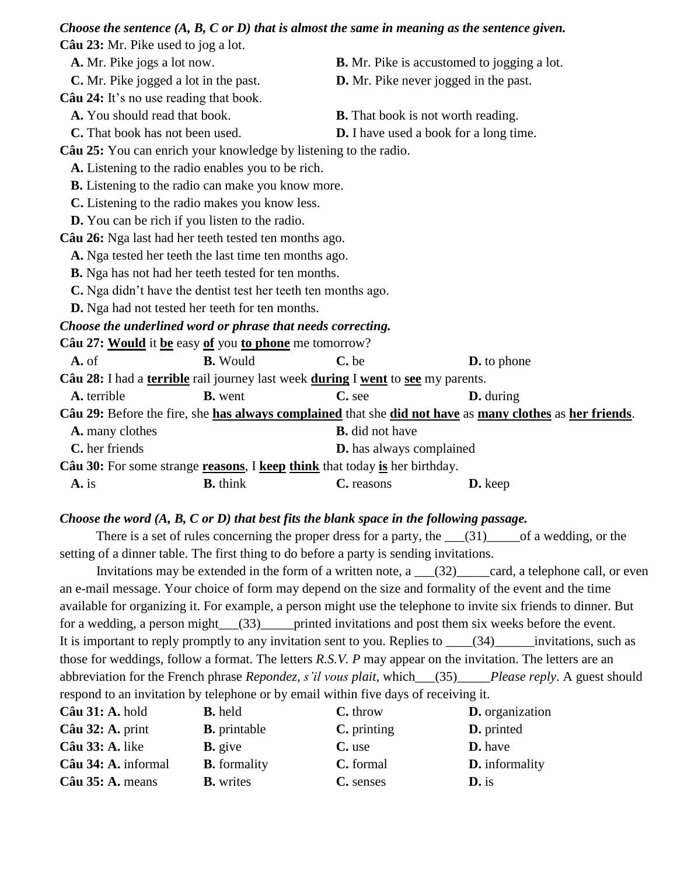|                                                   | Choose the sentence $(A, B, C \text{ or } D)$ that is almost the same in meaning as the sentence given. |                                                    |                                                                                                          |  |
|---------------------------------------------------|---------------------------------------------------------------------------------------------------------|----------------------------------------------------|----------------------------------------------------------------------------------------------------------|--|
| Câu 23: Mr. Pike used to jog a lot.               |                                                                                                         |                                                    |                                                                                                          |  |
| A. Mr. Pike jogs a lot now.                       |                                                                                                         | <b>B.</b> Mr. Pike is accustomed to jogging a lot. |                                                                                                          |  |
| C. Mr. Pike jogged a lot in the past.             |                                                                                                         | D. Mr. Pike never jogged in the past.              |                                                                                                          |  |
| Câu 24: It's no use reading that book.            |                                                                                                         |                                                    |                                                                                                          |  |
| A. You should read that book.                     |                                                                                                         | <b>B.</b> That book is not worth reading.          |                                                                                                          |  |
| <b>C.</b> That book has not been used.            |                                                                                                         | <b>D.</b> I have used a book for a long time.      |                                                                                                          |  |
|                                                   | Câu 25: You can enrich your knowledge by listening to the radio.                                        |                                                    |                                                                                                          |  |
|                                                   | A. Listening to the radio enables you to be rich.                                                       |                                                    |                                                                                                          |  |
|                                                   | <b>B.</b> Listening to the radio can make you know more.                                                |                                                    |                                                                                                          |  |
|                                                   | C. Listening to the radio makes you know less.                                                          |                                                    |                                                                                                          |  |
|                                                   | <b>D.</b> You can be rich if you listen to the radio.                                                   |                                                    |                                                                                                          |  |
|                                                   | Câu 26: Nga last had her teeth tested ten months ago.                                                   |                                                    |                                                                                                          |  |
|                                                   | A. Nga tested her teeth the last time ten months ago.                                                   |                                                    |                                                                                                          |  |
|                                                   | <b>B.</b> Nga has not had her teeth tested for ten months.                                              |                                                    |                                                                                                          |  |
|                                                   | C. Nga didn't have the dentist test her teeth ten months ago.                                           |                                                    |                                                                                                          |  |
|                                                   | <b>D.</b> Nga had not tested her teeth for ten months.                                                  |                                                    |                                                                                                          |  |
|                                                   | Choose the underlined word or phrase that needs correcting.                                             |                                                    |                                                                                                          |  |
|                                                   | Câu 27: Would it be easy of you to phone me tomorrow?                                                   |                                                    |                                                                                                          |  |
| $A.$ of                                           | <b>B.</b> Would                                                                                         | C. be                                              | <b>D.</b> to phone                                                                                       |  |
|                                                   | Câu 28: I had a terrible rail journey last week during I went to see my parents.                        |                                                    |                                                                                                          |  |
| A. terrible                                       | <b>B.</b> went                                                                                          | C. see                                             | <b>D.</b> during                                                                                         |  |
|                                                   |                                                                                                         |                                                    | Câu 29: Before the fire, she has always complained that she did not have as many clothes as her friends. |  |
| A. many clothes                                   |                                                                                                         | <b>B.</b> did not have                             |                                                                                                          |  |
| C. her friends<br><b>D.</b> has always complained |                                                                                                         |                                                    |                                                                                                          |  |
|                                                   | Câu 30: For some strange reasons, I keep think that today is her birthday.                              |                                                    |                                                                                                          |  |

### **A.** is **B.** think **C.** reasons **D.** keep

### *Choose the word (A, B, C or D) that best fits the blank space in the following passage.*

There is a set of rules concerning the proper dress for a party, the  $\qquad (31)$  of a wedding, or the setting of a dinner table. The first thing to do before a party is sending invitations.

Invitations may be extended in the form of a written note,  $a \cdot (32)$  card, a telephone call, or even an e-mail message. Your choice of form may depend on the size and formality of the event and the time available for organizing it. For example, a person might use the telephone to invite six friends to dinner. But for a wedding, a person might \_\_\_(33)\_\_\_\_\_printed invitations and post them six weeks before the event. It is important to reply promptly to any invitation sent to you. Replies to \_\_\_\_(34)\_\_\_\_\_\_invitations, such as those for weddings, follow a format. The letters *R.S.V. P* may appear on the invitation. The letters are an abbreviation for the French phrase *Repondez, s'il vous plait*, which\_\_\_(35)\_\_\_\_\_*Please reply*. A guest should respond to an invitation by telephone or by email within five days of receiving it.

| Câu 31: A. hold           | <b>B.</b> held      | C. throw      | <b>D.</b> organization |
|---------------------------|---------------------|---------------|------------------------|
| $C\hat{a}$ u 32: A. print | <b>B.</b> printable | $C.$ printing | <b>D.</b> printed      |
| <b>Câu 33: A.</b> like    | $\mathbf{B}$ . give | C. use        | <b>D.</b> have         |
| Câu 34: A. informal       | <b>B.</b> formality | C. formal     | <b>D.</b> informality  |
| Câu 35: A. means          | <b>B.</b> writes    | C. senses     | $\mathbf{D}$ , is      |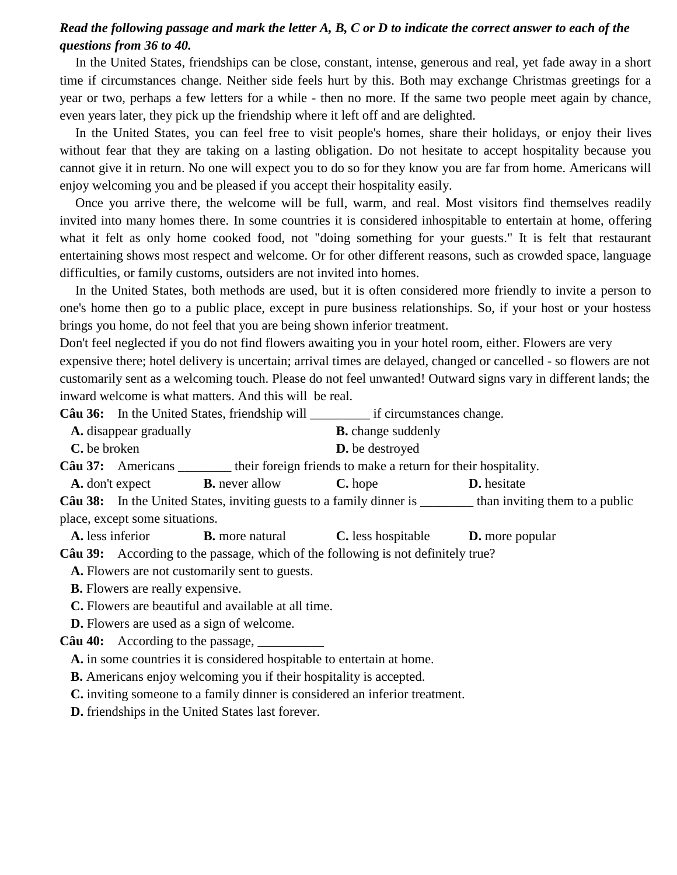## *Read the following passage and mark the letter A, B, C or D to indicate the correct answer to each of the questions from 36 to 40.*

In the United States, friendships can be close, constant, intense, generous and real, yet fade away in a short time if circumstances change. Neither side feels hurt by this. Both may exchange Christmas greetings for a year or two, perhaps a few letters for a while - then no more. If the same two people meet again by chance, even years later, they pick up the friendship where it left off and are delighted.

In the United States, you can feel free to visit people's homes, share their holidays, or enjoy their lives without fear that they are taking on a lasting obligation. Do not hesitate to accept hospitality because you cannot give it in return. No one will expect you to do so for they know you are far from home. Americans will enjoy welcoming you and be pleased if you accept their hospitality easily.

Once you arrive there, the welcome will be full, warm, and real. Most visitors find themselves readily invited into many homes there. In some countries it is considered inhospitable to entertain at home, offering what it felt as only home cooked food, not "doing something for your guests." It is felt that restaurant entertaining shows most respect and welcome. Or for other different reasons, such as crowded space, language difficulties, or family customs, outsiders are not invited into homes.

In the United States, both methods are used, but it is often considered more friendly to invite a person to one's home then go to a public place, except in pure business relationships. So, if your host or your hostess brings you home, do not feel that you are being shown inferior treatment.

Don't feel neglected if you do not find flowers awaiting you in your hotel room, either. Flowers are very expensive there; hotel delivery is uncertain; arrival times are delayed, changed or cancelled - so flowers are not customarily sent as a welcoming touch. Please do not feel unwanted! Outward signs vary in different lands; the inward welcome is what matters. And this will be real.

**Câu 36:** In the United States, friendship will \_\_\_\_\_\_\_\_\_ if circumstances change.

**A.** disappear gradually **B.** change suddenly **C.** be broken **D.** be destroyed **Câu 37:** Americans \_\_\_\_\_\_\_\_ their foreign friends to make a return for their hospitality. **A.** don't expect **B.** never allow **C.** hope **D.** hesitate **Câu 38:** In the United States, inviting guests to a family dinner is \_\_\_\_\_\_\_\_ than inviting them to a public

place, except some situations.

**A.** less inferior **B.** more natural **C.** less hospitable **D.** more popular

**Câu 39:** According to the passage, which of the following is not definitely true?

**A.** Flowers are not customarily sent to guests.

**B.** Flowers are really expensive.

**C.** Flowers are beautiful and available at all time.

**D.** Flowers are used as a sign of welcome.

**Câu 40:** According to the passage,  $\Box$ 

**A.** in some countries it is considered hospitable to entertain at home.

**B.** Americans enjoy welcoming you if their hospitality is accepted.

**C.** inviting someone to a family dinner is considered an inferior treatment.

**D.** friendships in the United States last forever.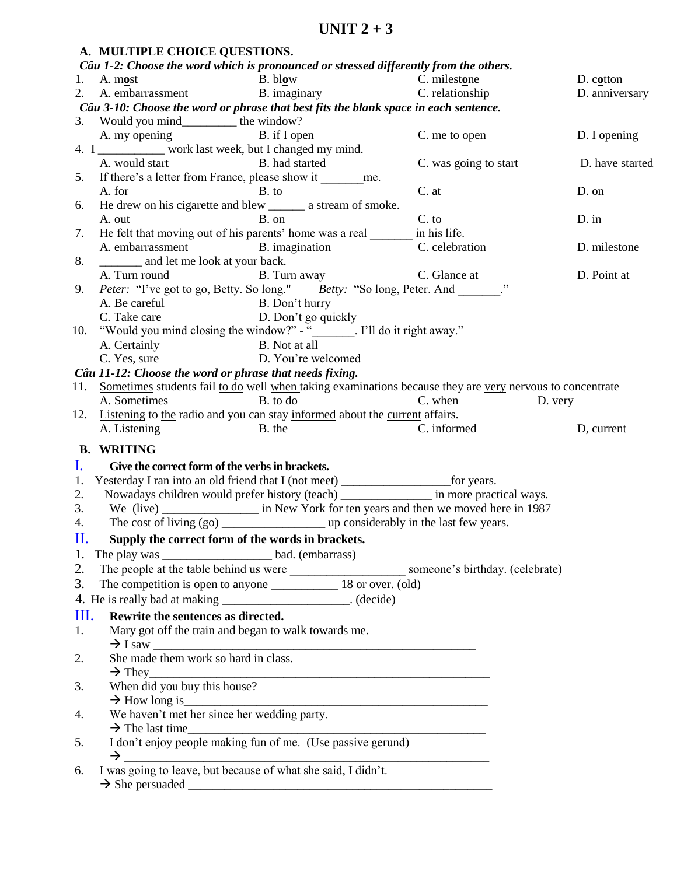|                | A. MULTIPLE CHOICE QUESTIONS.                                                                 |                                                                                             |                                                                                                              |                 |
|----------------|-----------------------------------------------------------------------------------------------|---------------------------------------------------------------------------------------------|--------------------------------------------------------------------------------------------------------------|-----------------|
|                |                                                                                               | Câu 1-2: Choose the word which is pronounced or stressed differently from the others.       |                                                                                                              |                 |
|                |                                                                                               | 1. A. most B. blow C. milestone<br>2. A. embarrassment B. imaginary C. relationship         |                                                                                                              | D. cotton       |
|                |                                                                                               |                                                                                             |                                                                                                              | D. anniversary  |
|                |                                                                                               | Câu 3-10: Choose the word or phrase that best fits the blank space in each sentence.        |                                                                                                              |                 |
|                | 3. Would you mind___________ the window?                                                      |                                                                                             |                                                                                                              |                 |
|                | A. my opening B. if I open                                                                    |                                                                                             | C. me to open                                                                                                | D. I opening    |
|                | 4. I __________ work last week, but I changed my mind.                                        |                                                                                             |                                                                                                              |                 |
|                | A. would start B. had started<br>If there's a letter from France, please show it ________ me. |                                                                                             | C. was going to start                                                                                        | D. have started |
| 5.             | A. for                                                                                        | B. to                                                                                       | C. at                                                                                                        | D. on           |
|                | He drew on his cigarette and blew ________ a stream of smoke.                                 |                                                                                             |                                                                                                              |                 |
| 6.             | A. out                                                                                        | B. on                                                                                       | C. to                                                                                                        | $D.$ in         |
| 7.             |                                                                                               | He felt that moving out of his parents' home was a real ________ in his life.               |                                                                                                              |                 |
|                | A. embarrassment B. imagination                                                               |                                                                                             | C. celebration                                                                                               | D. milestone    |
| 8.             | __________ and let me look at your back.                                                      |                                                                                             |                                                                                                              |                 |
|                | A. Turn round                                                                                 | B. Turn away C. Glance at                                                                   |                                                                                                              | D. Point at     |
| 9.             |                                                                                               | Peter: "I've got to go, Betty. So long." Betty: "So long, Peter. And ______."               |                                                                                                              |                 |
|                |                                                                                               |                                                                                             |                                                                                                              |                 |
|                | A. Be careful B. Don't hurry<br>C. Take care D. Don't go quickly                              |                                                                                             |                                                                                                              |                 |
| 10.            |                                                                                               | "Would you mind closing the window?" - "_______. I'll do it right away."                    |                                                                                                              |                 |
|                |                                                                                               |                                                                                             |                                                                                                              |                 |
|                | A. Certainly<br>C. Yes, sure<br>C. Yes, sure<br>C. Yes, and D. You're welcomed                |                                                                                             |                                                                                                              |                 |
|                | Câu 11-12: Choose the word or phrase that needs fixing.                                       |                                                                                             |                                                                                                              |                 |
|                |                                                                                               |                                                                                             | 11. Sometimes students fail to do well when taking examinations because they are very nervous to concentrate |                 |
|                | A. Sometimes                                                                                  | B. to do                                                                                    | C. when<br>D. very                                                                                           |                 |
|                |                                                                                               | 12. Listening to the radio and you can stay informed about the current affairs.             |                                                                                                              |                 |
|                | A. Listening                                                                                  | B. the                                                                                      | C. informed                                                                                                  | D, current      |
|                |                                                                                               |                                                                                             |                                                                                                              |                 |
|                | <b>B. WRITING</b>                                                                             |                                                                                             |                                                                                                              |                 |
| $\mathbf{I}$ . | Give the correct form of the verbs in brackets.                                               |                                                                                             |                                                                                                              |                 |
| 1.             |                                                                                               | Yesterday I ran into an old friend that I (not meet) ___________________________ for years. |                                                                                                              |                 |
| 2.             |                                                                                               | Nowadays children would prefer history (teach) ________________ in more practical ways.     |                                                                                                              |                 |
| 3.             |                                                                                               |                                                                                             |                                                                                                              |                 |
| 4.             |                                                                                               |                                                                                             |                                                                                                              |                 |
|                |                                                                                               | II. Supply the correct form of the words in brackets.                                       |                                                                                                              |                 |
| 1.             |                                                                                               |                                                                                             |                                                                                                              |                 |
| 2.             |                                                                                               |                                                                                             |                                                                                                              |                 |
| 3.             |                                                                                               |                                                                                             |                                                                                                              |                 |
|                | 4. He is really bad at making ______________________. (decide)                                |                                                                                             |                                                                                                              |                 |
| Ш.             | Rewrite the sentences as directed.                                                            |                                                                                             |                                                                                                              |                 |
| 1.             | Mary got off the train and began to walk towards me.                                          |                                                                                             |                                                                                                              |                 |
|                |                                                                                               | $\rightarrow$ I saw                                                                         |                                                                                                              |                 |
| 2.             | She made them work so hard in class.                                                          |                                                                                             |                                                                                                              |                 |
|                |                                                                                               |                                                                                             |                                                                                                              |                 |
| 3.             |                                                                                               | $\rightarrow$ They<br>When did you buy this house?                                          |                                                                                                              |                 |
|                |                                                                                               |                                                                                             |                                                                                                              |                 |
| 4.             |                                                                                               | $\rightarrow$ How long is<br>We haven't met her since her wedding party.                    |                                                                                                              |                 |
|                |                                                                                               |                                                                                             |                                                                                                              |                 |
| 5.             |                                                                                               | > The last time_<br>I don't enjoy people making fun of me. (Use passive gerund)             |                                                                                                              |                 |
|                |                                                                                               |                                                                                             |                                                                                                              |                 |
| 6.             | I was going to leave, but because of what she said, I didn't.                                 |                                                                                             |                                                                                                              |                 |
|                |                                                                                               |                                                                                             |                                                                                                              |                 |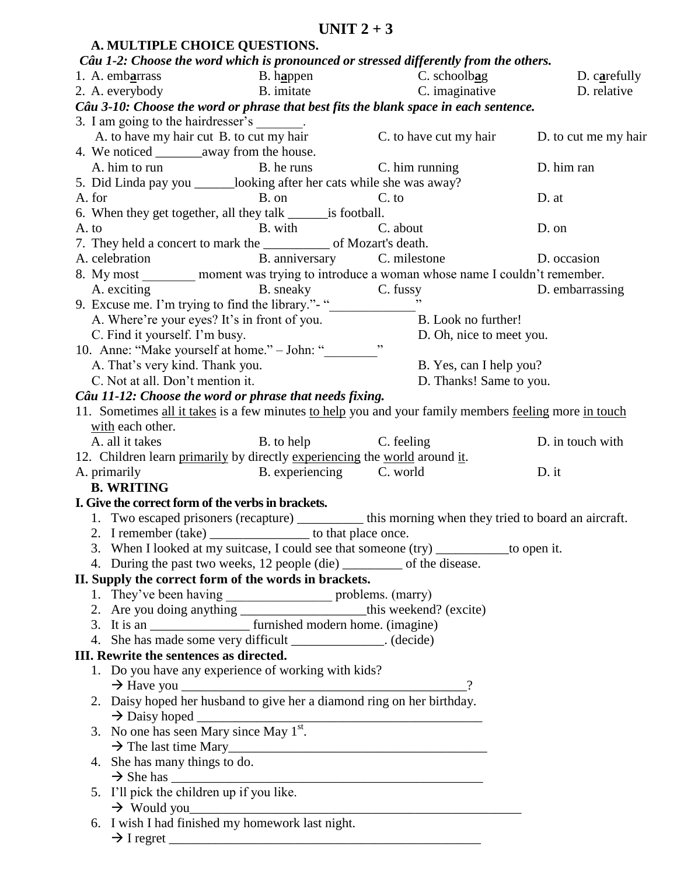| A. MULTIPLE CHOICE QUESTIONS.                                                                                                                        |                          |                                                                                                    |                      |
|------------------------------------------------------------------------------------------------------------------------------------------------------|--------------------------|----------------------------------------------------------------------------------------------------|----------------------|
|                                                                                                                                                      |                          | Câu 1-2: Choose the word which is pronounced or stressed differently from the others.              |                      |
|                                                                                                                                                      |                          |                                                                                                    | D. carefully         |
| 1. A. embarrass<br>2. A. everybody<br>2. A. everybody<br>2. A. everybody<br>2. A. everybody<br>2. A. everybody<br>2. B. imitate<br>2. C. imaginative |                          | C. imaginative                                                                                     | D. relative          |
| Câu 3-10: Choose the word or phrase that best fits the blank space in each sentence.                                                                 |                          |                                                                                                    |                      |
| 3. I am going to the hairdresser's _______.                                                                                                          |                          |                                                                                                    |                      |
| A. to have my hair cut B. to cut my hair                                                                                                             |                          | C. to have cut my hair                                                                             | D. to cut me my hair |
|                                                                                                                                                      |                          |                                                                                                    |                      |
| A. him to run B. he runs                                                                                                                             |                          | C. him running                                                                                     | D. him ran           |
| 5. Did Linda pay you _______looking after her cats while she was away?                                                                               |                          |                                                                                                    |                      |
| A. for                                                                                                                                               | B. on                    | $C.$ to                                                                                            | D. at                |
| 6. When they get together, all they talk _______ is football.                                                                                        |                          |                                                                                                    |                      |
| A. to                                                                                                                                                | B. with C. about         |                                                                                                    | D. on                |
|                                                                                                                                                      |                          |                                                                                                    |                      |
| A. celebration B. anniversary C. milestone                                                                                                           |                          |                                                                                                    | D. occasion          |
| 8. My most ________ moment was trying to introduce a woman whose name I couldn't remember.                                                           |                          |                                                                                                    |                      |
| A. exciting B. sneaky C. fussy<br>9. Excuse me. I'm trying to find the library."- "                                                                  |                          |                                                                                                    | D. embarrassing      |
|                                                                                                                                                      |                          |                                                                                                    |                      |
|                                                                                                                                                      |                          | A. Where're your eyes? It's in front of you. B. Look no further!                                   |                      |
| C. Find it yourself. I'm busy.                                                                                                                       |                          | D. Oh, nice to meet you.                                                                           |                      |
| 10. Anne: "Make yourself at home." - John: "                                                                                                         |                          |                                                                                                    |                      |
| A. That's very kind. Thank you.                                                                                                                      |                          | B. Yes, can I help you?                                                                            |                      |
| C. Not at all. Don't mention it.                                                                                                                     |                          | D. Thanks! Same to you.                                                                            |                      |
| Câu 11-12: Choose the word or phrase that needs fixing.                                                                                              |                          |                                                                                                    |                      |
| 11. Sometimes all it takes is a few minutes to help you and your family members feeling more in touch                                                |                          |                                                                                                    |                      |
| with each other.                                                                                                                                     |                          |                                                                                                    |                      |
| A. all it takes                                                                                                                                      | B. to help C. feeling    |                                                                                                    | D. in touch with     |
| 12. Children learn primarily by directly experiencing the world around it.                                                                           |                          |                                                                                                    |                      |
| A. primarily                                                                                                                                         | B. experiencing C. world |                                                                                                    | D. it                |
| <b>B. WRITING</b>                                                                                                                                    |                          |                                                                                                    |                      |
| I. Give the correct form of the verbs in brackets.                                                                                                   |                          |                                                                                                    |                      |
|                                                                                                                                                      |                          | 1. Two escaped prisoners (recapture) __________ this morning when they tried to board an aircraft. |                      |
|                                                                                                                                                      |                          | 2. I remember (take) __________________ to that place once.                                        |                      |
|                                                                                                                                                      |                          | 3. When I looked at my suitcase, I could see that someone (try) ___________ to open it.            |                      |
| 4. During the past two weeks, 12 people (die) __________ of the disease.                                                                             |                          |                                                                                                    |                      |
| II. Supply the correct form of the words in brackets.                                                                                                |                          |                                                                                                    |                      |
|                                                                                                                                                      |                          |                                                                                                    |                      |
| 2. Are you doing anything ________________________this weekend? (excite)                                                                             |                          |                                                                                                    |                      |
| 3. It is an _______________________ furnished modern home. (imagine)                                                                                 |                          |                                                                                                    |                      |
| 4. She has made some very difficult _____________. (decide)                                                                                          |                          |                                                                                                    |                      |
| III. Rewrite the sentences as directed.                                                                                                              |                          |                                                                                                    |                      |
| 1. Do you have any experience of working with kids?                                                                                                  |                          |                                                                                                    |                      |
|                                                                                                                                                      |                          |                                                                                                    |                      |
|                                                                                                                                                      |                          |                                                                                                    |                      |
|                                                                                                                                                      |                          |                                                                                                    |                      |
| 3. No one has seen Mary since May $1st$ .                                                                                                            |                          |                                                                                                    |                      |
|                                                                                                                                                      |                          | $\rightarrow$ The last time Mary                                                                   |                      |
| 4. She has many things to do.                                                                                                                        |                          |                                                                                                    |                      |
|                                                                                                                                                      | $\rightarrow$ She has    |                                                                                                    |                      |
| 5. I'll pick the children up if you like.                                                                                                            |                          |                                                                                                    |                      |
|                                                                                                                                                      |                          | $\rightarrow$ Would you                                                                            |                      |
| 6. I wish I had finished my homework last night.                                                                                                     |                          |                                                                                                    |                      |
| $\rightarrow$ I regret                                                                                                                               |                          |                                                                                                    |                      |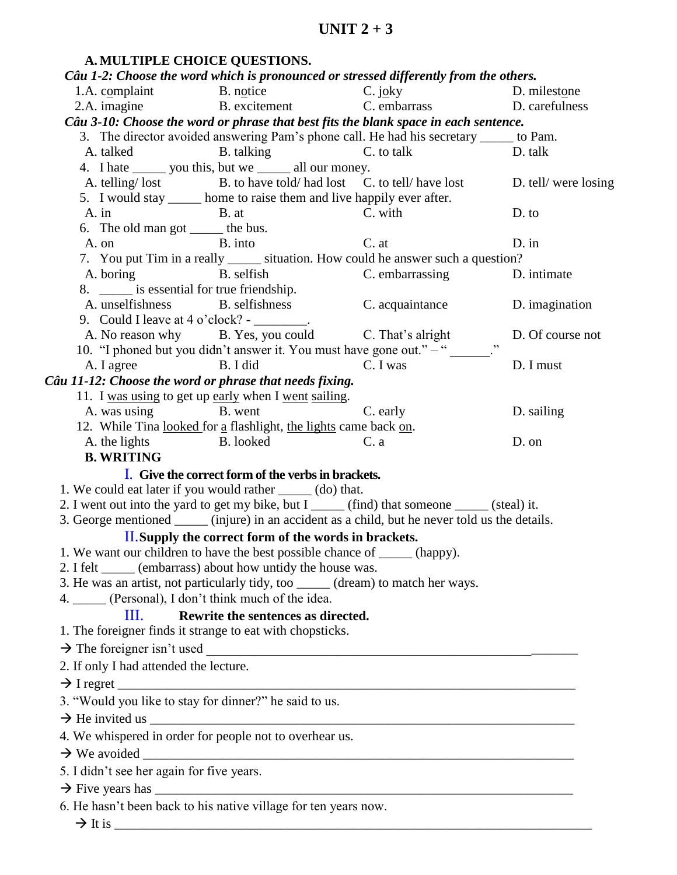| A. MULTIPLE CHOICE QUESTIONS.                                               |                                                                        |                                                                                                      |                     |
|-----------------------------------------------------------------------------|------------------------------------------------------------------------|------------------------------------------------------------------------------------------------------|---------------------|
|                                                                             |                                                                        | Câu 1-2: Choose the word which is pronounced or stressed differently from the others.                |                     |
| 1.A. complaint                                                              | B. notice                                                              | C. joky                                                                                              | D. milestone        |
|                                                                             | 2.A. imagine B. excitement                                             | C. joky<br>C. embarrass<br>D. carefulness<br>D. carefulness                                          |                     |
|                                                                             |                                                                        | Câu 3-10: Choose the word or phrase that best fits the blank space in each sentence.                 |                     |
|                                                                             |                                                                        | 3. The director avoided answering Pam's phone call. He had his secretary _____ to Pam.               |                     |
| A. talked                                                                   | B. talking C. to talk                                                  |                                                                                                      | D. talk             |
|                                                                             | 4. I hate _______ you this, but we _______ all our money.              |                                                                                                      |                     |
|                                                                             |                                                                        | A. telling/lost B. to have told/had lost C. to tell/have lost D. tell/were losing                    |                     |
|                                                                             | 5. I would stay ______ home to raise them and live happily ever after. |                                                                                                      |                     |
| $A.$ in                                                                     | B. at                                                                  | C. with                                                                                              | $D.$ to             |
| 6. The old man got _______ the bus.                                         |                                                                        |                                                                                                      |                     |
| B. into<br>A. on                                                            |                                                                        | C. at                                                                                                | $D \cdot \text{in}$ |
|                                                                             | A. boring B. selfish                                                   | 7. You put Tim in a really ______ situation. How could he answer such a question?<br>C. embarrassing | D. intimate         |
| 8. ______ is essential for true friendship.                                 |                                                                        |                                                                                                      |                     |
|                                                                             |                                                                        | A. unselfishness B. selfishness B. selfishness C. acquaintance D. imagination                        |                     |
| 9. Could I leave at $4 \text{ o}'$ clock? - ________.                       |                                                                        |                                                                                                      |                     |
|                                                                             |                                                                        | A. No reason why B. Yes, you could C. That's alright                                                 | D. Of course not    |
|                                                                             |                                                                        | 10. "I phoned but you didn't answer it. You must have gone out." $-$ "                               |                     |
| A. I agree B. I did                                                         |                                                                        | C. I was                                                                                             | D. I must           |
| Câu 11-12: Choose the word or phrase that needs fixing.                     |                                                                        |                                                                                                      |                     |
|                                                                             | 11. I was using to get up early when I went sailing.                   |                                                                                                      |                     |
| A. was using B. went                                                        |                                                                        | C. early                                                                                             | D. sailing          |
|                                                                             | 12. While Tina looked for a flashlight, the lights came back on.       |                                                                                                      |                     |
| A. the lights B. looked                                                     |                                                                        | C. a                                                                                                 | D. on               |
| <b>B. WRITING</b>                                                           |                                                                        |                                                                                                      |                     |
|                                                                             | I. Give the correct form of the verbs in brackets.                     |                                                                                                      |                     |
| 1. We could eat later if you would rather _____ (do) that.                  |                                                                        |                                                                                                      |                     |
|                                                                             |                                                                        | 2. I went out into the yard to get my bike, but I ______ (find) that someone _____ (steal) it.       |                     |
|                                                                             |                                                                        | 3. George mentioned _______ (injure) in an accident as a child, but he never told us the details.    |                     |
|                                                                             | II. Supply the correct form of the words in brackets.                  |                                                                                                      |                     |
| 1. We want our children to have the best possible chance of ______ (happy). |                                                                        |                                                                                                      |                     |
| 2. I felt ______ (embarrass) about how untidy the house was.                |                                                                        | 3. He was an artist, not particularly tidy, too _____ (dream) to match her ways.                     |                     |
| 4. _____ (Personal), I don't think much of the idea.                        |                                                                        |                                                                                                      |                     |
| $\mathbf{m}$                                                                | Rewrite the sentences as directed.                                     |                                                                                                      |                     |
| 1. The foreigner finds it strange to eat with chopsticks.                   |                                                                        |                                                                                                      |                     |
|                                                                             |                                                                        |                                                                                                      |                     |
| 2. If only I had attended the lecture.                                      |                                                                        |                                                                                                      |                     |
|                                                                             |                                                                        |                                                                                                      |                     |
| 3. "Would you like to stay for dinner?" he said to us.                      |                                                                        |                                                                                                      |                     |
|                                                                             |                                                                        | $\rightarrow$ He invited us                                                                          |                     |
| 4. We whispered in order for people not to overhear us.                     |                                                                        |                                                                                                      |                     |
|                                                                             |                                                                        |                                                                                                      |                     |
| 5. I didn't see her again for five years.                                   |                                                                        |                                                                                                      |                     |
|                                                                             |                                                                        |                                                                                                      |                     |
| 6. He hasn't been back to his native village for ten years now.             |                                                                        |                                                                                                      |                     |
|                                                                             |                                                                        |                                                                                                      |                     |

It is \_\_\_\_\_\_\_\_\_\_\_\_\_\_\_\_\_\_\_\_\_\_\_\_\_\_\_\_\_\_\_\_\_\_\_\_\_\_\_\_\_\_\_\_\_\_\_\_\_\_\_\_\_\_\_\_\_\_\_\_\_\_\_\_\_\_\_\_\_\_\_\_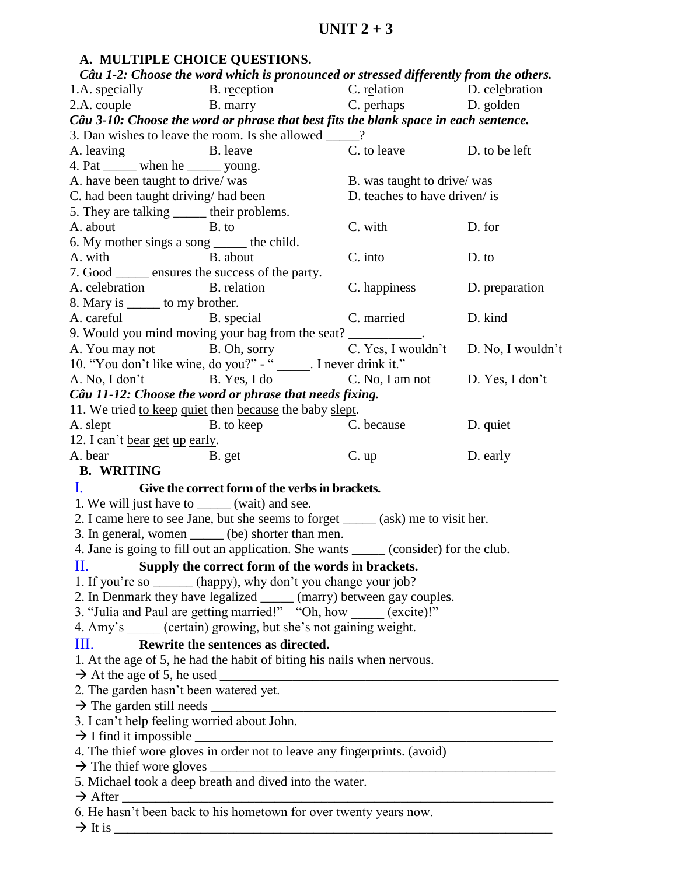## **A. MULTIPLE CHOICE QUESTIONS.**

|                                                                                                                                                                                                                                | Câu 1-2: Choose the word which is pronounced or stressed differently from the others.                                                                                                         |                                      |                |
|--------------------------------------------------------------------------------------------------------------------------------------------------------------------------------------------------------------------------------|-----------------------------------------------------------------------------------------------------------------------------------------------------------------------------------------------|--------------------------------------|----------------|
|                                                                                                                                                                                                                                |                                                                                                                                                                                               |                                      |                |
|                                                                                                                                                                                                                                | 1.A. specially<br>2.A. couple<br>B. marry<br>B. marry<br>C. relation<br>D. celebration<br>D. celebration<br>D. celebration<br>D. celebration<br>D. celebration<br>D. celebration<br>D. golden |                                      |                |
|                                                                                                                                                                                                                                | Câu 3-10: Choose the word or phrase that best fits the blank space in each sentence.                                                                                                          |                                      |                |
|                                                                                                                                                                                                                                | 3. Dan wishes to leave the room. Is she allowed ____?                                                                                                                                         |                                      |                |
| A. leaving                                                                                                                                                                                                                     | B. leave                                                                                                                                                                                      | C. to leave D. to be left            |                |
| 4. Pat ______ when he ______ young.                                                                                                                                                                                            |                                                                                                                                                                                               |                                      |                |
| A. have been taught to drive/ was                                                                                                                                                                                              |                                                                                                                                                                                               | B. was taught to drive/ was          |                |
| C. had been taught driving/ had been                                                                                                                                                                                           |                                                                                                                                                                                               | D. teaches to have driven/ is        |                |
| 5. They are talking ______ their problems.                                                                                                                                                                                     |                                                                                                                                                                                               |                                      |                |
| A. about<br>B. to                                                                                                                                                                                                              |                                                                                                                                                                                               | C. with                              | D. for         |
| 6. My mother sings a song ______ the child.                                                                                                                                                                                    |                                                                                                                                                                                               |                                      |                |
| A. with B. about                                                                                                                                                                                                               |                                                                                                                                                                                               | C. into                              | D. to          |
| 7. Good _______ ensures the success of the party.                                                                                                                                                                              |                                                                                                                                                                                               |                                      |                |
| A. celebration B. relation                                                                                                                                                                                                     |                                                                                                                                                                                               | C. happiness                         | D. preparation |
| 8. Mary is ______ to my brother.                                                                                                                                                                                               |                                                                                                                                                                                               |                                      |                |
|                                                                                                                                                                                                                                | A. careful B. special                                                                                                                                                                         | C. married                           | D. kind        |
|                                                                                                                                                                                                                                | 9. Would you mind moving your bag from the seat? __________.                                                                                                                                  |                                      |                |
|                                                                                                                                                                                                                                | A. You may not B. Oh, sorry                                                                                                                                                                   | C. Yes, I wouldn't D. No, I wouldn't |                |
|                                                                                                                                                                                                                                | 10. "You don't like wine, do you?" - "<br>I never drink it."                                                                                                                                  |                                      |                |
| A. No, I don't                                                                                                                                                                                                                 | B. Yes, I do C. No, I am not D. Yes, I don't                                                                                                                                                  |                                      |                |
|                                                                                                                                                                                                                                | Câu 11-12: Choose the word or phrase that needs fixing.                                                                                                                                       |                                      |                |
|                                                                                                                                                                                                                                | 11. We tried to keep quiet then because the baby slept.                                                                                                                                       |                                      |                |
| A. slept                                                                                                                                                                                                                       | B. to keep                                                                                                                                                                                    | C. because                           | D. quiet       |
| 12. I can't bear get up early.                                                                                                                                                                                                 |                                                                                                                                                                                               |                                      |                |
| A. bear                                                                                                                                                                                                                        | B. get                                                                                                                                                                                        | C. up                                | D. early       |
| <b>B. WRITING</b>                                                                                                                                                                                                              |                                                                                                                                                                                               |                                      |                |
| La provincia de la provincia del provincia del provincia del provincia del provincia del provincia del provincia del provincia del provincia del provincia del provincia del provincia del provincia del provincia del provinc | Give the correct form of the verbs in brackets.                                                                                                                                               |                                      |                |
| 1. We will just have to ______ (wait) and see.                                                                                                                                                                                 |                                                                                                                                                                                               |                                      |                |
|                                                                                                                                                                                                                                | 2. I came here to see Jane, but she seems to forget _____ (ask) me to visit her.                                                                                                              |                                      |                |
|                                                                                                                                                                                                                                | 3. In general, women ______ (be) shorter than men.                                                                                                                                            |                                      |                |
|                                                                                                                                                                                                                                | 4. Jane is going to fill out an application. She wants ______ (consider) for the club.                                                                                                        |                                      |                |
| П.                                                                                                                                                                                                                             | Supply the correct form of the words in brackets.                                                                                                                                             |                                      |                |
|                                                                                                                                                                                                                                | 1. If you're so _______ (happy), why don't you change your job?                                                                                                                               |                                      |                |
|                                                                                                                                                                                                                                | 2. In Denmark they have legalized _____ (marry) between gay couples.                                                                                                                          |                                      |                |
|                                                                                                                                                                                                                                | 3. "Julia and Paul are getting married!" - "Oh, how _____ (excite)!"                                                                                                                          |                                      |                |
|                                                                                                                                                                                                                                | 4. Amy's (certain) growing, but she's not gaining weight.                                                                                                                                     |                                      |                |
| Ш.                                                                                                                                                                                                                             | Rewrite the sentences as directed.                                                                                                                                                            |                                      |                |
|                                                                                                                                                                                                                                | 1. At the age of 5, he had the habit of biting his nails when nervous.                                                                                                                        |                                      |                |
|                                                                                                                                                                                                                                |                                                                                                                                                                                               |                                      |                |
| 2. The garden hasn't been watered yet.                                                                                                                                                                                         |                                                                                                                                                                                               |                                      |                |
|                                                                                                                                                                                                                                |                                                                                                                                                                                               |                                      |                |
| 3. I can't help feeling worried about John.                                                                                                                                                                                    |                                                                                                                                                                                               |                                      |                |
|                                                                                                                                                                                                                                |                                                                                                                                                                                               |                                      |                |
|                                                                                                                                                                                                                                | 4. The thief wore gloves in order not to leave any fingerprints. (avoid)                                                                                                                      |                                      |                |
|                                                                                                                                                                                                                                |                                                                                                                                                                                               |                                      |                |
|                                                                                                                                                                                                                                | 5. Michael took a deep breath and dived into the water.                                                                                                                                       |                                      |                |
| $\rightarrow$ After                                                                                                                                                                                                            |                                                                                                                                                                                               |                                      |                |
|                                                                                                                                                                                                                                | 6. He hasn't been back to his hometown for over twenty years now.                                                                                                                             |                                      |                |
|                                                                                                                                                                                                                                | $\rightarrow$ It is                                                                                                                                                                           |                                      |                |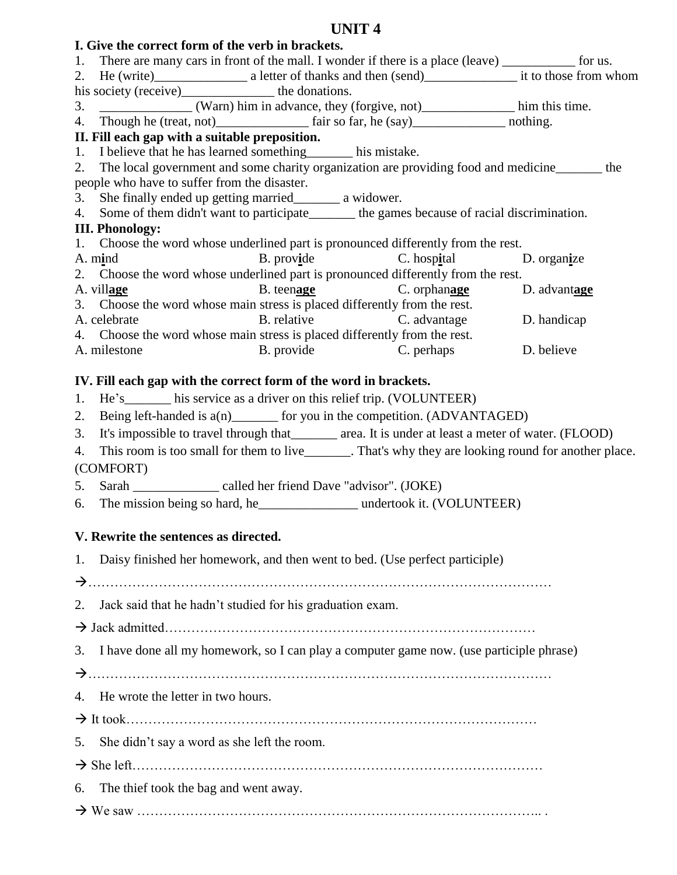# **I. Give the correct form of the verb in brackets.**

- 1. There are many cars in front of the mall. I wonder if there is a place (leave) \_\_\_\_\_\_\_\_\_\_\_ for us.
- 2. He (write)\_\_\_\_\_\_\_\_\_\_\_\_\_\_\_\_\_\_\_\_\_\_\_\_ a letter of thanks and then (send)\_\_\_\_\_\_\_\_\_\_\_\_\_\_\_\_\_\_\_\_\_\_\_\_\_\_ it to those from whom
- his society (receive) the donations.
- 3. \_\_\_\_\_\_\_\_\_\_\_\_\_\_ (Warn) him in advance, they (forgive, not)\_\_\_\_\_\_\_\_\_\_\_\_\_\_ him this time.

4. Though he (treat, not)\_\_\_\_\_\_\_\_\_\_\_\_\_ fair so far, he (say)\_\_\_\_\_\_\_\_\_\_\_\_\_\_\_\_\_\_\_ nothing.

## **II. Fill each gap with a suitable preposition.**

- 1. I believe that he has learned something\_\_\_\_\_\_\_ his mistake.
- 2. The local government and some charity organization are providing food and medicine\_\_\_\_\_\_\_ the people who have to suffer from the disaster.
- 3. She finally ended up getting married\_\_\_\_\_\_\_ a widower.
- 4. Some of them didn't want to participate the games because of racial discrimination.

## **III. Phonology:**

- 1. Choose the word whose underlined part is pronounced differently from the rest.
- A. m**i**nd B. prov**i**de C. hosp**i**tal D. organ**i**ze
- 2. Choose the word whose underlined part is pronounced differently from the rest.
- A. vill**age** B. teen**age** C. orphan**age** D. advant**age**
- 3. Choose the word whose main stress is placed differently from the rest.
- A. celebrate B. relative C. advantage D. handicap 4. Choose the word whose main stress is placed differently from the rest.
- A. milestone B. provide C. perhaps D. believe

## **IV. Fill each gap with the correct form of the word in brackets.**

- 1. He's his service as a driver on this relief trip. (VOLUNTEER)
- 2. Being left-handed is  $a(n)$  for you in the competition. (ADVANTAGED)
- 3. It's impossible to travel through that\_\_\_\_\_\_\_ area. It is under at least a meter of water. (FLOOD)
- 4. This room is too small for them to live . That's why they are looking round for another place. (COMFORT)
- 5. Sarah \_\_\_\_\_\_\_\_\_\_\_\_\_ called her friend Dave "advisor". (JOKE)
- 6. The mission being so hard, he all undertook it. (VOLUNTEER)

## **V. Rewrite the sentences as directed.**

1. Daisy finished her homework, and then went to bed. (Use perfect participle)

……………………………………………………………………………………………

- 2. Jack said that he hadn't studied for his graduation exam.
- Jack admitted…………………………………………………………………………
- 3. I have done all my homework, so I can play a computer game now. (use participle phrase)
- ……………………………………………………………………………………………
- 4. He wrote the letter in two hours.
- It took…………………………………………………………………………………

5. She didn't say a word as she left the room.

She left…………………………………………………………………………………

- 6. The thief took the bag and went away.
- We saw ……………………………………………………………………………….. .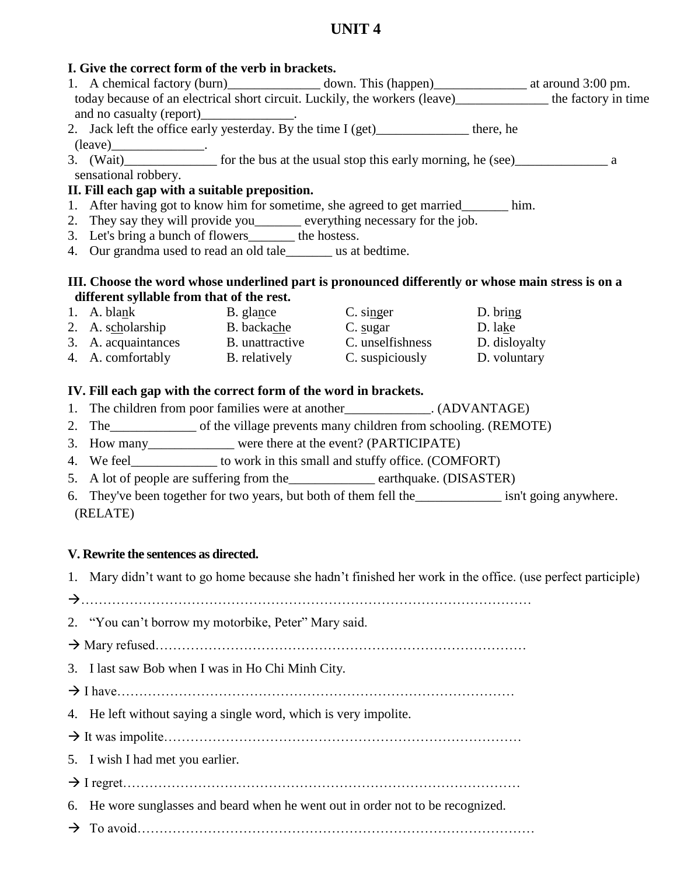| I. Give the correct form of the verb in brackets.                                                            |  |  |
|--------------------------------------------------------------------------------------------------------------|--|--|
| 1. A chemical factory (burn) _________________ down. This (happen)____________________ at around 3:00 pm.    |  |  |
| today because of an electrical short circuit. Luckily, the workers (leave) _____________ the factory in time |  |  |
| and no casualty (report)_______________.                                                                     |  |  |
| 2. Jack left the office early yesterday. By the time I (get)______________ there, he                         |  |  |
| $(leave)$ .                                                                                                  |  |  |
|                                                                                                              |  |  |
| sensational robbery.                                                                                         |  |  |
| II. Fill each gap with a suitable preposition.                                                               |  |  |
| 1. After having got to know him for sometime, she agreed to get married_______ him.                          |  |  |
| 2. They say they will provide you______ everything necessary for the job.                                    |  |  |
| 3. Let's bring a bunch of flowers________ the hostess.                                                       |  |  |
| 4. Our grandma used to read an old tale_______ us at bedtime.                                                |  |  |
|                                                                                                              |  |  |
| III. Choose the word whose underlined part is pronounced differently or whose main stress is on a            |  |  |
| different syllable from that of the rest.                                                                    |  |  |
| 1. A. blank B. glance C. singer D. bring                                                                     |  |  |
| 2. A. scholarship B. backache C. sugar D. lake                                                               |  |  |
| 3. A. acquaintances B. unattractive C. unselfishness D. disloyalty                                           |  |  |
| 4. A. comfortably B. relatively C. suspiciously D. voluntary                                                 |  |  |
|                                                                                                              |  |  |
| IV. Fill each gap with the correct form of the word in brackets.                                             |  |  |
| 1. The children from poor families were at another______________. (ADVANTAGE)                                |  |  |
| 2. The ________________ of the village prevents many children from schooling. (REMOTE)                       |  |  |

- 3. How many\_\_\_\_\_\_\_\_\_\_\_\_\_ were there at the event? (PARTICIPATE)
- 4. We feel\_\_\_\_\_\_\_\_\_\_\_\_\_\_ to work in this small and stuffy office. (COMFORT)
- 5. A lot of people are suffering from the\_\_\_\_\_\_\_\_\_\_\_\_\_ earthquake. (DISASTER)
- 6. They've been together for two years, but both of them fell the\_\_\_\_\_\_\_\_\_\_\_\_\_ isn't going anywhere. (RELATE)

## **V. Rewrite the sentences as directed.**

- 1. Mary didn't want to go home because she hadn't finished her work in the office. (use perfect participle)
- …………………………………………………………………………………………
- 2. "You can't borrow my motorbike, Peter" Mary said.
- Mary refused…………………………………………………………………………
- 3. I last saw Bob when I was in Ho Chi Minh City.
- I have………………………………………………………………………………
- 4. He left without saying a single word, which is very impolite.
- It was impolite………………………………………………………………………
- 5. I wish I had met you earlier.
- I regret………………………………………………………………………………
- 6. He wore sunglasses and beard when he went out in order not to be recognized.
- To avoid………………………………………………………………………………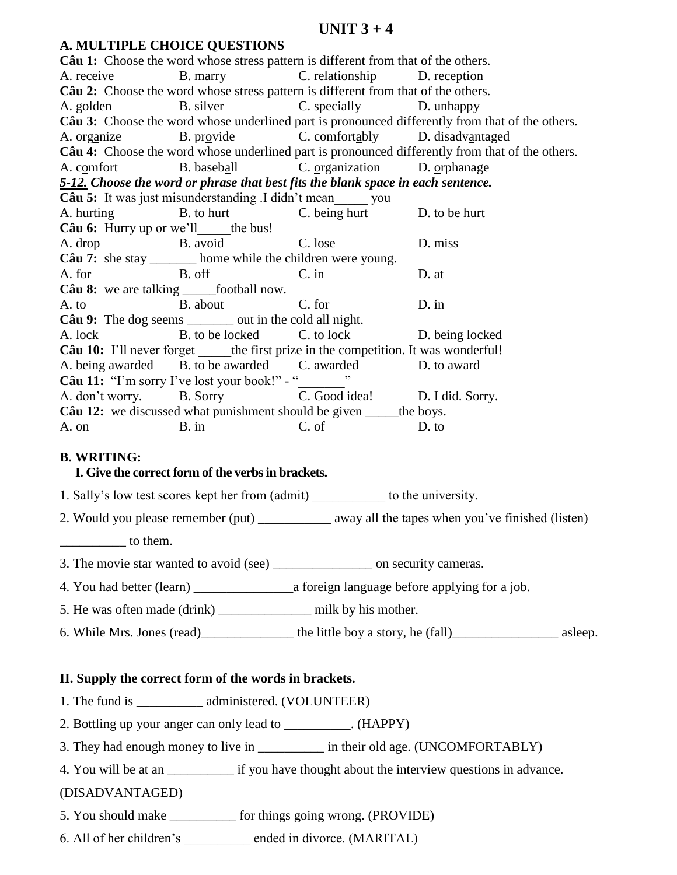## **UNIT 3 + 4**

|       | A. MULTIFLE CHUICE QUESTIONS                                                      |                  |                                                                                                 |
|-------|-----------------------------------------------------------------------------------|------------------|-------------------------------------------------------------------------------------------------|
|       | Câu 1: Choose the word whose stress pattern is different from that of the others. |                  |                                                                                                 |
|       | A. receive B. marry C. relationship D. reception                                  |                  |                                                                                                 |
|       | Câu 2: Choose the word whose stress pattern is different from that of the others. |                  |                                                                                                 |
|       | A. golden B. silver C. specially D. unhappy                                       |                  |                                                                                                 |
|       |                                                                                   |                  | Câu 3: Choose the word whose underlined part is pronounced differently from that of the others. |
|       | A. organize B. provide C. comfortably D. disadvantaged                            |                  |                                                                                                 |
|       |                                                                                   |                  | Câu 4: Choose the word whose underlined part is pronounced differently from that of the others. |
|       | A. comfort B. baseball C. organization D. orphanage                               |                  |                                                                                                 |
|       | 5-12. Choose the word or phrase that best fits the blank space in each sentence.  |                  |                                                                                                 |
|       | <b>Câu 5:</b> It was just misunderstanding .I didn't mean you                     |                  |                                                                                                 |
|       | A. hurting B. to hurt C. being hurt D. to be hurt                                 |                  |                                                                                                 |
|       | <b>Câu 6:</b> Hurry up or we'll the bus!                                          |                  |                                                                                                 |
|       | A. drop B. avoid C. lose                                                          |                  | D. miss                                                                                         |
|       | Câu 7: she stay ________ home while the children were young.                      |                  |                                                                                                 |
|       | A. for B. off                                                                     | $C.$ in<br>D. at |                                                                                                 |
|       | <b>Câu 8:</b> we are talking $\_\_\_$ football now.                               |                  |                                                                                                 |
|       | A. to B. about C. for                                                             |                  | $D.$ in                                                                                         |
|       | Câu 9: The dog seems ________ out in the cold all night.                          |                  |                                                                                                 |
|       | A. lock B. to be locked C. to lock D. being locked                                |                  |                                                                                                 |
|       | Câu 10: I'll never forget the first prize in the competition. It was wonderful!   |                  |                                                                                                 |
|       | A. being awarded B. to be awarded C. awarded D. to award                          |                  |                                                                                                 |
|       | <b>Câu 11:</b> "I'm sorry I've lost your book!" - " $\frac{1}{\sqrt{2}}$ "        |                  |                                                                                                 |
|       | A. don't worry. B. Sorry C. Good idea! D. I did. Sorry.                           |                  |                                                                                                 |
|       | Câu 12: we discussed what punishment should be given ______ the boys.             |                  |                                                                                                 |
| A. on | $B.$ in                                                                           | C. of            | D. to                                                                                           |

## **B. WRITING:**

### **I. Give the correct form of the verbs in brackets.**

**A. MULTIPLE CHOICE QUESTIONS** 

1. Sally's low test scores kept her from (admit) \_\_\_\_\_\_\_\_\_\_\_ to the university.

2. Would you please remember (put) \_\_\_\_\_\_\_\_\_\_\_\_\_ away all the tapes when you've finished (listen) to them.

3. The movie star wanted to avoid (see) \_\_\_\_\_\_\_\_\_\_\_\_\_\_\_ on security cameras.

4. You had better (learn) \_\_\_\_\_\_\_\_\_\_\_\_\_\_\_a foreign language before applying for a job.

5. He was often made (drink) \_\_\_\_\_\_\_\_\_\_\_\_\_\_ milk by his mother.

6. While Mrs. Jones (read)\_\_\_\_\_\_\_\_\_\_\_\_\_\_ the little boy a story, he (fall)\_\_\_\_\_\_\_\_\_\_\_\_\_\_\_\_ asleep.

## **II. Supply the correct form of the words in brackets.**

1. The fund is \_\_\_\_\_\_\_\_\_\_\_\_ administered. (VOLUNTEER)

2. Bottling up your anger can only lead to \_\_\_\_\_\_\_\_\_\_. (HAPPY)

3. They had enough money to live in \_\_\_\_\_\_\_\_\_\_ in their old age. (UNCOMFORTABLY)

4. You will be at an \_\_\_\_\_\_\_\_\_\_ if you have thought about the interview questions in advance.

### (DISADVANTAGED)

5. You should make for things going wrong. (PROVIDE)

6. All of her children's \_\_\_\_\_\_\_\_\_\_ ended in divorce. (MARITAL)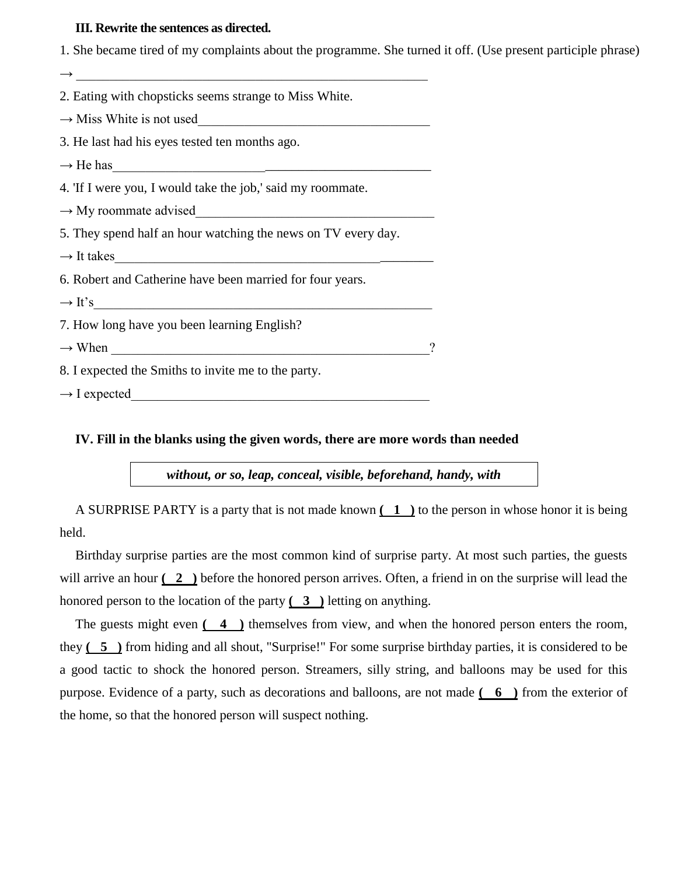#### **III. Rewrite the sentences as directed.**

 $\rightarrow$ 2. Eating with chopsticks seems strange to Miss White.  $\rightarrow$  Miss White is not used 3. He last had his eyes tested ten months ago.  $\rightarrow$  He has 4. 'If I were you, I would take the job,' said my roommate.  $\rightarrow$  My roommate advised 5. They spend half an hour watching the news on TV every day.  $\rightarrow$  It takes 6. Robert and Catherine have been married for four years.  $\rightarrow$  It's 7. How long have you been learning English?  $\rightarrow$  When  $\rightarrow$ 8. I expected the Smiths to invite me to the party.  $\rightarrow$  I expected

**IV. Fill in the blanks using the given words, there are more words than needed** 

*without, or so, leap, conceal, visible, beforehand, handy, with*

A SURPRISE PARTY is a party that is not made known **( 1 )** to the person in whose honor it is being held.

1. She became tired of my complaints about the programme. She turned it off. (Use present participle phrase)

Birthday surprise parties are the most common kind of surprise party. At most such parties, the guests will arrive an hour  $(2)$ ) before the honored person arrives. Often, a friend in on the surprise will lead the honored person to the location of the party **( 3 )** letting on anything.

The guests might even **( 4 )** themselves from view, and when the honored person enters the room, they **( 5 )** from hiding and all shout, "Surprise!" For some surprise birthday parties, it is considered to be a good tactic to shock the honored person. Streamers, silly string, and balloons may be used for this purpose. Evidence of a party, such as decorations and balloons, are not made **( 6 )** from the exterior of the home, so that the honored person will suspect nothing.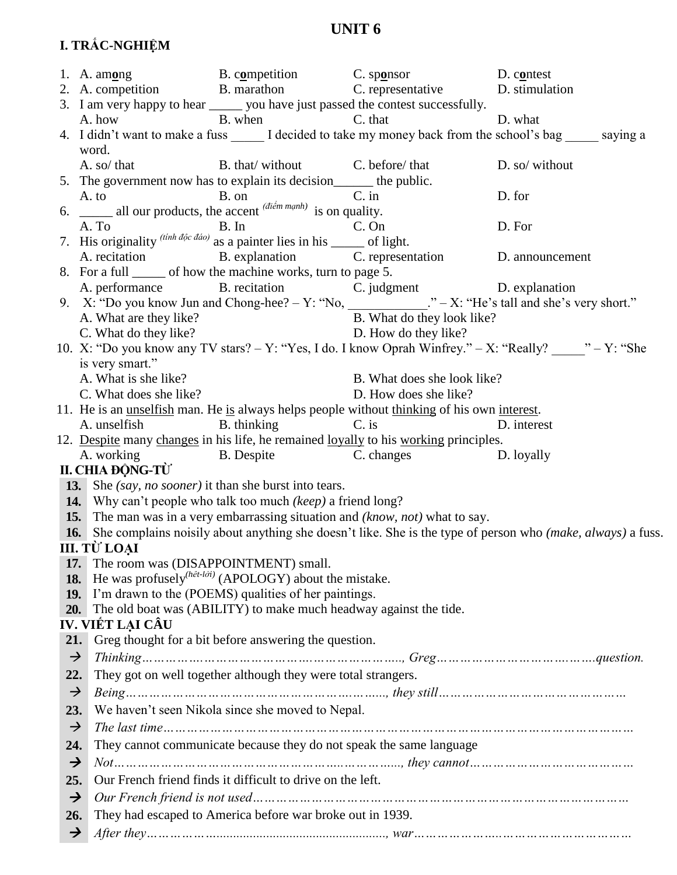# I. TRẮC-NGHIỆM

|                      | 1. A. among B. competition C. sponsor                                                                                           |                                                                     | D. contest                                                                                         |                                                                                                                 |
|----------------------|---------------------------------------------------------------------------------------------------------------------------------|---------------------------------------------------------------------|----------------------------------------------------------------------------------------------------|-----------------------------------------------------------------------------------------------------------------|
|                      |                                                                                                                                 |                                                                     | 2. A. competition B. marathon C. representative D. stimulation                                     |                                                                                                                 |
|                      |                                                                                                                                 |                                                                     | 3. I am very happy to hear ______ you have just passed the contest successfully.                   |                                                                                                                 |
|                      | A. how                                                                                                                          | B. when C. that                                                     |                                                                                                    | D. what                                                                                                         |
|                      |                                                                                                                                 |                                                                     |                                                                                                    | 4. I didn't want to make a fuss _______ I decided to take my money back from the school's bag ______ saying a   |
|                      | word.                                                                                                                           |                                                                     |                                                                                                    |                                                                                                                 |
|                      | A. so/ that                                                                                                                     | B. that/without C. before/that                                      |                                                                                                    | D. so/ without                                                                                                  |
|                      | 5. The government now has to explain its decision_______ the public.                                                            |                                                                     |                                                                                                    |                                                                                                                 |
|                      |                                                                                                                                 |                                                                     |                                                                                                    | D. for                                                                                                          |
|                      | A. to B. on C. in C. in B. on C. in C. in all our products, the accent $\overline{(di\acute{e}m m\acute{a}n h)}$ is on quality. |                                                                     |                                                                                                    |                                                                                                                 |
|                      | A. To B. In C. On 7. His originality $^{(tinh \, d\phi c \, d\phi)}$ as a painter lies in his ______ of light.                  |                                                                     |                                                                                                    | D. For                                                                                                          |
|                      |                                                                                                                                 |                                                                     |                                                                                                    |                                                                                                                 |
|                      |                                                                                                                                 |                                                                     | A. recitation B. explanation C. representation D. announcement                                     |                                                                                                                 |
|                      | 8. For a full <u>second</u> of how the machine works, turn to page 5.                                                           |                                                                     |                                                                                                    |                                                                                                                 |
|                      |                                                                                                                                 |                                                                     | A. performance B. recitation C. judgment D. explanation                                            |                                                                                                                 |
|                      |                                                                                                                                 |                                                                     |                                                                                                    | 9. $X:$ "Do you know Jun and Chong-hee? - Y: "No, ___________." - X: "He's tall and she's very short."          |
|                      | A. What are they like?                                                                                                          | B. What do they look<br>D. How do they like?                        | B. What do they look like?                                                                         |                                                                                                                 |
|                      | C. What do they like?                                                                                                           |                                                                     |                                                                                                    |                                                                                                                 |
|                      |                                                                                                                                 |                                                                     |                                                                                                    | 10. X: "Do you know any TV stars? - Y: "Yes, I do. I know Oprah Winfrey." - X: "Really? ______" - Y: "She       |
|                      | is very smart."                                                                                                                 |                                                                     |                                                                                                    |                                                                                                                 |
|                      | A. What is she like?                                                                                                            | B. What does she look<br>D. How does she like?                      | B. What does she look like?                                                                        |                                                                                                                 |
|                      | C. What does she like?                                                                                                          |                                                                     |                                                                                                    |                                                                                                                 |
|                      | A. unselfish                                                                                                                    | B. thinking C. is                                                   | 11. He is an <u>unselfish</u> man. He is always helps people without thinking of his own interest. | D. interest                                                                                                     |
|                      |                                                                                                                                 |                                                                     | 12. Despite many changes in his life, he remained loyally to his working principles.               |                                                                                                                 |
|                      |                                                                                                                                 |                                                                     | A. working B. Despite B. C. changes D. loyally                                                     |                                                                                                                 |
|                      | II. CHIA ĐỘNG-TỪ                                                                                                                |                                                                     |                                                                                                    |                                                                                                                 |
|                      | <b>13.</b> She <i>(say, no sooner)</i> it than she burst into tears.                                                            |                                                                     |                                                                                                    |                                                                                                                 |
|                      | 14. Why can't people who talk too much (keep) a friend long?                                                                    |                                                                     |                                                                                                    |                                                                                                                 |
|                      |                                                                                                                                 |                                                                     | <b>15.</b> The man was in a very embarrassing situation and (know, not) what to say.               |                                                                                                                 |
|                      |                                                                                                                                 |                                                                     |                                                                                                    | 16. She complains noisily about anything she doesn't like. She is the type of person who (make, always) a fuss. |
|                      | III. TỪ LOAI                                                                                                                    |                                                                     |                                                                                                    |                                                                                                                 |
| 17.                  | The room was (DISAPPOINTMENT) small.                                                                                            |                                                                     |                                                                                                    |                                                                                                                 |
| 18.                  |                                                                                                                                 | He was profusely <sup>(hêt-lời)</sup> (APOLOGY) about the mistake.  |                                                                                                    |                                                                                                                 |
| 19.                  |                                                                                                                                 | I'm drawn to the (POEMS) qualities of her paintings.                |                                                                                                    |                                                                                                                 |
| 20.                  |                                                                                                                                 | The old boat was (ABILITY) to make much headway against the tide.   |                                                                                                    |                                                                                                                 |
|                      | IV. VIẾT LẠI CẦU                                                                                                                |                                                                     |                                                                                                    |                                                                                                                 |
| 21.                  |                                                                                                                                 | Greg thought for a bit before answering the question.               |                                                                                                    |                                                                                                                 |
| $\rightarrow$        |                                                                                                                                 |                                                                     |                                                                                                    |                                                                                                                 |
| 22.                  |                                                                                                                                 | They got on well together although they were total strangers.       |                                                                                                    |                                                                                                                 |
| $\rightarrow$        |                                                                                                                                 |                                                                     |                                                                                                    |                                                                                                                 |
|                      |                                                                                                                                 |                                                                     |                                                                                                    |                                                                                                                 |
|                      | 23.                                                                                                                             | We haven't seen Nikola since she moved to Nepal.                    |                                                                                                    |                                                                                                                 |
| $\rightarrow$        |                                                                                                                                 |                                                                     |                                                                                                    |                                                                                                                 |
|                      |                                                                                                                                 |                                                                     |                                                                                                    |                                                                                                                 |
| 24.                  |                                                                                                                                 | They cannot communicate because they do not speak the same language |                                                                                                    |                                                                                                                 |
| $\rightarrow$        |                                                                                                                                 |                                                                     |                                                                                                    |                                                                                                                 |
| 25.                  |                                                                                                                                 | Our French friend finds it difficult to drive on the left.          |                                                                                                    |                                                                                                                 |
| $\rightarrow$        |                                                                                                                                 |                                                                     |                                                                                                    |                                                                                                                 |
| 26.<br>$\rightarrow$ |                                                                                                                                 | They had escaped to America before war broke out in 1939.           |                                                                                                    |                                                                                                                 |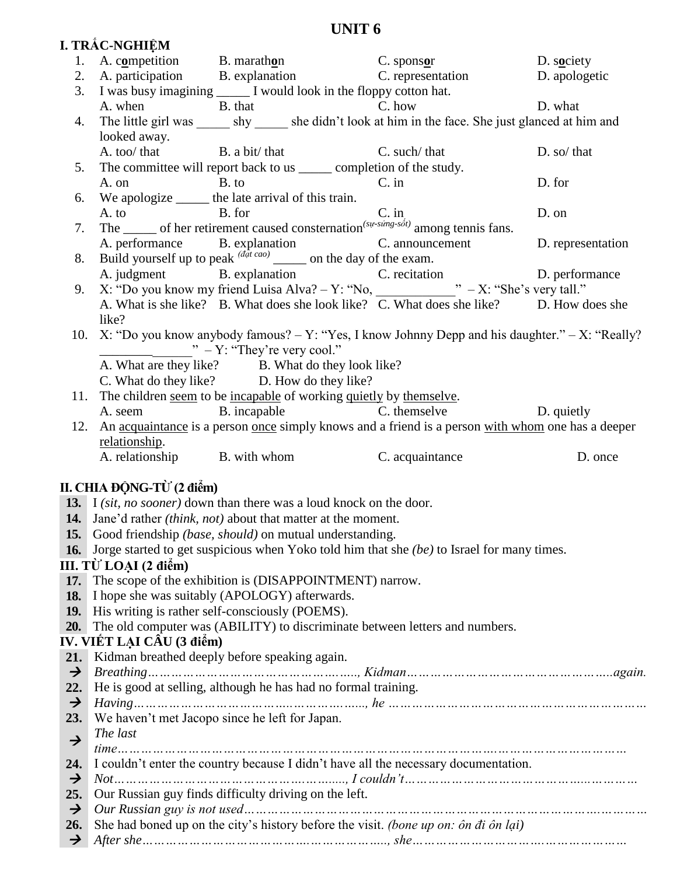|                      | I. TRÅC-NGHIỆM            |                                                                                                      |                                                                                                                                                                                    |             |
|----------------------|---------------------------|------------------------------------------------------------------------------------------------------|------------------------------------------------------------------------------------------------------------------------------------------------------------------------------------|-------------|
|                      |                           |                                                                                                      | 1. A. competition B. marathon B. marathon C. sponsor D. society<br>2. A. participation B. explanation C. representation D. apologetic                                              |             |
|                      |                           |                                                                                                      |                                                                                                                                                                                    |             |
|                      |                           | 3. I was busy imagining _______ I would look in the floppy cotton hat.                               |                                                                                                                                                                                    |             |
|                      |                           | A. when B. that C. how                                                                               | D. what                                                                                                                                                                            |             |
|                      |                           |                                                                                                      | 4. The little girl was _______ shy _______ she didn't look at him in the face. She just glanced at him and                                                                         |             |
|                      | looked away.              |                                                                                                      |                                                                                                                                                                                    |             |
|                      |                           | A. too/ that B. a bit/ that C. such/ that                                                            |                                                                                                                                                                                    | D. so/ that |
|                      |                           | 5. The committee will report back to us _______ completion of the study.                             |                                                                                                                                                                                    |             |
|                      |                           | A. on B. to                                                                                          | $C.$ in                                                                                                                                                                            | D. for      |
|                      |                           | 6. We apologize _______ the late arrival of this train.                                              |                                                                                                                                                                                    |             |
|                      |                           |                                                                                                      | A. to B. for C. in C. in The $\frac{C}{\text{The sum of her retirement caused consternation}}$ of her retirement caused consternation <sup>(su-sing-soft)</sup> among tennis fans. | D. on       |
| 7.                   |                           |                                                                                                      |                                                                                                                                                                                    |             |
|                      |                           |                                                                                                      | A. performance B. explanation C. announcement D. representation                                                                                                                    |             |
| 8.                   |                           | Build yourself up to peak $\frac{d^{\frac{1}{dt}cao}}{a}$ on the day of the exam.                    |                                                                                                                                                                                    |             |
|                      |                           |                                                                                                      | A. judgment B. explanation C. recitation D. performance                                                                                                                            |             |
| 9.                   |                           |                                                                                                      |                                                                                                                                                                                    |             |
|                      |                           |                                                                                                      | A. What is she like? B. What does she look like? C. What does she like? D. How does she                                                                                            |             |
|                      | like?                     |                                                                                                      |                                                                                                                                                                                    |             |
|                      |                           | $" - Y$ : "They're very cool."                                                                       | 10. X: "Do you know anybody famous? $-Y$ : "Yes, I know Johnny Depp and his daughter." $-X$ : "Really?                                                                             |             |
|                      |                           |                                                                                                      |                                                                                                                                                                                    |             |
|                      |                           | A. What are they like?<br>B. What do they look like?<br>D. How do they like?<br>D. How do they like? |                                                                                                                                                                                    |             |
|                      |                           | 11. The children seem to be incapable of working quietly by themselve.                               |                                                                                                                                                                                    |             |
|                      |                           |                                                                                                      | A. seem B. incapable C. themselve D. quietly                                                                                                                                       |             |
|                      |                           |                                                                                                      | 12. An acquaintance is a person once simply knows and a friend is a person with whom one has a deeper                                                                              |             |
|                      |                           |                                                                                                      |                                                                                                                                                                                    |             |
|                      |                           |                                                                                                      |                                                                                                                                                                                    |             |
|                      | relationship.             | A. relationship B. with whom C. acquaintance                                                         |                                                                                                                                                                                    | D. once     |
|                      |                           |                                                                                                      |                                                                                                                                                                                    |             |
|                      | II. CHIA ĐỘNG-TỪ (2 điểm) |                                                                                                      |                                                                                                                                                                                    |             |
|                      |                           | 13. I <i>(sit, no sooner)</i> down than there was a loud knock on the door.                          |                                                                                                                                                                                    |             |
|                      |                           | <b>14.</b> Jane'd rather <i>(think, not)</i> about that matter at the moment.                        |                                                                                                                                                                                    |             |
|                      |                           | 15. Good friendship (base, should) on mutual understanding.                                          |                                                                                                                                                                                    |             |
| <b>16.</b>           |                           |                                                                                                      | Jorge started to get suspicious when Yoko told him that she (be) to Israel for many times.                                                                                         |             |
|                      | III. TỪ LOẠI (2 điểm)     |                                                                                                      |                                                                                                                                                                                    |             |
| 17.                  |                           | The scope of the exhibition is (DISAPPOINTMENT) narrow.                                              |                                                                                                                                                                                    |             |
| 18.                  |                           | I hope she was suitably (APOLOGY) afterwards.                                                        |                                                                                                                                                                                    |             |
| <b>19.</b>           |                           | His writing is rather self-consciously (POEMS).                                                      |                                                                                                                                                                                    |             |
| 20.                  |                           | The old computer was (ABILITY) to discriminate between letters and numbers.                          |                                                                                                                                                                                    |             |
|                      | IV. VIẾT LẠI CÂU (3 điểm) |                                                                                                      |                                                                                                                                                                                    |             |
| 21.                  |                           | Kidman breathed deeply before speaking again.                                                        |                                                                                                                                                                                    |             |
| $\rightarrow$        |                           |                                                                                                      |                                                                                                                                                                                    |             |
| 22.                  |                           | He is good at selling, although he has had no formal training.                                       |                                                                                                                                                                                    |             |
| $\rightarrow$        |                           |                                                                                                      |                                                                                                                                                                                    |             |
| 23.                  |                           | We haven't met Jacopo since he left for Japan.                                                       |                                                                                                                                                                                    |             |
| $\rightarrow$        | The last                  |                                                                                                      |                                                                                                                                                                                    |             |
| 24.                  |                           |                                                                                                      |                                                                                                                                                                                    |             |
| $\rightarrow$        |                           |                                                                                                      | I couldn't enter the country because I didn't have all the necessary documentation.                                                                                                |             |
| 25.                  |                           | Our Russian guy finds difficulty driving on the left.                                                |                                                                                                                                                                                    |             |
| $\rightarrow$        |                           |                                                                                                      |                                                                                                                                                                                    |             |
| 26.<br>$\rightarrow$ |                           |                                                                                                      | She had boned up on the city's history before the visit. (bone up on: ôn đi ôn lai)                                                                                                |             |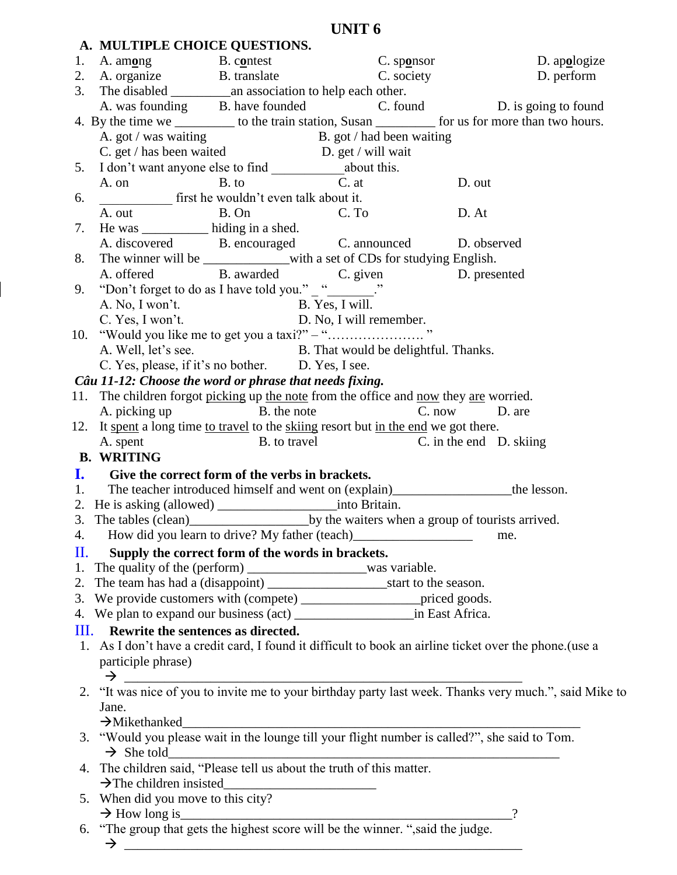|    | A. MULTIPLE CHOICE QUESTIONS.                           |                                                                                                                              |                                                                                                                            |
|----|---------------------------------------------------------|------------------------------------------------------------------------------------------------------------------------------|----------------------------------------------------------------------------------------------------------------------------|
| 1. | A. among B. contest                                     | $C.$ sponsor                                                                                                                 | D. apologize                                                                                                               |
|    | 2. A. organize B. translate                             |                                                                                                                              | C. society<br>D. perform                                                                                                   |
|    |                                                         |                                                                                                                              |                                                                                                                            |
|    |                                                         |                                                                                                                              | A. was founding B. have founded C. found D. is going to found                                                              |
|    |                                                         |                                                                                                                              | 4. By the time we ____________ to the train station, Susan ____________ for us for more than two hours.                    |
|    |                                                         |                                                                                                                              |                                                                                                                            |
|    |                                                         | A. got / was waiting<br>C. get / has been waited<br>D. get / will wait                                                       |                                                                                                                            |
|    |                                                         |                                                                                                                              |                                                                                                                            |
|    | A. on B. to                                             | $C.$ at                                                                                                                      | D. out                                                                                                                     |
| 6. | $\frac{1}{2}$ first he wouldn't even talk about it.     |                                                                                                                              |                                                                                                                            |
|    | A. out B. On C. To                                      |                                                                                                                              | D. At                                                                                                                      |
| 7. | He was _____________ hiding in a shed.                  |                                                                                                                              |                                                                                                                            |
|    |                                                         | A. discovered B. encouraged C. announced D. observed                                                                         |                                                                                                                            |
| 8. |                                                         | The winner will be ____________with a set of CDs for studying English.                                                       |                                                                                                                            |
|    |                                                         | A. offered B. awarded C. given D. presented                                                                                  |                                                                                                                            |
| 9. | "Don't forget to do as I have told you." _ "________."  |                                                                                                                              |                                                                                                                            |
|    |                                                         |                                                                                                                              |                                                                                                                            |
|    | A. No, I won't.                                         | B. Yes, I will.<br>D. No, I will remember.                                                                                   |                                                                                                                            |
|    | C. Yes, I won't.                                        |                                                                                                                              |                                                                                                                            |
|    |                                                         |                                                                                                                              |                                                                                                                            |
|    | A. Well, let's see.                                     | B. That would be delightful. Thanks.                                                                                         |                                                                                                                            |
|    | C. Yes, please, if it's no bother. D. Yes, I see.       |                                                                                                                              |                                                                                                                            |
|    | Câu 11-12: Choose the word or phrase that needs fixing. |                                                                                                                              |                                                                                                                            |
|    |                                                         | 11. The children forgot picking up the note from the office and now they are worried.                                        |                                                                                                                            |
|    | A. picking up B. the note                               |                                                                                                                              | C. now D. are                                                                                                              |
|    | A. spent                                                | 12. It spent a long time to travel to the skiing resort but in the end we got there.<br>B. to travel C. in the end D. skiing |                                                                                                                            |
|    |                                                         |                                                                                                                              |                                                                                                                            |
|    |                                                         |                                                                                                                              |                                                                                                                            |
|    | <b>B. WRITING</b>                                       |                                                                                                                              |                                                                                                                            |
|    | I. Give the correct form of the verbs in brackets.      |                                                                                                                              |                                                                                                                            |
|    |                                                         |                                                                                                                              | 1. The teacher introduced himself and went on (explain)_____________________the lesson.                                    |
|    |                                                         |                                                                                                                              |                                                                                                                            |
|    |                                                         |                                                                                                                              |                                                                                                                            |
|    |                                                         | 4. How did you learn to drive? My father (teach)_________________________________ me.                                        |                                                                                                                            |
| П. | Supply the correct form of the words in brackets.       |                                                                                                                              |                                                                                                                            |
|    |                                                         |                                                                                                                              |                                                                                                                            |
|    |                                                         |                                                                                                                              |                                                                                                                            |
|    |                                                         | 3. We provide customers with (compete) ________________________ priced goods.                                                |                                                                                                                            |
|    |                                                         |                                                                                                                              |                                                                                                                            |
| Ш. | Rewrite the sentences as directed.                      |                                                                                                                              |                                                                                                                            |
|    |                                                         |                                                                                                                              | 1. As I don't have a credit card, I found it difficult to book an airline ticket over the phone.(use a                     |
|    |                                                         |                                                                                                                              |                                                                                                                            |
|    | participle phrase)                                      |                                                                                                                              |                                                                                                                            |
|    |                                                         |                                                                                                                              |                                                                                                                            |
|    | Jane.                                                   |                                                                                                                              | $\rightarrow$ 2. "It was nice of you to invite me to your birthday party last week. Thanks very much.", said Mike to       |
|    |                                                         |                                                                                                                              |                                                                                                                            |
|    |                                                         |                                                                                                                              |                                                                                                                            |
|    |                                                         |                                                                                                                              | $\rightarrow$ Mikethanked<br>3. "Would you please wait in the lounge till your flight number is called?", she said to Tom. |
|    |                                                         | $\rightarrow$ She told<br>4. The children said, "Please tell us about the truth of this matter.                              |                                                                                                                            |
|    | $\rightarrow$ The children insisted                     |                                                                                                                              |                                                                                                                            |
|    | 5. When did you move to this city?                      |                                                                                                                              |                                                                                                                            |
|    |                                                         |                                                                                                                              | $\gamma$                                                                                                                   |
|    |                                                         | $\rightarrow$ How long is<br>6. "The group that gets the highest score will be the winner. ", said the judge.                |                                                                                                                            |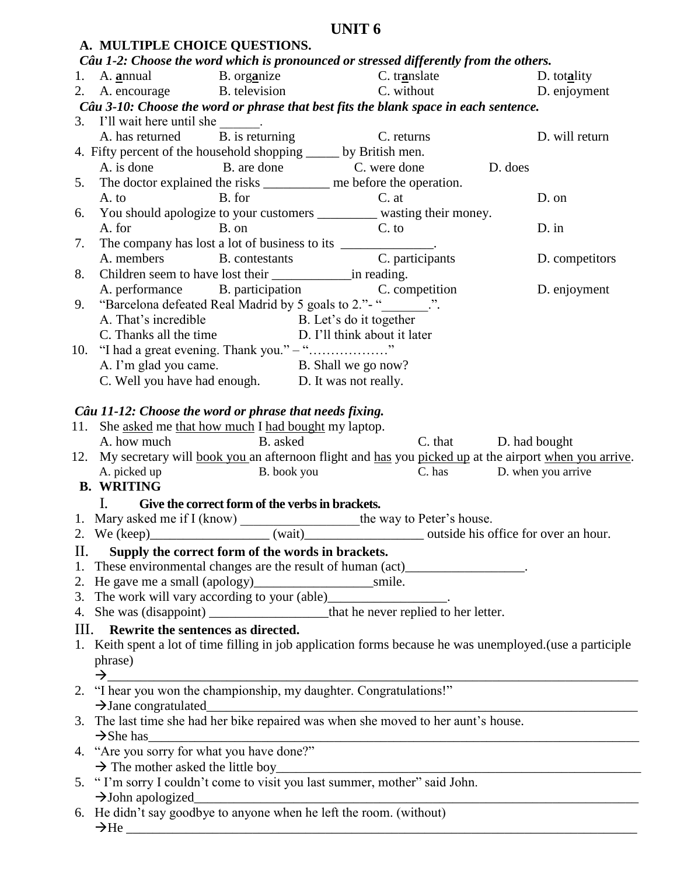|    | A. MULTIPLE CHOICE QUESTIONS.                                             |                                                    |                                                                                                                             |                |
|----|---------------------------------------------------------------------------|----------------------------------------------------|-----------------------------------------------------------------------------------------------------------------------------|----------------|
|    |                                                                           |                                                    | Câu 1-2: Choose the word which is pronounced or stressed differently from the others.                                       |                |
|    |                                                                           |                                                    | 1. A. annual B. organize C. translate D. totality                                                                           |                |
|    |                                                                           |                                                    | 2. A. encourage B. television C. without D. enjoyment                                                                       |                |
|    |                                                                           |                                                    | Câu 3-10: Choose the word or phrase that best fits the blank space in each sentence.                                        |                |
|    | 3. I'll wait here until she $\frac{1}{B \cdot B}$ is returning C. returns |                                                    |                                                                                                                             |                |
|    |                                                                           |                                                    |                                                                                                                             | D. will return |
|    | 4. Fifty percent of the household shopping _____ by British men.          |                                                    |                                                                                                                             |                |
|    |                                                                           |                                                    | A. is done B. are done C. were done D. does                                                                                 |                |
|    |                                                                           |                                                    | 5. The doctor explained the risks ___________ me before the operation.                                                      |                |
|    |                                                                           |                                                    | A. to B. for C. at You should apologize to your customers ____________ wasting their money.                                 | D. on          |
| 6. |                                                                           | A. for B. on C. to                                 |                                                                                                                             | $D \cdot$ in   |
| 7. |                                                                           |                                                    |                                                                                                                             |                |
|    |                                                                           |                                                    |                                                                                                                             | D. competitors |
| 8. |                                                                           |                                                    |                                                                                                                             |                |
|    |                                                                           |                                                    | A. performance B. participation C. competition D. enjoyment                                                                 |                |
| 9. |                                                                           |                                                    | "Barcelona defeated Real Madrid by 5 goals to 2." - "________.".                                                            |                |
|    |                                                                           | A. That's incredible B. Let's do it together       |                                                                                                                             |                |
|    |                                                                           |                                                    | C. Thanks all the time D. I'll think about it later                                                                         |                |
|    | 10. "I had a great evening. Thank you." - ""                              |                                                    |                                                                                                                             |                |
|    |                                                                           | A. I'm glad you came. B. Shall we go now?          |                                                                                                                             |                |
|    |                                                                           | C. Well you have had enough. D. It was not really. |                                                                                                                             |                |
|    |                                                                           |                                                    |                                                                                                                             |                |
|    | Câu 11-12: Choose the word or phrase that needs fixing.                   |                                                    |                                                                                                                             |                |
|    | 11. She asked me that how much I had bought my laptop.                    |                                                    |                                                                                                                             |                |
|    |                                                                           |                                                    |                                                                                                                             |                |
|    | A. how much B. asked                                                      |                                                    | C. that D. had bought                                                                                                       |                |
|    |                                                                           |                                                    | 12. My secretary will book you an afternoon flight and has you picked up at the airport when you arrive.                    |                |
|    |                                                                           |                                                    | A. picked up B. book you B. book you C. has D. when you arrive                                                              |                |
|    | <b>B. WRITING</b>                                                         |                                                    |                                                                                                                             |                |
|    | $\mathbf{L}$                                                              | Give the correct form of the verbs in brackets.    |                                                                                                                             |                |
|    |                                                                           |                                                    |                                                                                                                             |                |
|    |                                                                           |                                                    |                                                                                                                             |                |
| П. |                                                                           | Supply the correct form of the words in brackets.  |                                                                                                                             |                |
|    |                                                                           |                                                    | 1. These environmental changes are the result of human (act)___________________.                                            |                |
|    |                                                                           |                                                    |                                                                                                                             |                |
|    |                                                                           |                                                    |                                                                                                                             |                |
|    |                                                                           |                                                    |                                                                                                                             |                |
|    | III. Rewrite the sentences as directed.                                   |                                                    |                                                                                                                             |                |
|    |                                                                           |                                                    | 1. Keith spent a lot of time filling in job application forms because he was unemployed. (use a participle                  |                |
|    | phrase)                                                                   |                                                    |                                                                                                                             |                |
|    |                                                                           |                                                    |                                                                                                                             |                |
|    |                                                                           |                                                    | $\rightarrow$ 2. "I hear you won the championship, my daughter. Congratulations!"                                           |                |
|    | $\rightarrow$ Jane congratulated                                          |                                                    |                                                                                                                             |                |
|    |                                                                           |                                                    | 3. The last time she had her bike repaired was when she moved to her aunt's house.                                          |                |
|    | $\rightarrow$ She has                                                     |                                                    |                                                                                                                             |                |
|    | 4. "Are you sorry for what you have done?"                                |                                                    |                                                                                                                             |                |
|    |                                                                           |                                                    |                                                                                                                             |                |
|    |                                                                           |                                                    | $\rightarrow$ The mother asked the little boy<br>5. "I'm sorry I couldn't come to visit you last summer, mother" said John. |                |
|    | $\rightarrow$ John apologized                                             |                                                    | $\rightarrow$ John apologized<br>6. He didn't say goodbye to anyone when he left the room. (without)                        |                |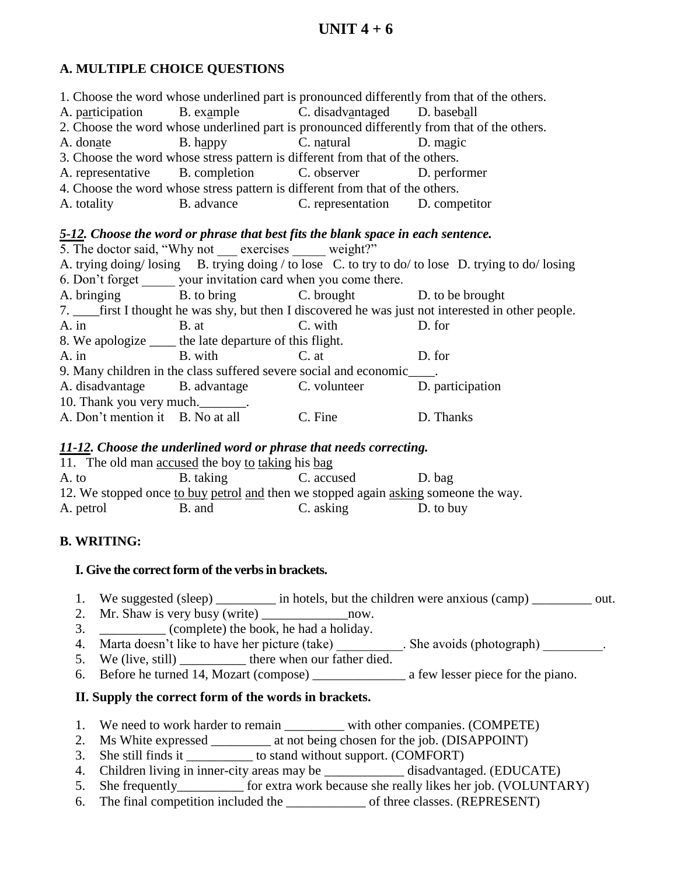## **A. MULTIPLE CHOICE QUESTIONS**

|                          |                                                                  |                                                                                  | 1. Choose the word whose underlined part is pronounced differently from that of the others.            |
|--------------------------|------------------------------------------------------------------|----------------------------------------------------------------------------------|--------------------------------------------------------------------------------------------------------|
|                          |                                                                  | A. participation B. example C. disadvantaged D. baseball                         |                                                                                                        |
|                          |                                                                  |                                                                                  | 2. Choose the word whose underlined part is pronounced differently from that of the others.            |
|                          |                                                                  | A. donate B. happy C. natural D. magic                                           |                                                                                                        |
|                          |                                                                  | 3. Choose the word whose stress pattern is different from that of the others.    |                                                                                                        |
|                          |                                                                  | A. representative B. completion C. observer D. performer                         |                                                                                                        |
|                          |                                                                  | 4. Choose the word whose stress pattern is different from that of the others.    |                                                                                                        |
|                          |                                                                  | A. totality B. advance C. representation D. competitor                           |                                                                                                        |
|                          |                                                                  |                                                                                  |                                                                                                        |
|                          |                                                                  | 5-12. Choose the word or phrase that best fits the blank space in each sentence. |                                                                                                        |
|                          | 5. The doctor said, "Why not exercises weight?"                  |                                                                                  |                                                                                                        |
|                          |                                                                  |                                                                                  | A. trying doing/losing B. trying doing / to lose C. to try to do/ to lose D. trying to do/losing       |
|                          | 6. Don't forget ______ your invitation card when you come there. |                                                                                  |                                                                                                        |
|                          |                                                                  | A. bringing B. to bring C. brought D. to be brought                              |                                                                                                        |
|                          |                                                                  |                                                                                  | 7. _____ first I thought he was shy, but then I discovered he was just not interested in other people. |
|                          | A. in B. at                                                      | C. with                                                                          | D. for                                                                                                 |
|                          | 8. We apologize ______ the late departure of this flight.        |                                                                                  |                                                                                                        |
| A. in B. with            |                                                                  | $C.$ at                                                                          | D. for                                                                                                 |
|                          |                                                                  | 9. Many children in the class suffered severe social and economic____.           |                                                                                                        |
|                          |                                                                  | A. disadvantage B. advantage C. volunteer D. participation                       |                                                                                                        |
| 10. Thank you very much. |                                                                  |                                                                                  |                                                                                                        |
|                          | A. Don't mention it B. No at all C. Fine                         |                                                                                  | D. Thanks                                                                                              |
|                          |                                                                  |                                                                                  |                                                                                                        |

### *11-12. Choose the underlined word or phrase that needs correcting.*

| 11. The old man accused the boy to taking his bag |           |                                                                                     |           |
|---------------------------------------------------|-----------|-------------------------------------------------------------------------------------|-----------|
| A. to                                             | B. taking | C. accused                                                                          | D. bag    |
|                                                   |           | 12. We stopped once to buy petrol and then we stopped again asking someone the way. |           |
| A. petrol                                         | B. and    | C. asking                                                                           | D. to buy |

## **B. WRITING:**

## **I. Give the correct form of the verbs in brackets.**

- 1. We suggested (sleep) \_\_\_\_\_\_\_\_ in hotels, but the children were anxious (camp) \_\_\_\_\_\_\_\_ out.
- 2. Mr. Shaw is very busy (write) \_\_\_\_\_\_\_\_\_\_\_\_\_now.
- 3. \_\_\_\_\_\_\_\_\_\_ (complete) the book, he had a holiday.
- 4. Marta doesn't like to have her picture (take) \_\_\_\_\_\_\_\_\_\_. She avoids (photograph) \_\_\_\_\_\_\_\_.
- 5. We (live, still) \_\_\_\_\_\_\_\_\_\_ there when our father died.
- 6. Before he turned 14, Mozart (compose) \_\_\_\_\_\_\_\_\_\_\_\_\_\_ a few lesser piece for the piano.

## **II. Supply the correct form of the words in brackets.**

- 1. We need to work harder to remain with other companies. (COMPETE)
- 2. Ms White expressed \_\_\_\_\_\_\_\_\_ at not being chosen for the job. (DISAPPOINT)
- 3. She still finds it to stand without support. (COMFORT)
- 4. Children living in inner-city areas may be \_\_\_\_\_\_\_\_\_\_\_\_\_\_\_\_ disadvantaged. (EDUCATE)
- 5. She frequently\_\_\_\_\_\_\_\_\_\_ for extra work because she really likes her job. (VOLUNTARY)
- 6. The final competition included the \_\_\_\_\_\_\_\_\_\_\_\_ of three classes. (REPRESENT)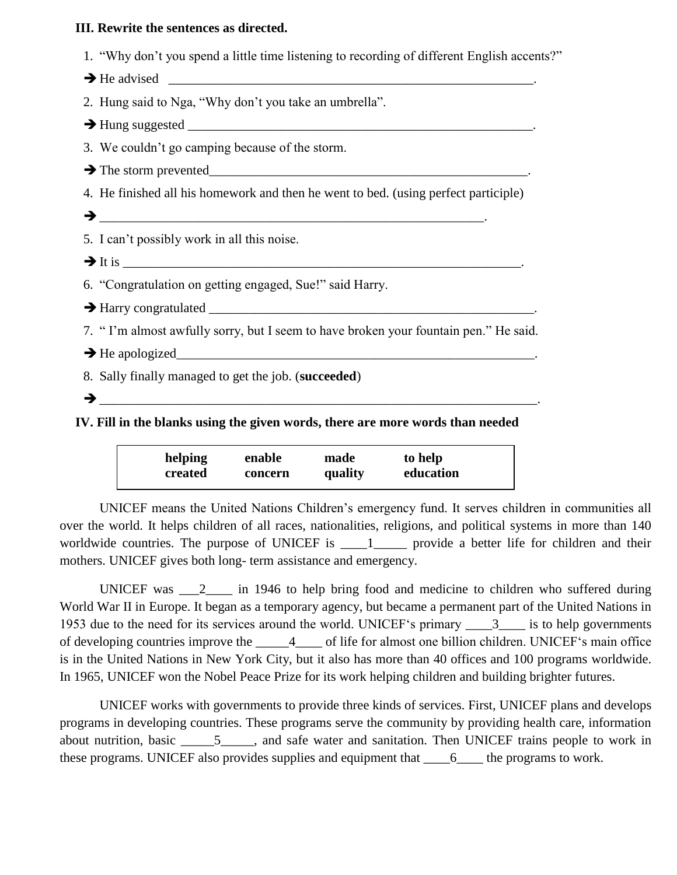### **III. Rewrite the sentences as directed.**

| 2. Hung said to Nga, "Why don't you take an umbrella".                               |  |
|--------------------------------------------------------------------------------------|--|
|                                                                                      |  |
| 3. We couldn't go camping because of the storm.                                      |  |
|                                                                                      |  |
| 4. He finished all his homework and then he went to bed. (using perfect participle)  |  |
|                                                                                      |  |
| 5. I can't possibly work in all this noise.                                          |  |
|                                                                                      |  |
| 6. "Congratulation on getting engaged, Sue!" said Harry.                             |  |
|                                                                                      |  |
| 7. "I'm almost awfully sorry, but I seem to have broken your fountain pen." He said. |  |
| $\rightarrow$ He apologized                                                          |  |
| 8. Sally finally managed to get the job. (succeeded)                                 |  |
| →                                                                                    |  |
|                                                                                      |  |

1. "Why don't you spend a little time listening to recording of different English accents?"

**IV. Fill in the blanks using the given words, there are more words than needed** 

| helping | enable  | made    | to help   |
|---------|---------|---------|-----------|
| created | concern | quality | education |

UNICEF means the United Nations Children's emergency fund. It serves children in communities all over the world. It helps children of all races, nationalities, religions, and political systems in more than 140 worldwide countries. The purpose of UNICEF is \_\_\_\_1\_\_\_\_\_ provide a better life for children and their mothers. UNICEF gives both long- term assistance and emergency.

UNICEF was  $\frac{2}{\sqrt{1}}$  in 1946 to help bring food and medicine to children who suffered during World War II in Europe. It began as a temporary agency, but became a permanent part of the United Nations in 1953 due to the need for its services around the world. UNICEF's primary \_\_\_\_3\_\_\_\_ is to help governments of developing countries improve the \_\_\_\_\_4\_\_\_\_ of life for almost one billion children. UNICEF's main office is in the United Nations in New York City, but it also has more than 40 offices and 100 programs worldwide. In 1965, UNICEF won the Nobel Peace Prize for its work helping children and building brighter futures.

UNICEF works with governments to provide three kinds of services. First, UNICEF plans and develops programs in developing countries. These programs serve the community by providing health care, information about nutrition, basic \_\_\_\_\_5\_\_\_\_\_, and safe water and sanitation. Then UNICEF trains people to work in these programs. UNICEF also provides supplies and equipment that \_\_\_\_6\_\_\_\_ the programs to work.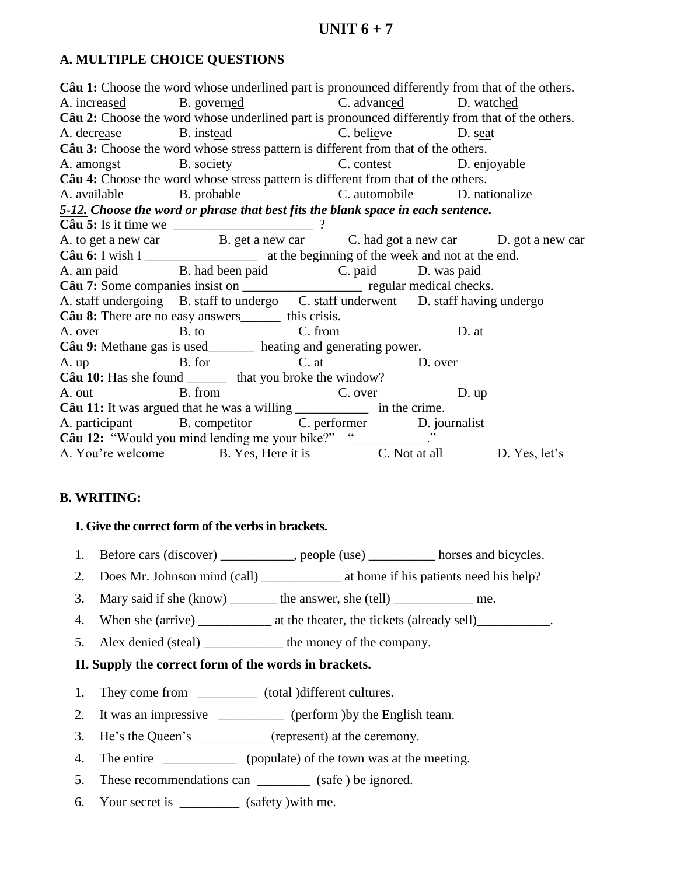## A. MULTIPLE CHOICE QUESTIONS

Câu 1: Choose the word whose underlined part is pronounced differently from that of the others. A. increased B. governed C. advanced D. watched Câu 2: Choose the word whose underlined part is pronounced differently from that of the others. A. decrease B. instead C. believe D. seat Câu 3: Choose the word whose stress pattern is different from that of the others. B. society C. contest D. enjoyable A. amongst Câu 4: Choose the word whose stress pattern is different from that of the others. A. available B. probable C. automobile D. nationalize 5-12. Choose the word or phrase that best fits the blank space in each sentence. Câu 5: Is it time we  $\frac{ }{B. get a new car}$  ? C. had got a new car D. got a new car Câu 6: I wish I at the beginning of the week and not at the end. B. had been paid C. paid D. was paid A. am paid B. had been paid C. paid D. was paid Câu 7: Some companies insist on C. paid Capacity and C. paid C. paid C. paid C. paid C. paid C. paid C. paid C. paid C. paid C. paid C. paid C. paid C. paid C. paid C. paid C A. am paid A. staff undergoing B. staff to undergo C. staff underwent D. staff having undergo **Câu 8:** There are no easy answers this crisis. A over  $B. to$  $C$  from  $D.$  at Câu 9: Methane gas is used\_\_\_\_\_\_\_\_ heating and generating power. B. for  $C.$  at D. over A. up Câu 10: Has she found \_\_\_\_\_\_\_\_ that you broke the window? A. out B. from C. over<br>
C. over<br>
C. over<br>
in the crime.  $D.$ up A. participant B. competitor C. performer D. journalist  $\hat{\text{Cau}}$  12: "Would you mind lending me your bike?" - " A. You're welcome B. Yes, Here it is C. Not at all D. Yes, let's

### **B. WRITING:**

### I. Give the correct form of the verbs in brackets.

- 1. Before cars (discover) \_\_\_\_\_\_\_\_\_, people (use) \_\_\_\_\_\_\_\_ horses and bicycles.
- 
- 3. Mary said if she (know) \_\_\_\_\_\_\_\_ the answer, she (tell) \_\_\_\_\_\_\_\_\_\_\_\_\_ me.
- 
- Alex denied (steal) \_\_\_\_\_\_\_\_\_\_\_ the money of the company. 5.

## II. Supply the correct form of the words in brackets.

- 1. They come from \_\_\_\_\_\_\_\_\_\_\_\_ (total )different cultures.
- It was an impressive \_\_\_\_\_\_\_\_\_\_\_\_ (perform )by the English team.  $2<sup>1</sup>$
- 3. He's the Queen's \_\_\_\_\_\_\_\_\_\_\_\_ (represent) at the ceremony.
- 4. The entire \_\_\_\_\_\_\_\_\_\_\_\_\_\_\_ (populate) of the town was at the meeting.
- 5. These recommendations can \_\_\_\_\_\_\_\_\_\_ (safe) be ignored.
- 6. Your secret is \_\_\_\_\_\_\_\_\_\_ (safety) with me.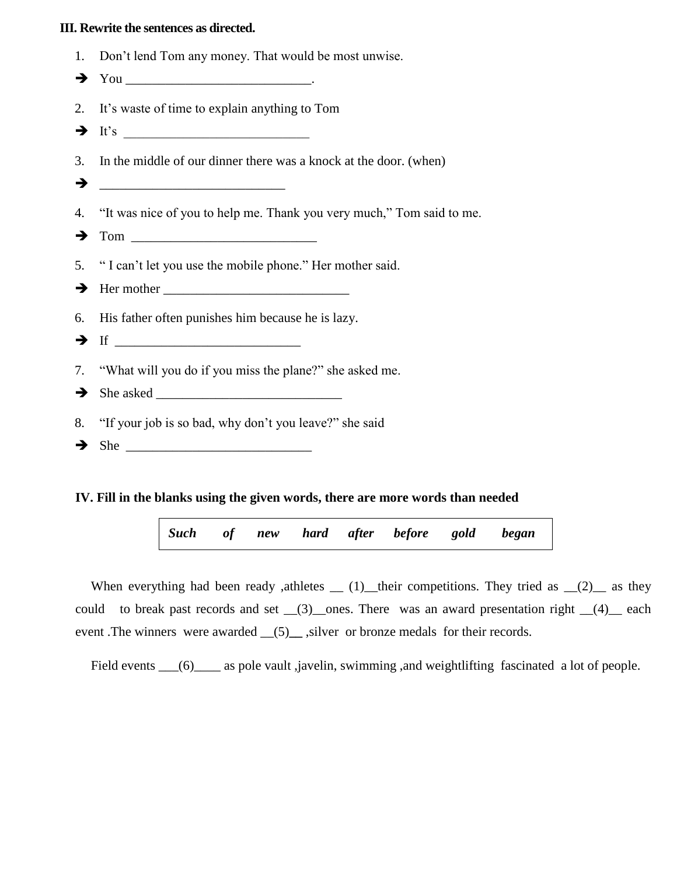#### **III. Rewrite the sentences as directed.**

- 1. Don't lend Tom any money. That would be most unwise.
- You \_\_\_\_\_\_\_\_\_\_\_\_\_\_\_\_\_\_\_\_\_\_\_\_\_\_\_\_.
- 2. It's waste of time to explain anything to Tom
- $\rightarrow$  It's
- 3. In the middle of our dinner there was a knock at the door. (when)
- \_\_\_\_\_\_\_\_\_\_\_\_\_\_\_\_\_\_\_\_\_\_\_\_\_\_\_\_
- 4. "It was nice of you to help me. Thank you very much," Tom said to me.
- Tom \_\_\_\_\_\_\_\_\_\_\_\_\_\_\_\_\_\_\_\_\_\_\_\_\_\_\_\_
- 5. " I can't let you use the mobile phone." Her mother said.
- $\rightarrow$  Her mother  $\rightarrow$
- 6. His father often punishes him because he is lazy.
- $\rightarrow$  If  $\_\_$
- 7. "What will you do if you miss the plane?" she asked me.
- She asked \_\_\_\_\_\_\_\_\_\_\_\_\_\_\_\_\_\_\_\_\_\_\_\_\_\_\_\_
- 8. "If your job is so bad, why don't you leave?" she said
- $\rightarrow$  She

### **IV. Fill in the blanks using the given words, there are more words than needed**

*Such of new hard after before gold began*

When everything had been ready ,athletes  $(1)$  their competitions. They tried as  $(2)$  as they could to break past records and set  $(3)$  ones. There was an award presentation right  $(4)$  each event .The winners were awarded (5), silver or bronze medals for their records.

Field events \_\_\_(6)\_\_\_\_ as pole vault ,javelin, swimming ,and weightlifting fascinated a lot of people.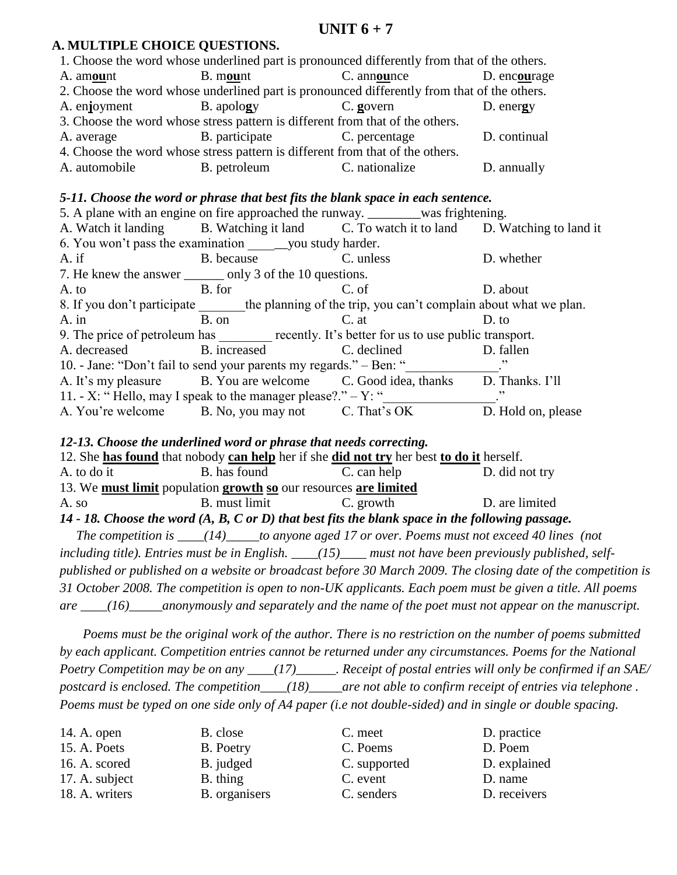## **UNIT 6 + 7**

### **A. MULTIPLE CHOICE QUESTIONS.**

|               |                                                                               | 1. Choose the word whose underlined part is pronounced differently from that of the others. |              |
|---------------|-------------------------------------------------------------------------------|---------------------------------------------------------------------------------------------|--------------|
| A. amount     | B. mount                                                                      | C. announce                                                                                 | D. encourage |
|               |                                                                               | 2. Choose the word whose underlined part is pronounced differently from that of the others. |              |
| A. enjoyment  | B. apology                                                                    | C. govern                                                                                   | D. energy    |
|               | 3. Choose the word whose stress pattern is different from that of the others. |                                                                                             |              |
| A. average    | B. participate                                                                | C. percentage                                                                               | D. continual |
|               | 4. Choose the word whose stress pattern is different from that of the others. |                                                                                             |              |
| A. automobile | B. petroleum                                                                  | C. nationalize                                                                              | D. annually  |

### *5-11. Choose the word or phrase that best fits the blank space in each sentence.*

|          | 5. A plane with an engine on fire approached the runway. ________was frightening.            |           |                    |
|----------|----------------------------------------------------------------------------------------------|-----------|--------------------|
|          | A. Watch it landing B. Watching it land C. To watch it to land D. Watching to land it        |           |                    |
|          |                                                                                              |           |                    |
| $A$ . if | B. because                                                                                   | C. unless | D. whether         |
|          | 7. He knew the answer ________ only 3 of the 10 questions.                                   |           |                    |
| A. to    | B. for                                                                                       | C. of     | D. about           |
|          | 8. If you don't participate the planning of the trip, you can't complain about what we plan. |           |                    |
| $A.$ in  | B. on                                                                                        | C. at     | $D.$ to            |
|          | 9. The price of petroleum has recently. It's better for us to use public transport.          |           |                    |
|          | A. decreased B. increased C. declined                                                        |           | D. fallen          |
|          | 10. - Jane: "Don't fail to send your parents my regards." – Ben: "                           |           |                    |
|          | A. It's my pleasure B. You are welcome C. Good idea, thanks D. Thanks. I'll                  |           |                    |
|          | 11. - X: "Hello, may I speak to the manager please?." $-$ Y: "                               |           | , ,                |
|          | A. You're welcome B. No, you may not C. That's OK                                            |           | D. Hold on, please |

### *12-13. Choose the underlined word or phrase that needs correcting.*

|                                                                  |               | 12. She has found that nobody can help her if she did not try her best to do it herself.                    |                                                                                                      |  |
|------------------------------------------------------------------|---------------|-------------------------------------------------------------------------------------------------------------|------------------------------------------------------------------------------------------------------|--|
| A. to do it                                                      | B. has found  | C. can help                                                                                                 | D. did not try                                                                                       |  |
| 13. We must limit population growth so our resources are limited |               |                                                                                                             |                                                                                                      |  |
| A. so                                                            | B. must limit | C. growth                                                                                                   | D. are limited                                                                                       |  |
|                                                                  |               | 14 - 18. Choose the word $(A, B, C \text{ or } D)$ that best fits the blank space in the following passage. |                                                                                                      |  |
|                                                                  |               |                                                                                                             | The competition is $\frac{1}{2}$ (14) to anyone aged 17 or over. Poems must not exceed 40 lines (not |  |
|                                                                  |               |                                                                                                             |                                                                                                      |  |

*including title). Entries must be in English. \_\_\_\_(15)\_\_\_\_ must not have been previously published, selfpublished or published on a website or broadcast before 30 March 2009. The closing date of the competition is 31 October 2008. The competition is open to non-UK applicants. Each poem must be given a title. All poems are \_\_\_\_(16)\_\_\_\_\_anonymously and separately and the name of the poet must not appear on the manuscript.*

 *Poems must be the original work of the author. There is no restriction on the number of poems submitted by each applicant. Competition entries cannot be returned under any circumstances. Poems for the National Poetry Competition may be on any \_\_\_\_(17)\_\_\_\_\_\_. Receipt of postal entries will only be confirmed if an SAE/ postcard is enclosed. The competition\_\_\_\_(18)\_\_\_\_\_are not able to confirm receipt of entries via telephone . Poems must be typed on one side only of A4 paper (i.e not double-sided) and in single or double spacing.*

| 14. A. open    | B. close      | C. meet      | D. practice  |
|----------------|---------------|--------------|--------------|
| 15. A. Poets   | B. Poetry     | C. Poems     | D. Poem      |
| 16. A. scored  | B. judged     | C. supported | D. explained |
| 17. A. subject | B. thing      | C. event     | D. name      |
| 18. A. writers | B. organisers | C. senders   | D. receivers |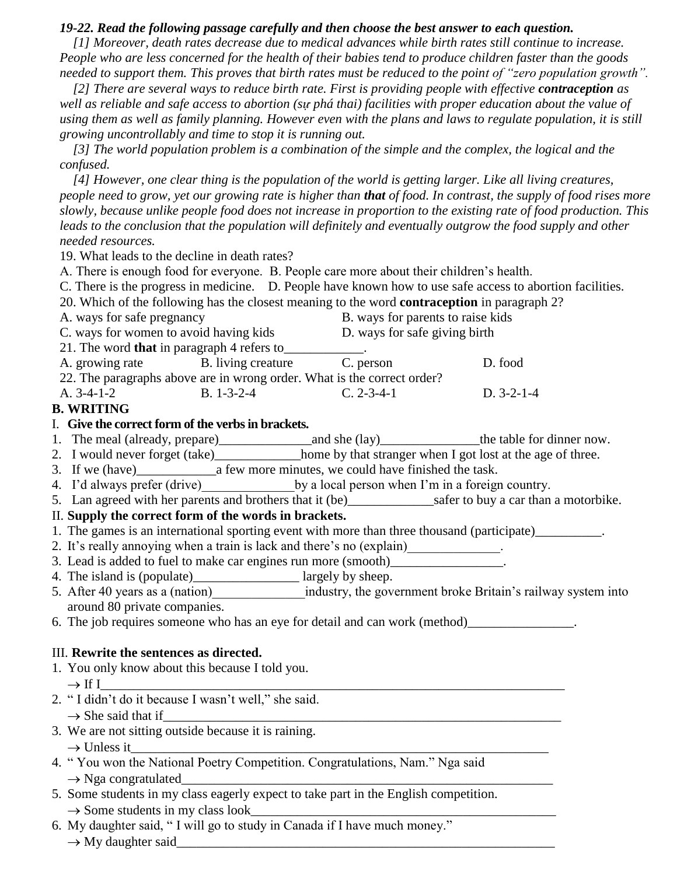### *19-22. Read the following passage carefully and then choose the best answer to each question.*

 *[1] Moreover, death rates decrease due to medical advances while birth rates still continue to increase. People who are less concerned for the health of their babies tend to produce children faster than the goods needed to support them. This proves that birth rates must be reduced to the point of "zero population growth".* 

*[2] There are several ways to reduce birth rate. First is providing people with effective <i>contraception as well as reliable and safe access to abortion (sự phá thai) facilities with proper education about the value of using them as well as family planning. However even with the plans and laws to regulate population, it is still growing uncontrollably and time to stop it is running out.*

 *[3] The world population problem is a combination of the simple and the complex, the logical and the confused.*

 *[4] However, one clear thing is the population of the world is getting larger. Like all living creatures, people need to grow, yet our growing rate is higher than that of food. In contrast, the supply of food rises more slowly, because unlike people food does not increase in proportion to the existing rate of food production. This*  leads to the conclusion that the population will definitely and eventually outgrow the food supply and other *needed resources.*

19. What leads to the decline in death rates?

A. There is enough food for everyone. B. People care more about their children's health.

C. There is the progress in medicine. D. People have known how to use safe access to abortion facilities.

20. Which of the following has the closest meaning to the word **contraception** in paragraph 2?

| A. ways for safe pregnancy                                              |                    |                    | B. ways for parents to raise kids |  |  |
|-------------------------------------------------------------------------|--------------------|--------------------|-----------------------------------|--|--|
| C. ways for women to avoid having kids                                  |                    |                    | D. ways for safe giving birth     |  |  |
| 21. The word <b>that</b> in paragraph 4 refers to                       |                    |                    |                                   |  |  |
| A. growing rate B. living creature                                      |                    | C. person          | D. food                           |  |  |
| 22. The paragraphs above are in wrong order. What is the correct order? |                    |                    |                                   |  |  |
| A. $3-4-1-2$                                                            | $B. 1 - 3 - 2 - 4$ | $C. 2 - 3 - 4 - 1$ | $D. 3-2-1-4$                      |  |  |

### **B. WRITING**

### I. **Give the correct form of the verbs in brackets.**

- 1. The meal (already, prepare)\_\_\_\_\_\_\_\_\_\_\_\_\_\_and she (lay)\_\_\_\_\_\_\_\_\_\_\_\_\_\_\_the table for dinner now.
- 2. I would never forget (take)\_\_\_\_\_\_\_\_\_\_\_\_\_home by that stranger when I got lost at the age of three.
- 3. If we (have) a few more minutes, we could have finished the task.
- 4. I'd always prefer (drive) by a local person when I'm in a foreign country.
- 5. Lan agreed with her parents and brothers that it (be)\_\_\_\_\_\_\_\_\_\_\_\_\_\_\_\_\_\_\_\_\_\_\_\_\_safer to buy a car than a motorbike.

### II. **Supply the correct form of the words in brackets.**

- 1. The games is an international sporting event with more than three thousand (participate)\_\_\_\_\_\_\_\_\_\_\_.
- 2. It's really annoying when a train is lack and there's no (explain)  $\qquad \qquad$ .
- 3. Lead is added to fuel to make car engines run more (smooth)\_\_\_\_\_\_\_\_\_\_\_\_\_\_\_\_\_.
- 4. The island is (populate)\_\_\_\_\_\_\_\_\_\_\_\_\_\_\_\_\_ largely by sheep.
- 5. After 40 years as a (nation) industry, the government broke Britain's railway system into around 80 private companies.
- 6. The job requires someone who has an eye for detail and can work (method)\_\_\_\_\_\_\_\_\_\_\_\_\_\_\_\_.

### III. **Rewrite the sentences as directed.**

- 1. You only know about this because I told you. If I\_\_\_\_\_\_\_\_\_\_\_\_\_\_\_\_\_\_\_\_\_\_\_\_\_\_\_\_\_\_\_\_\_\_\_\_\_\_\_\_\_\_\_\_\_\_\_\_\_\_\_\_\_\_\_\_\_\_\_\_\_\_\_\_\_\_\_\_\_\_
- 2. " I didn't do it because I wasn't well," she said.  $\rightarrow$  She said that if
- 3. We are not sitting outside because it is raining.  $\rightarrow$  Unless it
- 4. " You won the National Poetry Competition. Congratulations, Nam." Nga said  $\rightarrow$  Nga congratulated
- 5. Some students in my class eagerly expect to take part in the English competition.  $\rightarrow$  Some students in my class look
- 6. My daughter said, " I will go to study in Canada if I have much money."
	- $\rightarrow$  My daughter said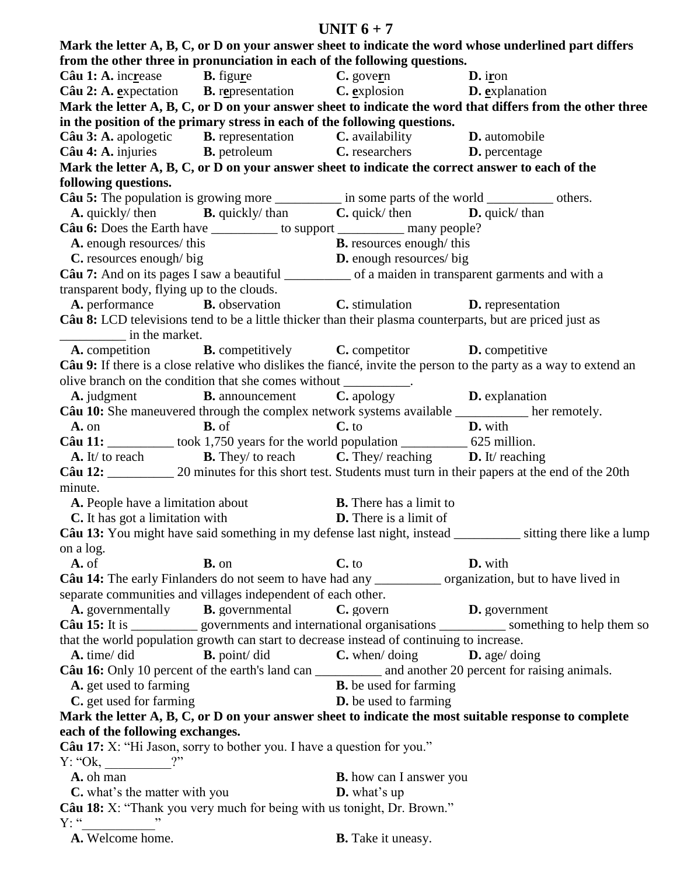### UNIT  $6 + 7$

Mark the letter A, B, C, or D on your answer sheet to indicate the word whose underlined part differs from the other three in pronunciation in each of the following questions.  $D.$  iron Câu 1: A. increase **B.** figure C. govern **B.** representation C. explosion Câu 2: A. expectation D. explanation Mark the letter A, B, C, or D on your answer sheet to indicate the word that differs from the other three in the position of the primary stress in each of the following questions. **B.** representation Câu 3: A. apologetic C. availability D. automobile Câu 4: A. injuries **B.** petroleum C. researchers D. percentage Mark the letter A, B, C, or D on your answer sheet to indicate the correct answer to each of the following questions. Câu 5: The population is growing more \_\_\_\_\_\_\_\_\_\_\_ in some parts of the world \_\_\_\_\_\_\_\_\_\_\_ others.  $D.$  quick/than A. quickly/ then **B.** quickly/than  $C$ , quick/then Câu 6: Does the Earth have \_\_\_\_\_\_\_\_\_\_\_\_\_ to support \_\_\_\_\_\_\_\_\_\_\_\_\_\_ many people? A. enough resources/this **B.** resources enough/this C. resources enough/ big **D.** enough resources/big Câu 7: And on its pages I saw a beautiful of a maiden in transparent garments and with a transparent body, flying up to the clouds. A. performance **B.** observation C. stimulation **D.** representation Câu 8: LCD televisions tend to be a little thicker than their plasma counterparts, but are priced just as in the market. A. competition **B.** competitively C. competitor D. competitive Câu 9: If there is a close relative who dislikes the fiance, invite the person to the party as a way to extend an olive branch on the condition that she comes without \_\_\_\_\_\_\_\_\_\_\_. C. apology A. judgment **B.** announcement D. explanation Câu 10: She maneuvered through the complex network systems available \_\_\_\_\_\_\_\_ her remotely. D. with  $A.$  on **. of**  $C. to$ Câu 11:  $\qquad \qquad \text{took } 1,750 \text{ years for the world population.}$  625 million. **B.** They/ to reach  $C$ . They/ reaching **D.** It/reaching  $A. It/ to reach$ Câu 12: 20 minutes for this short test. Students must turn in their papers at the end of the 20th minute. A. People have a limitation about **B.** There has a limit to C. It has got a limitation with **D.** There is a limit of Câu 13: You might have said something in my defense last night, instead \_\_\_\_\_\_\_\_\_ sitting there like a lump on a log. A. of **B.** on  $C. to$ D. with Câu 14: The early Finlanders do not seem to have had any organization, but to have lived in separate communities and villages independent of each other. A. governmentally **B.** governmental C. govern **D.** government that the world population growth can start to decrease instead of continuing to increase. A. time/did  $\mathbf{B}$ , point/did  $C$ , when/doing  $D.$  age/ doing A. get used to farming **B.** be used for farming C. get used for farming **D.** be used to farming Mark the letter A, B, C, or D on your answer sheet to indicate the most suitable response to complete each of the following exchanges. Câu 17: X: "Hi Jason, sorry to bother you. I have a question for you."  $2"$  $Y: "Ok,$ A. oh man **B.** how can I answer you  $$ **C.** what's the matter with you Câu 18: X: "Thank you very much for being with us tonight, Dr. Brown."  $Y:$  "

A. Welcome home.

**B.** Take it uneasy.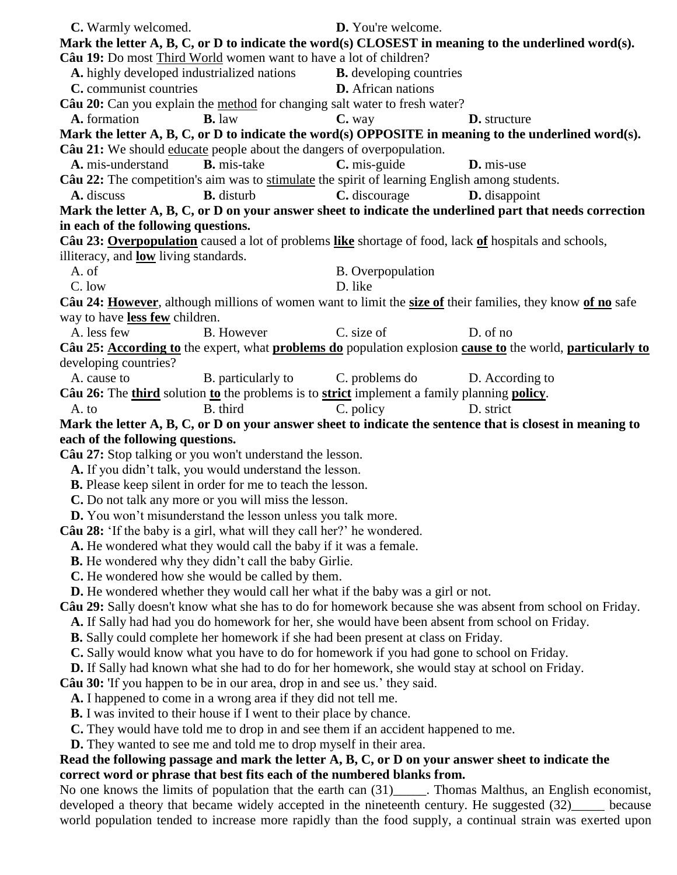| C. Warmly welcomed.                                                                       |                                                                            | D. You're welcome.                                                                                                                                                                                        |                      |         |
|-------------------------------------------------------------------------------------------|----------------------------------------------------------------------------|-----------------------------------------------------------------------------------------------------------------------------------------------------------------------------------------------------------|----------------------|---------|
|                                                                                           |                                                                            | Mark the letter $A, B, C, or D$ to indicate the word(s) CLOSEST in meaning to the underlined word(s).                                                                                                     |                      |         |
| Câu 19: Do most Third World women want to have a lot of children?                         |                                                                            |                                                                                                                                                                                                           |                      |         |
| A. highly developed industrialized nations                                                |                                                                            | <b>B.</b> developing countries                                                                                                                                                                            |                      |         |
| C. communist countries                                                                    |                                                                            | <b>D.</b> African nations                                                                                                                                                                                 |                      |         |
|                                                                                           |                                                                            | Câu 20: Can you explain the method for changing salt water to fresh water?                                                                                                                                |                      |         |
| A. formation                                                                              | <b>B.</b> law                                                              | C. way                                                                                                                                                                                                    | <b>D.</b> structure  |         |
| Câu 21: We should educate people about the dangers of overpopulation.                     |                                                                            | Mark the letter A, B, C, or D to indicate the word(s) OPPOSITE in meaning to the underlined word(s).                                                                                                      |                      |         |
| A. mis-understand                                                                         | <b>B.</b> mis-take                                                         | C. mis-guide                                                                                                                                                                                              | D. mis-use           |         |
|                                                                                           |                                                                            |                                                                                                                                                                                                           |                      |         |
| A. discuss                                                                                | <b>B.</b> disturb                                                          | Câu 22: The competition's aim was to stimulate the spirit of learning English among students.<br>C. discourage                                                                                            | <b>D.</b> disappoint |         |
|                                                                                           |                                                                            | Mark the letter A, B, C, or D on your answer sheet to indicate the underlined part that needs correction                                                                                                  |                      |         |
| in each of the following questions.                                                       |                                                                            |                                                                                                                                                                                                           |                      |         |
|                                                                                           |                                                                            | Câu 23: Overpopulation caused a lot of problems like shortage of food, lack of hospitals and schools,                                                                                                     |                      |         |
| illiteracy, and <b>low</b> living standards.                                              |                                                                            |                                                                                                                                                                                                           |                      |         |
| A. of                                                                                     |                                                                            | <b>B.</b> Overpopulation                                                                                                                                                                                  |                      |         |
| C. low                                                                                    |                                                                            | D. like                                                                                                                                                                                                   |                      |         |
|                                                                                           |                                                                            | Câu 24: However, although millions of women want to limit the size of their families, they know of no safe                                                                                                |                      |         |
| way to have less few children.                                                            |                                                                            |                                                                                                                                                                                                           |                      |         |
| A. less few                                                                               | <b>B.</b> However                                                          | C. size of                                                                                                                                                                                                | D. of no             |         |
|                                                                                           |                                                                            | Câu 25: According to the expert, what problems do population explosion cause to the world, particularly to                                                                                                |                      |         |
| developing countries?                                                                     |                                                                            |                                                                                                                                                                                                           |                      |         |
| A. cause to                                                                               |                                                                            | B. particularly to C. problems do                                                                                                                                                                         | D. According to      |         |
|                                                                                           |                                                                            | Câu 26: The third solution to the problems is to strict implement a family planning policy.                                                                                                               |                      |         |
| A. to                                                                                     | B. third                                                                   | C. policy                                                                                                                                                                                                 | D. strict            |         |
|                                                                                           |                                                                            | Mark the letter A, B, C, or D on your answer sheet to indicate the sentence that is closest in meaning to                                                                                                 |                      |         |
| each of the following questions.                                                          |                                                                            |                                                                                                                                                                                                           |                      |         |
| Câu 27: Stop talking or you won't understand the lesson.                                  |                                                                            |                                                                                                                                                                                                           |                      |         |
|                                                                                           | A. If you didn't talk, you would understand the lesson.                    |                                                                                                                                                                                                           |                      |         |
|                                                                                           | <b>B.</b> Please keep silent in order for me to teach the lesson.          |                                                                                                                                                                                                           |                      |         |
|                                                                                           | C. Do not talk any more or you will miss the lesson.                       |                                                                                                                                                                                                           |                      |         |
|                                                                                           | <b>D.</b> You won't misunderstand the lesson unless you talk more.         |                                                                                                                                                                                                           |                      |         |
| <b>Câu 28:</b> 'If the baby is a girl, what will they call her?' he wondered.             |                                                                            |                                                                                                                                                                                                           |                      |         |
| A. He wondered what they would call the baby if it was a female.                          |                                                                            |                                                                                                                                                                                                           |                      |         |
|                                                                                           | B. He wondered why they didn't call the baby Girlie.                       |                                                                                                                                                                                                           |                      |         |
|                                                                                           | C. He wondered how she would be called by them.                            |                                                                                                                                                                                                           |                      |         |
|                                                                                           |                                                                            | <b>D.</b> He wondered whether they would call her what if the baby was a girl or not.                                                                                                                     |                      |         |
|                                                                                           |                                                                            | Câu 29: Sally doesn't know what she has to do for homework because she was absent from school on Friday.                                                                                                  |                      |         |
|                                                                                           |                                                                            | A. If Sally had had you do homework for her, she would have been absent from school on Friday.                                                                                                            |                      |         |
|                                                                                           |                                                                            | <b>B.</b> Sally could complete her homework if she had been present at class on Friday.                                                                                                                   |                      |         |
| C. Sally would know what you have to do for homework if you had gone to school on Friday. |                                                                            |                                                                                                                                                                                                           |                      |         |
|                                                                                           |                                                                            | <b>D.</b> If Sally had known what she had to do for her homework, she would stay at school on Friday.                                                                                                     |                      |         |
| <b>Câu 30:</b> 'If you happen to be in our area, drop in and see us.' they said.          |                                                                            |                                                                                                                                                                                                           |                      |         |
|                                                                                           | A. I happened to come in a wrong area if they did not tell me.             |                                                                                                                                                                                                           |                      |         |
|                                                                                           | <b>B.</b> I was invited to their house if I went to their place by chance. |                                                                                                                                                                                                           |                      |         |
|                                                                                           |                                                                            | C. They would have told me to drop in and see them if an accident happened to me.                                                                                                                         |                      |         |
| <b>D.</b> They wanted to see me and told me to drop myself in their area.                 |                                                                            |                                                                                                                                                                                                           |                      |         |
|                                                                                           |                                                                            |                                                                                                                                                                                                           |                      |         |
|                                                                                           |                                                                            | Read the following passage and mark the letter $A, B, C, or D$ on your answer sheet to indicate the                                                                                                       |                      |         |
|                                                                                           |                                                                            | correct word or phrase that best fits each of the numbered blanks from.                                                                                                                                   |                      |         |
|                                                                                           |                                                                            | No one knows the limits of population that the earth can (31)______. Thomas Malthus, an English economist,<br>developed a theory that became widely accepted in the nineteenth century. He suggested (32) |                      | because |

world population tended to increase more rapidly than the food supply, a continual strain was exerted upon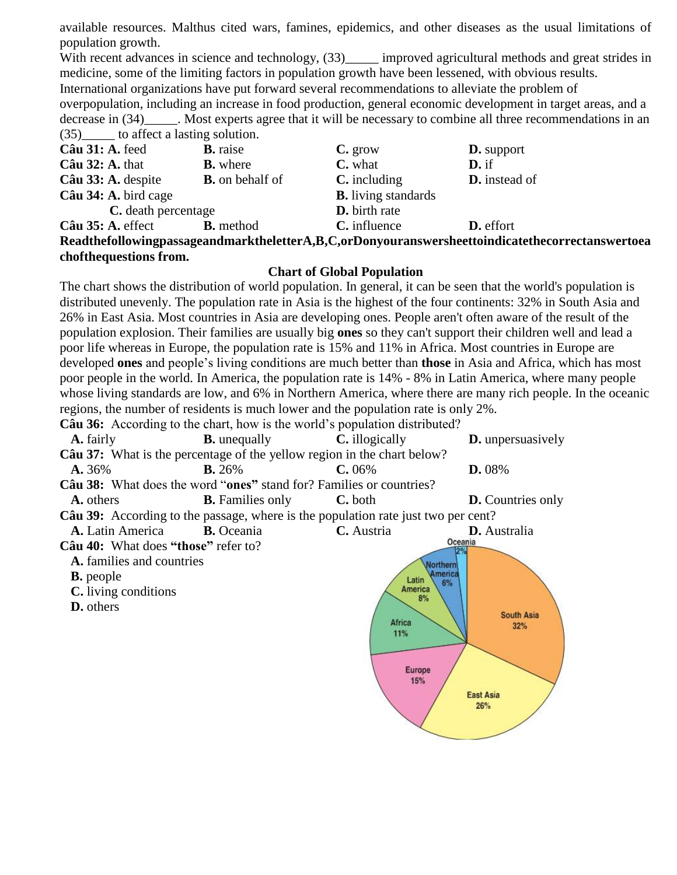available resources. Malthus cited wars, famines, epidemics, and other diseases as the usual limitations of population growth.

With recent advances in science and technology,  $(33)$ \_\_\_\_\_ improved agricultural methods and great strides in medicine, some of the limiting factors in population growth have been lessened, with obvious results.

International organizations have put forward several recommendations to alleviate the problem of

overpopulation, including an increase in food production, general economic development in target areas, and a decrease in (34) Most experts agree that it will be necessary to combine all three recommendations in an (35)\_\_\_\_\_ to affect a lasting solution.

| $\frac{100}{100}$ to allocate a habiting botation.                                              |                        |                            |                      |
|-------------------------------------------------------------------------------------------------|------------------------|----------------------------|----------------------|
| Câu 31: A. feed                                                                                 | <b>B.</b> raise        | $C.$ grow                  | <b>D.</b> support    |
| $C\hat{a}u$ 32: A. that                                                                         | <b>B.</b> where        | C. what                    | $D$ . if             |
| Câu 33: A. despite                                                                              | <b>B.</b> on behalf of | $C.$ including             | <b>D.</b> instead of |
| Câu 34: A. bird cage                                                                            |                        | <b>B.</b> living standards |                      |
| C. death percentage                                                                             |                        | <b>D.</b> birth rate       |                      |
| $C\hat{a}$ u 35: A. effect                                                                      | <b>B.</b> method       | C. influence               | <b>D.</b> effort     |
| ReadthefollowingpassageandmarktheletterA,B,C,orDonyouranswersheettoindicatethecorrectanswertoea |                        |                            |                      |
|                                                                                                 |                        |                            |                      |

#### **chofthequestions from.**

### **Chart of Global Population**

The chart shows the distribution of world population. In general, it can be seen that the world's population is distributed unevenly. The population rate in Asia is the highest of the four continents: 32% in South Asia and 26% in East Asia. Most countries in Asia are developing ones. People aren't often aware of the result of the population explosion. Their families are usually big **ones** so they can't support their children well and lead a poor life whereas in Europe, the population rate is 15% and 11% in Africa. Most countries in Europe are developed **ones** and people's living conditions are much better than **those** in Asia and Africa, which has most poor people in the world. In America, the population rate is 14% - 8% in Latin America, where many people whose living standards are low, and 6% in Northern America, where there are many rich people. In the oceanic regions, the number of residents is much lower and the population rate is only 2%.

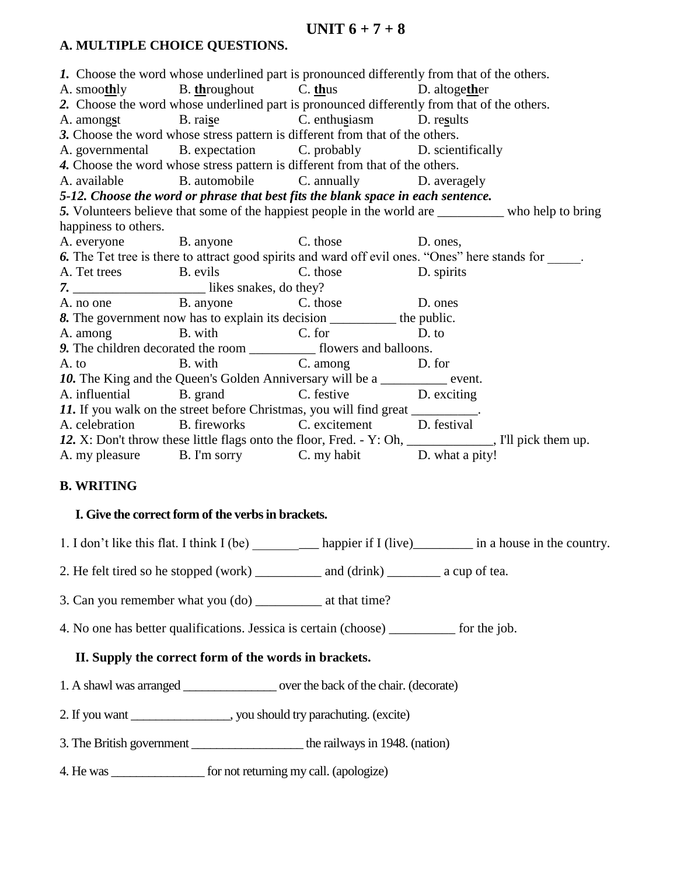## **UNIT 6 + 7 + 8**

### **A. MULTIPLE CHOICE QUESTIONS.**

*1.* Choose the word whose underlined part is pronounced differently from that of the others. A. smoo**th**ly B. **th**roughout C. **th**us D. altoge**th**er *2.* Choose the word whose underlined part is pronounced differently from that of the others. A. among**s**t B. rai**s**e C. enthu**s**iasm D. re**s**ults *3.* Choose the word whose stress pattern is different from that of the others. A. governmental B. expectation C. probably D. scientifically *4.* Choose the word whose stress pattern is different from that of the others. A. available B. automobile C. annually D. averagely *5-12. Choose the word or phrase that best fits the blank space in each sentence. 5.* Volunteers believe that some of the happiest people in the world are \_\_\_\_\_\_\_\_\_\_ who help to bring happiness to others. A. everyone B. anyone C. those D. ones, **6.** The Tet tree is there to attract good spirits and ward off evil ones. "Ones" here stands for A. Tet trees B. evils C. those D. spirits *7.* \_\_\_\_\_\_\_\_\_\_\_\_\_\_\_\_\_\_\_\_ likes snakes, do they? A. no one B. anyone C. those D. ones 8. The government now has to explain its decision the public. A. among B. with C. for D. to *9.* The children decorated the room \_\_\_\_\_\_\_\_\_\_ flowers and balloons. A. to B. with C. among D. for 10. The King and the Queen's Golden Anniversary will be a \_\_\_\_\_\_\_\_\_\_\_ event. A. influential B. grand C. festive D. exciting 11. If you walk on the street before Christmas, you will find great A. celebration B. fireworks C. excitement D. festival 12. X: Don't throw these little flags onto the floor, Fred. - Y: Oh, \_\_\_\_\_\_\_\_\_\_\_, I'll pick them up. A. my pleasure B. I'm sorry C. my habit D. what a pity!

### **B. WRITING**

### **I. Give the correct form of the verbs in brackets.**

1. I don't like this flat. I think I (be) happier if I (live) in a house in the country.

2. He felt tired so he stopped (work) and (drink) a cup of tea.

3. Can you remember what you (do) at that time?

4. No one has better qualifications. Jessica is certain (choose) for the job.

### **II. Supply the correct form of the words in brackets.**

- 1. A shawl was arranged \_\_\_\_\_\_\_\_\_\_\_\_\_\_\_ over the back of the chair. (decorate)
- 2. If you want \_\_\_\_\_\_\_\_\_\_\_\_\_\_\_\_, you should try parachuting. (excite)
- 3. The British government the railways in 1948. (nation)

4. He was \_\_\_\_\_\_\_\_\_\_\_\_\_\_\_ for not returning my call. (apologize)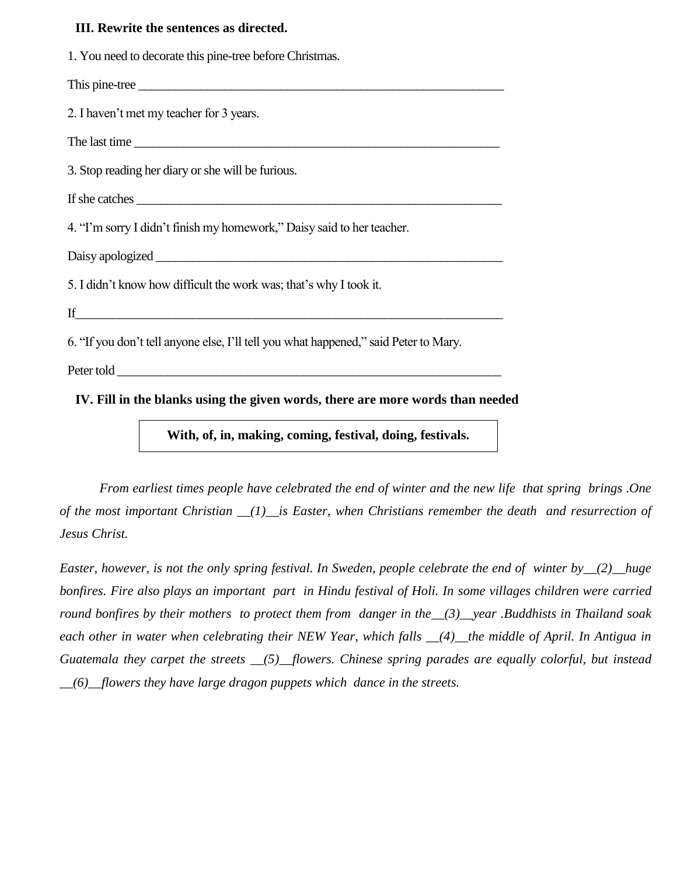#### **III. Rewrite the sentences as directed.**

1. You need to decorate this pine-tree before Christmas.

This pine-tree \_\_\_\_\_\_\_\_\_\_\_\_\_\_\_\_\_\_\_\_\_\_\_\_\_\_\_\_\_\_\_\_\_\_\_\_\_\_\_\_\_\_\_\_\_\_\_\_\_\_\_\_\_\_\_\_\_\_\_

2. I haven't met my teacher for 3 years.

The last time \_\_\_\_\_\_\_\_\_\_\_\_\_\_\_\_\_\_\_\_\_\_\_\_\_\_\_\_\_\_\_\_\_\_\_\_\_\_\_\_\_\_\_\_\_\_\_\_\_\_\_\_\_\_\_\_\_\_\_

3. Stop reading her diary or she will be furious.

If she catches

4. "I'm sorry I didn't finish my homework," Daisy said to her teacher.

Daisy apologized

5. I didn't know how difficult the work was; that's why I took it.

If  $\Box$ 

6. "If you don't tell anyone else, I'll tell you what happened," said Peter to Mary.

Peter told \_\_\_\_\_\_\_\_\_\_\_\_\_\_\_\_\_\_\_\_\_\_\_\_\_\_\_\_\_\_\_\_\_\_\_\_\_\_\_\_\_\_\_\_\_\_\_\_\_\_\_\_\_\_\_\_\_\_\_\_\_\_

**IV. Fill in the blanks using the given words, there are more words than needed** 

**With, of, in, making, coming, festival, doing, festivals.**

*From earliest times people have celebrated the end of winter and the new life that spring brings .One of the most important Christian \_\_(1)\_\_is Easter, when Christians remember the death and resurrection of Jesus Christ.*

*Easter, however, is not the only spring festival. In Sweden, people celebrate the end of winter by\_\_(2)\_\_huge bonfires. Fire also plays an important part in Hindu festival of Holi. In some villages children were carried round bonfires by their mothers to protect them from danger in the\_\_(3)\_\_year .Buddhists in Thailand soak each other in water when celebrating their NEW Year, which falls \_\_(4)\_\_the middle of April. In Antigua in Guatemala they carpet the streets \_\_(5)\_\_flowers. Chinese spring parades are equally colorful, but instead \_\_(6)\_\_flowers they have large dragon puppets which dance in the streets.*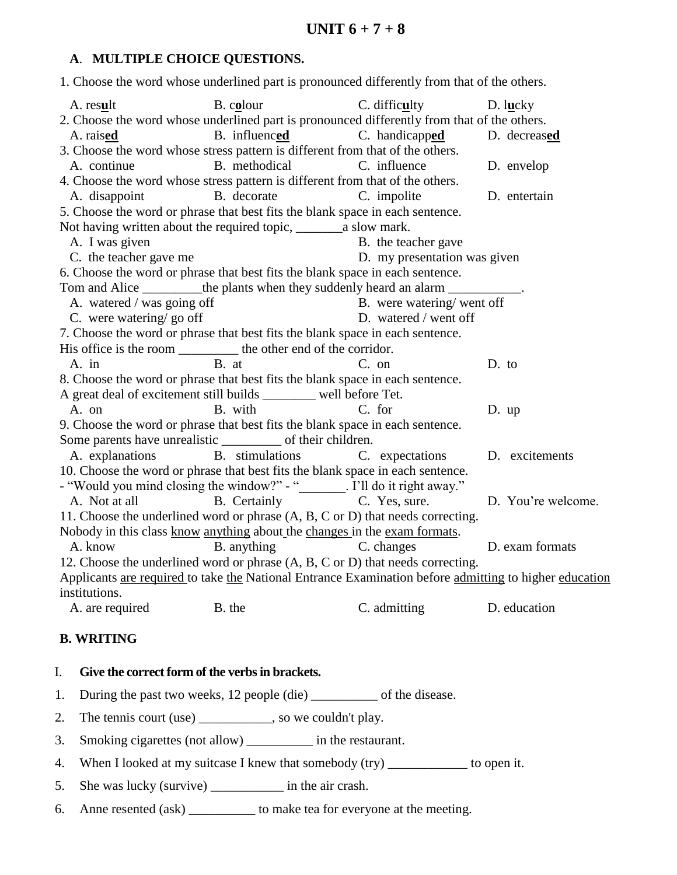## **A**. **MULTIPLE CHOICE QUESTIONS.**

1. Choose the word whose underlined part is pronounced differently from that of the others.

| A. result                                                                 | B. colour                                                                                              | C. difficulty                | D. lucky           |  |
|---------------------------------------------------------------------------|--------------------------------------------------------------------------------------------------------|------------------------------|--------------------|--|
|                                                                           | 2. Choose the word whose underlined part is pronounced differently from that of the others.            |                              |                    |  |
| A. raised                                                                 | B. influenced C. handicapped                                                                           |                              | D. decreased       |  |
|                                                                           | 3. Choose the word whose stress pattern is different from that of the others.                          |                              |                    |  |
| A. continue                                                               | B. methodical                                                                                          | C. influence                 | D. envelop         |  |
|                                                                           | 4. Choose the word whose stress pattern is different from that of the others.                          |                              |                    |  |
| A. disappoint                                                             | B. decorate                                                                                            | C. impolite                  | D. entertain       |  |
|                                                                           | 5. Choose the word or phrase that best fits the blank space in each sentence.                          |                              |                    |  |
|                                                                           |                                                                                                        |                              |                    |  |
| A. I was given                                                            |                                                                                                        | B. the teacher gave          |                    |  |
| C. the teacher gave me                                                    |                                                                                                        | D. my presentation was given |                    |  |
|                                                                           | 6. Choose the word or phrase that best fits the blank space in each sentence.                          |                              |                    |  |
|                                                                           | Tom and Alice __________the plants when they suddenly heard an alarm ___________.                      |                              |                    |  |
| A. watered / was going off                                                |                                                                                                        | B. were watering/went off    |                    |  |
| C. were watering/go off                                                   |                                                                                                        | D. watered / went off        |                    |  |
|                                                                           | 7. Choose the word or phrase that best fits the blank space in each sentence.                          |                              |                    |  |
|                                                                           | His office is the room ___________ the other end of the corridor.                                      |                              |                    |  |
| $A.$ in                                                                   | B. at                                                                                                  | C. on                        | D. to              |  |
|                                                                           | 8. Choose the word or phrase that best fits the blank space in each sentence.                          |                              |                    |  |
|                                                                           | A great deal of excitement still builds _______ well before Tet.                                       |                              |                    |  |
| A. on                                                                     | B. with                                                                                                | C. for                       | $D.$ up            |  |
|                                                                           | 9. Choose the word or phrase that best fits the blank space in each sentence.                          |                              |                    |  |
|                                                                           | Some parents have unrealistic ____________ of their children.                                          |                              |                    |  |
| A. explanations                                                           | B. stimulations                                                                                        | C. expectations              | D. excitements     |  |
|                                                                           | 10. Choose the word or phrase that best fits the blank space in each sentence.                         |                              |                    |  |
|                                                                           | - "Would you mind closing the window?" - "_______. I'll do it right away."                             |                              |                    |  |
| A. Not at all                                                             | B. Certainly C. Yes, sure.                                                                             |                              | D. You're welcome. |  |
|                                                                           | 11. Choose the underlined word or phrase (A, B, C or D) that needs correcting.                         |                              |                    |  |
| Nobody in this class know anything about the changes in the exam formats. |                                                                                                        |                              |                    |  |
| A. know                                                                   | B. anything                                                                                            | C. changes                   | D. exam formats    |  |
|                                                                           | 12. Choose the underlined word or phrase (A, B, C or D) that needs correcting.                         |                              |                    |  |
|                                                                           | Applicants are required to take the National Entrance Examination before admitting to higher education |                              |                    |  |
| institutions.                                                             |                                                                                                        |                              |                    |  |
| B. the<br>A. are required                                                 |                                                                                                        | C. admitting                 | D. education       |  |
|                                                                           |                                                                                                        |                              |                    |  |

## **B. WRITING**

### I. **Give the correct form of the verbs in brackets.**

- 1. During the past two weeks, 12 people (die) \_\_\_\_\_\_\_\_\_\_\_ of the disease.
- 2. The tennis court (use) \_\_\_\_\_\_\_\_\_\_, so we couldn't play.
- 3. Smoking cigarettes (not allow) \_\_\_\_\_\_\_\_\_\_ in the restaurant.
- 4. When I looked at my suitcase I knew that somebody (try) \_\_\_\_\_\_\_\_\_\_\_\_ to open it.
- 5. She was lucky (survive) \_\_\_\_\_\_\_\_\_\_\_\_\_ in the air crash.
- 6. Anne resented (ask) \_\_\_\_\_\_\_\_\_\_ to make tea for everyone at the meeting.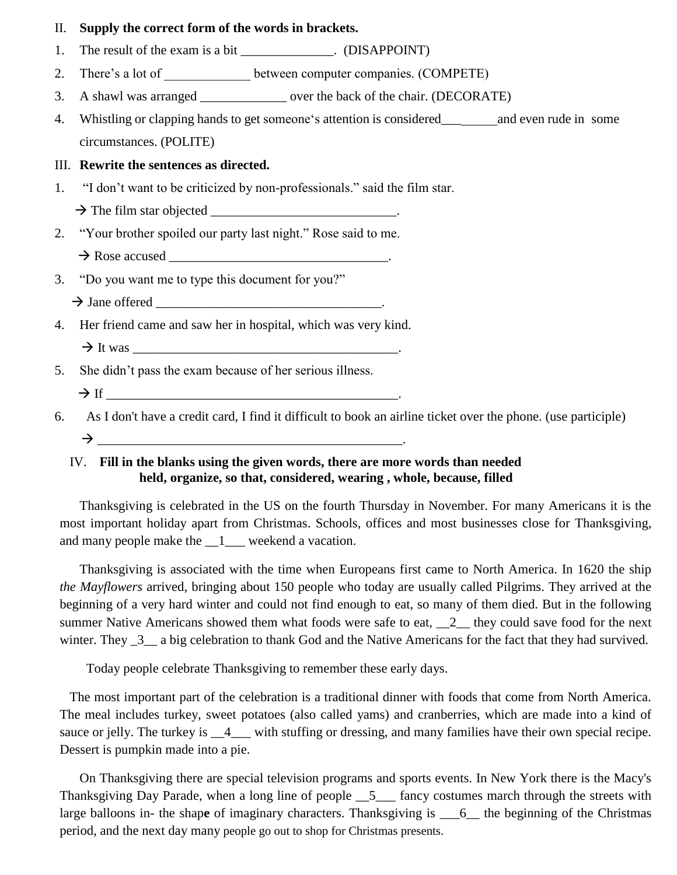#### II. **Supply the correct form of the words in brackets.**

- 1. The result of the exam is a bit (DISAPPOINT)
- 2. There's a lot of \_\_\_\_\_\_\_\_\_\_\_\_\_\_ between computer companies. (COMPETE)
- 3. A shawl was arranged \_\_\_\_\_\_\_\_\_\_\_\_\_ over the back of the chair. (DECORATE)
- 4. Whistling or clapping hands to get someone's attention is considered\_\_\_ and even rude in some circumstances. (POLITE)

#### III. **Rewrite the sentences as directed.**

1. "I don't want to be criticized by non-professionals." said the film star.

The film star objected \_\_\_\_\_\_\_\_\_\_\_\_\_\_\_\_\_\_\_\_\_\_\_\_\_\_\_\_.

2. "Your brother spoiled our party last night." Rose said to me.

 $\rightarrow$  Rose accused  $\rightarrow$ 

3. "Do you want me to type this document for you?"

Jane offered \_\_\_\_\_\_\_\_\_\_\_\_\_\_\_\_\_\_\_\_\_\_\_\_\_\_\_\_\_\_\_\_\_\_.

4. Her friend came and saw her in hospital, which was very kind.

5. She didn't pass the exam because of her serious illness.

 $\rightarrow$  If

6. As I don't have a credit card, I find it difficult to book an airline ticket over the phone. (use participle)  $\rightarrow$ 

### IV. **Fill in the blanks using the given words, there are more words than needed held, organize, so that, considered, wearing , whole, because, filled**

 Thanksgiving is celebrated in the US on the fourth Thursday in November. For many Americans it is the most important holiday apart from Christmas. Schools, offices and most businesses close for Thanksgiving, and many people make the \_\_1\_\_\_ weekend a vacation.

 Thanksgiving is associated with the time when Europeans first came to North America. In 1620 the ship *the Mayflowers* arrived, bringing about 150 people who today are usually called Pilgrims. They arrived at the beginning of a very hard winter and could not find enough to eat, so many of them died. But in the following summer Native Americans showed them what foods were safe to eat, 2 they could save food for the next winter. They  $\frac{3}{2}$  a big celebration to thank God and the Native Americans for the fact that they had survived.

Today people celebrate Thanksgiving to remember these early days.

 The most important part of the celebration is a traditional dinner with foods that come from North America. The meal includes turkey, sweet potatoes (also called yams) and cranberries, which are made into a kind of sauce or jelly. The turkey is  $\_\text{4}$  with stuffing or dressing, and many families have their own special recipe. Dessert is pumpkin made into a pie.

 On Thanksgiving there are special television programs and sports events. In New York there is the Macy's Thanksgiving Day Parade, when a long line of people  $\_5$ <sub>---</sub> fancy costumes march through the streets with large balloons in- the shap**e** of imaginary characters. Thanksgiving is \_\_\_6\_\_ the beginning of the Christmas period, and the next day many people go out to shop for Christmas presents.

 It was \_\_\_\_\_\_\_\_\_\_\_\_\_\_\_\_\_\_\_\_\_\_\_\_\_\_\_\_\_\_\_\_\_\_\_\_\_\_\_\_.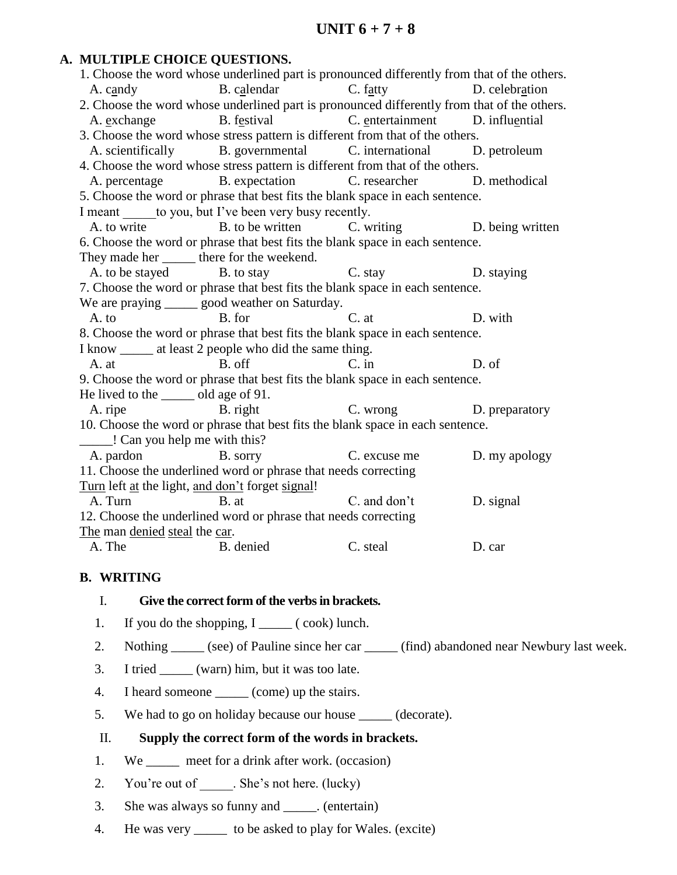### **A. MULTIPLE CHOICE QUESTIONS.**

| 1. Choose the word whose underlined part is pronounced differently from that of the others. |                                                                 |                            |           |  |  |  |
|---------------------------------------------------------------------------------------------|-----------------------------------------------------------------|----------------------------|-----------|--|--|--|
|                                                                                             | A. candy B. calendar C. fatty D. celebration                    |                            |           |  |  |  |
| 2. Choose the word whose underlined part is pronounced differently from that of the others. |                                                                 |                            |           |  |  |  |
|                                                                                             | A. exchange B. festival C. entertainment D. influential         |                            |           |  |  |  |
| 3. Choose the word whose stress pattern is different from that of the others.               |                                                                 |                            |           |  |  |  |
|                                                                                             | A. scientifically B. governmental C. international D. petroleum |                            |           |  |  |  |
| 4. Choose the word whose stress pattern is different from that of the others.               |                                                                 |                            |           |  |  |  |
|                                                                                             | A. percentage B. expectation C. researcher D. methodical        |                            |           |  |  |  |
| 5. Choose the word or phrase that best fits the blank space in each sentence.               |                                                                 |                            |           |  |  |  |
| I meant to you, but I've been very busy recently.                                           |                                                                 |                            |           |  |  |  |
|                                                                                             | A. to write B. to be written C. writing D. being written        |                            |           |  |  |  |
| 6. Choose the word or phrase that best fits the blank space in each sentence.               |                                                                 |                            |           |  |  |  |
| They made her _______ there for the weekend.                                                |                                                                 |                            |           |  |  |  |
|                                                                                             | A. to be stayed B. to stay C. stay D. staying                   |                            |           |  |  |  |
| 7. Choose the word or phrase that best fits the blank space in each sentence.               |                                                                 |                            |           |  |  |  |
| We are praying _______ good weather on Saturday.                                            |                                                                 |                            |           |  |  |  |
| <b>B.</b> for<br>$A.$ to                                                                    |                                                                 | C. at                      | D. with   |  |  |  |
| 8. Choose the word or phrase that best fits the blank space in each sentence.               |                                                                 |                            |           |  |  |  |
| I know _______ at least 2 people who did the same thing.                                    |                                                                 |                            |           |  |  |  |
| A. at                                                                                       | B. off                                                          | $C.$ in                    | D. of     |  |  |  |
| 9. Choose the word or phrase that best fits the blank space in each sentence.               |                                                                 |                            |           |  |  |  |
| He lived to the ______ old age of 91.                                                       |                                                                 |                            |           |  |  |  |
| B. right<br>A. ripe                                                                         |                                                                 | C. wrong D. preparatory    |           |  |  |  |
| 10. Choose the word or phrase that best fits the blank space in each sentence.              |                                                                 |                            |           |  |  |  |
| Can you help me with this?                                                                  |                                                                 |                            |           |  |  |  |
| A. pardon B. sorry                                                                          |                                                                 | C. excuse me D. my apology |           |  |  |  |
| 11. Choose the underlined word or phrase that needs correcting                              |                                                                 |                            |           |  |  |  |
| Turn left at the light, and don't forget signal!                                            |                                                                 |                            |           |  |  |  |
| A. Turn B. at                                                                               |                                                                 | C. and don't               | D. signal |  |  |  |
| 12. Choose the underlined word or phrase that needs correcting                              |                                                                 |                            |           |  |  |  |
| The man denied steal the car.                                                               |                                                                 |                            |           |  |  |  |
| A. The                                                                                      | B. denied                                                       | C. steal                   | D. car    |  |  |  |

#### **B. WRITING**

#### I. **Give the correct form of the verbs in brackets.**

- 1. If you do the shopping, I \_\_\_\_\_ ( cook) lunch.
- 2. Nothing \_\_\_\_\_\_ (see) of Pauline since her car \_\_\_\_\_\_ (find) abandoned near Newbury last week.
- 3. I tried \_\_\_\_\_ (warn) him, but it was too late.
- 4. I heard someone \_\_\_\_\_\_ (come) up the stairs.
- 5. We had to go on holiday because our house \_\_\_\_\_ (decorate).

#### II. **Supply the correct form of the words in brackets.**

- 1. We \_\_\_\_\_\_ meet for a drink after work. (occasion)
- 2. You're out of \_\_\_\_\_\_. She's not here. (lucky)
- 3. She was always so funny and \_\_\_\_\_. (entertain)
- 4. He was very \_\_\_\_\_ to be asked to play for Wales. (excite)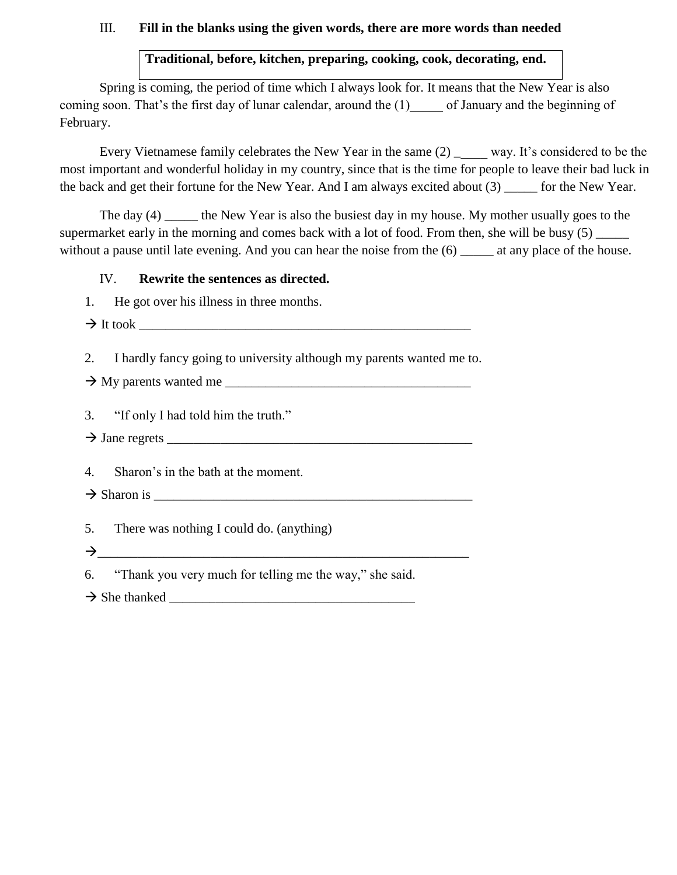#### III. **Fill in the blanks using the given words, there are more words than needed**

# **Traditional, before, kitchen, preparing, cooking, cook, decorating, end.**

Spring is coming, the period of time which I always look for. It means that the New Year is also coming soon. That's the first day of lunar calendar, around the (1) of January and the beginning of February.

Every Vietnamese family celebrates the New Year in the same  $(2)$  \_\_\_\_\_\_ way. It's considered to be the most important and wonderful holiday in my country, since that is the time for people to leave their bad luck in the back and get their fortune for the New Year. And I am always excited about (3) \_\_\_\_\_ for the New Year.

The day (4) the New Year is also the busiest day in my house. My mother usually goes to the supermarket early in the morning and comes back with a lot of food. From then, she will be busy (5) without a pause until late evening. And you can hear the noise from the (6) at any place of the house.

#### IV. **Rewrite the sentences as directed.**

1. He got over his illness in three months.

It took \_\_\_\_\_\_\_\_\_\_\_\_\_\_\_\_\_\_\_\_\_\_\_\_\_\_\_\_\_\_\_\_\_\_\_\_\_\_\_\_\_\_\_\_\_\_\_\_\_\_

2. I hardly fancy going to university although my parents wanted me to.

 $\rightarrow$  My parents wanted me  $\frac{1}{\sqrt{1-\frac{1}{2}}}\$ 

3. "If only I had told him the truth."

Jane regrets \_\_\_\_\_\_\_\_\_\_\_\_\_\_\_\_\_\_\_\_\_\_\_\_\_\_\_\_\_\_\_\_\_\_\_\_\_\_\_\_\_\_\_\_\_\_

4. Sharon's in the bath at the moment.

- $\rightarrow$  Sharon is
- 5. There was nothing I could do. (anything)

\_\_\_\_\_\_\_\_\_\_\_\_\_\_\_\_\_\_\_\_\_\_\_\_\_\_\_\_\_\_\_\_\_\_\_\_\_\_\_\_\_\_\_\_\_\_\_\_\_\_\_\_\_\_\_\_

6. "Thank you very much for telling me the way," she said.

 $\rightarrow$  She thanked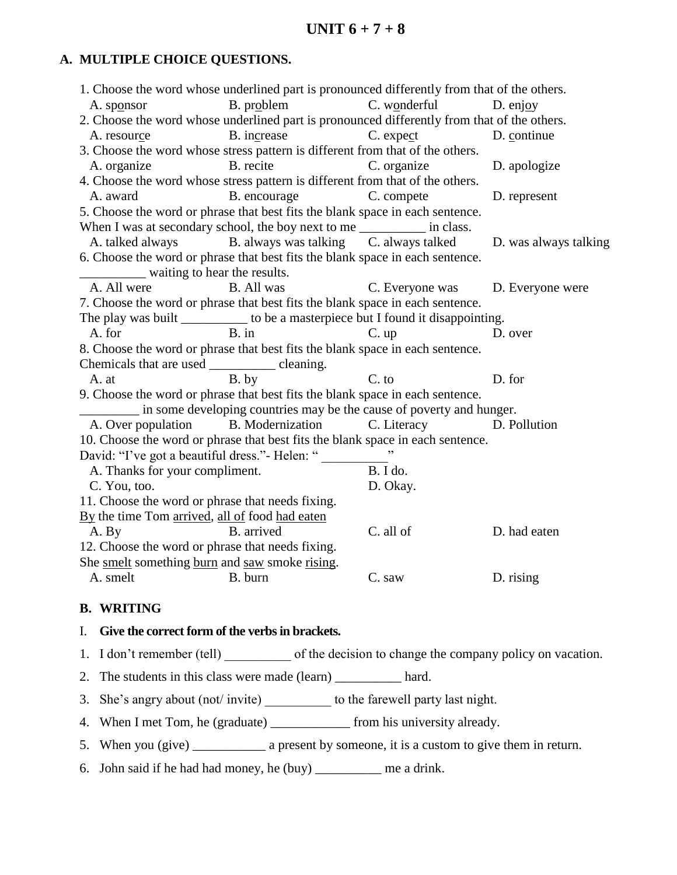## **A. MULTIPLE CHOICE QUESTIONS.**

|                                                       | 1. Choose the word whose underlined part is pronounced differently from that of the others. |                                  |                       |
|-------------------------------------------------------|---------------------------------------------------------------------------------------------|----------------------------------|-----------------------|
| A. sponsor                                            | B. problem C. wonderful                                                                     |                                  | D. enjoy              |
|                                                       | 2. Choose the word whose underlined part is pronounced differently from that of the others. |                                  |                       |
| A. resource                                           | B. increase C. expect                                                                       |                                  | D. continue           |
|                                                       | 3. Choose the word whose stress pattern is different from that of the others.               |                                  |                       |
| A. organize                                           | B. recite                                                                                   | C. organize                      | D. apologize          |
|                                                       | 4. Choose the word whose stress pattern is different from that of the others.               |                                  |                       |
| A. award                                              | B. encourage C. compete                                                                     |                                  | D. represent          |
|                                                       | 5. Choose the word or phrase that best fits the blank space in each sentence.               |                                  |                       |
|                                                       | When I was at secondary school, the boy next to me _____________ in class.                  |                                  |                       |
|                                                       | A. talked always B. always was talking C. always talked                                     |                                  | D. was always talking |
|                                                       | 6. Choose the word or phrase that best fits the blank space in each sentence.               |                                  |                       |
| waiting to hear the results.                          |                                                                                             |                                  |                       |
| A. All were                                           | <b>B.</b> All was                                                                           | C. Everyone was D. Everyone were |                       |
|                                                       | 7. Choose the word or phrase that best fits the blank space in each sentence.               |                                  |                       |
|                                                       | The play was built __________ to be a masterpiece but I found it disappointing.             |                                  |                       |
| A. for                                                | $B.$ in                                                                                     | $C.$ up                          | D. over               |
|                                                       | 8. Choose the word or phrase that best fits the blank space in each sentence.               |                                  |                       |
| Chemicals that are used ___________________ cleaning. |                                                                                             |                                  |                       |
| A. at                                                 | B. by                                                                                       | $C.$ to                          | D. for                |
|                                                       | 9. Choose the word or phrase that best fits the blank space in each sentence.               |                                  |                       |
|                                                       | in some developing countries may be the cause of poverty and hunger.                        |                                  |                       |
| A. Over population B. Modernization                   |                                                                                             | C. Literacy                      | D. Pollution          |
|                                                       | 10. Choose the word or phrase that best fits the blank space in each sentence.              |                                  |                       |
|                                                       | David: "I've got a beautiful dress." - Helen: "                                             |                                  |                       |
| A. Thanks for your compliment.                        |                                                                                             | B. I do.                         |                       |
| C. You, too.                                          |                                                                                             | D. Okay.                         |                       |
| 11. Choose the word or phrase that needs fixing.      |                                                                                             |                                  |                       |
| By the time Tom arrived, all of food had eaten        |                                                                                             |                                  |                       |
| A. By                                                 | B. arrived                                                                                  | C. all of                        | D. had eaten          |
| 12. Choose the word or phrase that needs fixing.      |                                                                                             |                                  |                       |
| She smelt something burn and saw smoke rising.        |                                                                                             |                                  |                       |
| A. smelt                                              | B. burn                                                                                     | C. saw                           | D. rising             |

#### **B. WRITING**

#### I. **Give the correct form of the verbs in brackets.**

- 1. I don't remember (tell) \_\_\_\_\_\_\_\_\_\_\_ of the decision to change the company policy on vacation.
- 2. The students in this class were made (learn) \_\_\_\_\_\_\_\_\_\_ hard.
- 3. She's angry about (not/ invite) \_\_\_\_\_\_\_\_\_\_ to the farewell party last night.
- 4. When I met Tom, he (graduate) \_\_\_\_\_\_\_\_\_\_\_\_\_ from his university already.
- 5. When you (give) \_\_\_\_\_\_\_\_\_\_\_\_\_ a present by someone, it is a custom to give them in return.
- 6. John said if he had had money, he (buy) \_\_\_\_\_\_\_\_\_\_ me a drink.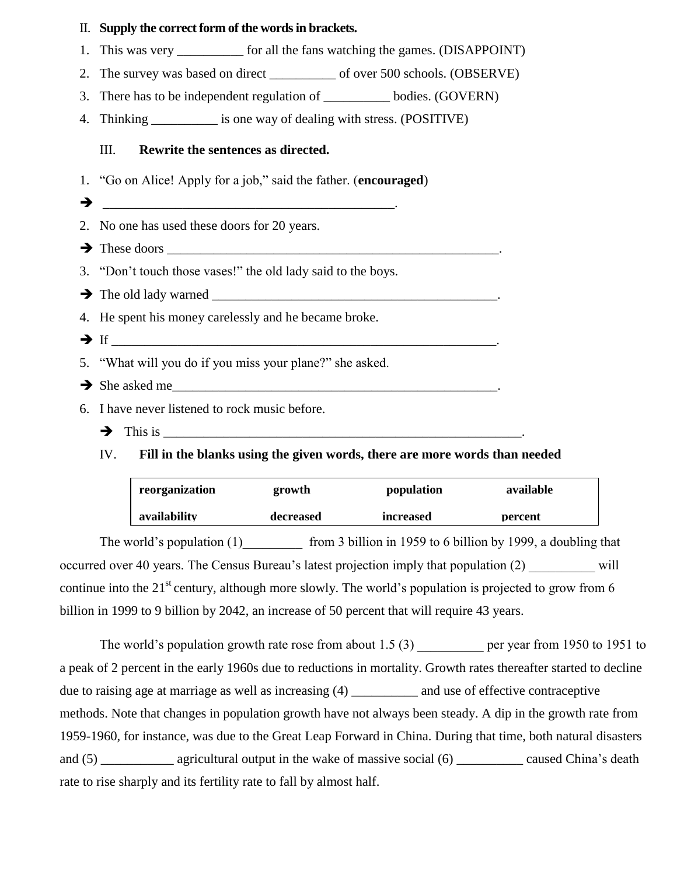| II. Supply the correct form of the words in brackets.                          |
|--------------------------------------------------------------------------------|
| 1. This was very ___________ for all the fans watching the games. (DISAPPOINT) |
| 2. The survey was based on direct _____________ of over 500 schools. (OBSERVE) |
| 3. There has to be independent regulation of ________ bodies. (GOVERN)         |
| 4. Thinking ____________ is one way of dealing with stress. (POSITIVE)         |
| III.<br>Rewrite the sentences as directed.                                     |
| 1. "Go on Alice! Apply for a job," said the father. (encouraged)               |
|                                                                                |
| 2. No one has used these doors for 20 years.                                   |
| $\rightarrow$ These doors                                                      |
| 3. "Don't touch those vases!" the old lady said to the boys.                   |
|                                                                                |
| 4. He spent his money carelessly and he became broke.                          |
|                                                                                |
| 5. "What will you do if you miss your plane?" she asked.                       |
| $\rightarrow$ She asked me                                                     |
| 6. I have never listened to rock music before.                                 |
|                                                                                |

IV. **Fill in the blanks using the given words, there are more words than needed** 

| reorganization | growth    | population       | available |
|----------------|-----------|------------------|-----------|
| availability   | decreased | <i>increased</i> | percent   |

The world's population  $(1)$  from 3 billion in 1959 to 6 billion by 1999, a doubling that occurred over 40 years. The Census Bureau's latest projection imply that population (2) will continue into the 21<sup>st</sup> century, although more slowly. The world's population is projected to grow from 6 billion in 1999 to 9 billion by 2042, an increase of 50 percent that will require 43 years.

The world's population growth rate rose from about  $1.5(3)$  per year from 1950 to 1951 to a peak of 2 percent in the early 1960s due to reductions in mortality. Growth rates thereafter started to decline due to raising age at marriage as well as increasing (4) \_\_\_\_\_\_\_\_\_\_ and use of effective contraceptive methods. Note that changes in population growth have not always been steady. A dip in the growth rate from 1959-1960, for instance, was due to the Great Leap Forward in China. During that time, both natural disasters and (5) \_\_\_\_\_\_\_\_\_\_ agricultural output in the wake of massive social (6) \_\_\_\_\_\_\_\_ caused China's death rate to rise sharply and its fertility rate to fall by almost half.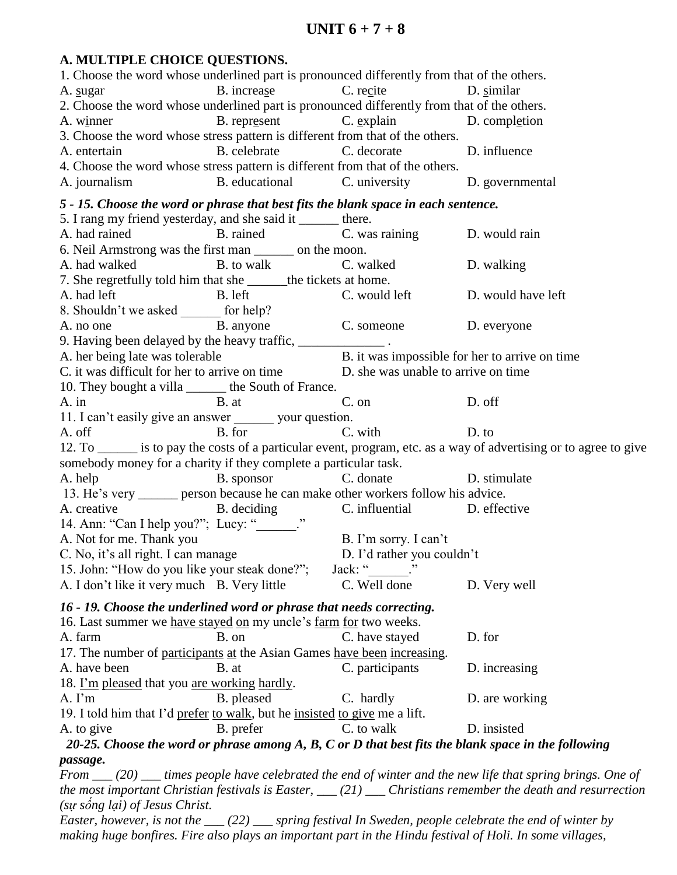# **A. MULTIPLE CHOICE QUESTIONS.**

|                                                                                                                                                                |                                              | 1. Choose the word whose underlined part is pronounced differently from that of the others. |                                                                                                                                                                                                                                           |
|----------------------------------------------------------------------------------------------------------------------------------------------------------------|----------------------------------------------|---------------------------------------------------------------------------------------------|-------------------------------------------------------------------------------------------------------------------------------------------------------------------------------------------------------------------------------------------|
| A. sugar                                                                                                                                                       | B. increase C. recite                        |                                                                                             | D. similar                                                                                                                                                                                                                                |
| 2. Choose the word whose underlined part is pronounced differently from that of the others.                                                                    |                                              |                                                                                             |                                                                                                                                                                                                                                           |
| A. winner                                                                                                                                                      |                                              | B. represent C. explain D. completion                                                       |                                                                                                                                                                                                                                           |
| 3. Choose the word whose stress pattern is different from that of the others.                                                                                  |                                              |                                                                                             |                                                                                                                                                                                                                                           |
| A. entertain                                                                                                                                                   |                                              | B. celebrate C. decorate D. influence                                                       |                                                                                                                                                                                                                                           |
| 4. Choose the word whose stress pattern is different from that of the others.                                                                                  |                                              |                                                                                             |                                                                                                                                                                                                                                           |
| A. journalism                                                                                                                                                  | B. educational C. university D. governmental |                                                                                             |                                                                                                                                                                                                                                           |
| 5 - 15. Choose the word or phrase that best fits the blank space in each sentence.                                                                             |                                              |                                                                                             |                                                                                                                                                                                                                                           |
| 5. I rang my friend yesterday, and she said it _______ there.                                                                                                  |                                              |                                                                                             |                                                                                                                                                                                                                                           |
| A. had rained B. rained B. rained C. was raining D. would rain                                                                                                 |                                              |                                                                                             |                                                                                                                                                                                                                                           |
| 6. Neil Armstrong was the first man _______ on the moon.                                                                                                       |                                              |                                                                                             |                                                                                                                                                                                                                                           |
| A. had walked <b>B.</b> to walk <b>C.</b> walked                                                                                                               |                                              |                                                                                             | D. walking                                                                                                                                                                                                                                |
| 7. She regretfully told him that she ______ the tickets at home.                                                                                               |                                              |                                                                                             |                                                                                                                                                                                                                                           |
| A. had left                                                                                                                                                    | B. left C. would left D. would have left     |                                                                                             |                                                                                                                                                                                                                                           |
|                                                                                                                                                                |                                              |                                                                                             |                                                                                                                                                                                                                                           |
| 8. Shouldn't we asked ________ for help?<br>A. no one B. anyone C. someone D. everyone                                                                         |                                              |                                                                                             |                                                                                                                                                                                                                                           |
| 9. Having been delayed by the heavy traffic, _______________.                                                                                                  |                                              |                                                                                             |                                                                                                                                                                                                                                           |
|                                                                                                                                                                |                                              |                                                                                             |                                                                                                                                                                                                                                           |
| A. her being late was tolerable<br>C. it was difficult for her to arrive on time<br>D. she was unable to arrive on time<br>D. she was unable to arrive on time |                                              |                                                                                             |                                                                                                                                                                                                                                           |
| 10. They bought a villa ________ the South of France.                                                                                                          |                                              |                                                                                             |                                                                                                                                                                                                                                           |
| A. in B. at C. on D. off                                                                                                                                       |                                              |                                                                                             |                                                                                                                                                                                                                                           |
| 11. I can't easily give an answer _______ your question.                                                                                                       |                                              |                                                                                             |                                                                                                                                                                                                                                           |
| A. off                                                                                                                                                         | B. for C. with                               | D. to                                                                                       |                                                                                                                                                                                                                                           |
|                                                                                                                                                                |                                              |                                                                                             | 12. To _______ is to pay the costs of a particular event, program, etc. as a way of advertising or to agree to give                                                                                                                       |
| somebody money for a charity if they complete a particular task.                                                                                               |                                              |                                                                                             |                                                                                                                                                                                                                                           |
|                                                                                                                                                                |                                              |                                                                                             |                                                                                                                                                                                                                                           |
|                                                                                                                                                                |                                              |                                                                                             |                                                                                                                                                                                                                                           |
| A. help                                                                                                                                                        | B. sponsor                                   | C. donate D. stimulate                                                                      |                                                                                                                                                                                                                                           |
| 13. He's very _______ person because he can make other workers follow his advice.                                                                              |                                              |                                                                                             |                                                                                                                                                                                                                                           |
|                                                                                                                                                                |                                              |                                                                                             |                                                                                                                                                                                                                                           |
| A. creative B. deciding C. influential D. effective 14. Ann: "Can I help you?"; Lucy: " C. influential D. effective                                            |                                              |                                                                                             |                                                                                                                                                                                                                                           |
| A. Not for me. Thank you                                                                                                                                       |                                              | B. I'm sorry. I can't                                                                       |                                                                                                                                                                                                                                           |
| C. No, it's all right. I can manage                                                                                                                            |                                              | D. I'd rather you couldn't                                                                  |                                                                                                                                                                                                                                           |
| 15. John: "How do you like your steak done?";<br>A. I don't like it very much B. Very little                                                                   |                                              | Jack: "<br>C. Well done                                                                     | D. Very well                                                                                                                                                                                                                              |
|                                                                                                                                                                |                                              |                                                                                             |                                                                                                                                                                                                                                           |
| 16 - 19. Choose the underlined word or phrase that needs correcting.                                                                                           |                                              |                                                                                             |                                                                                                                                                                                                                                           |
| 16. Last summer we have stayed on my uncle's farm for two weeks.                                                                                               |                                              |                                                                                             |                                                                                                                                                                                                                                           |
| A. farm                                                                                                                                                        | B. on                                        | C. have stayed                                                                              | D. for                                                                                                                                                                                                                                    |
| 17. The number of participants at the Asian Games have been increasing.                                                                                        |                                              |                                                                                             |                                                                                                                                                                                                                                           |
| A. have been                                                                                                                                                   | B. at                                        | C. participants                                                                             | D. increasing                                                                                                                                                                                                                             |
| 18. I'm pleased that you are working hardly.                                                                                                                   |                                              |                                                                                             |                                                                                                                                                                                                                                           |
| $A. \Gamma m$                                                                                                                                                  | B. pleased                                   | C. hardly                                                                                   | D. are working                                                                                                                                                                                                                            |
| 19. I told him that I'd prefer to walk, but he insisted to give me a lift.                                                                                     |                                              |                                                                                             |                                                                                                                                                                                                                                           |
| A. to give                                                                                                                                                     | B. prefer                                    | C. to walk                                                                                  | D. insisted                                                                                                                                                                                                                               |
|                                                                                                                                                                |                                              |                                                                                             | 20-25. Choose the word or phrase among $A$ , $B$ , $C$ or $D$ that best fits the blank space in the following                                                                                                                             |
| passage.                                                                                                                                                       |                                              |                                                                                             |                                                                                                                                                                                                                                           |
|                                                                                                                                                                |                                              |                                                                                             | From $\mu$ (20) $\mu$ times people have celebrated the end of winter and the new life that spring brings. One of<br>the most important Christian festivals is Easter, $\rule{1em}{0.15mm}$ Christians remember the death and resurrection |

*Easter, however, is not the \_\_\_ (22) \_\_\_ spring festival In Sweden, people celebrate the end of winter by*  making huge bonfires. Fire also plays an important part in the Hindu festival of Holi. In some villages,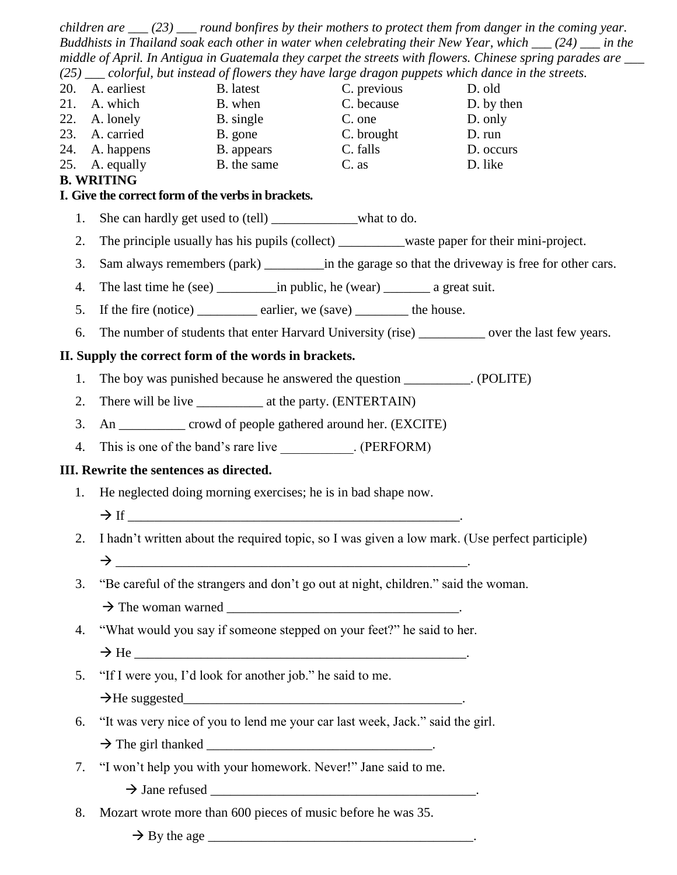*children are \_\_\_ (23) \_\_\_ round bonfires by their mothers to protect them from danger in the coming year. Buddhists in Thailand soak each other in water when celebrating their New Year, which \_\_\_ (24) \_\_\_ in the middle of April. In Antigua in Guatemala they carpet the streets with flowers. Chinese spring parades are \_\_\_ (25) \_\_\_ colorful, but instead of flowers they have large dragon puppets which dance in the streets.* 20. A. earliest B. latest C. previous D. old 21. A. which B. when C. because D. by then 22. A. lonely B. single C. one D. only 23. A. carried B. gone C. brought D. run 24. A. happens B. appears C. falls D. occurs 25. A. equally B. the same C. as D. like **B. WRITING I. Give the correct form of the verbs in brackets.**  1. She can hardly get used to (tell) \_\_\_\_\_\_\_\_\_\_\_\_\_what to do. 2. The principle usually has his pupils (collect) \_\_\_\_\_\_\_\_waste paper for their mini-project. 3. Sam always remembers (park) in the garage so that the driveway is free for other cars. 4. The last time he (see) in public, he (wear) a great suit. 5. If the fire (notice) earlier, we (save) \_\_\_\_\_\_\_\_ the house. 6. The number of students that enter Harvard University (rise) \_\_\_\_\_\_\_\_\_\_ over the last few years. **II. Supply the correct form of the words in brackets.**  1. The boy was punished because he answered the question . (POLITE) 2. There will be live \_\_\_\_\_\_\_\_\_\_ at the party. (ENTERTAIN) 3. An \_\_\_\_\_\_\_\_\_\_ crowd of people gathered around her. (EXCITE) 4. This is one of the band's rare live \_\_\_\_\_\_\_\_\_\_. (PERFORM) **III. Rewrite the sentences as directed.**  1. He neglected doing morning exercises; he is in bad shape now.  $\rightarrow$  If 2. I hadn't written about the required topic, so I was given a low mark. (Use perfect participle)  $\rightarrow$ 3. "Be careful of the strangers and don't go out at night, children." said the woman.  $\rightarrow$  The woman warned

- 4. "What would you say if someone stepped on your feet?" he said to her.
	- $\rightarrow$  He
- 5. "If I were you, I'd look for another job." he said to me.
	- $\rightarrow$  He suggested
- 6. "It was very nice of you to lend me your car last week, Jack." said the girl.
	- $\rightarrow$  The girl thanked
- 7. "I won't help you with your homework. Never!" Jane said to me.
	- $\rightarrow$  Jane refused
- 8. Mozart wrote more than 600 pieces of music before he was 35.
	- $\rightarrow$  By the age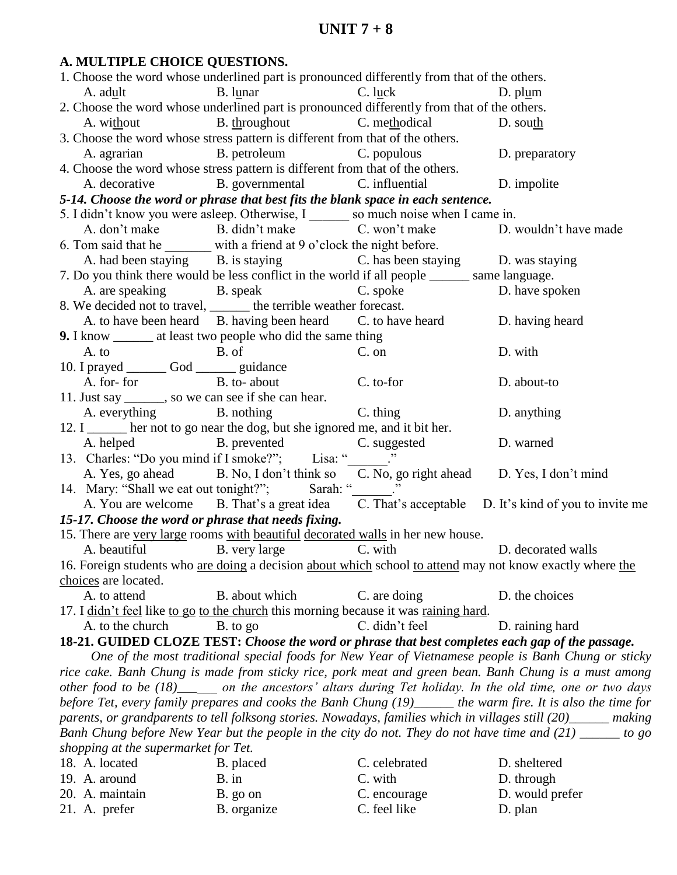# **UNIT 7 + 8**

# **A. MULTIPLE CHOICE QUESTIONS.**

| B. lunar C. luck<br>A. adult<br>D. plum<br>2. Choose the word whose underlined part is pronounced differently from that of the others.<br>A. without B. throughout C. methodical<br>D. south<br>3. Choose the word whose stress pattern is different from that of the others.<br>A. agrarian B. petroleum C. populous D. preparatory<br>4. Choose the word whose stress pattern is different from that of the others.<br>A. decorative B. governmental C. influential D. impolite<br>5-14. Choose the word or phrase that best fits the blank space in each sentence.<br>5. I didn't know you were asleep. Otherwise, I so much noise when I came in.<br>A. don't make B. didn't make C. won't make<br>D. wouldn't have made<br>6. Tom said that he $\frac{1}{2}$ with a friend at 9 o'clock the night before.<br>A. had been staying B. is staying C. has been staying D. was staying<br>7. Do you think there would be less conflict in the world if all people _______ same language.<br>A. are speaking B. speak C. spoke D. have spoken<br>8. We decided not to travel, ______ the terrible weather forecast.<br>A. to have been heard B. having been heard C. to have heard D. having heard<br>9. I know ________ at least two people who did the same thing<br>B. of<br>A. to<br>C. on<br>D. with<br>10. I prayed _________ God ________ guidance<br>A. for- for B. to- about<br>C. to-for<br>D. about-to<br>11. Just say _______, so we can see if she can hear.<br>A. everything B. nothing C. thing<br>D. anything<br>12. I ______ her not to go near the dog, but she ignored me, and it bit her.<br>A. helped B. prevented C. suggested<br>D. warned<br>13. Charles: "Do you mind if I smoke?"; Lisa: " $\frac{1}{2}$ ."<br>A. Yes, go ahead B. No, I don't think so C. No, go right ahead D. Yes, I don't mind<br>14. Mary: "Shall we eat out tonight?"; Sarah: "______."<br>A. You are welcome B. That's a great idea C. That's acceptable D. It's kind of you to invite me<br>15-17. Choose the word or phrase that needs fixing.<br>15. There are very large rooms with beautiful decorated walls in her new house.<br>A. beautiful B. very large C. with<br>D. decorated walls<br>16. Foreign students who are doing a decision about which school to attend may not know exactly where the<br>choices are located.<br>B. about which<br>C. are doing<br>A. to attend<br>D. the choices<br>17. I didn't feel like to go to the church this morning because it was raining hard.<br>D. raining hard<br>A. to the church<br>B. to go<br>C. didn't feel<br>18-21. GUIDED CLOZE TEST: Choose the word or phrase that best completes each gap of the passage.<br>One of the most traditional special foods for New Year of Vietnamese people is Banh Chung or sticky<br>rice cake. Banh Chung is made from sticky rice, pork meat and green bean. Banh Chung is a must among<br>other food to be (18)_____ on the ancestors' altars during Tet holiday. In the old time, one or two days<br>before Tet, every family prepares and cooks the Banh Chung (19)_____ the warm fire. It is also the time for |
|---------------------------------------------------------------------------------------------------------------------------------------------------------------------------------------------------------------------------------------------------------------------------------------------------------------------------------------------------------------------------------------------------------------------------------------------------------------------------------------------------------------------------------------------------------------------------------------------------------------------------------------------------------------------------------------------------------------------------------------------------------------------------------------------------------------------------------------------------------------------------------------------------------------------------------------------------------------------------------------------------------------------------------------------------------------------------------------------------------------------------------------------------------------------------------------------------------------------------------------------------------------------------------------------------------------------------------------------------------------------------------------------------------------------------------------------------------------------------------------------------------------------------------------------------------------------------------------------------------------------------------------------------------------------------------------------------------------------------------------------------------------------------------------------------------------------------------------------------------------------------------------------------------------------------------------------------------------------------------------------------------------------------------------------------------------------------------------------------------------------------------------------------------------------------------------------------------------------------------------------------------------------------------------------------------------------------------------------------------------------------------------------------------------------------------------------------------------------------------------------------------------------------------------------------------------------------------------------------------------------------------------------------------------------------------------------------------------------------------------------------------------------------------------------------------------------------------------------------------------------------------------------------------------------------------------------------------------------------------------------------------------------------------------------------------------------------------------------------------------------|
|                                                                                                                                                                                                                                                                                                                                                                                                                                                                                                                                                                                                                                                                                                                                                                                                                                                                                                                                                                                                                                                                                                                                                                                                                                                                                                                                                                                                                                                                                                                                                                                                                                                                                                                                                                                                                                                                                                                                                                                                                                                                                                                                                                                                                                                                                                                                                                                                                                                                                                                                                                                                                                                                                                                                                                                                                                                                                                                                                                                                                                                                                                                     |
|                                                                                                                                                                                                                                                                                                                                                                                                                                                                                                                                                                                                                                                                                                                                                                                                                                                                                                                                                                                                                                                                                                                                                                                                                                                                                                                                                                                                                                                                                                                                                                                                                                                                                                                                                                                                                                                                                                                                                                                                                                                                                                                                                                                                                                                                                                                                                                                                                                                                                                                                                                                                                                                                                                                                                                                                                                                                                                                                                                                                                                                                                                                     |
|                                                                                                                                                                                                                                                                                                                                                                                                                                                                                                                                                                                                                                                                                                                                                                                                                                                                                                                                                                                                                                                                                                                                                                                                                                                                                                                                                                                                                                                                                                                                                                                                                                                                                                                                                                                                                                                                                                                                                                                                                                                                                                                                                                                                                                                                                                                                                                                                                                                                                                                                                                                                                                                                                                                                                                                                                                                                                                                                                                                                                                                                                                                     |
|                                                                                                                                                                                                                                                                                                                                                                                                                                                                                                                                                                                                                                                                                                                                                                                                                                                                                                                                                                                                                                                                                                                                                                                                                                                                                                                                                                                                                                                                                                                                                                                                                                                                                                                                                                                                                                                                                                                                                                                                                                                                                                                                                                                                                                                                                                                                                                                                                                                                                                                                                                                                                                                                                                                                                                                                                                                                                                                                                                                                                                                                                                                     |
|                                                                                                                                                                                                                                                                                                                                                                                                                                                                                                                                                                                                                                                                                                                                                                                                                                                                                                                                                                                                                                                                                                                                                                                                                                                                                                                                                                                                                                                                                                                                                                                                                                                                                                                                                                                                                                                                                                                                                                                                                                                                                                                                                                                                                                                                                                                                                                                                                                                                                                                                                                                                                                                                                                                                                                                                                                                                                                                                                                                                                                                                                                                     |
|                                                                                                                                                                                                                                                                                                                                                                                                                                                                                                                                                                                                                                                                                                                                                                                                                                                                                                                                                                                                                                                                                                                                                                                                                                                                                                                                                                                                                                                                                                                                                                                                                                                                                                                                                                                                                                                                                                                                                                                                                                                                                                                                                                                                                                                                                                                                                                                                                                                                                                                                                                                                                                                                                                                                                                                                                                                                                                                                                                                                                                                                                                                     |
|                                                                                                                                                                                                                                                                                                                                                                                                                                                                                                                                                                                                                                                                                                                                                                                                                                                                                                                                                                                                                                                                                                                                                                                                                                                                                                                                                                                                                                                                                                                                                                                                                                                                                                                                                                                                                                                                                                                                                                                                                                                                                                                                                                                                                                                                                                                                                                                                                                                                                                                                                                                                                                                                                                                                                                                                                                                                                                                                                                                                                                                                                                                     |
|                                                                                                                                                                                                                                                                                                                                                                                                                                                                                                                                                                                                                                                                                                                                                                                                                                                                                                                                                                                                                                                                                                                                                                                                                                                                                                                                                                                                                                                                                                                                                                                                                                                                                                                                                                                                                                                                                                                                                                                                                                                                                                                                                                                                                                                                                                                                                                                                                                                                                                                                                                                                                                                                                                                                                                                                                                                                                                                                                                                                                                                                                                                     |
|                                                                                                                                                                                                                                                                                                                                                                                                                                                                                                                                                                                                                                                                                                                                                                                                                                                                                                                                                                                                                                                                                                                                                                                                                                                                                                                                                                                                                                                                                                                                                                                                                                                                                                                                                                                                                                                                                                                                                                                                                                                                                                                                                                                                                                                                                                                                                                                                                                                                                                                                                                                                                                                                                                                                                                                                                                                                                                                                                                                                                                                                                                                     |
|                                                                                                                                                                                                                                                                                                                                                                                                                                                                                                                                                                                                                                                                                                                                                                                                                                                                                                                                                                                                                                                                                                                                                                                                                                                                                                                                                                                                                                                                                                                                                                                                                                                                                                                                                                                                                                                                                                                                                                                                                                                                                                                                                                                                                                                                                                                                                                                                                                                                                                                                                                                                                                                                                                                                                                                                                                                                                                                                                                                                                                                                                                                     |
|                                                                                                                                                                                                                                                                                                                                                                                                                                                                                                                                                                                                                                                                                                                                                                                                                                                                                                                                                                                                                                                                                                                                                                                                                                                                                                                                                                                                                                                                                                                                                                                                                                                                                                                                                                                                                                                                                                                                                                                                                                                                                                                                                                                                                                                                                                                                                                                                                                                                                                                                                                                                                                                                                                                                                                                                                                                                                                                                                                                                                                                                                                                     |
|                                                                                                                                                                                                                                                                                                                                                                                                                                                                                                                                                                                                                                                                                                                                                                                                                                                                                                                                                                                                                                                                                                                                                                                                                                                                                                                                                                                                                                                                                                                                                                                                                                                                                                                                                                                                                                                                                                                                                                                                                                                                                                                                                                                                                                                                                                                                                                                                                                                                                                                                                                                                                                                                                                                                                                                                                                                                                                                                                                                                                                                                                                                     |
|                                                                                                                                                                                                                                                                                                                                                                                                                                                                                                                                                                                                                                                                                                                                                                                                                                                                                                                                                                                                                                                                                                                                                                                                                                                                                                                                                                                                                                                                                                                                                                                                                                                                                                                                                                                                                                                                                                                                                                                                                                                                                                                                                                                                                                                                                                                                                                                                                                                                                                                                                                                                                                                                                                                                                                                                                                                                                                                                                                                                                                                                                                                     |
|                                                                                                                                                                                                                                                                                                                                                                                                                                                                                                                                                                                                                                                                                                                                                                                                                                                                                                                                                                                                                                                                                                                                                                                                                                                                                                                                                                                                                                                                                                                                                                                                                                                                                                                                                                                                                                                                                                                                                                                                                                                                                                                                                                                                                                                                                                                                                                                                                                                                                                                                                                                                                                                                                                                                                                                                                                                                                                                                                                                                                                                                                                                     |
|                                                                                                                                                                                                                                                                                                                                                                                                                                                                                                                                                                                                                                                                                                                                                                                                                                                                                                                                                                                                                                                                                                                                                                                                                                                                                                                                                                                                                                                                                                                                                                                                                                                                                                                                                                                                                                                                                                                                                                                                                                                                                                                                                                                                                                                                                                                                                                                                                                                                                                                                                                                                                                                                                                                                                                                                                                                                                                                                                                                                                                                                                                                     |
|                                                                                                                                                                                                                                                                                                                                                                                                                                                                                                                                                                                                                                                                                                                                                                                                                                                                                                                                                                                                                                                                                                                                                                                                                                                                                                                                                                                                                                                                                                                                                                                                                                                                                                                                                                                                                                                                                                                                                                                                                                                                                                                                                                                                                                                                                                                                                                                                                                                                                                                                                                                                                                                                                                                                                                                                                                                                                                                                                                                                                                                                                                                     |
|                                                                                                                                                                                                                                                                                                                                                                                                                                                                                                                                                                                                                                                                                                                                                                                                                                                                                                                                                                                                                                                                                                                                                                                                                                                                                                                                                                                                                                                                                                                                                                                                                                                                                                                                                                                                                                                                                                                                                                                                                                                                                                                                                                                                                                                                                                                                                                                                                                                                                                                                                                                                                                                                                                                                                                                                                                                                                                                                                                                                                                                                                                                     |
|                                                                                                                                                                                                                                                                                                                                                                                                                                                                                                                                                                                                                                                                                                                                                                                                                                                                                                                                                                                                                                                                                                                                                                                                                                                                                                                                                                                                                                                                                                                                                                                                                                                                                                                                                                                                                                                                                                                                                                                                                                                                                                                                                                                                                                                                                                                                                                                                                                                                                                                                                                                                                                                                                                                                                                                                                                                                                                                                                                                                                                                                                                                     |
|                                                                                                                                                                                                                                                                                                                                                                                                                                                                                                                                                                                                                                                                                                                                                                                                                                                                                                                                                                                                                                                                                                                                                                                                                                                                                                                                                                                                                                                                                                                                                                                                                                                                                                                                                                                                                                                                                                                                                                                                                                                                                                                                                                                                                                                                                                                                                                                                                                                                                                                                                                                                                                                                                                                                                                                                                                                                                                                                                                                                                                                                                                                     |
|                                                                                                                                                                                                                                                                                                                                                                                                                                                                                                                                                                                                                                                                                                                                                                                                                                                                                                                                                                                                                                                                                                                                                                                                                                                                                                                                                                                                                                                                                                                                                                                                                                                                                                                                                                                                                                                                                                                                                                                                                                                                                                                                                                                                                                                                                                                                                                                                                                                                                                                                                                                                                                                                                                                                                                                                                                                                                                                                                                                                                                                                                                                     |
|                                                                                                                                                                                                                                                                                                                                                                                                                                                                                                                                                                                                                                                                                                                                                                                                                                                                                                                                                                                                                                                                                                                                                                                                                                                                                                                                                                                                                                                                                                                                                                                                                                                                                                                                                                                                                                                                                                                                                                                                                                                                                                                                                                                                                                                                                                                                                                                                                                                                                                                                                                                                                                                                                                                                                                                                                                                                                                                                                                                                                                                                                                                     |
|                                                                                                                                                                                                                                                                                                                                                                                                                                                                                                                                                                                                                                                                                                                                                                                                                                                                                                                                                                                                                                                                                                                                                                                                                                                                                                                                                                                                                                                                                                                                                                                                                                                                                                                                                                                                                                                                                                                                                                                                                                                                                                                                                                                                                                                                                                                                                                                                                                                                                                                                                                                                                                                                                                                                                                                                                                                                                                                                                                                                                                                                                                                     |
|                                                                                                                                                                                                                                                                                                                                                                                                                                                                                                                                                                                                                                                                                                                                                                                                                                                                                                                                                                                                                                                                                                                                                                                                                                                                                                                                                                                                                                                                                                                                                                                                                                                                                                                                                                                                                                                                                                                                                                                                                                                                                                                                                                                                                                                                                                                                                                                                                                                                                                                                                                                                                                                                                                                                                                                                                                                                                                                                                                                                                                                                                                                     |
|                                                                                                                                                                                                                                                                                                                                                                                                                                                                                                                                                                                                                                                                                                                                                                                                                                                                                                                                                                                                                                                                                                                                                                                                                                                                                                                                                                                                                                                                                                                                                                                                                                                                                                                                                                                                                                                                                                                                                                                                                                                                                                                                                                                                                                                                                                                                                                                                                                                                                                                                                                                                                                                                                                                                                                                                                                                                                                                                                                                                                                                                                                                     |
|                                                                                                                                                                                                                                                                                                                                                                                                                                                                                                                                                                                                                                                                                                                                                                                                                                                                                                                                                                                                                                                                                                                                                                                                                                                                                                                                                                                                                                                                                                                                                                                                                                                                                                                                                                                                                                                                                                                                                                                                                                                                                                                                                                                                                                                                                                                                                                                                                                                                                                                                                                                                                                                                                                                                                                                                                                                                                                                                                                                                                                                                                                                     |
|                                                                                                                                                                                                                                                                                                                                                                                                                                                                                                                                                                                                                                                                                                                                                                                                                                                                                                                                                                                                                                                                                                                                                                                                                                                                                                                                                                                                                                                                                                                                                                                                                                                                                                                                                                                                                                                                                                                                                                                                                                                                                                                                                                                                                                                                                                                                                                                                                                                                                                                                                                                                                                                                                                                                                                                                                                                                                                                                                                                                                                                                                                                     |
|                                                                                                                                                                                                                                                                                                                                                                                                                                                                                                                                                                                                                                                                                                                                                                                                                                                                                                                                                                                                                                                                                                                                                                                                                                                                                                                                                                                                                                                                                                                                                                                                                                                                                                                                                                                                                                                                                                                                                                                                                                                                                                                                                                                                                                                                                                                                                                                                                                                                                                                                                                                                                                                                                                                                                                                                                                                                                                                                                                                                                                                                                                                     |
|                                                                                                                                                                                                                                                                                                                                                                                                                                                                                                                                                                                                                                                                                                                                                                                                                                                                                                                                                                                                                                                                                                                                                                                                                                                                                                                                                                                                                                                                                                                                                                                                                                                                                                                                                                                                                                                                                                                                                                                                                                                                                                                                                                                                                                                                                                                                                                                                                                                                                                                                                                                                                                                                                                                                                                                                                                                                                                                                                                                                                                                                                                                     |
|                                                                                                                                                                                                                                                                                                                                                                                                                                                                                                                                                                                                                                                                                                                                                                                                                                                                                                                                                                                                                                                                                                                                                                                                                                                                                                                                                                                                                                                                                                                                                                                                                                                                                                                                                                                                                                                                                                                                                                                                                                                                                                                                                                                                                                                                                                                                                                                                                                                                                                                                                                                                                                                                                                                                                                                                                                                                                                                                                                                                                                                                                                                     |
|                                                                                                                                                                                                                                                                                                                                                                                                                                                                                                                                                                                                                                                                                                                                                                                                                                                                                                                                                                                                                                                                                                                                                                                                                                                                                                                                                                                                                                                                                                                                                                                                                                                                                                                                                                                                                                                                                                                                                                                                                                                                                                                                                                                                                                                                                                                                                                                                                                                                                                                                                                                                                                                                                                                                                                                                                                                                                                                                                                                                                                                                                                                     |
|                                                                                                                                                                                                                                                                                                                                                                                                                                                                                                                                                                                                                                                                                                                                                                                                                                                                                                                                                                                                                                                                                                                                                                                                                                                                                                                                                                                                                                                                                                                                                                                                                                                                                                                                                                                                                                                                                                                                                                                                                                                                                                                                                                                                                                                                                                                                                                                                                                                                                                                                                                                                                                                                                                                                                                                                                                                                                                                                                                                                                                                                                                                     |
|                                                                                                                                                                                                                                                                                                                                                                                                                                                                                                                                                                                                                                                                                                                                                                                                                                                                                                                                                                                                                                                                                                                                                                                                                                                                                                                                                                                                                                                                                                                                                                                                                                                                                                                                                                                                                                                                                                                                                                                                                                                                                                                                                                                                                                                                                                                                                                                                                                                                                                                                                                                                                                                                                                                                                                                                                                                                                                                                                                                                                                                                                                                     |
|                                                                                                                                                                                                                                                                                                                                                                                                                                                                                                                                                                                                                                                                                                                                                                                                                                                                                                                                                                                                                                                                                                                                                                                                                                                                                                                                                                                                                                                                                                                                                                                                                                                                                                                                                                                                                                                                                                                                                                                                                                                                                                                                                                                                                                                                                                                                                                                                                                                                                                                                                                                                                                                                                                                                                                                                                                                                                                                                                                                                                                                                                                                     |
|                                                                                                                                                                                                                                                                                                                                                                                                                                                                                                                                                                                                                                                                                                                                                                                                                                                                                                                                                                                                                                                                                                                                                                                                                                                                                                                                                                                                                                                                                                                                                                                                                                                                                                                                                                                                                                                                                                                                                                                                                                                                                                                                                                                                                                                                                                                                                                                                                                                                                                                                                                                                                                                                                                                                                                                                                                                                                                                                                                                                                                                                                                                     |
|                                                                                                                                                                                                                                                                                                                                                                                                                                                                                                                                                                                                                                                                                                                                                                                                                                                                                                                                                                                                                                                                                                                                                                                                                                                                                                                                                                                                                                                                                                                                                                                                                                                                                                                                                                                                                                                                                                                                                                                                                                                                                                                                                                                                                                                                                                                                                                                                                                                                                                                                                                                                                                                                                                                                                                                                                                                                                                                                                                                                                                                                                                                     |
|                                                                                                                                                                                                                                                                                                                                                                                                                                                                                                                                                                                                                                                                                                                                                                                                                                                                                                                                                                                                                                                                                                                                                                                                                                                                                                                                                                                                                                                                                                                                                                                                                                                                                                                                                                                                                                                                                                                                                                                                                                                                                                                                                                                                                                                                                                                                                                                                                                                                                                                                                                                                                                                                                                                                                                                                                                                                                                                                                                                                                                                                                                                     |
|                                                                                                                                                                                                                                                                                                                                                                                                                                                                                                                                                                                                                                                                                                                                                                                                                                                                                                                                                                                                                                                                                                                                                                                                                                                                                                                                                                                                                                                                                                                                                                                                                                                                                                                                                                                                                                                                                                                                                                                                                                                                                                                                                                                                                                                                                                                                                                                                                                                                                                                                                                                                                                                                                                                                                                                                                                                                                                                                                                                                                                                                                                                     |
|                                                                                                                                                                                                                                                                                                                                                                                                                                                                                                                                                                                                                                                                                                                                                                                                                                                                                                                                                                                                                                                                                                                                                                                                                                                                                                                                                                                                                                                                                                                                                                                                                                                                                                                                                                                                                                                                                                                                                                                                                                                                                                                                                                                                                                                                                                                                                                                                                                                                                                                                                                                                                                                                                                                                                                                                                                                                                                                                                                                                                                                                                                                     |
|                                                                                                                                                                                                                                                                                                                                                                                                                                                                                                                                                                                                                                                                                                                                                                                                                                                                                                                                                                                                                                                                                                                                                                                                                                                                                                                                                                                                                                                                                                                                                                                                                                                                                                                                                                                                                                                                                                                                                                                                                                                                                                                                                                                                                                                                                                                                                                                                                                                                                                                                                                                                                                                                                                                                                                                                                                                                                                                                                                                                                                                                                                                     |
|                                                                                                                                                                                                                                                                                                                                                                                                                                                                                                                                                                                                                                                                                                                                                                                                                                                                                                                                                                                                                                                                                                                                                                                                                                                                                                                                                                                                                                                                                                                                                                                                                                                                                                                                                                                                                                                                                                                                                                                                                                                                                                                                                                                                                                                                                                                                                                                                                                                                                                                                                                                                                                                                                                                                                                                                                                                                                                                                                                                                                                                                                                                     |
| parents, or grandparents to tell folksong stories. Nowadays, families which in villages still (20)_____ making                                                                                                                                                                                                                                                                                                                                                                                                                                                                                                                                                                                                                                                                                                                                                                                                                                                                                                                                                                                                                                                                                                                                                                                                                                                                                                                                                                                                                                                                                                                                                                                                                                                                                                                                                                                                                                                                                                                                                                                                                                                                                                                                                                                                                                                                                                                                                                                                                                                                                                                                                                                                                                                                                                                                                                                                                                                                                                                                                                                                      |
| Banh Chung before New Year but the people in the city do not. They do not have time and $(21)$ ______ to go                                                                                                                                                                                                                                                                                                                                                                                                                                                                                                                                                                                                                                                                                                                                                                                                                                                                                                                                                                                                                                                                                                                                                                                                                                                                                                                                                                                                                                                                                                                                                                                                                                                                                                                                                                                                                                                                                                                                                                                                                                                                                                                                                                                                                                                                                                                                                                                                                                                                                                                                                                                                                                                                                                                                                                                                                                                                                                                                                                                                         |
| shopping at the supermarket for Tet.                                                                                                                                                                                                                                                                                                                                                                                                                                                                                                                                                                                                                                                                                                                                                                                                                                                                                                                                                                                                                                                                                                                                                                                                                                                                                                                                                                                                                                                                                                                                                                                                                                                                                                                                                                                                                                                                                                                                                                                                                                                                                                                                                                                                                                                                                                                                                                                                                                                                                                                                                                                                                                                                                                                                                                                                                                                                                                                                                                                                                                                                                |
| D. sheltered<br>18. A. located<br>C. celebrated<br>B. placed                                                                                                                                                                                                                                                                                                                                                                                                                                                                                                                                                                                                                                                                                                                                                                                                                                                                                                                                                                                                                                                                                                                                                                                                                                                                                                                                                                                                                                                                                                                                                                                                                                                                                                                                                                                                                                                                                                                                                                                                                                                                                                                                                                                                                                                                                                                                                                                                                                                                                                                                                                                                                                                                                                                                                                                                                                                                                                                                                                                                                                                        |
| 19. A. around<br>$B.$ in<br>C. with<br>D. through                                                                                                                                                                                                                                                                                                                                                                                                                                                                                                                                                                                                                                                                                                                                                                                                                                                                                                                                                                                                                                                                                                                                                                                                                                                                                                                                                                                                                                                                                                                                                                                                                                                                                                                                                                                                                                                                                                                                                                                                                                                                                                                                                                                                                                                                                                                                                                                                                                                                                                                                                                                                                                                                                                                                                                                                                                                                                                                                                                                                                                                                   |

20. A. maintain B. go on C. encourage D. would prefer<br>
21. A. prefer B. organize C. feel like D. plan 21. A. prefer B. organize C. feel like D. plan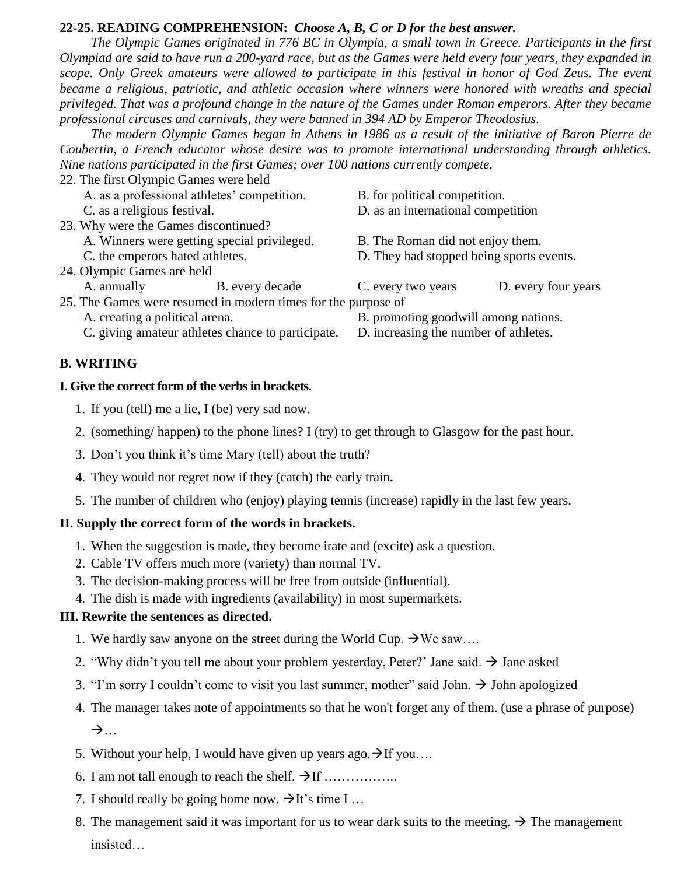### **22-25. READING COMPREHENSION:** *Choose A, B, C or D for the best answer.*

*The Olympic Games originated in 776 BC in Olympia, a small town in Greece. Participants in the first Olympiad are said to have run a 200-yard race, but as the Games were held every four years, they expanded in scope. Only Greek amateurs were allowed to participate in this festival in honor of God Zeus. The event became a religious, patriotic, and athletic occasion where winners were honored with wreaths and special privileged. That was a profound change in the nature of the Games under Roman emperors. After they became professional circuses and carnivals, they were banned in 394 AD by Emperor Theodosius.*

*The modern Olympic Games began in Athens in 1986 as a result of the initiative of Baron Pierre de Coubertin, a French educator whose desire was to promote international understanding through athletics. Nine nations participated in the first Games; over 100 nations currently compete.*

22. The first Olympic Games were held A. as a professional athletes' competition. B. for political competition. C. as a religious festival. D. as an international competition 23. Why were the Games discontinued? A. Winners were getting special privileged. B. The Roman did not enjoy them. C. the emperors hated athletes. D. They had stopped being sports events. 24. Olympic Games are held A. annually B. every decade C. every two years D. every four years 25. The Games were resumed in modern times for the purpose of A. creating a political arena. B. promoting goodwill among nations. C. giving amateur athletes chance to participate. D. increasing the number of athletes.

#### **B. WRITING**

#### **I. Give the correct form of the verbs in brackets.**

- 1. If you (tell) me a lie, I (be) very sad now.
- 2. (something/ happen) to the phone lines? I (try) to get through to Glasgow for the past hour.
- 3. Don't you think it's time Mary (tell) about the truth?
- 4. They would not regret now if they (catch) the early train**.**
- 5. The number of children who (enjoy) playing tennis (increase) rapidly in the last few years.

#### **II. Supply the correct form of the words in brackets.**

- 1. When the suggestion is made, they become irate and (excite) ask a question.
- 2. Cable TV offers much more (variety) than normal TV.
- 3. The decision-making process will be free from outside (influential).
- 4. The dish is made with ingredients (availability) in most supermarkets.

#### **III. Rewrite the sentences as directed.**

- 1. We hardly saw anyone on the street during the World Cup.  $\rightarrow$  We saw....
- 2. "Why didn't you tell me about your problem yesterday, Peter?' Jane said.  $\rightarrow$  Jane asked
- 3. "I'm sorry I couldn't come to visit you last summer, mother" said John.  $\rightarrow$  John apologized
- 4. The manager takes note of appointments so that he won't forget any of them. (use a phrase of purpose)  $\rightarrow$ ...
- 5. Without your help, I would have given up years ago.  $\rightarrow$  If you....
- 6. I am not tall enough to reach the shelf.  $\rightarrow$  If ……...........
- 7. I should really be going home now.  $\rightarrow$  It's time I ...
- 8. The management said it was important for us to wear dark suits to the meeting.  $\rightarrow$  The management insisted…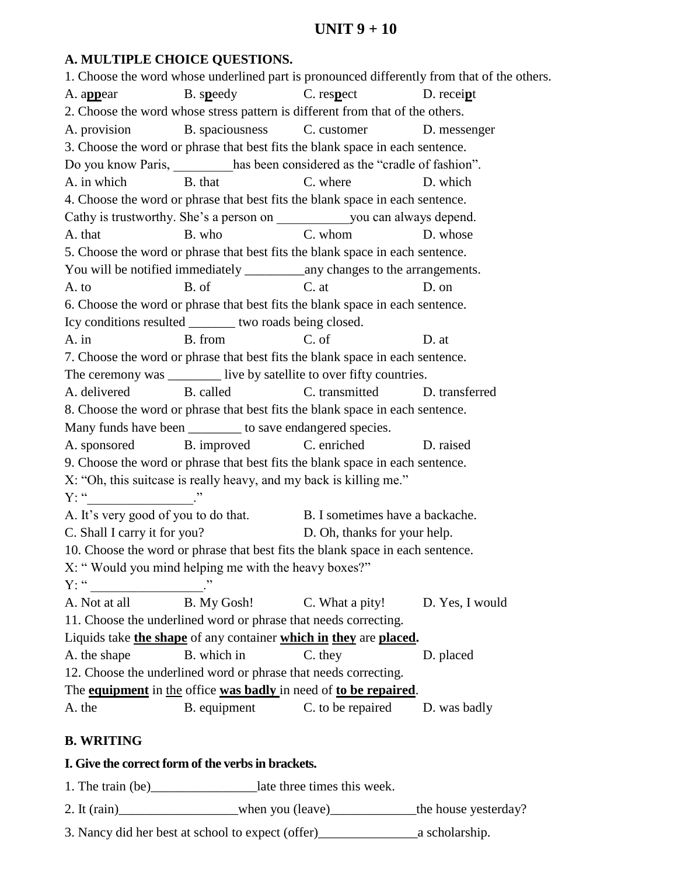# **UNIT 9 + 10**

## **A. MULTIPLE CHOICE QUESTIONS.**

1. Choose the word whose underlined part is pronounced differently from that of the others. A. a**pp**ear B. s**p**eedy C. res**p**ect D. recei**p**t 2. Choose the word whose stress pattern is different from that of the others. A. provision B. spaciousness C. customer D. messenger 3. Choose the word or phrase that best fits the blank space in each sentence. Do you know Paris, has been considered as the "cradle of fashion". A. in which B. that C. where D. which 4. Choose the word or phrase that best fits the blank space in each sentence. Cathy is trustworthy. She's a person on \_\_\_\_\_\_\_\_\_\_\_\_\_\_\_you can always depend. A. that B. who C. whom D. whose 5. Choose the word or phrase that best fits the blank space in each sentence. You will be notified immediately \_\_\_\_\_\_\_\_\_any changes to the arrangements. A. to B. of C. at D. on 6. Choose the word or phrase that best fits the blank space in each sentence. Icy conditions resulted \_\_\_\_\_\_\_ two roads being closed. A. in B. from C. of D. at 7. Choose the word or phrase that best fits the blank space in each sentence. The ceremony was \_\_\_\_\_\_\_\_\_ live by satellite to over fifty countries. A. delivered B. called C. transmitted D. transferred 8. Choose the word or phrase that best fits the blank space in each sentence. Many funds have been to save endangered species. A. sponsored B. improved C. enriched D. raised 9. Choose the word or phrase that best fits the blank space in each sentence. X: "Oh, this suitcase is really heavy, and my back is killing me."  $Y: "$ A. It's very good of you to do that. B. I sometimes have a backache. C. Shall I carry it for you? D. Oh, thanks for your help. 10. Choose the word or phrase that best fits the blank space in each sentence. X: " Would you mind helping me with the heavy boxes?"  $Y: "$ A. Not at all B. My Gosh! C. What a pity! D. Yes, I would 11. Choose the underlined word or phrase that needs correcting. Liquids take **the shape** of any container **which in they** are **placed.** A. the shape B. which in C. they D. placed 12. Choose the underlined word or phrase that needs correcting. The **equipment** in the office **was badly** in need of **to be repaired**. A. the B. equipment C. to be repaired D. was badly

## **B. WRITING**

#### **I. Give the correct form of the verbs in brackets.**

1. The train (be) are late three times this week.

2. It (rain) when you (leave) the house yesterday?

3. Nancy did her best at school to expect (offer)\_\_\_\_\_\_\_\_\_\_\_\_\_\_\_a scholarship.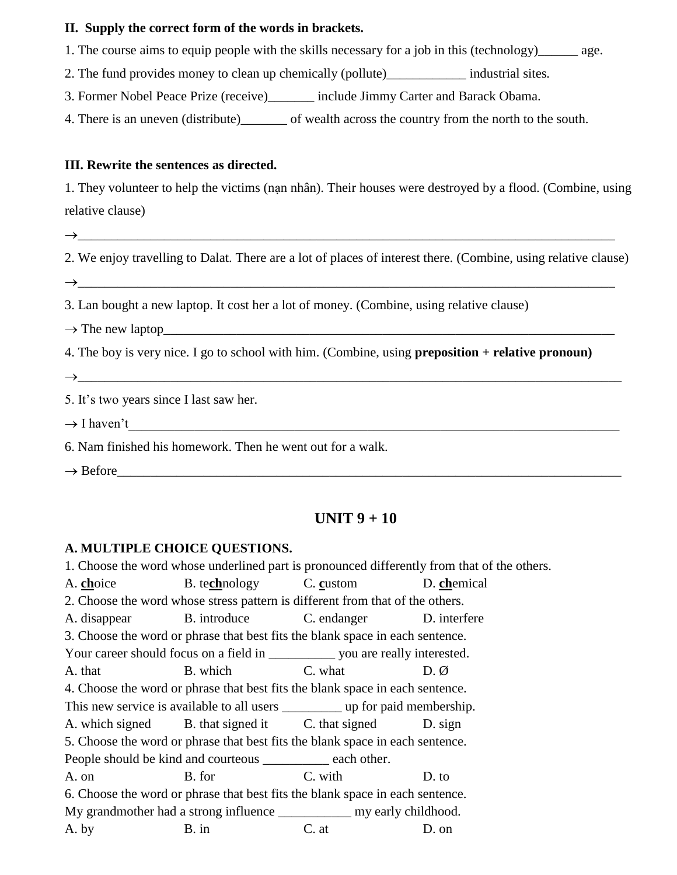#### **II. Supply the correct form of the words in brackets.**

- 1. The [course](https://dictionary.cambridge.org/dictionary/english/course) [aims](https://dictionary.cambridge.org/dictionary/english/aim) to [equip](https://dictionary.cambridge.org/dictionary/english/equip) [people](https://dictionary.cambridge.org/dictionary/english/people) with the [skills](https://dictionary.cambridge.org/dictionary/english/skill) [necessary](https://dictionary.cambridge.org/dictionary/english/necessary) for a [job](https://dictionary.cambridge.org/dictionary/english/job) in this (technology) [age.](https://dictionary.cambridge.org/dictionary/english/age)
- 2. The [fund](https://dictionary.cambridge.org/dictionary/english/fund) [provides](https://dictionary.cambridge.org/dictionary/english/provide) [money](https://dictionary.cambridge.org/dictionary/english/money) to [clean](https://dictionary.cambridge.org/dictionary/english/clean) up [chemically](https://dictionary.cambridge.org/dictionary/english/chemical) (pollute)\_\_\_\_\_\_\_\_\_\_\_\_ [industrial](https://dictionary.cambridge.org/dictionary/english/industrial) [sites](https://dictionary.cambridge.org/dictionary/english/site)*.*

3. Former [Nobel](https://dictionary.cambridge.org/dictionary/english/nobel) Peace Prize (receive)\_\_\_\_\_\_\_ [include](https://dictionary.cambridge.org/dictionary/english/include) Jimmy Carter and Barack Obama.

4. There is an [uneven](https://dictionary.cambridge.org/dictionary/english/uneven) (distribute)\_\_\_\_\_\_\_ of [wealth](https://dictionary.cambridge.org/dictionary/english/wealth) [across](https://dictionary.cambridge.org/dictionary/english/across) the [country](https://dictionary.cambridge.org/dictionary/english/country) from the [north](https://dictionary.cambridge.org/dictionary/english/north) to the [south.](https://dictionary.cambridge.org/dictionary/english/south)

#### **III. Rewrite the sentences as directed.**

1. They volunteer to help the victims (nạn nhân). Their houses were destroyed by a flood. (Combine, using relative clause)

\_\_\_\_\_\_\_\_\_\_\_\_\_\_\_\_\_\_\_\_\_\_\_\_\_\_\_\_\_\_\_\_\_\_\_\_\_\_\_\_\_\_\_\_\_\_\_\_\_\_\_\_\_\_\_\_\_\_\_\_\_\_\_\_\_\_\_\_\_\_\_\_\_\_\_\_\_\_\_\_\_

2. We enjoy travelling to Dalat. There are a lot of places of interest there. (Combine, using relative clause)  $\rightarrow$ 

3. Lan bought a new laptop. It cost her a lot of money. (Combine, using relative clause)

 $\rightarrow$  The new laptop

4. The boy is very nice. I go to school with him. (Combine, using **preposition + relative pronoun)**

 $\rightarrow$ 

5. It's two years since I last saw her.

 $\rightarrow$  I haven't

6. Nam finished his homework. Then he went out for a walk.

 $\rightarrow$  Before

# **UNIT 9 + 10**

#### **A. MULTIPLE CHOICE QUESTIONS.**

1. Choose the word whose underlined part is pronounced differently from that of the others. A. **ch**oice B. te**ch**nology C. **c**ustom D. **ch**emical

2. Choose the word whose stress pattern is different from that of the others.

A. disappear B. introduce C. endanger D. interfere

3. Choose the word or phrase that best fits the blank space in each sentence. Your career should focus on a field in \_\_\_\_\_\_\_\_\_\_\_\_ you are really interested.

A. that B. which C. what D. Ø

4. Choose the word or phrase that best fits the blank space in each sentence.

This new service is available to all users \_\_\_\_\_\_\_\_\_ up for paid membership.

A. which signed B. that signed it C. that signed D. sign

5. Choose the word or phrase that best fits the blank space in each sentence.

People should be kind and courteous \_\_\_\_\_\_\_\_\_\_ each other.

A. on B. for C. with D. to 6. Choose the word or phrase that best fits the blank space in each sentence.

My grandmother had a strong influence \_\_\_\_\_\_\_\_\_\_\_\_\_\_\_ my early childhood.

A. by B. in C. at D. on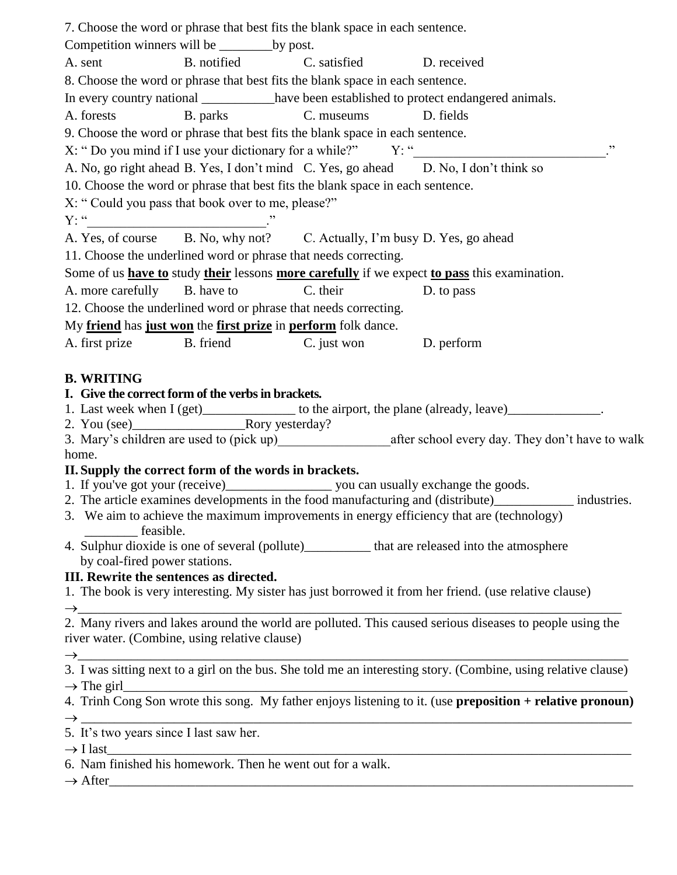|                                                                         | 7. Choose the word or phrase that best fits the blank space in each sentence.  |                                                                                                                                 |
|-------------------------------------------------------------------------|--------------------------------------------------------------------------------|---------------------------------------------------------------------------------------------------------------------------------|
| Competition winners will be _____________by post.                       |                                                                                |                                                                                                                                 |
|                                                                         | A. sent B. notified C. satisfied D. received                                   |                                                                                                                                 |
|                                                                         | 8. Choose the word or phrase that best fits the blank space in each sentence.  |                                                                                                                                 |
|                                                                         |                                                                                | In every country national ___________have been established to protect endangered animals.                                       |
|                                                                         | A. forests B. parks C. museums D. fields                                       |                                                                                                                                 |
|                                                                         | 9. Choose the word or phrase that best fits the blank space in each sentence.  |                                                                                                                                 |
|                                                                         |                                                                                | X: " Do you mind if I use your dictionary for a while?" Y: "<br>, ,                                                             |
|                                                                         |                                                                                | A. No, go right ahead B. Yes, I don't mind C. Yes, go ahead D. No, I don't think so                                             |
|                                                                         | 10. Choose the word or phrase that best fits the blank space in each sentence. |                                                                                                                                 |
| X: "Could you pass that book over to me, please?"                       |                                                                                |                                                                                                                                 |
|                                                                         |                                                                                |                                                                                                                                 |
| $Y: ``\underline{\hspace{2cm}}''$                                       | A. Yes, of course B. No, why not? C. Actually, I'm busy D. Yes, go ahead       |                                                                                                                                 |
|                                                                         | 11. Choose the underlined word or phrase that needs correcting.                |                                                                                                                                 |
|                                                                         |                                                                                | Some of us have to study their lessons more carefully if we expect to pass this examination.                                    |
| A. more carefully B. have to                                            | C. their                                                                       |                                                                                                                                 |
|                                                                         |                                                                                | D. to pass                                                                                                                      |
|                                                                         | 12. Choose the underlined word or phrase that needs correcting.                |                                                                                                                                 |
| My friend has just won the first prize in perform folk dance.           |                                                                                |                                                                                                                                 |
| A. first prize B. friend                                                | C. just won D. perform                                                         |                                                                                                                                 |
| <b>B. WRITING</b><br>I. Give the correct form of the verbs in brackets. |                                                                                | 1. Last week when I (get)______________ to the airport, the plane (already, leave)_______________.                              |
|                                                                         |                                                                                |                                                                                                                                 |
|                                                                         |                                                                                |                                                                                                                                 |
| home.                                                                   |                                                                                |                                                                                                                                 |
| II. Supply the correct form of the words in brackets.                   |                                                                                |                                                                                                                                 |
|                                                                         |                                                                                |                                                                                                                                 |
|                                                                         |                                                                                | 2. The article examines developments in the food manufacturing and (distribute)<br>_______________ industries.                  |
| feasible.                                                               |                                                                                | 3. We aim to achieve the maximum improvements in energy efficiency that are (technology)                                        |
|                                                                         |                                                                                | 4. Sulphur dioxide is one of several (pollute)___________ that are released into the atmosphere                                 |
| by coal-fired power stations.                                           |                                                                                |                                                                                                                                 |
| III. Rewrite the sentences as directed.                                 |                                                                                |                                                                                                                                 |
|                                                                         |                                                                                | 1. The book is very interesting. My sister has just borrowed it from her friend. (use relative clause)                          |
|                                                                         |                                                                                |                                                                                                                                 |
|                                                                         |                                                                                | 2. Many rivers and lakes around the world are polluted. This caused serious diseases to people using the                        |
| river water. (Combine, using relative clause)                           |                                                                                |                                                                                                                                 |
|                                                                         |                                                                                | $\rightarrow$<br>3. I was sitting next to a girl on the bus. She told me an interesting story. (Combine, using relative clause) |
|                                                                         |                                                                                |                                                                                                                                 |
| $\rightarrow$ The girl                                                  |                                                                                |                                                                                                                                 |
|                                                                         |                                                                                | 4. Trinh Cong Son wrote this song. My father enjoys listening to it. (use preposition + relative pronoun)                       |
| 5. It's two years since I last saw her.                                 |                                                                                |                                                                                                                                 |
|                                                                         |                                                                                |                                                                                                                                 |
| 6. Nam finished his homework. Then he went out for a walk.              |                                                                                | $\rightarrow$ I last                                                                                                            |
| $\rightarrow$ After                                                     |                                                                                |                                                                                                                                 |
|                                                                         |                                                                                |                                                                                                                                 |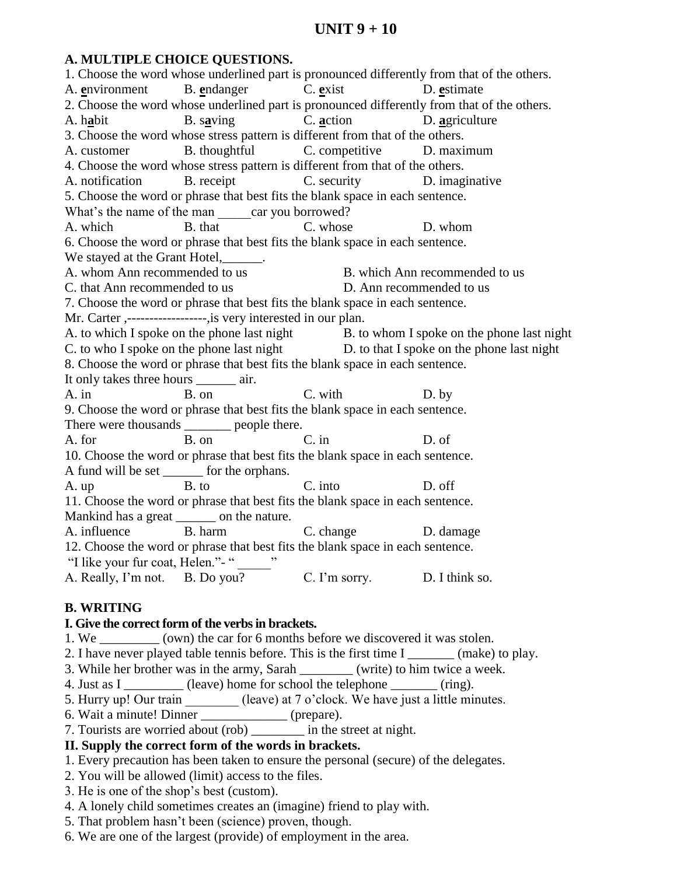# **UNIT 9 + 10**

#### **A. MULTIPLE CHOICE QUESTIONS.**

1. Choose the word whose underlined part is pronounced differently from that of the others. A. **e**nvironment B. **e**ndanger C. **e**xist D. **e**stimate 2. Choose the word whose underlined part is pronounced differently from that of the others. A. h**a**bit B. s**a**ving C. **a**ction D. **a**griculture 3. Choose the word whose stress pattern is different from that of the others. A. customer B. thoughtful C. competitive D. maximum 4. Choose the word whose stress pattern is different from that of the others. A. notification B. receipt C. security D. imaginative 5. Choose the word or phrase that best fits the blank space in each sentence. What's the name of the man car you borrowed? A. which B. that C. whose D. whom 6. Choose the word or phrase that best fits the blank space in each sentence. We stayed at the Grant Hotel, 1997. A. whom Ann recommended to us B. which Ann recommended to us C. that Ann recommended to us D. Ann recommended to us 7. Choose the word or phrase that best fits the blank space in each sentence. Mr. Carter ,------------------,is very interested in our plan. A. to which I spoke on the phone last night B. to whom I spoke on the phone last night C. to who I spoke on the phone last night D. to that I spoke on the phone last night 8. Choose the word or phrase that best fits the blank space in each sentence. It only takes three hours \_\_\_\_\_\_ air. A. in B. on C. with D. by 9. Choose the word or phrase that best fits the blank space in each sentence. There were thousands \_\_\_\_\_\_\_ people there. A. for B. on C. in D. of 10. Choose the word or phrase that best fits the blank space in each sentence. A fund will be set \_\_\_\_\_\_ for the orphans. A. up B. to C. into D. off 11. Choose the word or phrase that best fits the blank space in each sentence. Mankind has a great \_\_\_\_\_\_\_ on the nature. A. influence B. harm C. change D. damage 12. Choose the word or phrase that best fits the blank space in each sentence. "I like your fur coat, Helen."- " A. Really, I'm not. B. Do you? C. I'm sorry. D. I think so.

## **B. WRITING**

#### **I. Give the correct form of the verbs in brackets.**

- 1. We \_\_\_\_\_\_\_\_\_ (own) the car for 6 months before we discovered it was stolen.
- 2. I have never played table tennis before. This is the first time I \_\_\_\_\_\_\_ (make) to play.
- 3. While her brother was in the army, Sarah \_\_\_\_\_\_\_\_ (write) to him twice a week.
- 4. Just as I (leave) home for school the telephone  $(ring)$ .
- 5. Hurry up! Our train (leave) at 7 o'clock. We have just a little minutes.
- 6. Wait a minute! Dinner \_\_\_\_\_\_\_\_\_\_\_\_\_ (prepare).
- 7. Tourists are worried about (rob) in the street at night.

## **II. Supply the correct form of the words in brackets.**

- 1. Every precaution has been taken to ensure the personal (secure) of the delegates.
- 2. You will be allowed (limit) access to the files.
- 3. He is one of the shop's best (custom).
- 4. A lonely child sometimes creates an (imagine) friend to play with.
- 5. That problem hasn't been (science) proven, though.
- 6. We are one of the largest (provide) of employment in the area.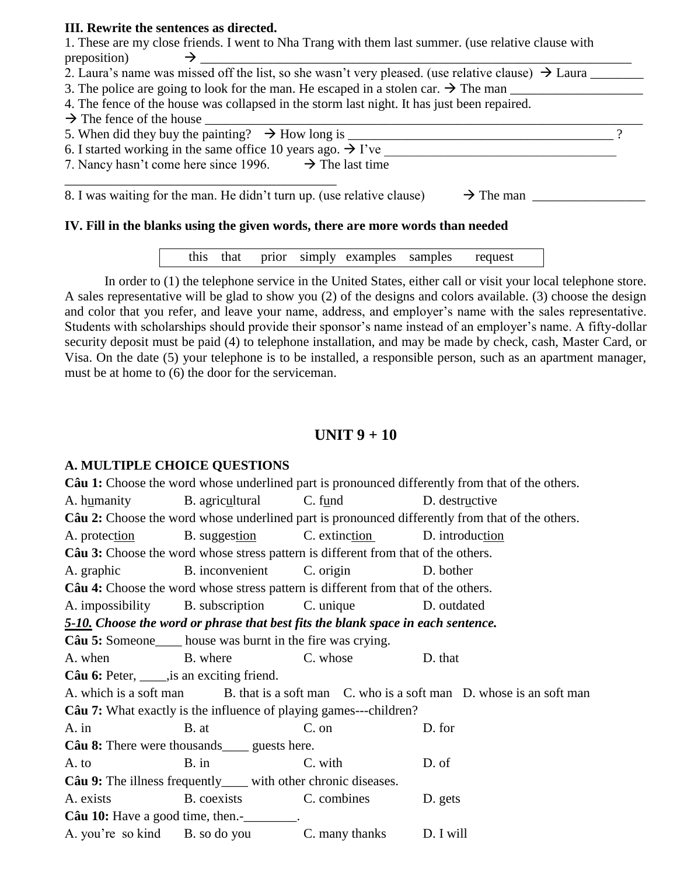#### **III. Rewrite the sentences as directed.**

1. These are my close friends. I went to Nha Trang with them last summer. (use relative clause with preposition) \_\_\_\_\_\_\_\_\_\_\_\_\_\_\_\_\_\_\_\_\_\_\_\_\_\_\_\_\_\_\_\_\_\_\_\_\_\_\_\_\_\_\_\_\_\_\_\_\_\_\_\_\_\_\_\_\_\_\_\_\_\_\_\_\_

2. Laura's name was missed off the list, so she wasn't very pleased. (use relative clause)  $\rightarrow$  Laura  $\equiv$ 

3. The police are going to look for the man. He escaped in a stolen car.  $\rightarrow$  The man

4. The fence of the house was collapsed in the storm last night. It has just been repaired.

 $\rightarrow$  The fence of the house

5. When did they buy the painting?  $\rightarrow$  How long is ?

6. I started working in the same office 10 years ago.  $\rightarrow$  I've

7. Nancy hasn't come here since 1996.  $\rightarrow$  The last time \_\_\_\_\_\_\_\_\_\_\_\_\_\_\_\_\_\_\_\_\_\_\_\_\_\_\_\_\_\_\_\_\_\_\_\_\_\_\_\_\_

8. I was waiting for the man. He didn't turn up. (use relative clause)  $\rightarrow$  The man

#### **IV. Fill in the blanks using the given words, there are more words than needed**

this that prior simply examples samples request

In order to (1) the telephone service in the United States, either call or visit your local telephone store. A sales representative will be glad to show you (2) of the designs and colors available. (3) choose the design and color that you refer, and leave your name, address, and employer's name with the sales representative. Students with scholarships should provide their sponsor's name instead of an employer's name. A fifty-dollar security deposit must be paid (4) to telephone installation, and may be made by check, cash, Master Card, or Visa. On the date (5) your telephone is to be installed, a responsible person, such as an apartment manager, must be at home to (6) the door for the serviceman.

# **UNIT 9 + 10**

## **A. MULTIPLE CHOICE QUESTIONS**

**Câu 1:** Choose the word whose underlined part is pronounced differently from that of the others. A. humanity B. agricultural C. fund D. destructive **Câu 2:** Choose the word whose underlined part is pronounced differently from that of the others. A. protection B. suggestion C. extinction D. introduction **Câu 3:** Choose the word whose stress pattern is different from that of the others. A. graphic B. inconvenient C. origin D. bother **Câu 4:** Choose the word whose stress pattern is different from that of the others. A. impossibility B. subscription C. unique D. outdated *5-10. Choose the word or phrase that best fits the blank space in each sentence.* **Câu 5:** Someone house was burnt in the fire was crying. A. when B. where C. whose D. that **Câu 6:** Peter, \_\_\_\_\_, is an exciting friend. A. which is a soft man B. that is a soft man C. who is a soft man D. whose is an soft man **Câu 7:** What exactly is the influence of playing games---children? A. in B. at C. on D. for **Câu 8:** There were thousands guests here. A. to B. in C. with D. of **Câu 9:** The illness frequently with other chronic diseases. A. exists B. coexists C. combines D. gets **Câu 10:** Have a good time, then. A. you're so kind B. so do you C. many thanks D. I will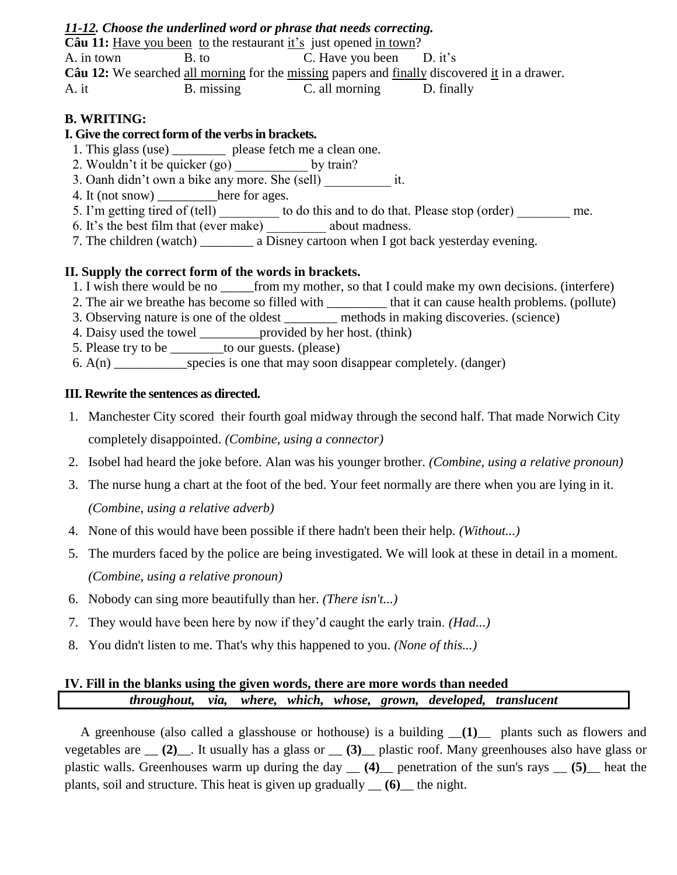#### *11-12. Choose the underlined word or phrase that needs correcting.*

**Câu 11:** Have you been to the restaurant it's just opened in town? A. in town B. to C. Have you been D. it's **Câu 12:** We searched all morning for the missing papers and finally discovered it in a drawer. A. it B. missing C. all morning D. finally

### **B. WRITING:**

#### **I. Give the correct form of the verbs in brackets.**

- 1. This glass (use) \_\_\_\_\_\_\_\_\_ please fetch me a clean one.
- 2. Wouldn't it be quicker  $(g_0)$  by train?
- 3. Oanh didn't own a bike any more. She (sell) it.
- 4. It (not snow) here for ages.
- 5. I'm getting tired of (tell) to do this and to do that. Please stop (order) me.
- 6. It's the best film that (ever make) about madness.
- 7. The children (watch) \_\_\_\_\_\_\_\_ a Disney cartoon when I got back yesterday evening.

#### **II. Supply the correct form of the words in brackets.**

- 1. I wish there would be no from my mother, so that I could make my own decisions. (interfere)
- 2. The air we breathe has become so filled with \_\_\_\_\_\_\_\_\_ that it can cause health problems. (pollute)
- 3. Observing nature is one of the oldest methods in making discoveries. (science)
- 4. Daisy used the towel \_\_\_\_\_\_\_\_\_provided by her host. (think)
- 5. Please try to be to our guests. (please)
- 6.  $A(n)$  species is one that may soon disappear completely. (danger)

#### **III. Rewrite the sentences as directed.**

- 1. Manchester City scored their fourth goal midway through the second half. That made Norwich City completely disappointed. *(Combine, using a connector)*
- 2. Isobel had heard the joke before. Alan was his younger brother. *(Combine, using a relative pronoun)*
- 3. The nurse hung a chart at the foot of the bed. Your feet normally are there when you are lying in it. *(Combine, using a relative adverb)*
- 4. None of this would have been possible if there hadn't been their help. *(Without...)*
- 5. The murders faced by the police are being investigated. We will look at these in detail in a moment. *(Combine, using a relative pronoun)*
- 6. Nobody can sing more beautifully than her. *(There isn't...)*
- 7. They would have been here by now if they'd caught the early train. *(Had...)*
- 8. You didn't listen to me. That's why this happened to you. *(None of this...)*

## **IV. Fill in the blanks using the given words, there are more words than needed**  *throughout, via, where, which, whose, grown, developed, translucent*

A greenhouse (also called a glasshouse or hothouse) is a building \_\_**(1)**\_\_ plants such as flowers and vegetables are \_\_ **(2)**\_\_. It usually has a glass or \_\_ **(3)**\_\_ plastic roof. Many greenhouses also have glass or plastic walls. Greenhouses warm up during the day \_\_ **(4)**\_\_ penetration of the sun's rays \_\_ **(5)**\_\_ heat the plants, soil and structure. This heat is given up gradually \_\_ **(6)**\_\_ the night.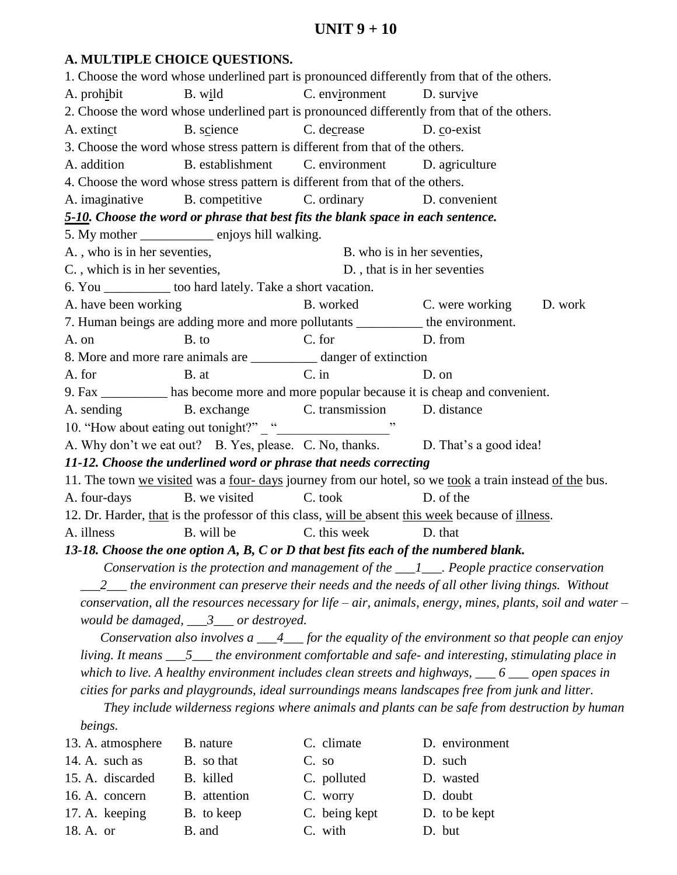# **UNIT 9 + 10**

#### **A. MULTIPLE CHOICE QUESTIONS.**

1. Choose the word whose underlined part is pronounced differently from that of the others. A. prohibit B. wild C. environment D. survive 2. Choose the word whose underlined part is pronounced differently from that of the others. A. extinct B. science C. decrease D. co-exist 3. Choose the word whose stress pattern is different from that of the others. A. addition B. establishment C. environment D. agriculture 4. Choose the word whose stress pattern is different from that of the others. A. imaginative B. competitive C. ordinary D. convenient *5-10. Choose the word or phrase that best fits the blank space in each sentence.* 5. My mother \_\_\_\_\_\_\_\_\_\_\_ enjoys hill walking. A., who is in her seventies, B. who is in her seventies, C., which is in her seventies, D., that is in her seventies 6. You \_\_\_\_\_\_\_\_\_\_ too hard lately. Take a short vacation. A. have been working B. worked C. were working D. work 7. Human beings are adding more and more pollutants \_\_\_\_\_\_\_\_\_\_ the environment. A. on B. to C. for D. from 8. More and more rare animals are \_\_\_\_\_\_\_\_\_\_ danger of extinction A. for B. at C. in D. on 9. Fax \_\_\_\_\_\_\_\_\_\_ has become more and more popular because it is cheap and convenient. A. sending B. exchange C. transmission D. distance 10. "How about eating out tonight?" " A. Why don't we eat out? B. Yes, please. C. No, thanks. D. That's a good idea! *11-12. Choose the underlined word or phrase that needs correcting* 11. The town we visited was a four- days journey from our hotel, so we took a train instead of the bus. A. four-days B. we visited C. took D. of the 12. Dr. Harder, that is the professor of this class, will be absent this week because of illness. A. illness B. will be C. this week D. that *13-18. Choose the one option A, B, C or D that best fits each of the numbered blank. Conservation is the protection and management of the \_\_\_1\_\_\_. People practice conservation \_\_\_2\_\_\_ the environment can preserve their needs and the needs of all other living things. Without conservation, all the resources necessary for life – air, animals, energy, mines, plants, soil and water – would be damaged, \_\_\_3\_\_\_ or destroyed. Conservation also involves a \_\_\_4\_\_\_ for the equality of the environment so that people can enjoy living. It means \_\_\_5\_\_\_ the environment comfortable and safe- and interesting, stimulating place in which to live. A healthy environment includes clean streets and highways, \_\_\_ 6 \_\_\_ open spaces in cities for parks and playgrounds, ideal surroundings means landscapes free from junk and litter. They include wilderness regions where animals and plants can be safe from destruction by human beings.* 13. A. atmosphere B. nature C. climate D. environment 14. A. such as B. so that C. so D. such 15. A. discarded B. killed C. polluted D. wasted 16. A. concern B. attention C. worry D. doubt

- 
- 17. A. keeping B. to keep C. being kept D. to be kept
- 
- 
- 18. A. or B. and C. with D. but
- -
- 
- -
- 
-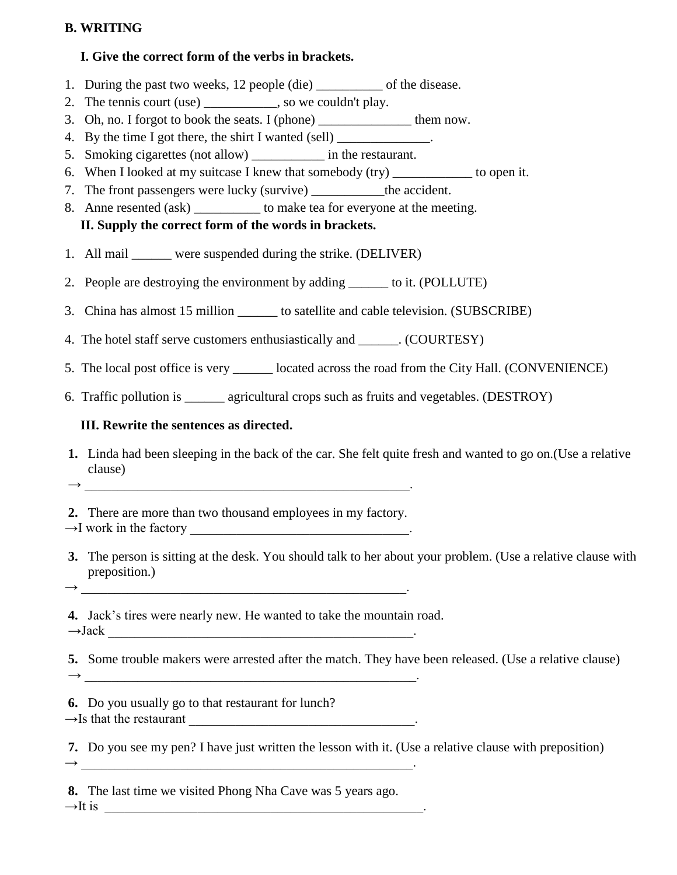# **B. WRITING**

### **I. Give the correct form of the verbs in brackets.**

- 1. During the past two weeks, 12 people (die) \_\_\_\_\_\_\_\_\_\_ of the disease.
- 2. The tennis court (use) \_\_\_\_\_\_\_\_\_\_, so we couldn't play.
- 3. Oh, no. I forgot to book the seats. I (phone) \_\_\_\_\_\_\_\_\_\_\_\_\_\_ them now.
- 4. By the time I got there, the shirt I wanted (sell) \_\_\_\_\_\_\_\_\_\_\_\_\_\_\_\_\_\_\_\_\_\_\_\_\_\_
- 5. Smoking cigarettes (not allow) in the restaurant.
- 6. When I looked at my suitcase I knew that somebody (try) to open it.
- 7. The front passengers were lucky (survive) \_\_\_\_\_\_\_\_\_\_\_the accident.
- 8. Anne resented (ask) \_\_\_\_\_\_\_\_\_\_\_ to make tea for everyone at the meeting. **II. Supply the correct form of the words in brackets.**
- 
- 1. All mail were suspended during the strike. (DELIVER)
- 2. People are destroying the environment by adding to it. (POLLUTE)
- 3. China has almost 15 million to satellite and cable television. (SUBSCRIBE)
- 4. The hotel staff serve customers enthusiastically and \_\_\_\_\_\_. (COURTESY)
- 5. The local post office is very \_\_\_\_\_\_ located across the road from the City Hall. (CONVENIENCE)
- 6. Traffic pollution is \_\_\_\_\_\_ agricultural crops such as fruits and vegetables. (DESTROY)

# **III. Rewrite the sentences as directed.**

**1.** Linda had been sleeping in the back of the car. She felt quite fresh and wanted to go on.(Use a relative clause)

**2.** There are more than two thousand employees in my factory.  $\rightarrow$ I work in the factory

→ \_\_\_\_\_\_\_\_\_\_\_\_\_\_\_\_\_\_\_\_\_\_\_\_\_\_\_\_\_\_\_\_\_\_\_\_\_\_\_\_\_\_\_\_\_\_\_\_\_.

 $\rightarrow$ 

**3.** The person is sitting at the desk. You should talk to her about your problem. (Use a relative clause with preposition.)

**4.** Jack's tires were nearly new. He wanted to take the mountain road.

 $\rightarrow$ Jack  $\Box$ 

**5.** Some trouble makers were arrested after the match. They have been released. (Use a relative clause) → \_\_\_\_\_\_\_\_\_\_\_\_\_\_\_\_\_\_\_\_\_\_\_\_\_\_\_\_\_\_\_\_\_\_\_\_\_\_\_\_\_\_\_\_\_\_\_\_\_\_.

**6.** Do you usually go to that restaurant for lunch?  $\rightarrow$  Is that the restaurant

**7.** Do you see my pen? I have just written the lesson with it. (Use a relative clause with preposition)

**8.** The last time we visited Phong Nha Cave was 5 years ago.  $\rightarrow$ It is \_

 $\rightarrow$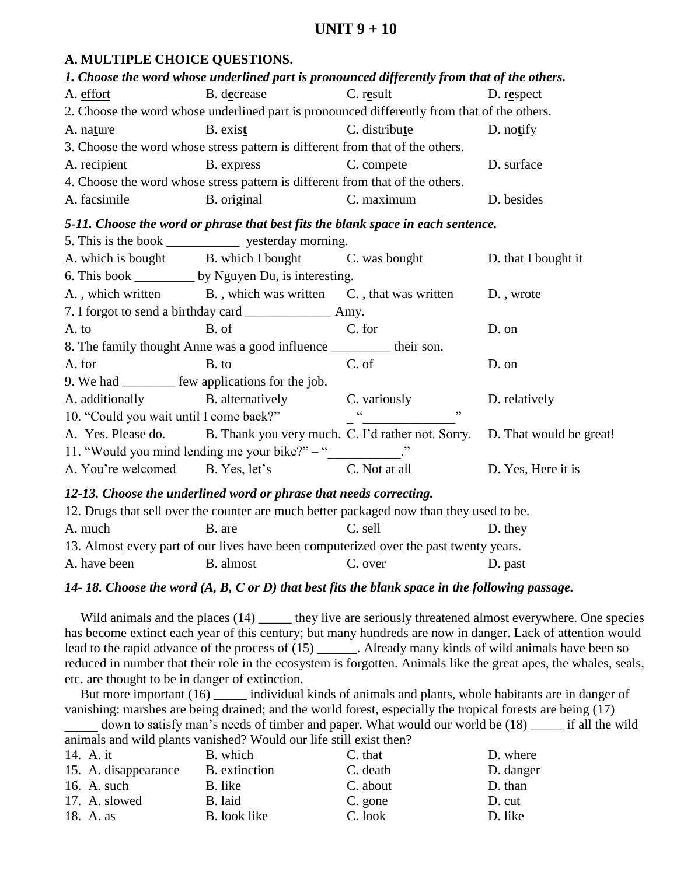# **UNIT 9 + 10**

## **E. CHALCE QUESTIONS**

|              | A. MULTIPLE CHOICE QUESTIONS.                                                                |               |                     |
|--------------|----------------------------------------------------------------------------------------------|---------------|---------------------|
|              | 1. Choose the word whose underlined part is pronounced differently from that of the others.  |               |                     |
| A. effort    | B. decrease                                                                                  | C. result     | $D.$ respect        |
|              | 2. Choose the word whose underlined part is pronounced differently from that of the others.  |               |                     |
| A. nature    | B. exist                                                                                     | C. distribute | $D.$ notify         |
|              | 3. Choose the word whose stress pattern is different from that of the others.                |               |                     |
| A. recipient | B. express                                                                                   | C. compete    | D. surface          |
|              | 4. Choose the word whose stress pattern is different from that of the others.                |               |                     |
| A. facsimile | B. original                                                                                  | C. maximum    | D. besides          |
|              | 5-11. Choose the word or phrase that best fits the blank space in each sentence.             |               |                     |
|              |                                                                                              |               |                     |
|              | A. which is bought B. which I bought C. was bought                                           |               | D. that I bought it |
|              | 6. This book ____________ by Nguyen Du, is interesting.                                      |               |                     |
|              | A., which written B., which was written C., that was written D., wrote                       |               |                     |
|              |                                                                                              |               |                     |
| A. to        | B. of                                                                                        | C. for        | D. on               |
|              | 8. The family thought Anne was a good influence __________ their son.                        |               |                     |
| A. for       | B. to                                                                                        | C. of         | D. on               |
|              | 9. We had ___________ few applications for the job.                                          |               |                     |
|              | A. additionally B. alternatively C. variously                                                |               | D. relatively       |
|              | 10. "Could you wait until I come back?"                                                      | , ,           |                     |
|              | A. Yes. Please do. B. Thank you very much. C. I'd rather not. Sorry. D. That would be great! |               |                     |

11. "Would you mind lending me your bike?" – "\_\_\_\_\_\_\_\_\_\_." A. You're welcomed B. Yes, let's C. Not at all D. Yes, Here it is

#### *12-13. Choose the underlined word or phrase that needs correcting.*

| 12. Drugs that sell over the counter are much better packaged now than they used to be. |           |         |         |  |  |
|-----------------------------------------------------------------------------------------|-----------|---------|---------|--|--|
| A. much                                                                                 | B. are    | C. sell | D. they |  |  |
| 13. Almost every part of our lives have been computerized over the past twenty years.   |           |         |         |  |  |
| A. have been                                                                            | B. almost | C. over | D. past |  |  |

## *14- 18. Choose the word (A, B, C or D) that best fits the blank space in the following passage.*

Wild animals and the places (14) \_\_\_\_\_\_ they live are seriously threatened almost everywhere. One species has become extinct each year of this century; but many hundreds are now in danger. Lack of attention would lead to the rapid advance of the process of (15) \_\_\_\_\_\_. Already many kinds of wild animals have been so reduced in number that their role in the ecosystem is forgotten. Animals like the great apes, the whales, seals, etc. are thought to be in danger of extinction.

But more important (16) \_\_\_\_\_ individual kinds of animals and plants, whole habitants are in danger of vanishing: marshes are being drained; and the world forest, especially the tropical forests are being (17)

down to satisfy man's needs of timber and paper. What would our world be (18) \_\_\_\_\_ if all the wild animals and wild plants vanished? Would our life still exist then?

| 14. A. it            | B. which      | C. that  | D. where  |
|----------------------|---------------|----------|-----------|
| 15. A. disappearance | B. extinction | C. death | D. danger |
| 16. A. such          | B. like       | C. about | D. than   |
| 17. A. slowed        | B. laid       | C. gone  | D. cut    |
| 18. A. as            | B. look like  | C. look  | D. like   |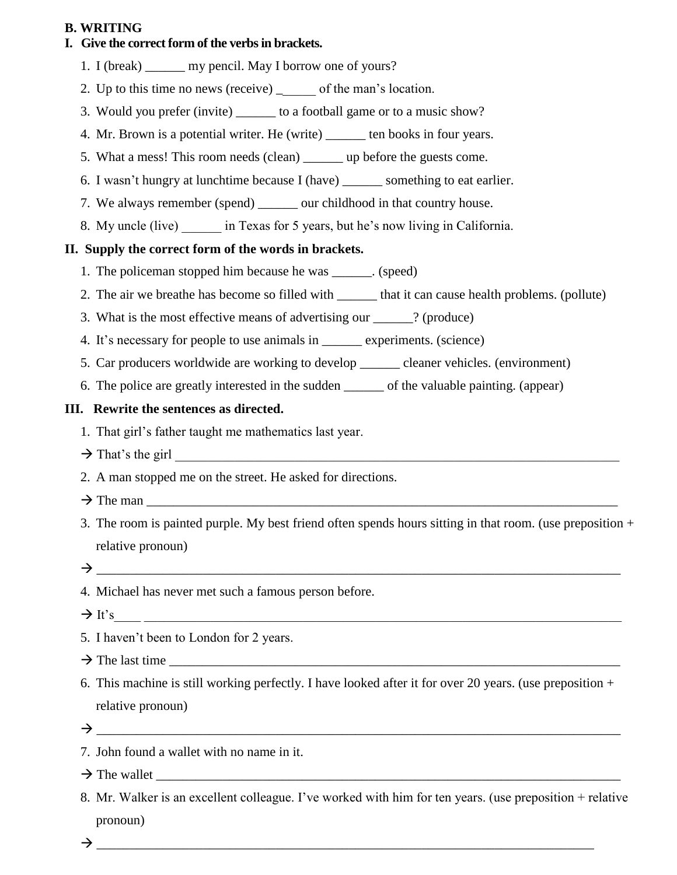## **B. WRITING**

# **I. Give the correct form of the verbs in brackets.**

- 1. I (break) \_\_\_\_\_\_ my pencil. May I borrow one of yours?
- 2. Up to this time no news (receive) \_\_\_\_\_\_ of the man's location.
- 3. Would you prefer (invite) \_\_\_\_\_\_ to a football game or to a music show?
- 4. Mr. Brown is a potential writer. He (write) \_\_\_\_\_\_ ten books in four years.
- 5. What a mess! This room needs (clean) \_\_\_\_\_\_ up before the guests come.
- 6. I wasn't hungry at lunchtime because I (have) \_\_\_\_\_\_ something to eat earlier.
- 7. We always remember (spend) \_\_\_\_\_\_ our childhood in that country house.
- 8. My uncle (live) in Texas for 5 years, but he's now living in California.

#### **II. Supply the correct form of the words in brackets.**

- 1. The policeman stopped him because he was \_\_\_\_\_\_. (speed)
- 2. The air we breathe has become so filled with \_\_\_\_\_\_\_ that it can cause health problems. (pollute)
- 3. What is the most effective means of advertising our ? (produce)
- 4. It's necessary for people to use animals in \_\_\_\_\_\_ experiments. (science)
- 5. Car producers worldwide are working to develop \_\_\_\_\_\_ cleaner vehicles. (environment)
- 6. The police are greatly interested in the sudden \_\_\_\_\_\_ of the valuable painting. (appear)

#### **III. Rewrite the sentences as directed.**

- 1. That girl's father taught me mathematics last year.
- $\rightarrow$  That's the girl
- 2. A man stopped me on the street. He asked for directions.
- $\rightarrow$  The man
- 3. The room is painted purple. My best friend often spends hours sitting in that room. (use preposition + relative pronoun)
- $\rightarrow$
- 4. Michael has never met such a famous person before.
- $\rightarrow$  It's
- 5. I haven't been to London for 2 years.
- $\rightarrow$  The last time
- 6. This machine is still working perfectly. I have looked after it for over 20 years. (use preposition  $+$ relative pronoun)
- $\rightarrow$
- 7. John found a wallet with no name in it.
- $\rightarrow$  The wallet
- 8. Mr. Walker is an excellent colleague. I've worked with him for ten years. (use preposition + relative pronoun)
- $\rightarrow$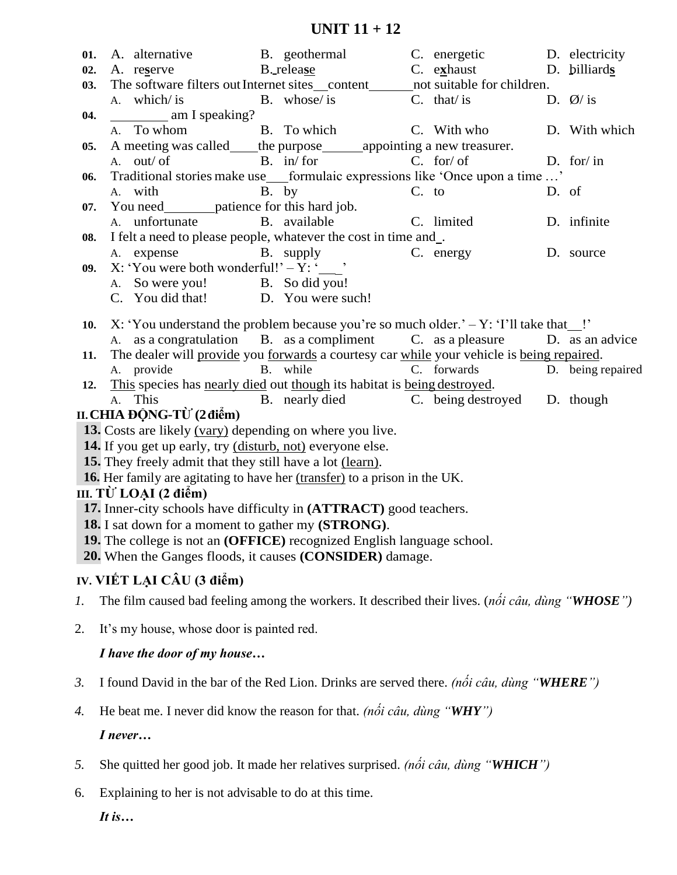| 01. | A. alternative                                                                                                         | B. geothermal                                                                                       | C. energetic D. electricity                 |                       |  |  |  |
|-----|------------------------------------------------------------------------------------------------------------------------|-----------------------------------------------------------------------------------------------------|---------------------------------------------|-----------------------|--|--|--|
| 02. | A. reserve                                                                                                             | B. release                                                                                          | C. exhaust D. billiards                     |                       |  |  |  |
| 03. | The software filters out Internet sites_content_______not suitable for children.                                       |                                                                                                     |                                             |                       |  |  |  |
|     | A. which/ is                                                                                                           | B. whose/ is                                                                                        | $C.$ that/ is                               | D. $\varnothing$ / is |  |  |  |
| 04. | am I speaking?                                                                                                         |                                                                                                     |                                             |                       |  |  |  |
|     | A. To whom                                                                                                             | B. To which                                                                                         | C. With who                                 | D. With which         |  |  |  |
| 05. |                                                                                                                        | A meeting was called____the purpose_______appointing a new treasurer.                               | $C.$ for/ of                                |                       |  |  |  |
| 06. | A. out/ of                                                                                                             | $B. \quad in/ for$<br>Traditional stories make use___formulaic expressions like 'Once upon a time ' |                                             | D. for/ in            |  |  |  |
|     | A. with                                                                                                                | B. by                                                                                               | $C.$ to                                     | D. of                 |  |  |  |
| 07. | You need_________patience for this hard job.                                                                           |                                                                                                     |                                             |                       |  |  |  |
|     | A. unfortunate                                                                                                         | B. available                                                                                        | C. limited                                  | D. infinite           |  |  |  |
| 08. | I felt a need to please people, whatever the cost in time and_.                                                        |                                                                                                     |                                             |                       |  |  |  |
|     | A. expense B. supply                                                                                                   |                                                                                                     | C. energy                                   | D. source             |  |  |  |
| 09. | X: 'You were both wonderful!' $-Y$ : '                                                                                 |                                                                                                     |                                             |                       |  |  |  |
|     | A. So were you! B. So did you!                                                                                         |                                                                                                     |                                             |                       |  |  |  |
|     | C. You did that! D. You were such!                                                                                     |                                                                                                     |                                             |                       |  |  |  |
| 10. | X: 'You understand the problem because you're so much older.' $-Y$ : 'I'll take that $\blacksquare$ !'                 |                                                                                                     |                                             |                       |  |  |  |
|     |                                                                                                                        | A. as a congratulation B. as a compliment C. as a pleasure D. as an advice                          |                                             |                       |  |  |  |
| 11. | The dealer will provide you forwards a courtesy car while your vehicle is being repaired.                              |                                                                                                     |                                             |                       |  |  |  |
|     | A. provide                                                                                                             | B. while                                                                                            | C. forwards                                 | D. being repaired     |  |  |  |
| 12. | This species has nearly died out though its habitat is being destroyed.                                                |                                                                                                     |                                             |                       |  |  |  |
|     | A. This                                                                                                                |                                                                                                     | B. nearly died C. being destroyed D. though |                       |  |  |  |
|     | II. CHIA ĐỘNG-TỪ (2 điểm)                                                                                              |                                                                                                     |                                             |                       |  |  |  |
|     | 13. Costs are likely (vary) depending on where you live.<br>14. If you get up early, try (disturb, not) everyone else. |                                                                                                     |                                             |                       |  |  |  |
|     | 15. They freely admit that they still have a lot (learn).                                                              |                                                                                                     |                                             |                       |  |  |  |
|     |                                                                                                                        |                                                                                                     |                                             |                       |  |  |  |
|     | <b>16.</b> Her family are agitating to have her <i>(transfer)</i> to a prison in the UK.<br>III. TỪ LOẠI (2 điểm)      |                                                                                                     |                                             |                       |  |  |  |
|     | 17. Inner-city schools have difficulty in (ATTRACT) good teachers.                                                     |                                                                                                     |                                             |                       |  |  |  |
|     | 18. I sat down for a moment to gather my (STRONG).                                                                     |                                                                                                     |                                             |                       |  |  |  |
|     | 19. The college is not an (OFFICE) recognized English language school.                                                 |                                                                                                     |                                             |                       |  |  |  |
|     | 20. When the Ganges floods, it causes (CONSIDER) damage.                                                               |                                                                                                     |                                             |                       |  |  |  |
|     | IV. VIẾT LẠI CÂU (3 điểm)                                                                                              |                                                                                                     |                                             |                       |  |  |  |
| 1.  | The film caused bad feeling among the workers. It described their lives. (not cau, dung "WHOSE")                       |                                                                                                     |                                             |                       |  |  |  |
| 2.  | It's my house, whose door is painted red.                                                                              |                                                                                                     |                                             |                       |  |  |  |
|     | I have the door of my house                                                                                            |                                                                                                     |                                             |                       |  |  |  |
| 3.  | I found David in the bar of the Red Lion. Drinks are served there. (not câu, dùng "WHERE")                             |                                                                                                     |                                             |                       |  |  |  |
| 4.  | He beat me. I never did know the reason for that. (not cau, dung "WHY")                                                |                                                                                                     |                                             |                       |  |  |  |
|     | I never                                                                                                                |                                                                                                     |                                             |                       |  |  |  |
| 5.  | She quitted her good job. It made her relatives surprised. (nói câu, dùng "WHICH")                                     |                                                                                                     |                                             |                       |  |  |  |
| 6.  | Explaining to her is not advisable to do at this time.                                                                 |                                                                                                     |                                             |                       |  |  |  |
|     | It is                                                                                                                  |                                                                                                     |                                             |                       |  |  |  |
|     |                                                                                                                        |                                                                                                     |                                             |                       |  |  |  |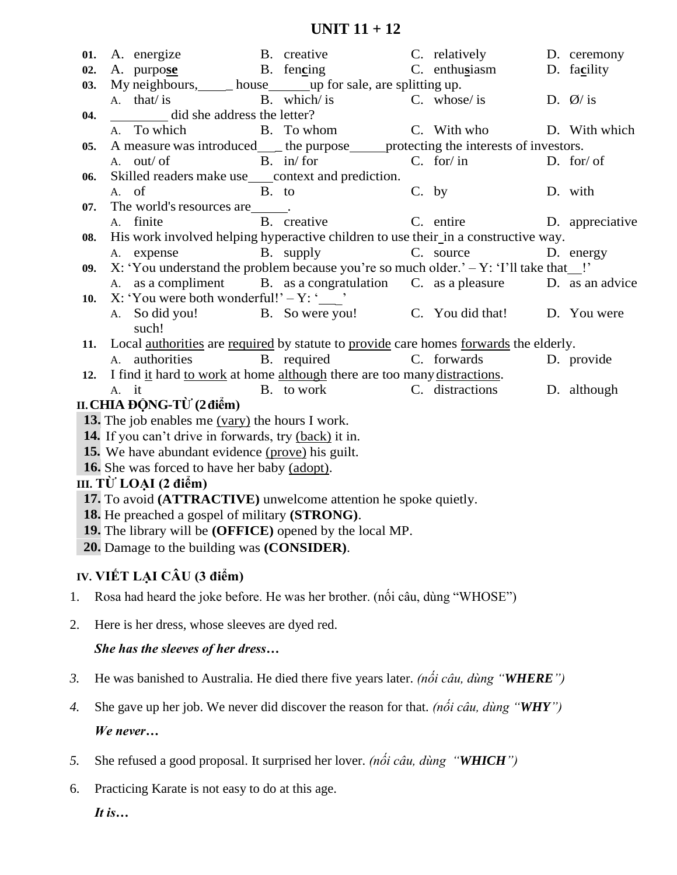| 01. | A. energize                                                                                            | B. creative                           | C. relatively | D. ceremony           |
|-----|--------------------------------------------------------------------------------------------------------|---------------------------------------|---------------|-----------------------|
| 02. | A. purpose B. fencing                                                                                  |                                       | C. enthusiasm | D. facility           |
| 03. | My neighbours, house up for sale, are splitting up.                                                    |                                       |               |                       |
|     | A. that/ is                                                                                            | B. which/ is                          | C. whose/ is  | D. $\varnothing$ / is |
| 04. | did she address the letter?                                                                            |                                       |               |                       |
|     | A. To which                                                                                            | B. To whom C. With who D. With which  |               |                       |
| 05. | A measure was introduced___ the purpose____ protecting the interests of investors.                     |                                       |               |                       |
|     | A. out/ of                                                                                             | $B. \quad in/ for$                    | $C.$ for/ in  | D. for/ of            |
| 06. | Skilled readers make use___context and prediction.                                                     |                                       |               |                       |
|     | B. to<br>A. of                                                                                         |                                       | C. by         | D. with               |
| 07. | The world's resources are ______.<br>A. finite                                                         | B. creative C. entire D. appreciative |               |                       |
| 08. | His work involved helping hyperactive children to use their in a constructive way.                     |                                       |               |                       |
|     | A. expense                                                                                             | B. supply                             | C. source     | D. energy             |
| 09. | X: 'You understand the problem because you're so much older.' $-Y$ : 'I'll take that !'                |                                       |               |                       |
|     | A. as a compliment B. as a congratulation C. as a pleasure D. as an advice                             |                                       |               |                       |
| 10. | X: 'You were both wonderful!' - Y: '___'                                                               |                                       |               |                       |
|     | A. So did you! B. So were you! C. You did that! D. You were                                            |                                       |               |                       |
|     | such!                                                                                                  |                                       |               |                       |
|     | Local <u>authorities</u> are required by statute to provide care homes forwards the elderly.<br>11.    |                                       |               |                       |
|     | A. authorities                                                                                         | C. forwards<br>B. required            |               | D. provide            |
|     | I find it hard to work at home although there are too many distractions.<br>12.                        |                                       |               |                       |
|     | A. it                                                                                                  | B. to work C. distractions            |               | D. although           |
|     | II. CHIA ĐỘNG-TỪ (2 điểm)                                                                              |                                       |               |                       |
|     | 13. The job enables me (vary) the hours I work.                                                        |                                       |               |                       |
|     | 14. If you can't drive in forwards, try (back) it in.                                                  |                                       |               |                       |
|     | 15. We have abundant evidence (prove) his guilt.                                                       |                                       |               |                       |
|     | <b>16.</b> She was forced to have her baby (adopt).                                                    |                                       |               |                       |
|     | III. TỪ LOẠI (2 điểm)                                                                                  |                                       |               |                       |
|     | 17. To avoid (ATTRACTIVE) unwelcome attention he spoke quietly.                                        |                                       |               |                       |
|     | 18. He preached a gospel of military (STRONG).                                                         |                                       |               |                       |
|     | 19. The library will be (OFFICE) opened by the local MP.<br>20. Damage to the building was (CONSIDER). |                                       |               |                       |
|     |                                                                                                        |                                       |               |                       |
|     | IV. VIẾT LẠI CÂU (3 điểm)                                                                              |                                       |               |                       |
| 1.  | Rosa had heard the joke before. He was her brother. (not câu, dùng "WHOSE")                            |                                       |               |                       |
|     |                                                                                                        |                                       |               |                       |
| 2.  | Here is her dress, whose sleeves are dyed red.                                                         |                                       |               |                       |
|     | She has the sleeves of her dress                                                                       |                                       |               |                       |
|     |                                                                                                        |                                       |               |                       |
| 3.  | He was banished to Australia. He died there five years later. (not câu, dùng "WHERE")                  |                                       |               |                       |
| 4.  | She gave up her job. We never did discover the reason for that. (not cau, dung "WHY")                  |                                       |               |                       |
|     |                                                                                                        |                                       |               |                       |
|     | We never                                                                                               |                                       |               |                       |
| 5.  | She refused a good proposal. It surprised her lover. <i>(noti cau, dung</i> "WHICH")                   |                                       |               |                       |
| 6.  | Practicing Karate is not easy to do at this age.                                                       |                                       |               |                       |
|     | It is                                                                                                  |                                       |               |                       |
|     |                                                                                                        |                                       |               |                       |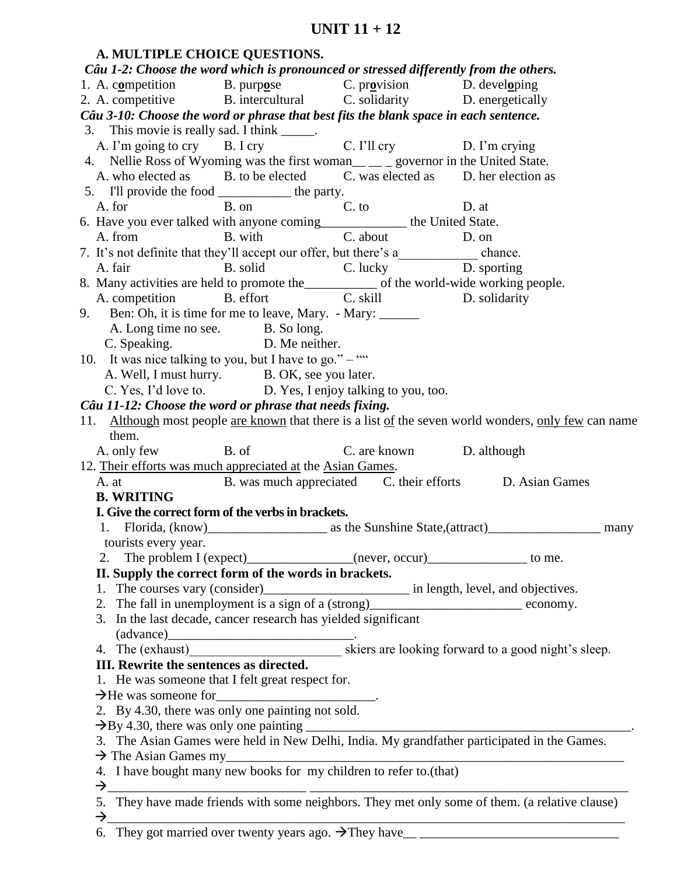| A. MULTIPLE CHOICE QUESTIONS.                                                                                         |                                                           |       |                                                                                                               |
|-----------------------------------------------------------------------------------------------------------------------|-----------------------------------------------------------|-------|---------------------------------------------------------------------------------------------------------------|
| Câu 1-2: Choose the word which is pronounced or stressed differently from the others.                                 |                                                           |       |                                                                                                               |
| 1. A. competition B. purpose C. provision D. developing                                                               |                                                           |       |                                                                                                               |
| 2. A. competitive B. intercultural C. solidarity D. energetically                                                     |                                                           |       |                                                                                                               |
| Câu 3-10: Choose the word or phrase that best fits the blank space in each sentence.                                  |                                                           |       |                                                                                                               |
|                                                                                                                       |                                                           |       |                                                                                                               |
| 3. This movie is really sad. I think ______.<br>A. I'm going to cry B. I cry C. I'll cry D. I'm crying                |                                                           |       |                                                                                                               |
| 4. Nellie Ross of Wyoming was the first woman <sub>____</sub> governor in the United State.                           |                                                           |       |                                                                                                               |
| A. who elected as B. to be elected C. was elected as D. her election as                                               |                                                           |       |                                                                                                               |
| 5. I'll provide the food ______________ the party.                                                                    |                                                           |       |                                                                                                               |
| A. for B. on C. to                                                                                                    |                                                           | D. at |                                                                                                               |
| 6. Have you ever talked with anyone coming_____________ the United State.                                             |                                                           |       |                                                                                                               |
| A. from B. with C. about D. on                                                                                        |                                                           |       |                                                                                                               |
| 7. It's not definite that they'll accept our offer, but there's a______________ chance.                               |                                                           |       |                                                                                                               |
|                                                                                                                       |                                                           |       |                                                                                                               |
| A. fair B. solid C. lucky D. sporting<br>8. Many activities are held to promote the of the world-wide working people. |                                                           |       |                                                                                                               |
| A. competition B. effort C. skill D. solidarity                                                                       |                                                           |       |                                                                                                               |
| 9. Ben: Oh, it is time for me to leave, Mary. - Mary: ______                                                          |                                                           |       |                                                                                                               |
|                                                                                                                       | A. Long time no see. B. So long.                          |       |                                                                                                               |
|                                                                                                                       | C. Speaking. D. Me neither.                               |       |                                                                                                               |
| 10. It was nice talking to you, but I have to go." $-$ ""                                                             |                                                           |       |                                                                                                               |
|                                                                                                                       | A. Well, I must hurry. B. OK, see you later.              |       |                                                                                                               |
|                                                                                                                       | C. Yes, I'd love to. D. Yes, I enjoy talking to you, too. |       |                                                                                                               |
| Câu 11-12: Choose the word or phrase that needs fixing.                                                               |                                                           |       |                                                                                                               |
|                                                                                                                       |                                                           |       | 11. Although most people are known that there is a list of the seven world wonders, only few can name         |
| them.                                                                                                                 |                                                           |       |                                                                                                               |
| A. only few B. of C. are known D. although                                                                            |                                                           |       |                                                                                                               |
| 12. Their efforts was much appreciated at the Asian Games.                                                            |                                                           |       |                                                                                                               |
| A. at                                                                                                                 |                                                           |       | B. was much appreciated C. their efforts D. Asian Games                                                       |
| <b>B. WRITING</b>                                                                                                     |                                                           |       |                                                                                                               |
| I. Give the correct form of the verbs in brackets.                                                                    |                                                           |       |                                                                                                               |
|                                                                                                                       |                                                           |       |                                                                                                               |
| tourists every year.                                                                                                  |                                                           |       |                                                                                                               |
| 2.                                                                                                                    |                                                           |       | The problem I (expect)_______________(never, occur)_______________ to me.                                     |
| II. Supply the correct form of the words in brackets.                                                                 |                                                           |       |                                                                                                               |
|                                                                                                                       |                                                           |       |                                                                                                               |
|                                                                                                                       |                                                           |       | 2. The fall in unemployment is a sign of a (strong)_____________________________ economy.                     |
| 3. In the last decade, cancer research has yielded significant                                                        |                                                           |       |                                                                                                               |
|                                                                                                                       |                                                           |       | (advance)<br>4. The (exhaust)<br>4. The (exhaust)<br>4. The (exhaust)<br>4. The (exhaust)<br>4. The (exhaust) |
|                                                                                                                       |                                                           |       |                                                                                                               |
| III. Rewrite the sentences as directed.                                                                               |                                                           |       |                                                                                                               |
| 1. He was someone that I felt great respect for.                                                                      |                                                           |       |                                                                                                               |
| $\rightarrow$ He was someone for                                                                                      |                                                           |       |                                                                                                               |
| 2. By 4.30, there was only one painting not sold.                                                                     |                                                           |       |                                                                                                               |
|                                                                                                                       |                                                           |       |                                                                                                               |
|                                                                                                                       |                                                           |       | 3. The Asian Games were held in New Delhi, India. My grandfather participated in the Games.                   |
| $\rightarrow$ The Asian Games my                                                                                      |                                                           |       |                                                                                                               |
| 4. I have bought many new books for my children to refer to.(that)                                                    |                                                           |       |                                                                                                               |
| $\rightarrow$                                                                                                         |                                                           |       |                                                                                                               |
| 5.<br>→                                                                                                               |                                                           |       | They have made friends with some neighbors. They met only some of them. (a relative clause)                   |
| 6.                                                                                                                    |                                                           |       |                                                                                                               |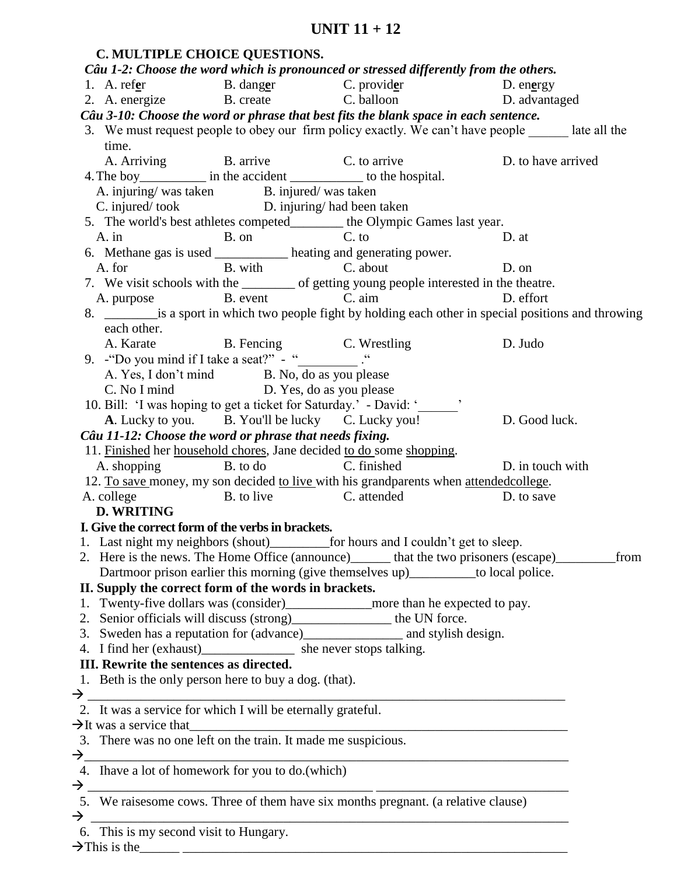|               |                                         | C. MULTIPLE CHOICE QUESTIONS.                                                                  |                                                                                                              |                    |      |
|---------------|-----------------------------------------|------------------------------------------------------------------------------------------------|--------------------------------------------------------------------------------------------------------------|--------------------|------|
|               |                                         |                                                                                                | Câu 1-2: Choose the word which is pronounced or stressed differently from the others.                        |                    |      |
|               |                                         |                                                                                                | 1. A. ref <u>e</u> r B. danger C. provider D. energy<br>2. A. energize B. create C. balloon D. advantaged    |                    |      |
|               |                                         |                                                                                                |                                                                                                              |                    |      |
|               |                                         |                                                                                                | Câu 3-10: Choose the word or phrase that best fits the blank space in each sentence.                         |                    |      |
|               | time.                                   |                                                                                                | 3. We must request people to obey our firm policy exactly. We can't have people ______ late all the          |                    |      |
|               |                                         | A. Arriving B. arrive C. to arrive                                                             |                                                                                                              | D. to have arrived |      |
|               |                                         |                                                                                                |                                                                                                              |                    |      |
|               |                                         | A. injuring/was taken B. injured/was taken                                                     |                                                                                                              |                    |      |
|               |                                         | C. injured/took D. injuring/had been taken                                                     |                                                                                                              |                    |      |
|               |                                         |                                                                                                | 5. The world's best athletes competed_________ the Olympic Games last year.                                  |                    |      |
|               |                                         |                                                                                                | D. at                                                                                                        |                    |      |
|               |                                         |                                                                                                | A. in B. on C. to<br>6. Methane gas is used ____________ heating and generating power.                       |                    |      |
|               |                                         | A. for B. with C. about                                                                        |                                                                                                              | D. on              |      |
|               |                                         |                                                                                                | 7. We visit schools with the _________ of getting young people interested in the theatre.                    |                    |      |
|               |                                         |                                                                                                | A. purpose B. event C. aim D. effort                                                                         |                    |      |
|               |                                         |                                                                                                | 8. ____________ is a sport in which two people fight by holding each other in special positions and throwing |                    |      |
|               | each other.                             |                                                                                                |                                                                                                              |                    |      |
|               |                                         |                                                                                                |                                                                                                              | D. Judo            |      |
|               |                                         | A. Karate B. Fencing C. Wrestling<br>9. - "Do you mind if I take a seat?" - "<br>____________" |                                                                                                              |                    |      |
|               |                                         | A. Yes, I don't mind B. No, do as you please                                                   |                                                                                                              |                    |      |
|               |                                         | C. No I mind D. Yes, do as you please                                                          |                                                                                                              |                    |      |
|               |                                         |                                                                                                | 10. Bill: 'I was hoping to get a ticket for Saturday.' - David: '______'                                     |                    |      |
|               |                                         |                                                                                                | A. Lucky to you. B. You'll be lucky C. Lucky you! D. Good luck.                                              |                    |      |
|               |                                         | Câu 11-12: Choose the word or phrase that needs fixing.                                        |                                                                                                              |                    |      |
|               |                                         |                                                                                                | 11. Finished her household chores, Jane decided to do some shopping.                                         |                    |      |
|               |                                         | A. shopping B. to do C. finished                                                               |                                                                                                              | D. in touch with   |      |
|               |                                         |                                                                                                | 12. To save money, my son decided to live with his grandparents when attended college.                       |                    |      |
|               |                                         |                                                                                                | A. college B. to live C. attended                                                                            | D. to save         |      |
|               | <b>D. WRITING</b>                       |                                                                                                |                                                                                                              |                    |      |
|               |                                         | I. Give the correct form of the verbs in brackets.                                             |                                                                                                              |                    |      |
|               |                                         |                                                                                                |                                                                                                              |                    |      |
|               |                                         |                                                                                                | 2. Here is the news. The Home Office (announce)_______ that the two prisoners (escape)_________              |                    | from |
|               |                                         |                                                                                                | Dartmoor prison earlier this morning (give themselves up)__________ to local police.                         |                    |      |
|               |                                         | II. Supply the correct form of the words in brackets.                                          |                                                                                                              |                    |      |
|               |                                         |                                                                                                |                                                                                                              |                    |      |
|               |                                         |                                                                                                | 2. Senior officials will discuss (strong)_______________ the UN force.                                       |                    |      |
|               |                                         |                                                                                                |                                                                                                              |                    |      |
|               |                                         |                                                                                                | 4. I find her (exhaust)_____________________ she never stops talking.                                        |                    |      |
|               | III. Rewrite the sentences as directed. |                                                                                                |                                                                                                              |                    |      |
|               |                                         | 1. Beth is the only person here to buy a dog. (that).                                          |                                                                                                              |                    |      |
|               |                                         |                                                                                                |                                                                                                              |                    |      |
|               |                                         | 2. It was a service for which I will be eternally grateful.                                    |                                                                                                              |                    |      |
|               |                                         | $\rightarrow$ It was a service that                                                            |                                                                                                              |                    |      |
|               |                                         | 3. There was no one left on the train. It made me suspicious.                                  |                                                                                                              |                    |      |
|               |                                         |                                                                                                |                                                                                                              |                    |      |
|               |                                         | 4. Ihave a lot of homework for you to do.(which)                                               |                                                                                                              |                    |      |
| $\rightarrow$ |                                         |                                                                                                | 5. We raisesome cows. Three of them have six months pregnant. (a relative clause)                            |                    |      |
|               | 6. This is my second visit to Hungary.  |                                                                                                |                                                                                                              |                    |      |
|               |                                         |                                                                                                |                                                                                                              |                    |      |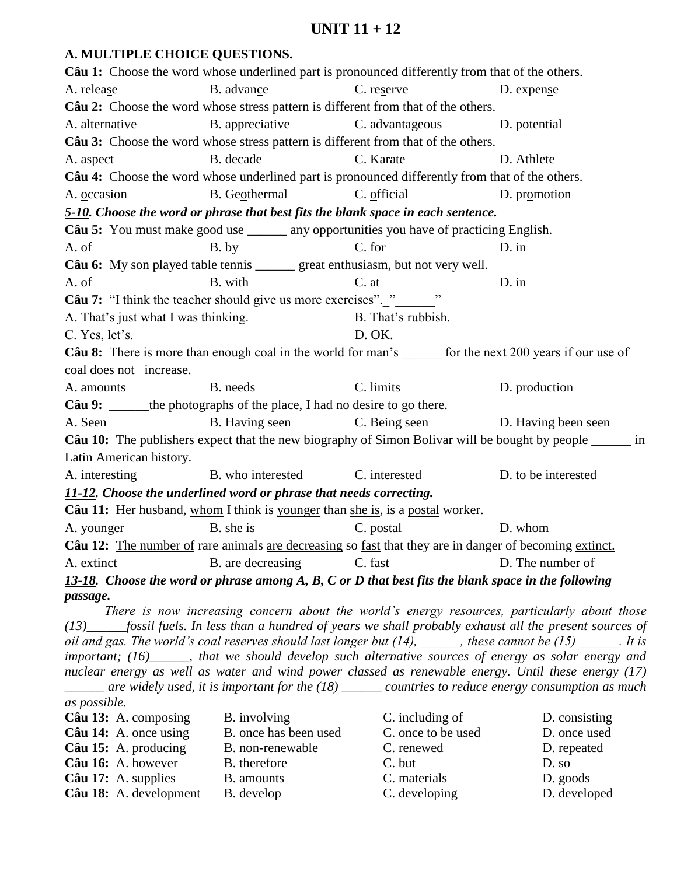# **A. MULTIPLE CHOICE QUESTIONS.**

|                                     | Câu 1: Choose the word whose underlined part is pronounced differently from that of the others.               |                                   |                                                                                                                                                                                                                                 |
|-------------------------------------|---------------------------------------------------------------------------------------------------------------|-----------------------------------|---------------------------------------------------------------------------------------------------------------------------------------------------------------------------------------------------------------------------------|
| A. release                          | B. advance                                                                                                    | C. reserve                        | D. expense                                                                                                                                                                                                                      |
|                                     | Câu 2: Choose the word whose stress pattern is different from that of the others.                             |                                   |                                                                                                                                                                                                                                 |
| A. alternative                      | B. appreciative                                                                                               | C. advantageous D. potential      |                                                                                                                                                                                                                                 |
|                                     | Câu 3: Choose the word whose stress pattern is different from that of the others.                             |                                   |                                                                                                                                                                                                                                 |
| A. aspect                           | B. decade                                                                                                     | C. Karate                         | D. Athlete                                                                                                                                                                                                                      |
|                                     | Câu 4: Choose the word whose underlined part is pronounced differently from that of the others.               |                                   |                                                                                                                                                                                                                                 |
| A. occasion                         | B. Geothermal                                                                                                 | C. official                       | D. promotion                                                                                                                                                                                                                    |
|                                     | 5-10. Choose the word or phrase that best fits the blank space in each sentence.                              |                                   |                                                                                                                                                                                                                                 |
|                                     | Câu 5: You must make good use ______ any opportunities you have of practicing English.                        |                                   |                                                                                                                                                                                                                                 |
| A. of                               | B. by                                                                                                         | C. for                            | $D.$ in                                                                                                                                                                                                                         |
|                                     | Câu 6: My son played table tennis _______ great enthusiasm, but not very well.                                |                                   |                                                                                                                                                                                                                                 |
| A. of                               | B. with                                                                                                       | C. at                             | D. in                                                                                                                                                                                                                           |
|                                     | Câu 7: "I think the teacher should give us more exercises". "                                                 |                                   |                                                                                                                                                                                                                                 |
| A. That's just what I was thinking. |                                                                                                               | B. That's rubbish.                |                                                                                                                                                                                                                                 |
| C. Yes, let's.                      |                                                                                                               | D. OK.                            |                                                                                                                                                                                                                                 |
|                                     | Câu 8: There is more than enough coal in the world for man's ______ for the next 200 years if our use of      |                                   |                                                                                                                                                                                                                                 |
| coal does not increase.             |                                                                                                               |                                   |                                                                                                                                                                                                                                 |
| A. amounts                          | B. needs                                                                                                      | C. limits                         | D. production                                                                                                                                                                                                                   |
|                                     | Câu 9: ______ the photographs of the place, I had no desire to go there.                                      |                                   |                                                                                                                                                                                                                                 |
| A. Seen                             | B. Having seen                                                                                                | C. Being seen D. Having been seen |                                                                                                                                                                                                                                 |
|                                     |                                                                                                               |                                   | Câu 10: The publishers expect that the new biography of Simon Bolivar will be bought by people ______ in                                                                                                                        |
| Latin American history.             |                                                                                                               |                                   |                                                                                                                                                                                                                                 |
| A. interesting B. who interested    |                                                                                                               | C. interested                     | D. to be interested                                                                                                                                                                                                             |
|                                     | 11-12. Choose the underlined word or phrase that needs correcting.                                            |                                   |                                                                                                                                                                                                                                 |
|                                     | Câu 11: Her husband, whom I think is younger than she is, is a postal worker.                                 |                                   |                                                                                                                                                                                                                                 |
| A. younger                          | B. she is                                                                                                     | C. postal                         | D. whom                                                                                                                                                                                                                         |
|                                     | Câu 12: The number of rare animals are decreasing so fast that they are in danger of becoming extinct.        |                                   |                                                                                                                                                                                                                                 |
|                                     | A. extinct B. are decreasing C. fast D. The number of                                                         |                                   |                                                                                                                                                                                                                                 |
|                                     | 13-18. Choose the word or phrase among $A$ , $B$ , $C$ or $D$ that best fits the blank space in the following |                                   |                                                                                                                                                                                                                                 |
| passage.                            |                                                                                                               |                                   |                                                                                                                                                                                                                                 |
|                                     |                                                                                                               |                                   | There is now increasing concern about the world's energy resources, particularly about those                                                                                                                                    |
|                                     |                                                                                                               |                                   | $(13)$ fossil fuels. In less than a hundred of years we shall probably exhaust all the present sources of<br>oil and gas. The world's coal reserves should last longer but $(14)$ , _____, these cannot be $(15)$ ______. It is |
|                                     |                                                                                                               |                                   | important; (16)_____, that we should develop such alternative sources of energy as solar energy and                                                                                                                             |
|                                     |                                                                                                               |                                   | nuclear energy as well as water and wind power classed as renewable energy. Until these energy (17)                                                                                                                             |
|                                     |                                                                                                               |                                   | $\frac{1}{2}$ are widely used, it is important for the (18) $\frac{1}{2}$ countries to reduce energy consumption as much                                                                                                        |
| as possible.                        |                                                                                                               |                                   |                                                                                                                                                                                                                                 |

| Câu 13: A. composing         | B. involving          | C. including of    | D. consisting |
|------------------------------|-----------------------|--------------------|---------------|
|                              |                       |                    |               |
| Câu 14: A. once using        | B. once has been used | C. once to be used | D. once used  |
| Câu 15: A. producing         | B. non-renewable      | C. renewed         | D. repeated   |
| Câu 16: A. however           | B. therefore          | C. but             | D. so         |
| $C\hat{a}$ u 17: A. supplies | B. amounts            | C. materials       | D. goods      |
| Câu 18: A. development       | B. develop            | C. developing      | D. developed  |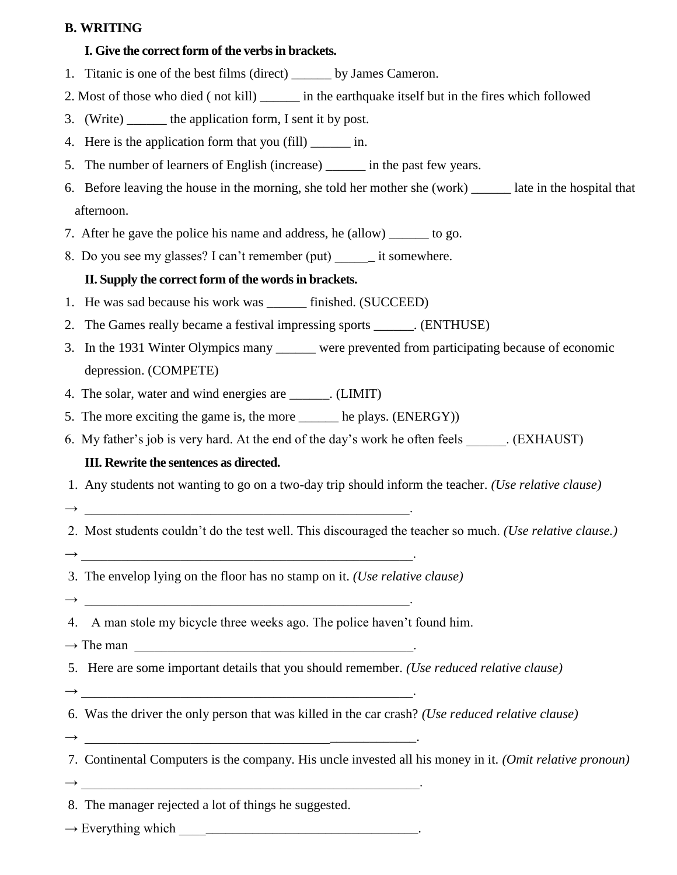## **B. WRITING**

# **I. Give the correct form of the verbs in brackets.**

- 1. Titanic is one of the best films (direct) by James Cameron.
- 2. Most of those who died ( not kill) \_\_\_\_\_\_ in the earthquake itself but in the fires which followed
- 3. (Write) \_\_\_\_\_\_ the application form, I sent it by post.
- 4. Here is the application form that you (fill) in.
- 5. The number of learners of English (increase) in the past few years.
- 6. Before leaving the house in the morning, she told her mother she (work) \_\_\_\_\_\_ late in the hospital that afternoon.
- 7. After he gave the police his name and address, he (allow) to go.
- 8. Do you see my glasses? I can't remember (put) \_\_\_\_\_\_ it somewhere.

# **II. Supply the correct form of the words in brackets.**

- 1. He was sad because his work was finished. (SUCCEED)
- 2. The Games really became a festival impressing sports \_\_\_\_\_\_. (ENTHUSE)
- 3. In the 1931 Winter Olympics many \_\_\_\_\_\_ were prevented from participating because of economic depression. (COMPETE)
- 4. The solar, water and wind energies are  $\qquad \qquad$ . (LIMIT)
- 5. The more exciting the game is, the more he plays. (ENERGY))
- 6. My father's job is very hard. At the end of the day's work he often feels . (EXHAUST)

# **III. Rewrite the sentences as directed.**

- 1. Any students not wanting to go on a two-day trip should inform the teacher. *(Use relative clause)*
- $\rightarrow$

2. Most students couldn't do the test well. This discouraged the teacher so much. *(Use relative clause.)*

 $\rightarrow$ 

 $\rightarrow$   $\qquad$ 

- 3. The envelop lying on the floor has no stamp on it. *(Use relative clause)*
- 4. A man stole my bicycle three weeks ago. The police haven't found him.
- $\rightarrow$  The man
- 5. Here are some important details that you should remember. *(Use reduced relative clause)*
- 6. Was the driver the only person that was killed in the car crash? *(Use reduced relative clause)*
- → \_\_\_\_\_\_\_\_\_\_\_\_\_\_\_\_\_\_\_\_\_\_\_\_\_\_\_\_\_\_\_\_\_\_\_\_\_\_\_\_\_\_\_\_\_\_\_\_\_\_.

→ \_\_\_\_\_\_\_\_\_\_\_\_\_\_\_\_\_\_\_\_\_\_\_\_\_\_\_\_\_\_\_\_\_\_\_\_\_\_\_\_\_\_\_\_\_\_\_\_\_\_.

- 7. Continental Computers is the company. His uncle invested all his money in it. *(Omit relative pronoun)*
- $\longrightarrow$
- 8. The manager rejected a lot of things he suggested.
- → Everything which \_\_\_\_\_\_\_\_\_\_\_\_\_\_\_\_\_\_\_\_\_\_\_\_\_\_\_\_\_\_\_\_\_\_\_\_.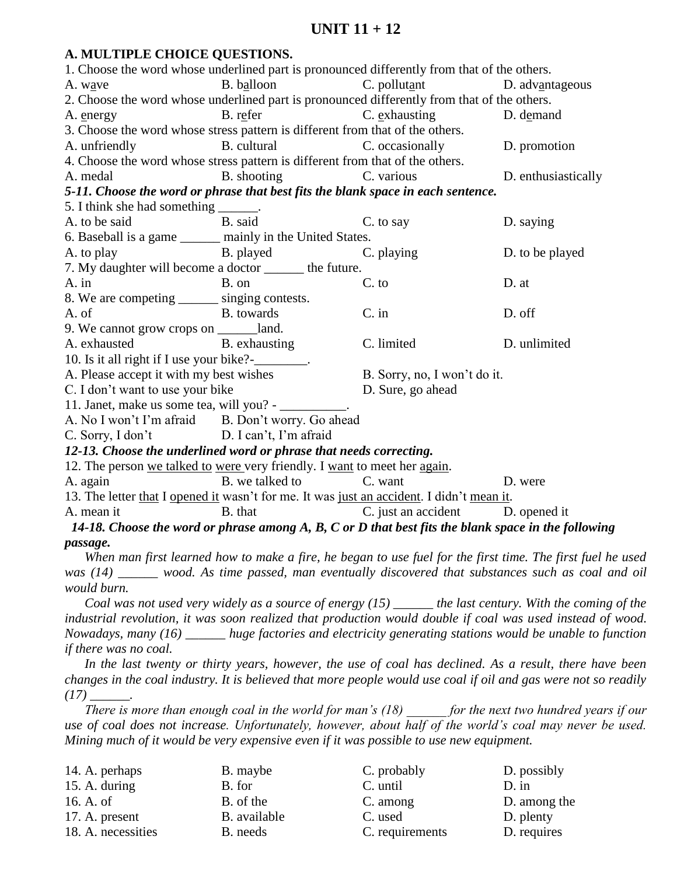## **A. MULTIPLE CHOICE QUESTIONS.**

| 1. Choose the word whose underlined part is pronounced differently from that of the others.                   |                        |                                  |                                                                                                            |
|---------------------------------------------------------------------------------------------------------------|------------------------|----------------------------------|------------------------------------------------------------------------------------------------------------|
| A. wave                                                                                                       | B. balloon             | $C.$ pollutant                   | D. advantageous                                                                                            |
| 2. Choose the word whose underlined part is pronounced differently from that of the others.                   |                        |                                  |                                                                                                            |
| A. energy                                                                                                     | B. refer C. exhausting |                                  | D. demand                                                                                                  |
| 3. Choose the word whose stress pattern is different from that of the others.                                 |                        |                                  |                                                                                                            |
| A. unfriendly                                                                                                 | B. cultural            | C. occasionally                  | D. promotion                                                                                               |
| 4. Choose the word whose stress pattern is different from that of the others.                                 |                        |                                  |                                                                                                            |
| A. medal                                                                                                      | B. shooting            | C. various                       | D. enthusiastically                                                                                        |
| 5-11. Choose the word or phrase that best fits the blank space in each sentence.                              |                        |                                  |                                                                                                            |
| 5. I think she had something ______.                                                                          |                        |                                  |                                                                                                            |
| A. to be said                                                                                                 | B. said                | C. to say                        | D. saying                                                                                                  |
| 6. Baseball is a game ______ mainly in the United States.                                                     |                        |                                  |                                                                                                            |
| A. to play B. played                                                                                          |                        | C. playing                       | D. to be played                                                                                            |
| 7. My daughter will become a doctor _______ the future.                                                       |                        |                                  |                                                                                                            |
| $A.$ in                                                                                                       | B. on                  | C. to                            | D. at                                                                                                      |
| 8. We are competing _______ singing contests.                                                                 |                        |                                  |                                                                                                            |
| A. of                                                                                                         | B. towards             | C. in                            | D. off                                                                                                     |
| 9. We cannot grow crops on ________land.                                                                      |                        |                                  |                                                                                                            |
| A. exhausted B. exhausting                                                                                    |                        | C. limited                       | D. unlimited                                                                                               |
| 10. Is it all right if I use your bike?-<br>10. Is it all right if I use your bike?                           |                        |                                  |                                                                                                            |
| A. Please accept it with my best wishes                                                                       |                        | B. Sorry, no, I won't do it.     |                                                                                                            |
| C. I don't want to use your bike<br>D. Sure, go ahead                                                         |                        |                                  |                                                                                                            |
| 11. Janet, make us some tea, will you? - __________.                                                          |                        |                                  |                                                                                                            |
| A. No I won't I'm afraid B. Don't worry. Go ahead                                                             |                        |                                  |                                                                                                            |
| C. Sorry, I don't D. I can't, I'm afraid                                                                      |                        |                                  |                                                                                                            |
| 12-13. Choose the underlined word or phrase that needs correcting.                                            |                        |                                  |                                                                                                            |
| 12. The person we talked to were very friendly. I want to meet her again.                                     |                        |                                  |                                                                                                            |
| A. again                                                                                                      | B. we talked to        | C. want                          | D. were                                                                                                    |
| 13. The letter that I opened it wasn't for me. It was just an accident. I didn't mean it.                     |                        |                                  |                                                                                                            |
| A. mean it                                                                                                    | B. that                | C. just an accident D. opened it |                                                                                                            |
| 14-18. Choose the word or phrase among $A$ , $B$ , $C$ or $D$ that best fits the blank space in the following |                        |                                  |                                                                                                            |
| passage.                                                                                                      |                        |                                  |                                                                                                            |
|                                                                                                               |                        |                                  | When man first learned how to make a fire, he began to use fuel for the first time. The first fuel he used |
| was $(14)$ _____ wood. As time passed, man eventually discovered that substances such as coal and oil         |                        |                                  |                                                                                                            |
| would burn.                                                                                                   |                        |                                  |                                                                                                            |
|                                                                                                               |                        |                                  | Coal was not used very widely as a source of energy $(15)$ _____ the last century. With the coming of the  |
| industrial revolution, it was soon realized that production would double if coal was used instead of wood     |                        |                                  |                                                                                                            |

*industrial revolution, it was soon realized that production would double if coal was used instead of wood. Nowadays, many (16) \_\_\_\_\_\_ huge factories and electricity generating stations would be unable to function if there was no coal.* 

*In the last twenty or thirty years, however, the use of coal has declined. As a result, there have been changes in the coal industry. It is believed that more people would use coal if oil and gas were not so readily*   $(17)$  \_\_\_\_\_\_\_\_.

*There is more than enough coal in the world for man's (18) \_\_\_\_\_\_ for the next two hundred years if our use of coal does not increase. Unfortunately, however, about half of the world's coal may never be used. Mining much of it would be very expensive even if it was possible to use new equipment.*

| D. possibly  |
|--------------|
|              |
| D. among the |
| D. plenty    |
| D. requires  |
|              |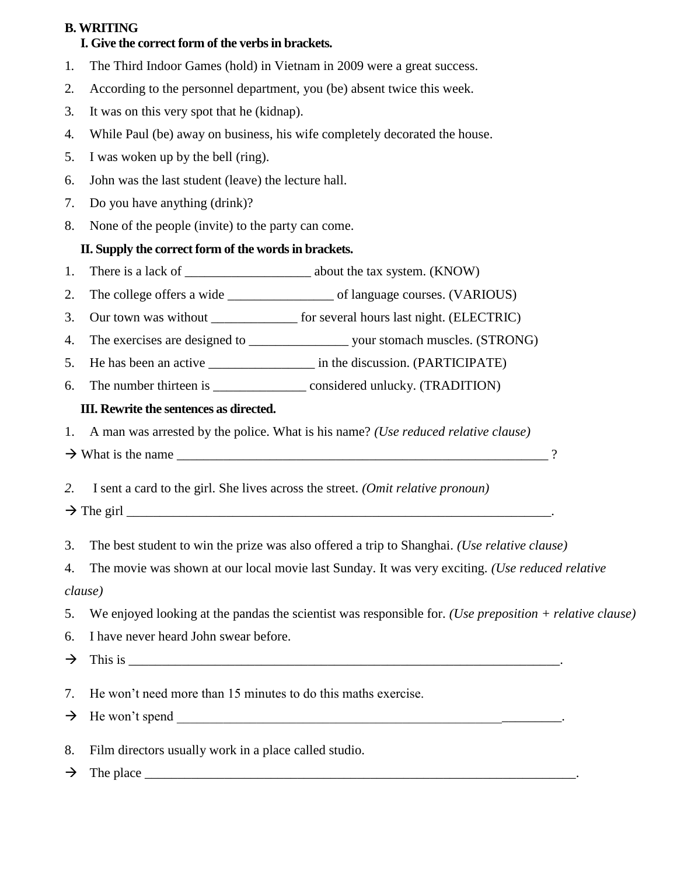# **B. WRITING**

# **I. Give the correct form of the verbs in brackets.**

- 1. The Third Indoor Games (hold) in Vietnam in 2009 were a great success.
- 2. According to the personnel department, you (be) absent twice this week.
- 3. It was on this very spot that he (kidnap).
- 4. While Paul (be) away on business, his wife completely decorated the house.
- 5. I was woken up by the bell (ring).
- 6. John was the last student (leave) the lecture hall.
- 7. Do you have anything (drink)?
- 8. None of the people (invite) to the party can come.

# **II. Supply the correct form of the words in brackets.**

- 1. There is a lack of \_\_\_\_\_\_\_\_\_\_\_\_\_\_\_\_\_\_\_ about the tax system. (KNOW)
- 2. The college offers a wide \_\_\_\_\_\_\_\_\_\_\_\_\_\_\_\_\_\_\_\_\_ of language courses. (VARIOUS)
- 3. Our town was without \_\_\_\_\_\_\_\_\_\_\_\_\_ for several hours last night. (ELECTRIC)
- 4. The exercises are designed to \_\_\_\_\_\_\_\_\_\_\_\_\_\_\_\_\_\_\_\_\_\_\_ your stomach muscles. (STRONG)
- 5. He has been an active \_\_\_\_\_\_\_\_\_\_\_\_\_\_\_\_\_\_\_\_ in the discussion. (PARTICIPATE)
- 6. The number thirteen is \_\_\_\_\_\_\_\_\_\_\_\_\_\_ considered unlucky. (TRADITION)

# **III. Rewrite the sentences as directed.**

1. A man was arrested by the police. What is his name? *(Use reduced relative clause)*

- $\rightarrow$  What is the name
- *2.* I sent a card to the girl. She lives across the street. *(Omit relative pronoun)*
- $\rightarrow$  The girl
- 3. The best student to win the prize was also offered a trip to Shanghai. *(Use relative clause)*
- 4. The movie was shown at our local movie last Sunday. It was very exciting. *(Use reduced relative clause)*
- 5. We enjoyed looking at the pandas the scientist was responsible for. *(Use preposition + relative clause)*
- 6. I have never heard John swear before.
- $\rightarrow$  This is
- 7. He won't need more than 15 minutes to do this maths exercise.
- $\rightarrow$  He won't spend
- 8. Film directors usually work in a place called studio.
- $\rightarrow$  The place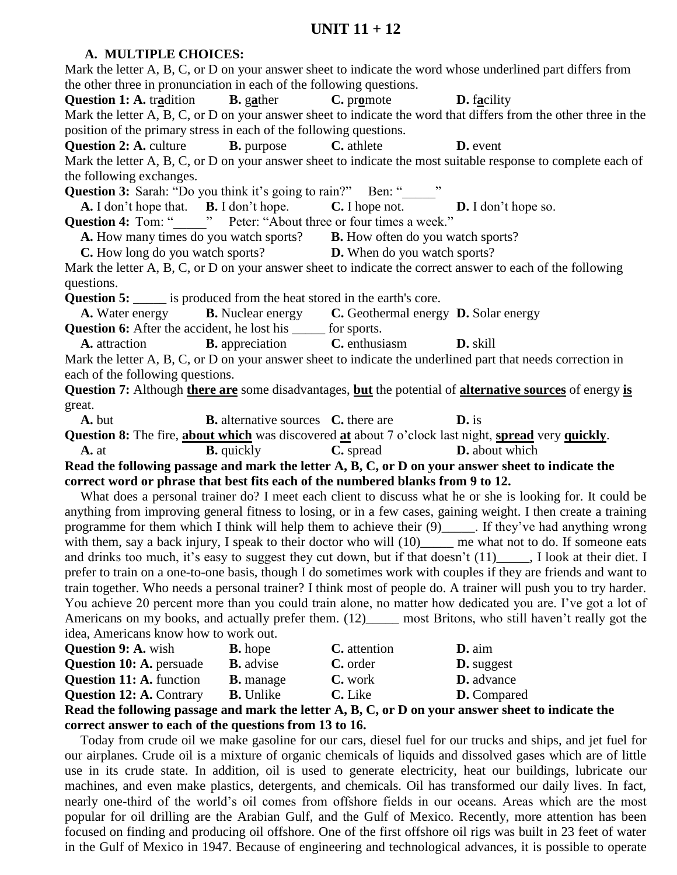#### **A. MULTIPLE CHOICES:**

|                                                                                                      |                                                                      |                                                                | Mark the letter A, B, C, or D on your answer sheet to indicate the word whose underlined part differs from       |  |  |
|------------------------------------------------------------------------------------------------------|----------------------------------------------------------------------|----------------------------------------------------------------|------------------------------------------------------------------------------------------------------------------|--|--|
|                                                                                                      | the other three in pronunciation in each of the following questions. |                                                                |                                                                                                                  |  |  |
| <b>Question 1: A.</b> tradition <b>B.</b> gather <b>C.</b> promote <b>D.</b> facility                |                                                                      |                                                                |                                                                                                                  |  |  |
|                                                                                                      |                                                                      |                                                                | Mark the letter A, B, C, or D on your answer sheet to indicate the word that differs from the other three in the |  |  |
| position of the primary stress in each of the following questions.                                   |                                                                      |                                                                |                                                                                                                  |  |  |
| <b>Question 2: A.</b> culture <b>B.</b> purpose                                                      |                                                                      | C. athlete                                                     | <b>D.</b> event                                                                                                  |  |  |
|                                                                                                      |                                                                      |                                                                | Mark the letter A, B, C, or D on your answer sheet to indicate the most suitable response to complete each of    |  |  |
| the following exchanges.                                                                             |                                                                      |                                                                |                                                                                                                  |  |  |
| Question 3: Sarah: "Do you think it's going to rain?" Ben: "______"                                  |                                                                      |                                                                |                                                                                                                  |  |  |
| A. I don't hope that. B. I don't hope. C. I hope not. D. I don't hope so.                            |                                                                      |                                                                |                                                                                                                  |  |  |
| Question 4: Tom: "_______" Peter: "About three or four times a week."                                |                                                                      |                                                                |                                                                                                                  |  |  |
| <b>A.</b> How many times do you watch sports? <b>B.</b> How often do you watch sports?               |                                                                      |                                                                |                                                                                                                  |  |  |
| <b>C.</b> How long do you watch sports? <b>D.</b> When do you watch sports?                          |                                                                      |                                                                |                                                                                                                  |  |  |
|                                                                                                      |                                                                      |                                                                | Mark the letter A, B, C, or D on your answer sheet to indicate the correct answer to each of the following       |  |  |
| questions.                                                                                           |                                                                      |                                                                |                                                                                                                  |  |  |
| <b>Question 5:</b> ______ is produced from the heat stored in the earth's core.                      |                                                                      |                                                                |                                                                                                                  |  |  |
| A. Water energy <b>B.</b> Nuclear energy <b>C.</b> Geothermal energy <b>D.</b> Solar energy          |                                                                      |                                                                |                                                                                                                  |  |  |
| <b>Question 6:</b> After the accident, he lost his ______ for sports.                                |                                                                      |                                                                |                                                                                                                  |  |  |
| <b>A.</b> attraction <b>B.</b> appreciation <b>C.</b> enthusiasm <b>D.</b> skill                     |                                                                      |                                                                |                                                                                                                  |  |  |
|                                                                                                      |                                                                      |                                                                | Mark the letter A, B, C, or D on your answer sheet to indicate the underlined part that needs correction in      |  |  |
| each of the following questions.                                                                     |                                                                      |                                                                |                                                                                                                  |  |  |
|                                                                                                      |                                                                      |                                                                | Question 7: Although there are some disadvantages, but the potential of alternative sources of energy is         |  |  |
| great.                                                                                               |                                                                      |                                                                |                                                                                                                  |  |  |
| A. but                                                                                               |                                                                      | <b>B.</b> alternative sources <b>C.</b> there are <b>D.</b> is |                                                                                                                  |  |  |
| Question 8: The fire, about which was discovered at about 7 o'clock last night, spread very quickly. |                                                                      |                                                                |                                                                                                                  |  |  |
| A. at                                                                                                |                                                                      | <b>B.</b> quickly <b>C.</b> spread <b>D.</b> about which       |                                                                                                                  |  |  |
|                                                                                                      |                                                                      |                                                                | Read the following passage and mark the letter A, B, C, or D on your answer sheet to indicate the                |  |  |
| correct word or phrase that best fits each of the numbered blanks from 9 to 12.                      |                                                                      |                                                                |                                                                                                                  |  |  |
|                                                                                                      |                                                                      |                                                                | What does a personal trainer do? I meet each client to discuss what he or she is looking for. It could be        |  |  |
|                                                                                                      |                                                                      |                                                                | anything from improving general fitness to losing, or in a few cases, gaining weight. I then create a training   |  |  |
|                                                                                                      |                                                                      |                                                                | programme for them which I think will help them to achieve their (9)_____. If they've had anything wrong         |  |  |
|                                                                                                      |                                                                      |                                                                | with them, say a back injury, I speak to their doctor who will (10)_____ me what not to do. If someone eats      |  |  |
|                                                                                                      |                                                                      |                                                                | and drinks too much, it's easy to suggest they cut down, but if that doesn't (11)____, I look at their diet. I   |  |  |
|                                                                                                      |                                                                      |                                                                | prefer to train on a one-to-one basis, though I do sometimes work with couples if they are friends and want to   |  |  |
|                                                                                                      |                                                                      |                                                                | train together. Who needs a personal trainer? I think most of people do. A trainer will push you to try harder.  |  |  |
|                                                                                                      |                                                                      |                                                                | You achieve 20 percent more than you could train alone, no matter how dedicated you are. I've got a lot of       |  |  |
|                                                                                                      |                                                                      |                                                                | Americans on my books, and actually prefer them. (12) most Britons, who still haven't really got the             |  |  |
| idea, Americans know how to work out.                                                                |                                                                      |                                                                |                                                                                                                  |  |  |
| <b>Question 9: A. wish</b>                                                                           | <b>B.</b> hope                                                       | C. attention                                                   | $D. aim$                                                                                                         |  |  |
| <b>Question 10: A. persuade</b>                                                                      | <b>B.</b> advise                                                     | C. order                                                       | D. suggest                                                                                                       |  |  |
| <b>Question 11: A. function</b>                                                                      | <b>B.</b> manage                                                     | C. work                                                        | D. advance                                                                                                       |  |  |
| <b>Question 12: A. Contrary</b>                                                                      | <b>B.</b> Unlike                                                     | C. Like                                                        | D. Compared                                                                                                      |  |  |
|                                                                                                      |                                                                      |                                                                | Read the following passage and mark the letter A, B, C, or D on your answer sheet to indicate the                |  |  |
|                                                                                                      |                                                                      |                                                                |                                                                                                                  |  |  |

**correct answer to each of the questions from 13 to 16.**

Today from crude oil we make gasoline for our cars, diesel fuel for our trucks and ships, and jet fuel for our airplanes. Crude oil is a mixture of organic chemicals of liquids and dissolved gases which are of little use in its crude state. In addition, oil is used to generate electricity, heat our buildings, lubricate our machines, and even make plastics, detergents, and chemicals. Oil has transformed our daily lives. In fact, nearly one-third of the world's oil comes from offshore fields in our oceans. Areas which are the most popular for oil drilling are the Arabian Gulf, and the Gulf of Mexico. Recently, more attention has been focused on finding and producing oil offshore. One of the first offshore oil rigs was built in 23 feet of water in the Gulf of Mexico in 1947. Because of engineering and technological advances, it is possible to operate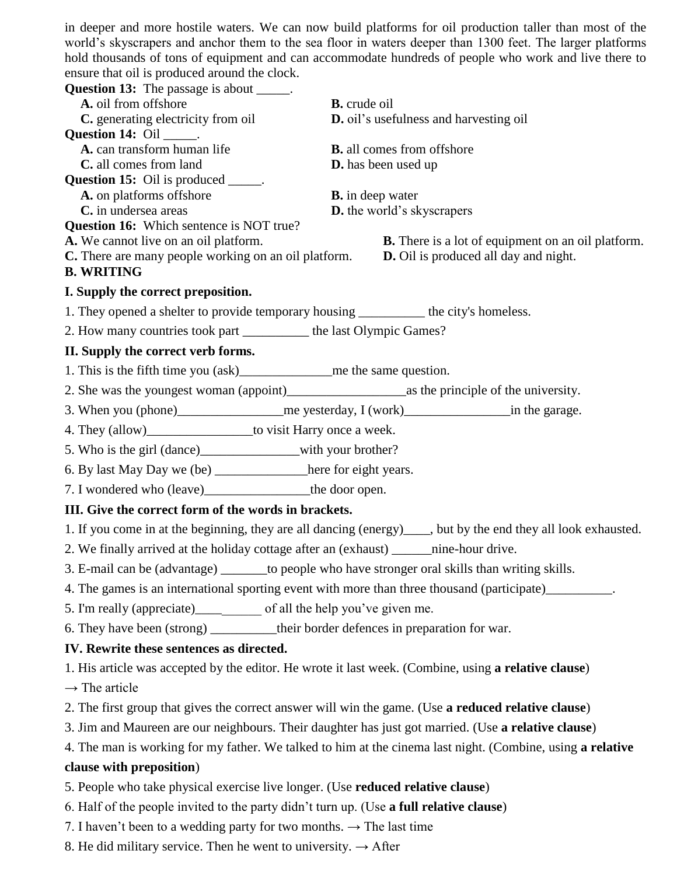in deeper and more hostile waters. We can now build platforms for oil production taller than most of the world's skyscrapers and anchor them to the sea floor in waters deeper than 1300 feet. The larger platforms hold thousands of tons of equipment and can accommodate hundreds of people who work and live there to ensure that oil is produced around the clock.

| ensure that on is produced around the clock.                                                         |                                                                                                                 |  |  |
|------------------------------------------------------------------------------------------------------|-----------------------------------------------------------------------------------------------------------------|--|--|
| <b>Question 13:</b> The passage is about ______.                                                     |                                                                                                                 |  |  |
| A. oil from offshore                                                                                 | <b>B.</b> crude oil                                                                                             |  |  |
| C. generating electricity from oil<br><b>Question 14:</b> Oil ______.                                | D. oil's usefulness and harvesting oil                                                                          |  |  |
| A. can transform human life                                                                          | <b>B.</b> all comes from offshore                                                                               |  |  |
| C. all comes from land                                                                               | <b>D.</b> has been used up                                                                                      |  |  |
| <b>Question 15:</b> Oil is produced ______.                                                          |                                                                                                                 |  |  |
| A. on platforms offshore                                                                             | <b>B.</b> in deep water                                                                                         |  |  |
| C. in undersea areas<br><b>Question 16:</b> Which sentence is NOT true?                              | D. the world's skyscrapers                                                                                      |  |  |
| A. We cannot live on an oil platform.                                                                | <b>B.</b> There is a lot of equipment on an oil platform.                                                       |  |  |
| <b>C.</b> There are many people working on an oil platform.                                          | <b>D.</b> Oil is produced all day and night.                                                                    |  |  |
| <b>B. WRITING</b>                                                                                    |                                                                                                                 |  |  |
| I. Supply the correct preposition.                                                                   |                                                                                                                 |  |  |
| 1. They opened a shelter to provide temporary housing ___________ the city's homeless.               |                                                                                                                 |  |  |
| 2. How many countries took part __________ the last Olympic Games?                                   |                                                                                                                 |  |  |
| II. Supply the correct verb forms.                                                                   |                                                                                                                 |  |  |
|                                                                                                      |                                                                                                                 |  |  |
|                                                                                                      |                                                                                                                 |  |  |
|                                                                                                      |                                                                                                                 |  |  |
| 4. They (allow)_____________________to visit Harry once a week.                                      |                                                                                                                 |  |  |
| 5. Who is the girl (dance)____________________with your brother?                                     |                                                                                                                 |  |  |
| 6. By last May Day we (be) _______________here for eight years.                                      |                                                                                                                 |  |  |
|                                                                                                      |                                                                                                                 |  |  |
| III. Give the correct form of the words in brackets.                                                 |                                                                                                                 |  |  |
|                                                                                                      | 1. If you come in at the beginning, they are all dancing (energy)_____, but by the end they all look exhausted. |  |  |
| 2. We finally arrived at the holiday cottage after an (exhaust) ________ nine-hour drive.            |                                                                                                                 |  |  |
| 3. E-mail can be (advantage) ________ to people who have stronger oral skills than writing skills.   |                                                                                                                 |  |  |
|                                                                                                      | 4. The games is an international sporting event with more than three thousand (participate)__________.          |  |  |
| 5. I'm really (appreciate)_____________ of all the help you've given me.                             |                                                                                                                 |  |  |
| 6. They have been (strong) ___________ their border defences in preparation for war.                 |                                                                                                                 |  |  |
| IV. Rewrite these sentences as directed.                                                             |                                                                                                                 |  |  |
| 1. His article was accepted by the editor. He wrote it last week. (Combine, using a relative clause) |                                                                                                                 |  |  |
| $\rightarrow$ The article                                                                            |                                                                                                                 |  |  |
| 2. The first group that gives the correct answer will win the game. (Use a reduced relative clause)  |                                                                                                                 |  |  |
| 3. Jim and Maureen are our neighbours. Their daughter has just got married. (Use a relative clause)  |                                                                                                                 |  |  |
|                                                                                                      | 4. The man is working for my father. We talked to him at the cinema last night. (Combine, using a relative      |  |  |
| clause with preposition)                                                                             |                                                                                                                 |  |  |

5. People who take physical exercise live longer. (Use **reduced relative clause**)

6. Half of the people invited to the party didn't turn up. (Use **a full relative clause**)

7. I haven't been to a wedding party for two months.  $\rightarrow$  The last time

8. He did military service. Then he went to university.  $\rightarrow$  After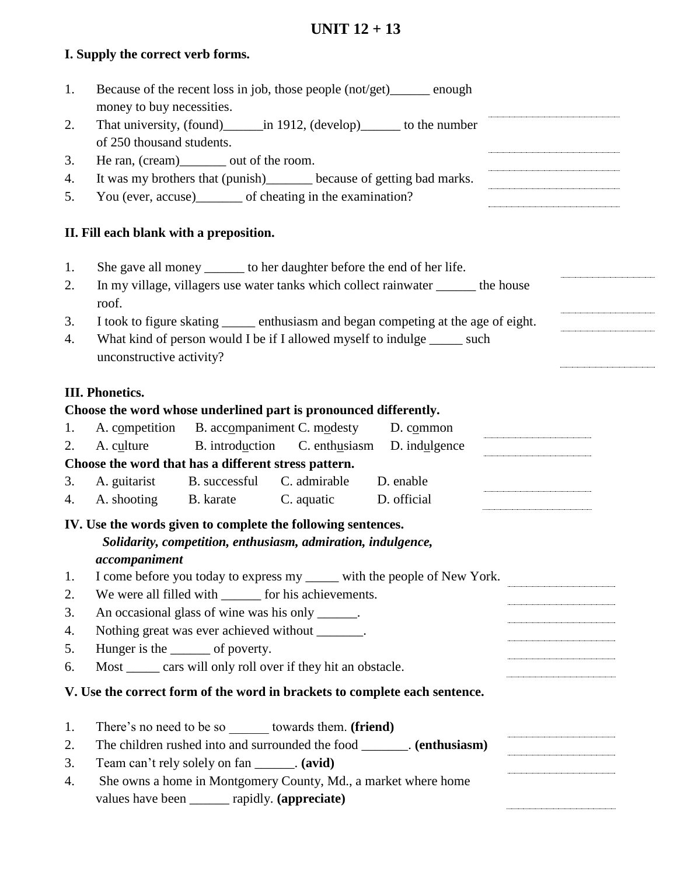# **UNIT 12 + 13**

# **I. Supply the correct verb forms.**

| 1.       | Because of the recent loss in job, those people (not/get)______ enough<br>money to buy necessities.       |  |  |  |  |
|----------|-----------------------------------------------------------------------------------------------------------|--|--|--|--|
| 2.       | That university, (found) _______ in 1912, (develop) _______ to the number                                 |  |  |  |  |
|          | of 250 thousand students.                                                                                 |  |  |  |  |
| 3.       | He ran, (cream)________ out of the room.                                                                  |  |  |  |  |
| 4.       | It was my brothers that (punish)________ because of getting bad marks.                                    |  |  |  |  |
| 5.       | You (ever, accuse)_______ of cheating in the examination?                                                 |  |  |  |  |
|          | II. Fill each blank with a preposition.                                                                   |  |  |  |  |
| 1.       | She gave all money _______ to her daughter before the end of her life.                                    |  |  |  |  |
| 2.       | In my village, villagers use water tanks which collect rainwater ______ the house<br>roof.                |  |  |  |  |
| 3.       | I took to figure skating _______ enthusiasm and began competing at the age of eight.                      |  |  |  |  |
| 4.       | What kind of person would I be if I allowed myself to indulge ______ such<br>unconstructive activity?     |  |  |  |  |
|          | <b>III. Phonetics.</b>                                                                                    |  |  |  |  |
|          | Choose the word whose underlined part is pronounced differently.                                          |  |  |  |  |
| 1.<br>2. | A. competition B. accompaniment C. modesty D. common<br>B. introduction C. enthusiasm D. indulgence       |  |  |  |  |
|          | A. culture                                                                                                |  |  |  |  |
| 3.       | Choose the word that has a different stress pattern.<br>A. guitarist B. successful C. admirable D. enable |  |  |  |  |
| 4.       | A. shooting B. karate C. aquatic D. official                                                              |  |  |  |  |
|          |                                                                                                           |  |  |  |  |
|          | IV. Use the words given to complete the following sentences.                                              |  |  |  |  |
|          | Solidarity, competition, enthusiasm, admiration, indulgence,                                              |  |  |  |  |
|          | accompanion                                                                                               |  |  |  |  |
| 1.       | I come before you today to express my _____ with the people of New York.                                  |  |  |  |  |
| 2.       | We were all filled with _______ for his achievements.                                                     |  |  |  |  |
| 3.       | An occasional glass of wine was his only ______.                                                          |  |  |  |  |
| 4.<br>5. | Nothing great was ever achieved without ________.                                                         |  |  |  |  |
| 6.       | Hunger is the ________ of poverty.<br>Most ______ cars will only roll over if they hit an obstacle.       |  |  |  |  |
|          |                                                                                                           |  |  |  |  |
|          | V. Use the correct form of the word in brackets to complete each sentence.                                |  |  |  |  |
| 1.       | There's no need to be so _______ towards them. (friend)                                                   |  |  |  |  |
| 2.       | The children rushed into and surrounded the food ________. (enthusiasm)                                   |  |  |  |  |
| 3.       | Team can't rely solely on fan _______. (avid)                                                             |  |  |  |  |
| 4.       | She owns a home in Montgomery County, Md., a market where home                                            |  |  |  |  |
|          | values have been ______ rapidly. (appreciate)                                                             |  |  |  |  |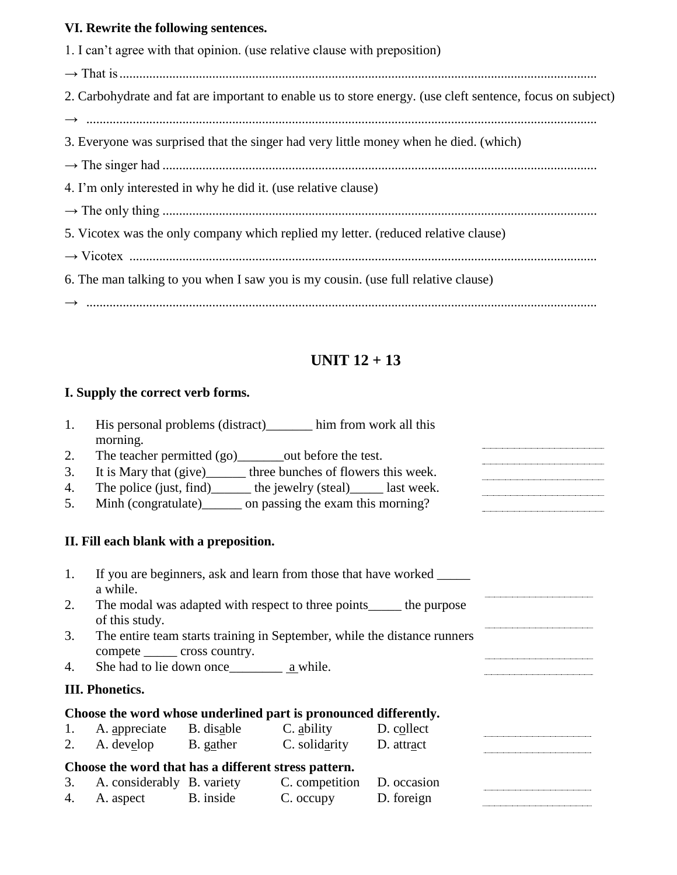# **VI. Rewrite the following sentences.**

| 1. I can't agree with that opinion. (use relative clause with preposition)                                 |
|------------------------------------------------------------------------------------------------------------|
|                                                                                                            |
| 2. Carbohydrate and fat are important to enable us to store energy. (use cleft sentence, focus on subject) |
|                                                                                                            |
| 3. Everyone was surprised that the singer had very little money when he died. (which)                      |
|                                                                                                            |
| 4. I'm only interested in why he did it. (use relative clause)                                             |
|                                                                                                            |
| 5. Vicotex was the only company which replied my letter. (reduced relative clause)                         |
|                                                                                                            |
| 6. The man talking to you when I saw you is my cousin. (use full relative clause)                          |
|                                                                                                            |

# **UNIT 12 + 13**

# **I. Supply the correct verb forms.**

| 1. | morning.                                                                                                   |  | His personal problems (distract) him from work all this                 |                                                                        |  |
|----|------------------------------------------------------------------------------------------------------------|--|-------------------------------------------------------------------------|------------------------------------------------------------------------|--|
| 2. |                                                                                                            |  | The teacher permitted (go)_________out before the test.                 |                                                                        |  |
| 3. |                                                                                                            |  | It is Mary that (give)________ three bunches of flowers this week.      |                                                                        |  |
| 4. |                                                                                                            |  | The police (just, find) ________ the jewelry (steal) _______ last week. |                                                                        |  |
| 5. |                                                                                                            |  | Minh (congratulate) ________ on passing the exam this morning?          |                                                                        |  |
|    | II. Fill each blank with a preposition.                                                                    |  |                                                                         |                                                                        |  |
| 1. | a while.                                                                                                   |  |                                                                         | If you are beginners, ask and learn from those that have worked ______ |  |
| 2. | The modal was adapted with respect to three points______ the purpose<br>of this study.                     |  |                                                                         |                                                                        |  |
| 3. | The entire team starts training in September, while the distance runners<br>compete _______ cross country. |  |                                                                         |                                                                        |  |
| 4. |                                                                                                            |  |                                                                         |                                                                        |  |
|    | <b>III. Phonetics.</b>                                                                                     |  |                                                                         |                                                                        |  |
|    |                                                                                                            |  | Choose the word whose underlined part is pronounced differently.        |                                                                        |  |
|    |                                                                                                            |  | 1. A. appreciate B. disable C. ability D. collect                       |                                                                        |  |
|    |                                                                                                            |  | 2. A. develop B. gather C. solidarity D. attract                        |                                                                        |  |
|    | Choose the word that has a different stress pattern.                                                       |  |                                                                         |                                                                        |  |
|    |                                                                                                            |  | 3. A. considerably B. variety C. competition D. occasion                |                                                                        |  |
|    |                                                                                                            |  | 4. A. aspect B. inside C. occupy D. foreign                             |                                                                        |  |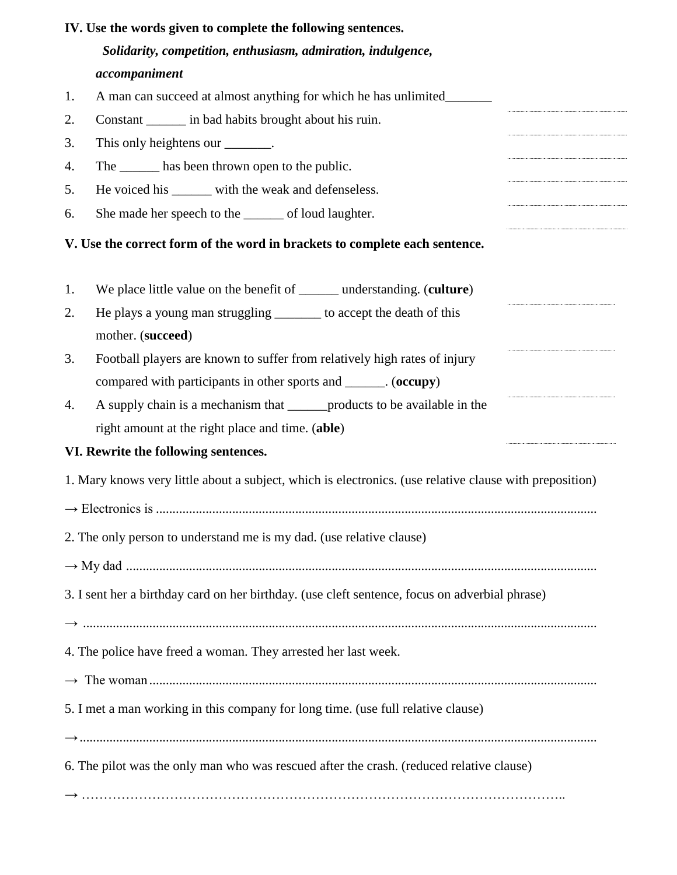|    | IV. Use the words given to complete the following sentences.                                            |
|----|---------------------------------------------------------------------------------------------------------|
|    | Solidarity, competition, enthusiasm, admiration, indulgence,                                            |
|    | accompaniment                                                                                           |
| 1. | A man can succeed at almost anything for which he has unlimited_                                        |
| 2. | Constant ________ in bad habits brought about his ruin.                                                 |
| 3. | This only heightens our ________.                                                                       |
| 4. | The _______ has been thrown open to the public.                                                         |
| 5. | He voiced his ______ with the weak and defenseless.                                                     |
| 6. | She made her speech to the ______ of loud laughter.                                                     |
|    | V. Use the correct form of the word in brackets to complete each sentence.                              |
| 1. | We place little value on the benefit of _______ understanding. (culture)                                |
| 2. | He plays a young man struggling _______ to accept the death of this<br>mother. (succeed)                |
| 3. | Football players are known to suffer from relatively high rates of injury                               |
|    | compared with participants in other sports and ______. (occupy)                                         |
| 4. | A supply chain is a mechanism that ________ products to be available in the                             |
|    | right amount at the right place and time. (able)                                                        |
|    | VI. Rewrite the following sentences.                                                                    |
|    | 1. Mary knows very little about a subject, which is electronics. (use relative clause with preposition) |
|    |                                                                                                         |
|    | 2. The only person to understand me is my dad. (use relative clause)                                    |
|    |                                                                                                         |
|    | 3. I sent her a birthday card on her birthday. (use cleft sentence, focus on adverbial phrase)          |
|    | 4. The police have freed a woman. They arrested her last week.                                          |
|    | 5. I met a man working in this company for long time. (use full relative clause)                        |
|    | 6. The pilot was the only man who was rescued after the crash. (reduced relative clause)                |
|    |                                                                                                         |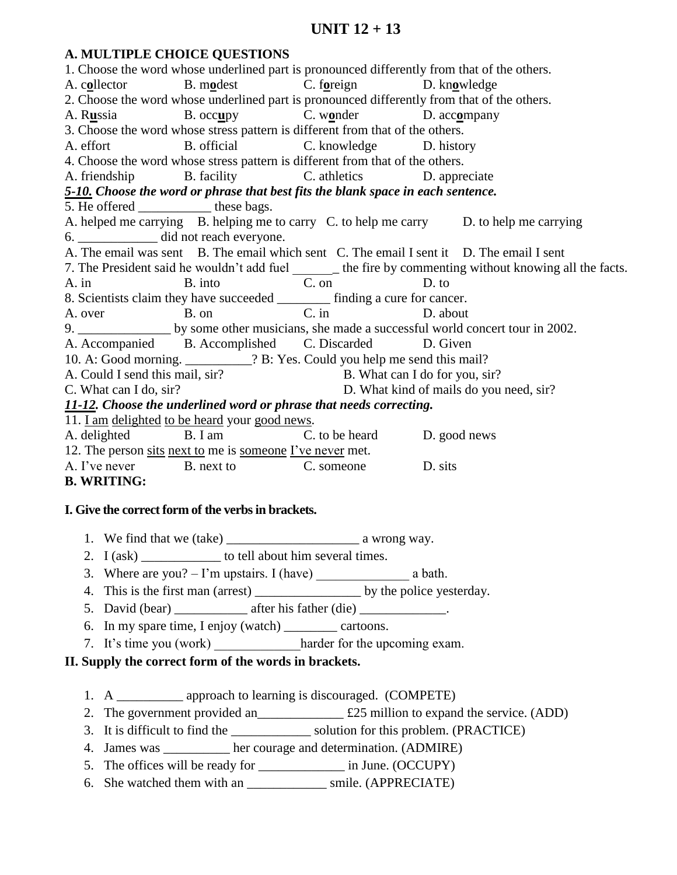# **UNIT 12 + 13**

### **A. MULTIPLE CHOICE QUESTIONS**  1. Choose the word whose underlined part is pronounced differently from that of the others. A. c**o**llector B. m**o**dest C. f**o**reign D. kn**o**wledge 2. Choose the word whose underlined part is pronounced differently from that of the others. A. R**u**ssia B. occ**u**py C. w**o**nder D. acc**o**mpany 3. Choose the word whose stress pattern is different from that of the others. A. effort B. official C. knowledge D. history 4. Choose the word whose stress pattern is different from that of the others. A. friendship B. facility C. athletics D. appreciate *5-10. Choose the word or phrase that best fits the blank space in each sentence.* 5. He offered \_\_\_\_\_\_\_\_\_\_\_\_\_ these bags. A. helped me carrying B. helping me to carry C. to help me carry D. to help me carrying 6. \_\_\_\_\_\_\_\_\_\_\_\_ did not reach everyone. A. The email was sent B. The email which sent C. The email I sent it D. The email I sent 7. The President said he wouldn't add fuel \_\_\_\_\_\_\_\_\_\_ the fire by commenting without knowing all the facts. A. in B. into C. on D. to 8. Scientists claim they have succeeded  $\frac{1}{C \text{ in}}$  finding a cure for cancer.<br>A over B on A. over B. on C. in D. about 9. \_\_\_\_\_\_\_\_\_\_\_\_\_\_\_\_\_\_\_\_ by some other musicians, she made a successful world concert tour in 2002. A. Accompanied B. Accomplished C. Discarded D. Given 10. A: Good morning. \_\_\_\_\_\_\_\_\_\_? B: Yes. Could you help me send this mail? A. Could I send this mail, sir? B. What can I do for you, sir? C. What can I do, sir? D. What kind of mails do you need, sir? *11-12. Choose the underlined word or phrase that needs correcting.* 11. I am delighted to be heard your good news. A. delighted B. I am C. to be heard D. good news 12. The person sits next to me is someone I've never met. A. I've never B. next to C. someone D. sits **B. WRITING:**

## **I. Give the correct form of the verbs in brackets.**

- 1. We find that we (take) \_\_\_\_\_\_\_\_\_\_\_\_\_\_\_\_\_\_\_\_ a wrong way.
- 2. I (ask) to tell about him several times.
- 3. Where are you?  $-$  I'm upstairs. I (have) a bath.
- 4. This is the first man (arrest) by the police yesterday.
- 5. David (bear) \_\_\_\_\_\_\_\_\_\_\_\_\_ after his father (die) \_\_\_\_\_\_\_\_\_\_\_\_\_.
- 6. In my spare time, I enjoy (watch) \_\_\_\_\_\_\_\_ cartoons.
- 7. It's time you (work) harder for the upcoming exam.
- **II. Supply the correct form of the words in brackets.** 
	- 1. A approach to learning is discouraged. (COMPETE)
	- 2. The government provided an  $\text{\pounds}25$  million to expand the service. (ADD)
	- 3. It is difficult to find the solution for this problem. (PRACTICE)
	- 4. James was \_\_\_\_\_\_\_\_\_\_ her courage and determination. (ADMIRE)
	- 5. The offices will be ready for \_\_\_\_\_\_\_\_\_\_\_\_\_\_\_\_\_\_\_\_ in June. (OCCUPY)
	- 6. She watched them with an \_\_\_\_\_\_\_\_\_\_\_\_ smile. (APPRECIATE)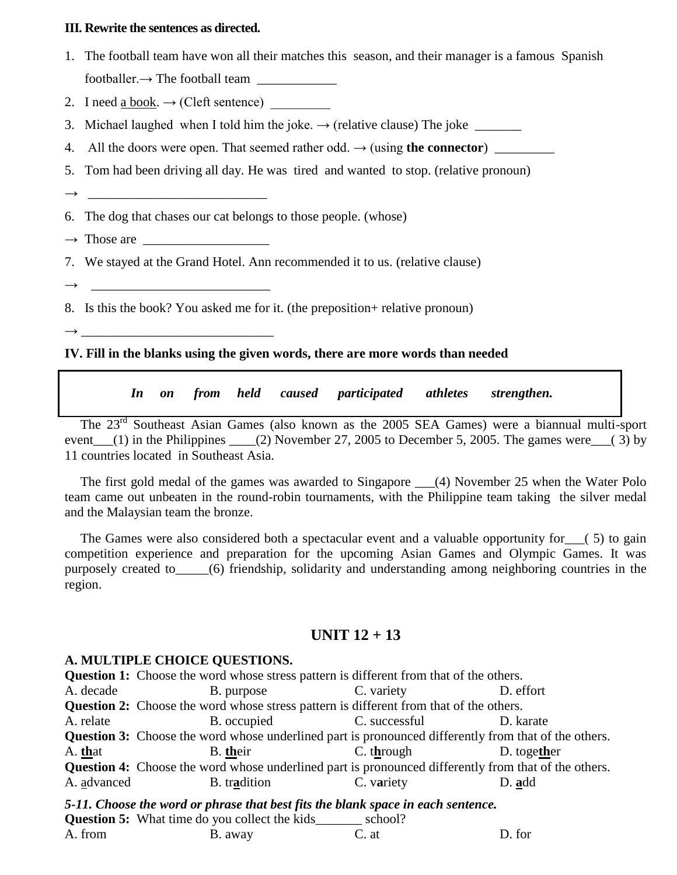#### **III. Rewrite the sentences as directed.**

- 1. The football team have won all their matches this season, and their manager is a famous Spanish footballer. $\rightarrow$  The football team
- 2. I need a book.  $\rightarrow$  (Cleft sentence)
- 3. Michael laughed when I told him the joke.  $\rightarrow$  (relative clause) The joke
- 4. All the doors were open. That seemed rather odd. → (using **the connector**) \_\_\_\_\_\_\_\_\_
- 5. Tom had been driving all day. He was tired and wanted to stop. (relative pronoun)
- → \_\_\_\_\_\_\_\_\_\_\_\_\_\_\_\_\_\_\_\_\_\_\_\_\_\_\_
- 6. The dog that chases our cat belongs to those people. (whose)
- $\rightarrow$  Those are
- 7. We stayed at the Grand Hotel. Ann recommended it to us. (relative clause)
- → \_\_\_\_\_\_\_\_\_\_\_\_\_\_\_\_\_\_\_\_\_\_\_\_\_\_\_
- 8. Is this the book? You asked me for it. (the preposition+ relative pronoun)
- → \_\_\_\_\_\_\_\_\_\_\_\_\_\_\_\_\_\_\_\_\_\_\_\_\_\_\_\_\_

#### **IV. Fill in the blanks using the given words, there are more words than needed**

*In on from held caused participated athletes strengthen.*

The 23rd Southeast Asian Games (also known as the 2005 SEA Games) were a biannual multi-sport event  $(1)$  in the Philippines  $(2)$  November 27, 2005 to December 5, 2005. The games were  $(3)$  by 11 countries located in Southeast Asia.

The first gold medal of the games was awarded to Singapore \_\_\_(4) November 25 when the Water Polo team came out unbeaten in the round-robin tournaments, with the Philippine team taking the silver medal and the Malaysian team the bronze.

The Games were also considered both a spectacular event and a valuable opportunity for (5) to gain competition experience and preparation for the upcoming Asian Games and Olympic Games. It was purposely created to\_\_\_\_\_(6) friendship, solidarity and understanding among neighboring countries in the region.

# **UNIT 12 + 13**

#### **A. MULTIPLE CHOICE QUESTIONS.**

**Question 1:** Choose the word whose stress pattern is different from that of the others. A. decade B. purpose C. variety D. effort **Question 2:** Choose the word whose stress pattern is different from that of the others. A. relate B. occupied C. successful D. karate **Question 3:** Choose the word whose underlined part is pronounced differently from that of the others. A. **th**at B. **th**eir C. t**h**rough D. toge**th**er **Question 4:** Choose the word whose underlined part is pronounced differently from that of the others. A. advanced B. tr**a**dition C. v**a**riety D. **a**dd *5-11. Choose the word or phrase that best fits the blank space in each sentence.* **Question 5:** What time do you collect the kids school?

| A. from | B. away | C. at | D. for |
|---------|---------|-------|--------|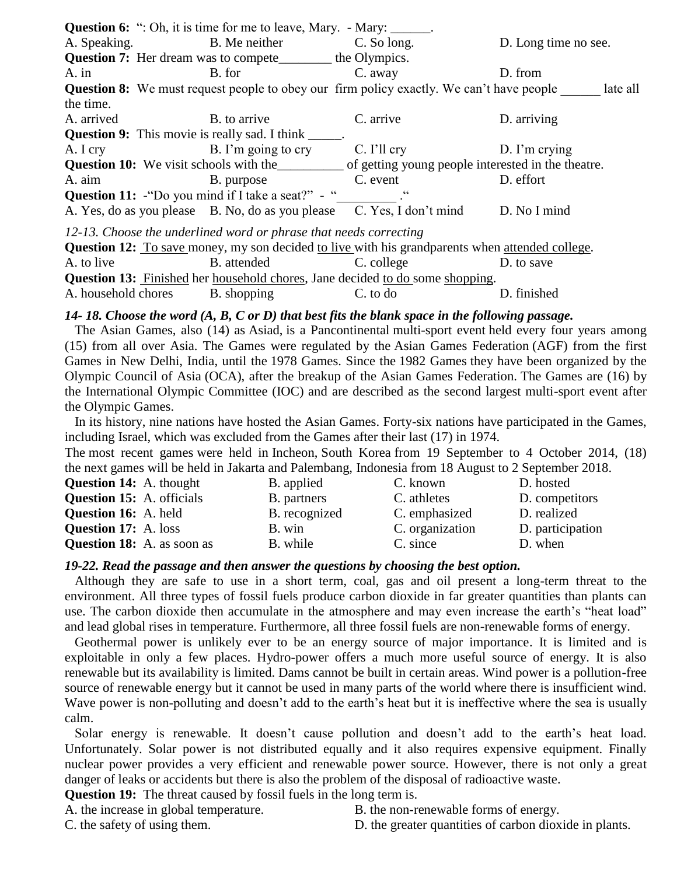|                                                                                                              | <b>Question 6:</b> ": Oh, it is time for me to leave, Mary. - Mary: ______.                     |             |                      |  |  |  |  |
|--------------------------------------------------------------------------------------------------------------|-------------------------------------------------------------------------------------------------|-------------|----------------------|--|--|--|--|
| A. Speaking.                                                                                                 | B. Me neither                                                                                   | C. So long. | D. Long time no see. |  |  |  |  |
|                                                                                                              | <b>Question 7:</b> Her dream was to compete_________ the Olympics.                              |             |                      |  |  |  |  |
| $A$ . in                                                                                                     | B. for                                                                                          | C. away     | D. from              |  |  |  |  |
|                                                                                                              | <b>Question 8:</b> We must request people to obey our firm policy exactly. We can't have people |             | late all             |  |  |  |  |
| the time.                                                                                                    |                                                                                                 |             |                      |  |  |  |  |
| A. arrived                                                                                                   | B. to arrive                                                                                    | C. arrive   | D. arriving          |  |  |  |  |
| <b>Question 9:</b> This movie is really sad. I think ______.                                                 |                                                                                                 |             |                      |  |  |  |  |
| A. I cry                                                                                                     | B. I'm going to cry C. I'll cry                                                                 |             | $D.$ I'm crying      |  |  |  |  |
| <b>Question 10:</b> We visit schools with the ___________ of getting young people interested in the theatre. |                                                                                                 |             |                      |  |  |  |  |
| A. aim                                                                                                       | B. purpose                                                                                      | C. event    | D. effort            |  |  |  |  |
| <b>Question 11:</b> "Do you mind if I take a seat?" - "                                                      |                                                                                                 |             |                      |  |  |  |  |
|                                                                                                              | A. Yes, do as you please B. No, do as you please C. Yes, I don't mind                           |             | D. No I mind         |  |  |  |  |
| 12-13. Choose the underlined word or phrase that needs correcting                                            |                                                                                                 |             |                      |  |  |  |  |
| Question 12: To save money, my son decided to live with his grandparents when attended college.              |                                                                                                 |             |                      |  |  |  |  |
| A. to live                                                                                                   | B. attended                                                                                     | C. college  | D. to save           |  |  |  |  |
| <b>Question 13:</b> Finished her household chores, Jane decided to do some shopping.                         |                                                                                                 |             |                      |  |  |  |  |

# *14- 18. Choose the word (A, B, C or D) that best fits the blank space in the following passage.*

A. household chores B. shopping C. to do D. finished

 The Asian Games, also (14) as Asiad, is a Pancontinental multi-sport event held every four years among (15) from all over Asia. The Games were regulated by the Asian Games Federation (AGF) from the first Games in New Delhi, India, until the 1978 Games. Since the 1982 Games they have been organized by the Olympic Council of Asia (OCA), after the breakup of the Asian Games Federation. The Games are (16) by the International Olympic Committee (IOC) and are described as the second largest multi-sport event after the Olympic Games.

 In its history, nine nations have hosted the Asian Games. Forty-six nations have participated in the Games, including Israel, which was excluded from the Games after their last (17) in 1974.

The most recent games were held in Incheon, South Korea from 19 September to 4 October 2014, (18) the next games will be held in Jakarta and Palembang, Indonesia from 18 August to 2 September 2018.

| D. hosted        |
|------------------|
| D. competitors   |
| D. realized      |
| D. participation |
| D. when          |
|                  |

#### *19-22. Read the passage and then answer the questions by choosing the best option.*

 Although they are safe to use in a short term, coal, gas and oil present a long-term threat to the environment. All three types of fossil fuels produce carbon dioxide in far greater quantities than plants can use. The carbon dioxide then accumulate in the atmosphere and may even increase the earth's "heat load" and lead global rises in temperature. Furthermore, all three fossil fuels are non-renewable forms of energy.

 Geothermal power is unlikely ever to be an energy source of major importance. It is limited and is exploitable in only a few places. Hydro-power offers a much more useful source of energy. It is also renewable but its availability is limited. Dams cannot be built in certain areas. Wind power is a pollution-free source of renewable energy but it cannot be used in many parts of the world where there is insufficient wind. Wave power is non-polluting and doesn't add to the earth's heat but it is ineffective where the sea is usually calm.

 Solar energy is renewable. It doesn't cause pollution and doesn't add to the earth's heat load. Unfortunately. Solar power is not distributed equally and it also requires expensive equipment. Finally nuclear power provides a very efficient and renewable power source. However, there is not only a great danger of leaks or accidents but there is also the problem of the disposal of radioactive waste.

**Question 19:** The threat caused by fossil fuels in the long term is.

- A. the increase in global temperature. B. the non-renewable forms of energy.
- 
- C. the safety of using them. D. the greater quantities of carbon dioxide in plants.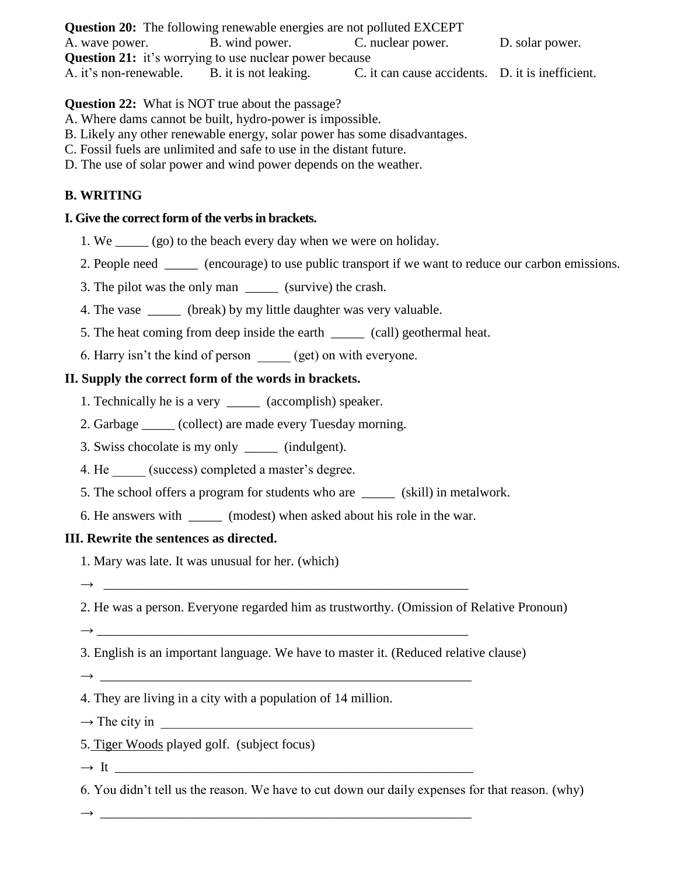**Question 20:** The following renewable energies are not polluted EXCEPT A. wave power. B. wind power. C. nuclear power. D. solar power. **Question 21:** it's worrying to use nuclear power because A. it's non-renewable. B. it is not leaking. C. it can cause accidents. D. it is inefficient.

**Question 22:** What is NOT true about the passage?

- A. Where dams cannot be built, hydro-power is impossible.
- B. Likely any other renewable energy, solar power has some disadvantages.
- C. Fossil fuels are unlimited and safe to use in the distant future.
- D. The use of solar power and wind power depends on the weather.

# **B. WRITING**

# **I. Give the correct form of the verbs in brackets.**

- 1. We \_\_\_\_\_ (go) to the beach every day when we were on holiday.
- 2. People need \_\_\_\_\_ (encourage) to use public transport if we want to reduce our carbon emissions.
- 3. The pilot was the only man (survive) the crash.
- 4. The vase \_\_\_\_\_ (break) by my little daughter was very valuable.
- 5. The heat coming from deep inside the earth \_\_\_\_\_ (call) geothermal heat.
- 6. Harry isn't the kind of person (get) on with everyone.

# **II. Supply the correct form of the words in brackets.**

- 1. Technically he is a very \_\_\_\_\_ (accomplish) speaker.
- 2. Garbage \_\_\_\_\_ (collect) are made every Tuesday morning.
- 3. Swiss chocolate is my only \_\_\_\_\_ (indulgent).
- 4. He (success) completed a master's degree.
- 5. The school offers a program for students who are \_\_\_\_\_ (skill) in metalwork.
- 6. He answers with \_\_\_\_\_ (modest) when asked about his role in the war.

## **III. Rewrite the sentences as directed.**

1. Mary was late. It was unusual for her. (which)

 $\rightarrow$ 

- 2. He was a person. Everyone regarded him as trustworthy. (Omission of Relative Pronoun)
- → \_\_\_\_\_\_\_\_\_\_\_\_\_\_\_\_\_\_\_\_\_\_\_\_\_\_\_\_\_\_\_\_\_\_\_\_\_\_\_\_\_\_\_\_\_\_\_\_\_\_\_\_\_\_\_\_
- 3. English is an important language. We have to master it. (Reduced relative clause)

 $\rightarrow$ 

- 4. They are living in a city with a population of 14 million.
- $\rightarrow$  The city in
- 5. Tiger Woods played golf. (subject focus)

 $\rightarrow$  It

6. You didn't tell us the reason. We have to cut down our daily expenses for that reason. (why)

→ \_\_\_\_\_\_\_\_\_\_\_\_\_\_\_\_\_\_\_\_\_\_\_\_\_\_\_\_\_\_\_\_\_\_\_\_\_\_\_\_\_\_\_\_\_\_\_\_\_\_\_\_\_\_\_\_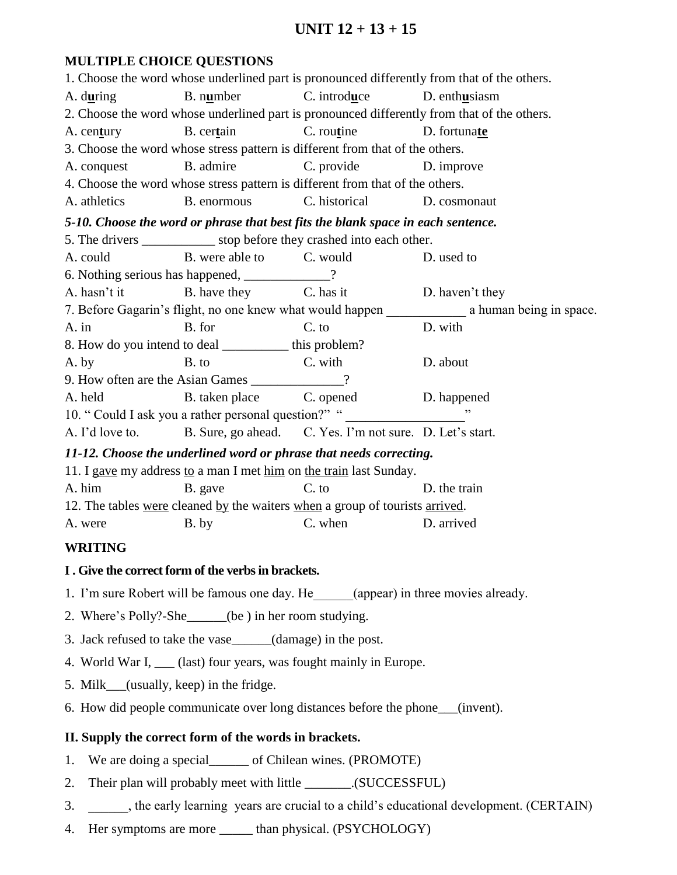# **UNIT 12 + 13 + 15**

## **MULTIPLE CHOICE QUESTIONS**

1. Choose the word whose underlined part is pronounced differently from that of the others. A. d**u**ring B. n**u**mber C. introd**u**ce D. enth**u**siasm 2. Choose the word whose underlined part is pronounced differently from that of the others. A. cen**t**ury B. cer**t**ain C. rou**t**ine D. fortuna**te** 3. Choose the word whose stress pattern is different from that of the others. A. conquest B. admire C. provide D. improve 4. Choose the word whose stress pattern is different from that of the others. A. athletics B. enormous C. historical D. cosmonaut *5-10. Choose the word or phrase that best fits the blank space in each sentence.* 5. The drivers subset of the stop before they crashed into each other. A. could B. were able to C. would D. used to 6. Nothing serious has happened, \_\_\_\_\_\_\_\_\_\_\_\_\_? A. hasn't it B. have they C. has it D. haven't they 7. Before Gagarin's flight, no one knew what would happen a human being in space. A. in B. for C. to D. with 8. How do you intend to deal \_\_\_\_\_\_\_\_\_\_ this problem? A. by B. to C. with D. about 9. How often are the Asian Games \_\_\_\_\_\_\_\_\_\_\_? A. held B. taken place C. opened D. happened 10. " Could I ask you a rather personal question?" " A. I'd love to. B. Sure, go ahead. C. Yes. I'm not sure. D. Let's start. *11-12. Choose the underlined word or phrase that needs correcting.* 11. I gave my address to a man I met him on the train last Sunday. A. him B. gave C. to D. the train 12. The tables were cleaned by the waiters when a group of tourists arrived. A. were B. by C. when D. arrived

## **WRITING**

#### **I . Give the correct form of the verbs in brackets.**

- 1. I'm sure Robert will be famous one day. He (appear) in three movies already.
- 2. Where's Polly?-She\_\_\_\_\_\_(be ) in her room studying.
- 3. Jack refused to take the vase\_\_\_\_\_\_(damage) in the post.
- 4. World War I, \_\_\_ (last) four years, was fought mainly in Europe.
- 5. Milk (usually, keep) in the fridge.
- 6. How did people communicate over long distances before the phone\_\_\_(invent).

#### **II. Supply the correct form of the words in brackets.**

- 1. We are doing a special of Chilean wines. (PROMOTE)
- 2. Their plan will probably meet with little \_\_\_\_\_\_\_.(SUCCESSFUL)
- 3. \_\_\_\_\_\_, the early learning years are crucial to a child's educational development. (CERTAIN)
- 4. Her symptoms are more \_\_\_\_\_\_ than physical. (PSYCHOLOGY)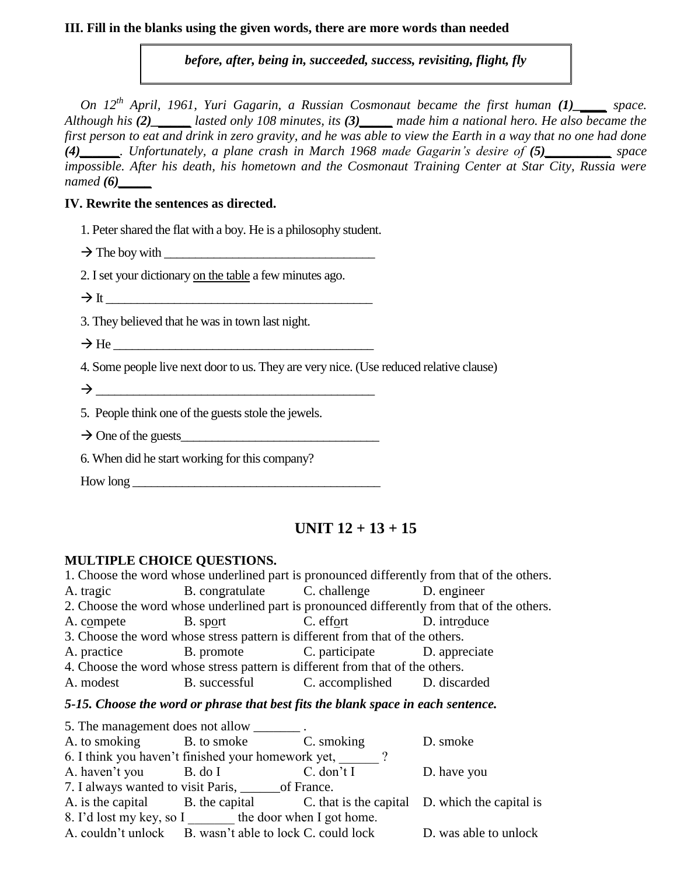#### **III. Fill in the blanks using the given words, there are more words than needed**

*before, after, being in, succeeded, success, revisiting, flight, fly*

*On 12<sup>th</sup> April, 1961, Yuri Gagarin, a Russian Cosmonaut became the first human (1)\_\_\_\_\_ space. Although his (2)\_\_\_\_\_\_ lasted only 108 minutes, its (3)\_\_\_\_\_ made him a national hero. He also became the first person to eat and drink in zero gravity, and he was able to view the Earth in a way that no one had done (4)\_\_\_\_\_\_. Unfortunately, a plane crash in March 1968 made Gagarin's desire of (5)\_\_\_\_\_\_\_\_\_\_ space impossible. After his death, his hometown and the Cosmonaut Training Center at Star City, Russia were named (6)\_\_\_\_\_*

### **IV. Rewrite the sentences as directed.**

- 1. Peter shared the flat with a boy. He is a philosophy student.
- $\rightarrow$  The boy with
- 2. I set your dictionary on the table a few minutes ago.
- $\rightarrow$  It
- 3. They believed that he was in town last night.
- $\rightarrow$  He

4. Some people live next door to us. They are very nice. (Use reduced relative clause)

 $\rightarrow$ 

5. People think one of the guests stole the jewels.

- $\rightarrow$  One of the guests
- 6. When did he start working for this company?
- $How long$

# **UNIT 12 + 13 + 15**

## **MULTIPLE CHOICE QUESTIONS.**

1. Choose the word whose underlined part is pronounced differently from that of the others. A. tragic B. congratulate C. challenge D. engineer 2. Choose the word whose underlined part is pronounced differently from that of the others. A. compete B. sport C. effort D. introduce 3. Choose the word whose stress pattern is different from that of the others. A. practice B. promote C. participate D. appreciate 4. Choose the word whose stress pattern is different from that of the others. A. modest B. successful C. accomplished D. discarded *5-15. Choose the word or phrase that best fits the blank space in each sentence.* 5. The management does not allow A. to smoking B. to smoke C. smoking D. smoke 6. I think you haven't finished your homework yet,  $\qquad$  ? A. haven't you B. do I C. don't I D. have you 7. I always wanted to visit Paris, \_\_\_\_\_\_of France. A. is the capital B. the capital C. that is the capital D. which the capital is 8. I'd lost my key, so I the door when I got home. A. couldn't unlock B. wasn't able to lock C. could lock D. was able to unlock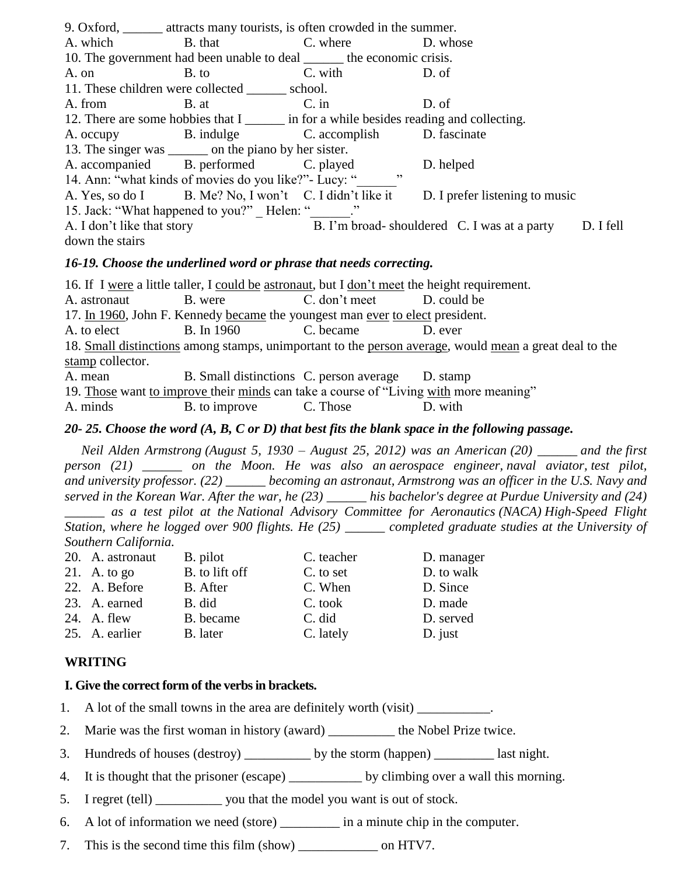| 9. Oxford, _______ attracts many tourists, is often crowded in the summer. |                                                                                          |         |                                                                                       |           |  |  |
|----------------------------------------------------------------------------|------------------------------------------------------------------------------------------|---------|---------------------------------------------------------------------------------------|-----------|--|--|
|                                                                            | A. which B. that C. where D. whose                                                       |         |                                                                                       |           |  |  |
| 10. The government had been unable to deal _______ the economic crisis.    |                                                                                          |         |                                                                                       |           |  |  |
| A. on B. to                                                                |                                                                                          | C. with | D. of                                                                                 |           |  |  |
| 11. These children were collected ________ school.                         |                                                                                          |         |                                                                                       |           |  |  |
|                                                                            | A. from B. at C. in                                                                      |         | D. of                                                                                 |           |  |  |
|                                                                            | 12. There are some hobbies that I _______ in for a while besides reading and collecting. |         |                                                                                       |           |  |  |
|                                                                            | A. occupy B. indulge C. accomplish D. fascinate                                          |         |                                                                                       |           |  |  |
| 13. The singer was ________ on the piano by her sister.                    |                                                                                          |         |                                                                                       |           |  |  |
|                                                                            | A. accompanied B. performed C. played                                                    |         | D. helped                                                                             |           |  |  |
| , ,<br>14. Ann: "what kinds of movies do you like?" - Lucy: "              |                                                                                          |         |                                                                                       |           |  |  |
|                                                                            |                                                                                          |         | A. Yes, so do I B. Me? No, I won't C. I didn't like it D. I prefer listening to music |           |  |  |
| 15. Jack: "What happened to you?" Helen: "                                 |                                                                                          |         |                                                                                       |           |  |  |
| A. I don't like that story                                                 |                                                                                          |         | B. I'm broad-shouldered C. I was at a party                                           | D. I fell |  |  |
| down the stairs                                                            |                                                                                          |         |                                                                                       |           |  |  |

#### *16-19. Choose the underlined word or phrase that needs correcting.*

16. If I were a little taller, I could be astronaut, but I don't meet the height requirement. A. astronaut B. were C. don't meet D. could be 17. In 1960, John F. Kennedy became the youngest man ever to elect president. A. to elect B. In 1960 C. became D. ever 18. Small distinctions among stamps, unimportant to the person average, would mean a great deal to the stamp collector. A. mean B. Small distinctions C. person average D. stamp 19. Those want to improve their minds can take a course of "Living with more meaning" A. minds B. to improve C. Those D. with

#### *20- 25. Choose the word (A, B, C or D) that best fits the blank space in the following passage.*

 *Neil Alden Armstrong (August 5, 1930 – August 25, 2012) was an American (20) \_\_\_\_\_\_ and the first person (21) \_\_\_\_\_\_ on the Moon. He was also an aerospace engineer, naval aviator, test pilot, and university professor. (22) \_\_\_\_\_\_ becoming an astronaut, Armstrong was an officer in the U.S. Navy and served in the Korean War. After the war, he (23) \_\_\_\_\_\_ his bachelor's degree at Purdue University and (24)*

*\_\_\_\_\_\_ as a test pilot at the National Advisory Committee for Aeronautics (NACA) High-Speed Flight Station, where he logged over 900 flights. He (25) \_\_\_\_\_\_ completed graduate studies at the University of Southern California.*

| 20. A. astronaut | B. pilot       | C. teacher | D. manager |
|------------------|----------------|------------|------------|
| 21. A. to go     | B. to lift off | C. to set  | D. to walk |
| 22. A. Before    | B. After       | C. When    | D. Since   |
| 23. A. earned    | B. did         | C. took    | D. made    |
| 24. A. flew      | B. became      | C. did     | D. served  |
| 25. A. earlier   | B. later       | C. lately  | $D.$ just  |
|                  |                |            |            |

#### **WRITING**

#### **I. Give the correct form of the verbs in brackets.**

- 1. A lot of the small towns in the area are definitely worth (visit)
- 2. Marie was the first woman in history (award) the Nobel Prize twice.
- 3. Hundreds of houses (destroy) by the storm (happen) last night.
- 4. It is thought that the prisoner (escape) by climbing over a wall this morning.
- 5. I regret (tell) \_\_\_\_\_\_\_\_\_\_ you that the model you want is out of stock.
- 6. A lot of information we need (store) \_\_\_\_\_\_\_\_\_ in a minute chip in the computer.
- 7. This is the second time this film (show) \_\_\_\_\_\_\_\_\_\_\_\_ on HTV7.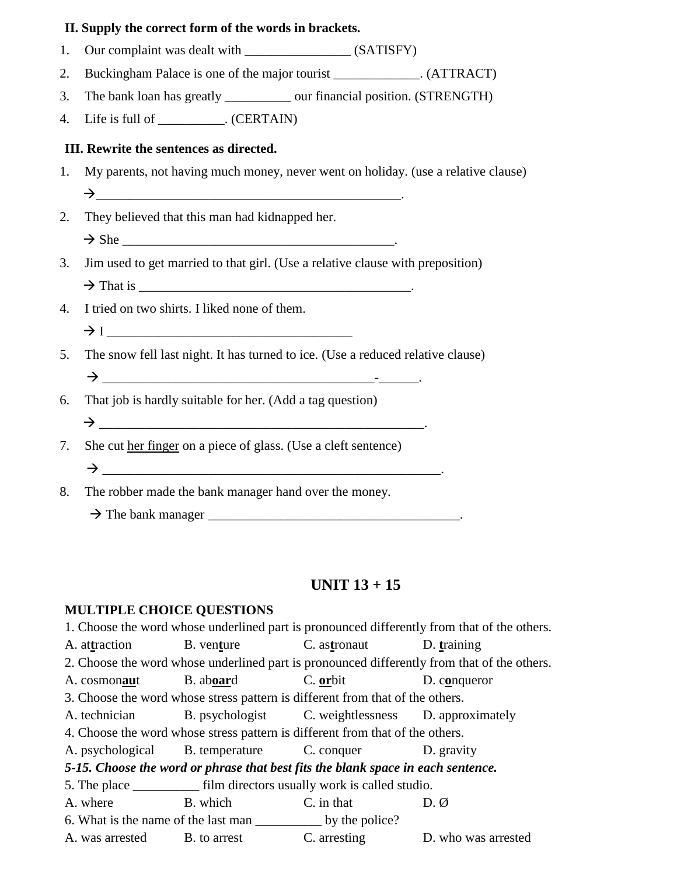#### **II. Supply the correct form of the words in brackets.**

- 1. Our complaint was dealt with \_\_\_\_\_\_\_\_\_\_\_\_\_\_\_\_ (SATISFY)
- 2. Buckingham Palace is one of the major tourist (ATTRACT)
- 3. The bank loan has greatly \_\_\_\_\_\_\_\_\_\_ our financial position. (STRENGTH)
- 4. Life is full of \_\_\_\_\_\_\_\_\_\_. (CERTAIN)

### **III. Rewrite the sentences as directed.**

- 1. My parents, not having much money, never went on holiday. (use a relative clause)  $\rightarrow$
- 2. They believed that this man had kidnapped her.
	- $\rightarrow$  She
- 3. Jim used to get married to that girl. (Use a relative clause with preposition)  $\rightarrow$  That is
- 4. I tried on two shirts. I liked none of them.  $\rightarrow$  I
- 5. The snow fell last night. It has turned to ice. (Use a reduced relative clause)

\_\_\_\_\_\_\_\_\_\_\_\_\_\_\_\_\_\_\_\_\_\_\_\_\_\_\_\_\_\_\_\_\_\_\_\_\_\_\_\_\_-\_\_\_\_\_\_.

- 6. That job is hardly suitable for her. (Add a tag question) \_\_\_\_\_\_\_\_\_\_\_\_\_\_\_\_\_\_\_\_\_\_\_\_\_\_\_\_\_\_\_\_\_\_\_\_\_\_\_\_\_\_\_\_\_\_\_\_\_.
- 7. She cut her finger on a piece of glass. (Use a cleft sentence) \_\_\_\_\_\_\_\_\_\_\_\_\_\_\_\_\_\_\_\_\_\_\_\_\_\_\_\_\_\_\_\_\_\_\_\_\_\_\_\_\_\_\_\_\_\_\_\_\_\_\_.
- 8. The robber made the bank manager hand over the money.
	- The bank manager \_\_\_\_\_\_\_\_\_\_\_\_\_\_\_\_\_\_\_\_\_\_\_\_\_\_\_\_\_\_\_\_\_\_\_\_\_\_.

# **UNIT 13 + 15**

#### **MULTIPLE CHOICE QUESTIONS**

1. Choose the word whose underlined part is pronounced differently from that of the others. A. at**t**raction B. ven**t**ure C. as**t**ronaut D. **t**raining 2. Choose the word whose underlined part is pronounced differently from that of the others. A. cosmon**au**t B. ab**oar**d C. **or**bit D. c**o**nqueror 3. Choose the word whose stress pattern is different from that of the others. A. technician B. psychologist C. weightlessness D. approximately 4. Choose the word whose stress pattern is different from that of the others. A. psychological B. temperature C. conquer D. gravity *5-15. Choose the word or phrase that best fits the blank space in each sentence.* 5. The place film directors usually work is called studio. A. where B. which C. in that D.  $\emptyset$ 6. What is the name of the last man \_\_\_\_\_\_\_\_\_\_ by the police? A. was arrested B. to arrest C. arresting D. who was arrested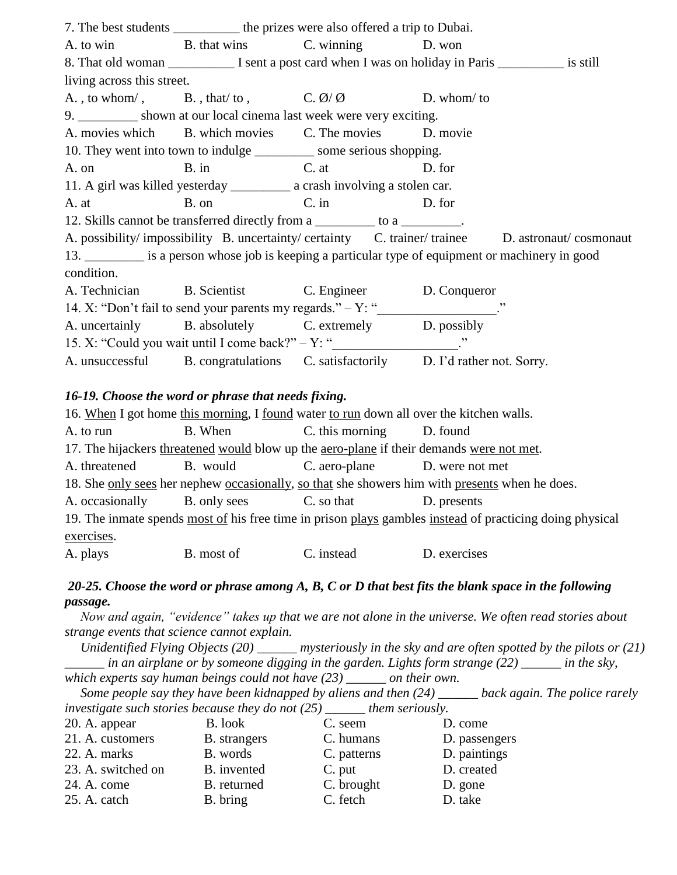|                            | 7. The best students ____________ the prizes were also offered a trip to Dubai.          |        |                                                                                                 |
|----------------------------|------------------------------------------------------------------------------------------|--------|-------------------------------------------------------------------------------------------------|
|                            | A. to win B. that wins C. winning D. won                                                 |        |                                                                                                 |
|                            |                                                                                          |        |                                                                                                 |
| living across this street. |                                                                                          |        |                                                                                                 |
|                            | A., to whom/, B., that/to, C. $\emptyset$ / $\emptyset$ D. whom/to                       |        |                                                                                                 |
|                            | 9. __________ shown at our local cinema last week were very exciting.                    |        |                                                                                                 |
|                            | A. movies which B. which movies C. The movies D. movie                                   |        |                                                                                                 |
|                            | 10. They went into town to indulge ____________ some serious shopping.                   |        |                                                                                                 |
|                            | A. on B. in C. at D. for                                                                 |        |                                                                                                 |
|                            | 11. A girl was killed yesterday _____________ a crash involving a stolen car.            |        |                                                                                                 |
|                            | A. at B. on C. in                                                                        | D. for |                                                                                                 |
|                            | 12. Skills cannot be transferred directly from a _________ to a ________.                |        |                                                                                                 |
|                            |                                                                                          |        | A. possibility/impossibility B. uncertainty/certainty C. trainer/trainee D. astronaut/cosmonaut |
|                            | 13. is a person whose job is keeping a particular type of equipment or machinery in good |        |                                                                                                 |
| condition.                 |                                                                                          |        |                                                                                                 |
|                            | A. Technician B. Scientist C. Engineer D. Conqueror                                      |        |                                                                                                 |
|                            |                                                                                          |        |                                                                                                 |
|                            | A. uncertainly B. absolutely C. extremely D. possibly                                    |        |                                                                                                 |
|                            | 15. X: "Could you wait until I come back?" $-Y:$ "                                       |        |                                                                                                 |
|                            | A. unsuccessful B. congratulations C. satisfactorily D. I'd rather not. Sorry.           |        |                                                                                                 |

#### *16-19. Choose the word or phrase that needs fixing.*

| 16. When I got home this morning, I found water to run down all over the kitchen walls.                  |              |                 |                 |  |
|----------------------------------------------------------------------------------------------------------|--------------|-----------------|-----------------|--|
| A. to run                                                                                                | B. When      | C. this morning | D. found        |  |
| 17. The hijackers threatened would blow up the <u>aero-plane</u> if their demands were not met.          |              |                 |                 |  |
| A. threatened                                                                                            | B. would     | C. aero-plane   | D. were not met |  |
| 18. She only sees her nephew occasionally, so that she showers him with presents when he does.           |              |                 |                 |  |
| A. occasionally                                                                                          | B. only sees | C. so that      | D. presents     |  |
| 19. The inmate spends most of his free time in prison plays gambles instead of practicing doing physical |              |                 |                 |  |
| exercises.                                                                                               |              |                 |                 |  |
| A. plays                                                                                                 | B. most of   | C. instead      | D. exercises    |  |

## *20-25. Choose the word or phrase among A, B, C or D that best fits the blank space in the following passage.*

*Now and again, "evidence" takes up that we are not alone in the universe. We often read stories about strange events that science cannot explain.*

*Unidentified Flying Objects (20) \_\_\_\_\_\_ mysteriously in the sky and are often spotted by the pilots or (21) \_\_\_\_\_\_ in an airplane or by someone digging in the garden. Lights form strange (22) \_\_\_\_\_\_ in the sky,* 

*which experts say human beings could not have (23) \_\_\_\_\_\_ on their own.*

*Some people say they have been kidnapped by aliens and then (24) \_\_\_\_\_\_ back again. The police rarely investigate such stories because they do not (25) \_\_\_\_\_\_ them seriously.*  20. A. appear B. look C. seem D. come 21. A. customers B. strangers C. humans D. passengers

| 22. A. marks       | B. words    | C. patterns | D. paintings |
|--------------------|-------------|-------------|--------------|
| 23. A. switched on | B. invented | C. put      | D. created   |
| 24. A. come        | B. returned | C. brought  | D. gone      |
| 25. A. catch       | B. bring    | C. fetch    | D. take      |
|                    |             |             |              |